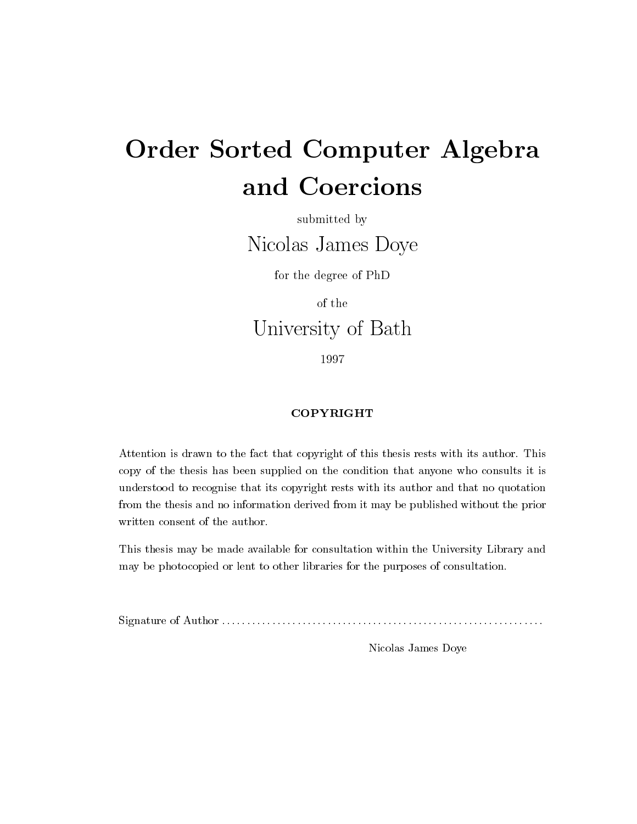# Order Sorted Computer Algebra and Coercions

submitted by

Nicolas James Doye

for the degree of PhD

of the

University of Bath

- - - -

### COPYRIGHT

Attention is drawn to the fact that copyright of this thesis rests with its author- This copy of the thesis has been supplied on the condition that anyone who consults it is understood to recognise that its copyright rests with its author and that no quotation from the thesis and no information derived from it may be published without the prior written consent of the author.

This thesis may be made available for consultation within the University Library and may be photocopied or lent to other libraries for the purposes of consultation-

Signature of Author

Nicolas James Doye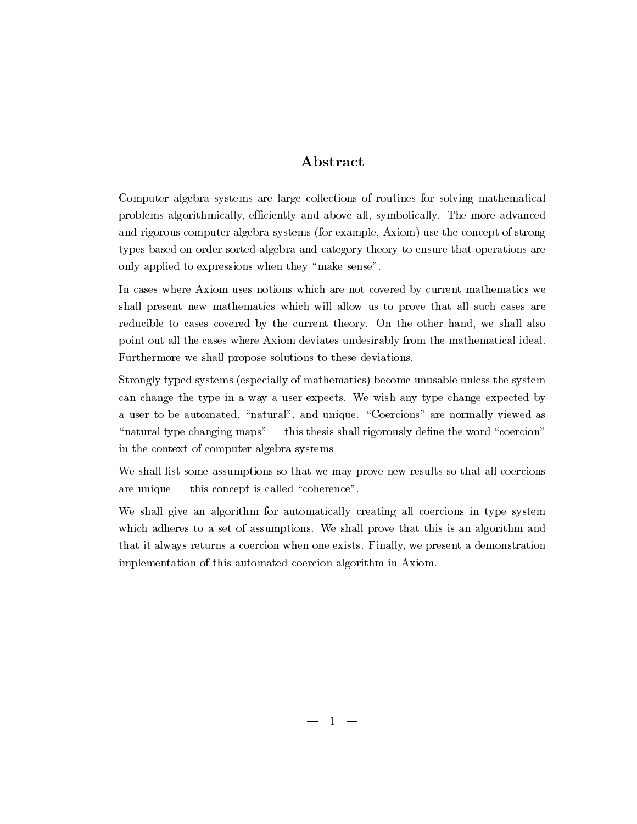## **A** bstract

Computer algebra systems are large collections of routines for solving mathematical problems algorithmically eciently and above all symbolically- The more advanced and rigorous computer algebra systems (for example, Axiom) use the concept of strong types based on order-sorted algebra and category theory to ensure that operations are only applied to expressions when they "make sense".

In cases where Axiom uses notions which are not covered by current mathematics we shall present new mathematics which will allow us to prove that all such cases are reducible to cases covered by the current theory- On the other hand we shall also point out all the cases where Axiom deviates undesirably from the mathematical ideal-Furthermore we shall propose solutions to these deviations-

Strongly typed systems (especially of mathematics) become unusable unless the system can change the type in a way a user expected to wish any type change expected by a user to be automated natural and unique-service of viewed and unique-services as a service as a service as natural type changing maps of these changing maps shall rigorously density density of words and word coercional in the context of computer algebra systems

We shall list some assumptions so that we may prove new results so that all coercions are unique this concept is concept is concept is concept in the concept is concept in the concept of  $\mathcal{A}$ 

We shall give an algorithm for automatically creating all coercions in type system which adheres to a set of assumptions-we shall prove that this is an algorithm and the shall prove that this an that it always returns a coercion when one exists- Finally we present a demonstration implementation of this automated coercion algorithm in Axiom-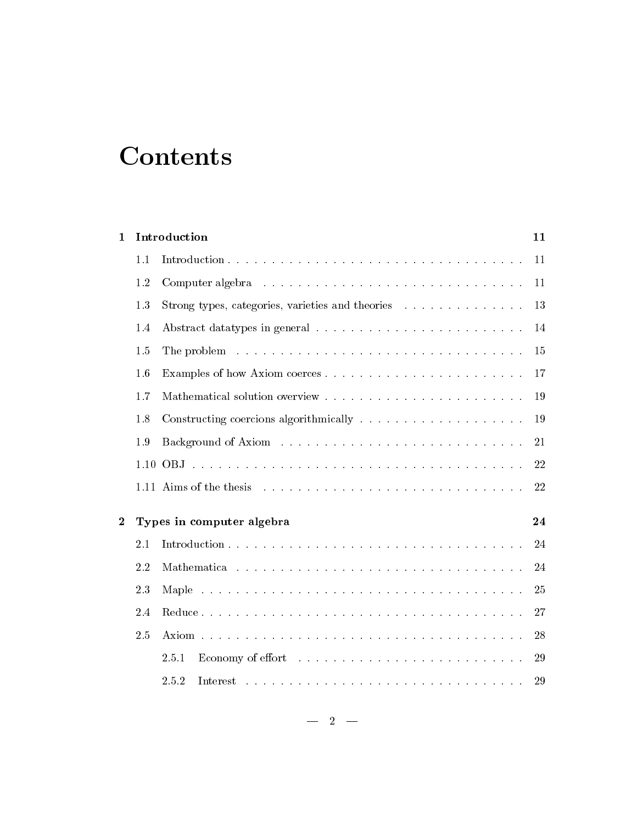# **Contents**

| $\mathbf{1}$   |     | Introduction<br>11                                                                 |    |  |  |  |
|----------------|-----|------------------------------------------------------------------------------------|----|--|--|--|
|                | 1.1 |                                                                                    | 11 |  |  |  |
|                | 1.2 |                                                                                    | 11 |  |  |  |
|                | 1.3 | Strong types, categories, varieties and theories                                   | 13 |  |  |  |
|                | 1.4 |                                                                                    | 14 |  |  |  |
|                | 1.5 |                                                                                    | 15 |  |  |  |
|                | 1.6 | Examples of how Axiom coerces                                                      | 17 |  |  |  |
|                | 1.7 |                                                                                    | 19 |  |  |  |
|                | 1.8 | Constructing coercions algorithmically $\dots \dots \dots \dots \dots \dots \dots$ | 19 |  |  |  |
|                | 1.9 |                                                                                    | 21 |  |  |  |
|                |     |                                                                                    | 22 |  |  |  |
|                |     |                                                                                    | 22 |  |  |  |
| $\overline{2}$ |     | Types in computer algebra                                                          |    |  |  |  |
|                | 2.1 |                                                                                    | 24 |  |  |  |
|                | 2.2 |                                                                                    | 24 |  |  |  |
|                | 2.3 |                                                                                    | 25 |  |  |  |
|                | 2.4 |                                                                                    | 27 |  |  |  |
|                | 2.5 |                                                                                    | 28 |  |  |  |
|                |     | 2.5.1                                                                              | 29 |  |  |  |
|                |     | 2.5.2                                                                              | 29 |  |  |  |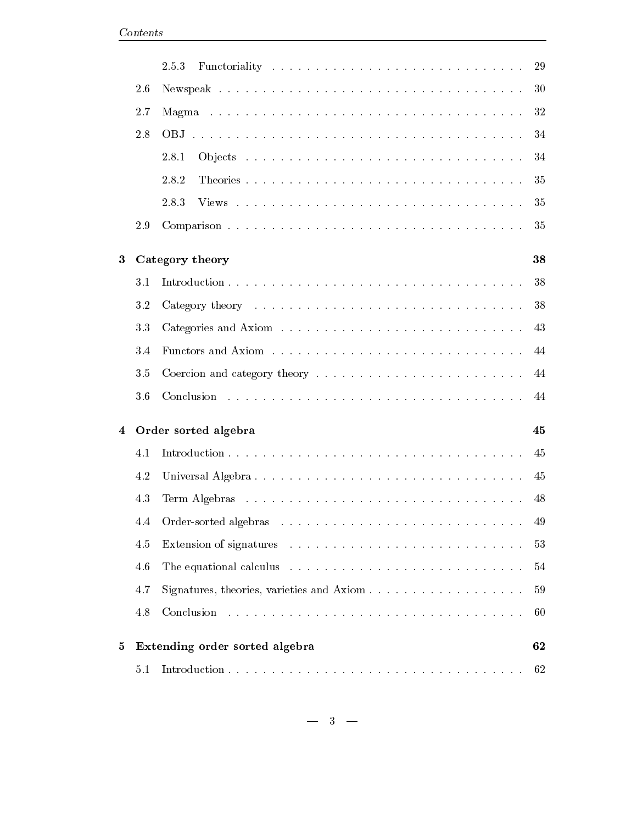|                |     | 2.5.3                                                                                    | 29 |  |
|----------------|-----|------------------------------------------------------------------------------------------|----|--|
|                | 2.6 |                                                                                          | 30 |  |
|                | 2.7 |                                                                                          | 32 |  |
|                | 2.8 |                                                                                          | 34 |  |
|                |     | 2.8.1                                                                                    | 34 |  |
|                |     | 2.8.2                                                                                    | 35 |  |
|                |     | 2.8.3                                                                                    | 35 |  |
|                | 2.9 |                                                                                          | 35 |  |
| $\bf{3}$       |     | Category theory                                                                          | 38 |  |
|                | 3.1 |                                                                                          | 38 |  |
|                | 3.2 |                                                                                          | 38 |  |
|                | 3.3 |                                                                                          | 43 |  |
|                | 3.4 |                                                                                          | 44 |  |
|                | 3.5 |                                                                                          | 44 |  |
|                | 3.6 |                                                                                          | 44 |  |
| $\overline{4}$ |     | Order sorted algebra                                                                     |    |  |
|                | 4.1 |                                                                                          | 45 |  |
|                | 4.2 |                                                                                          | 45 |  |
|                | 4.3 |                                                                                          | 48 |  |
|                |     |                                                                                          | 49 |  |
|                | 4.5 |                                                                                          | 53 |  |
|                | 4.6 | The equational calculus $\ldots \ldots \ldots \ldots \ldots \ldots \ldots \ldots \ldots$ | 54 |  |
|                | 4.7 |                                                                                          | 59 |  |
|                | 4.8 | Conclusion                                                                               | 60 |  |
| 5              |     | Extending order sorted algebra                                                           | 62 |  |
|                | 5.1 |                                                                                          | 62 |  |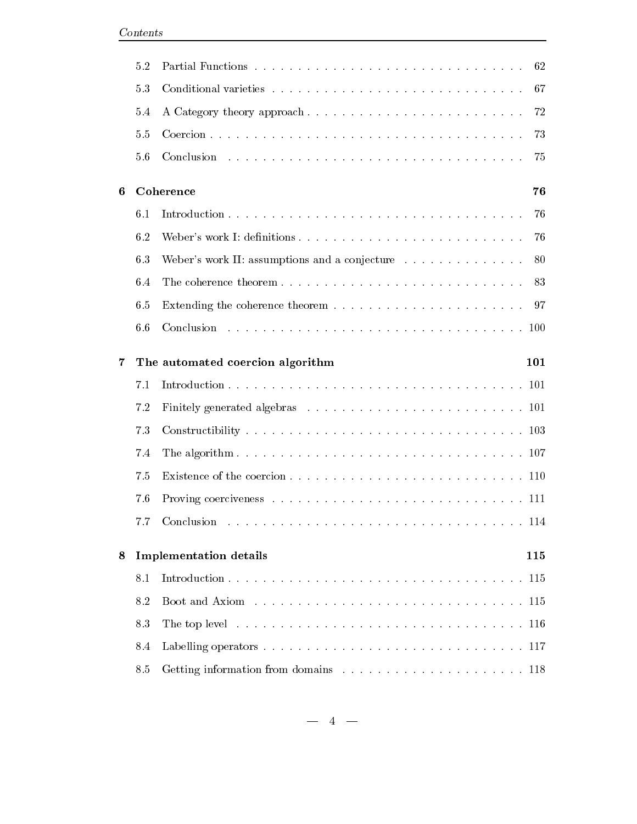|     | 5.2 |                                                                                                                | 62  |
|-----|-----|----------------------------------------------------------------------------------------------------------------|-----|
|     | 5.3 |                                                                                                                | 67  |
|     | 5.4 | A Category theory approach                                                                                     | 72  |
|     | 5.5 |                                                                                                                | 73  |
|     | 5.6 |                                                                                                                | 75  |
| 6   |     | Coherence                                                                                                      | 76  |
| 6.1 |     |                                                                                                                |     |
|     | 6.2 | Weber's work I: definitions                                                                                    | 76  |
|     | 6.3 | Weber's work II: assumptions and a conjecture                                                                  | 80  |
|     | 6.4 |                                                                                                                | 83  |
|     | 6.5 |                                                                                                                | 97  |
|     | 6.6 |                                                                                                                |     |
| 7   |     | The automated coercion algorithm                                                                               | 101 |
|     | 7.1 |                                                                                                                |     |
|     | 7.2 |                                                                                                                |     |
|     | 7.3 |                                                                                                                |     |
|     | 7.4 |                                                                                                                |     |
|     | 7.5 |                                                                                                                |     |
|     | 7.6 |                                                                                                                |     |
|     |     |                                                                                                                |     |
| 8   |     | <b>Implementation details</b>                                                                                  | 115 |
|     | 8.1 |                                                                                                                | 115 |
|     | 8.2 |                                                                                                                | 115 |
|     | 8.3 | The top level $\ldots \ldots \ldots \ldots \ldots \ldots \ldots \ldots \ldots \ldots \ldots \ldots \ldots 116$ |     |
|     | 8.4 |                                                                                                                |     |
|     | 8.5 |                                                                                                                |     |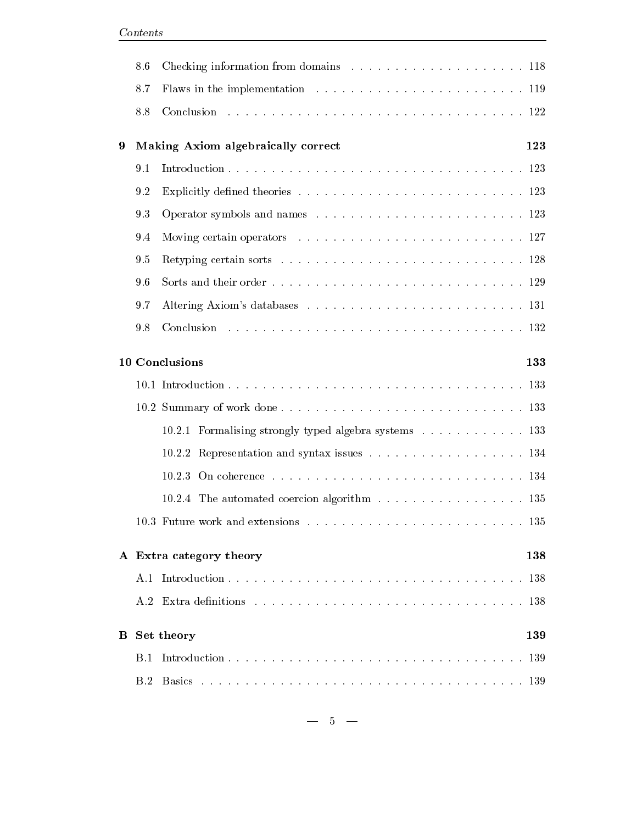|                   | 8.6 |                                                       |     |  |  |  |     |  |  |  |  |  |
|-------------------|-----|-------------------------------------------------------|-----|--|--|--|-----|--|--|--|--|--|
|                   | 8.7 |                                                       |     |  |  |  |     |  |  |  |  |  |
| 8.8               |     |                                                       |     |  |  |  |     |  |  |  |  |  |
| 9                 |     | Making Axiom algebraically correct                    |     |  |  |  |     |  |  |  |  |  |
| 9.1<br>9.2<br>9.3 |     |                                                       |     |  |  |  |     |  |  |  |  |  |
|                   |     |                                                       |     |  |  |  | 9.4 |  |  |  |  |  |
|                   |     |                                                       |     |  |  |  |     |  |  |  |  |  |
|                   | 9.6 |                                                       |     |  |  |  |     |  |  |  |  |  |
|                   | 9.7 |                                                       |     |  |  |  |     |  |  |  |  |  |
|                   |     |                                                       |     |  |  |  |     |  |  |  |  |  |
|                   |     | 10 Conclusions<br>133                                 |     |  |  |  |     |  |  |  |  |  |
|                   |     |                                                       |     |  |  |  |     |  |  |  |  |  |
|                   |     |                                                       |     |  |  |  |     |  |  |  |  |  |
|                   |     | 10.2.1 Formalising strongly typed algebra systems 133 |     |  |  |  |     |  |  |  |  |  |
|                   |     |                                                       |     |  |  |  |     |  |  |  |  |  |
|                   |     |                                                       |     |  |  |  |     |  |  |  |  |  |
|                   |     | 10.2.4 The automated coercion algorithm 135           |     |  |  |  |     |  |  |  |  |  |
|                   |     |                                                       |     |  |  |  |     |  |  |  |  |  |
|                   |     | A Extra category theory                               | 138 |  |  |  |     |  |  |  |  |  |
|                   | A.1 |                                                       | 138 |  |  |  |     |  |  |  |  |  |
|                   | A.2 |                                                       | 138 |  |  |  |     |  |  |  |  |  |
| $\bf{B}$          |     | Set theory                                            | 139 |  |  |  |     |  |  |  |  |  |
|                   | B.1 |                                                       | 139 |  |  |  |     |  |  |  |  |  |
|                   | B.2 | <b>Basics</b>                                         | 139 |  |  |  |     |  |  |  |  |  |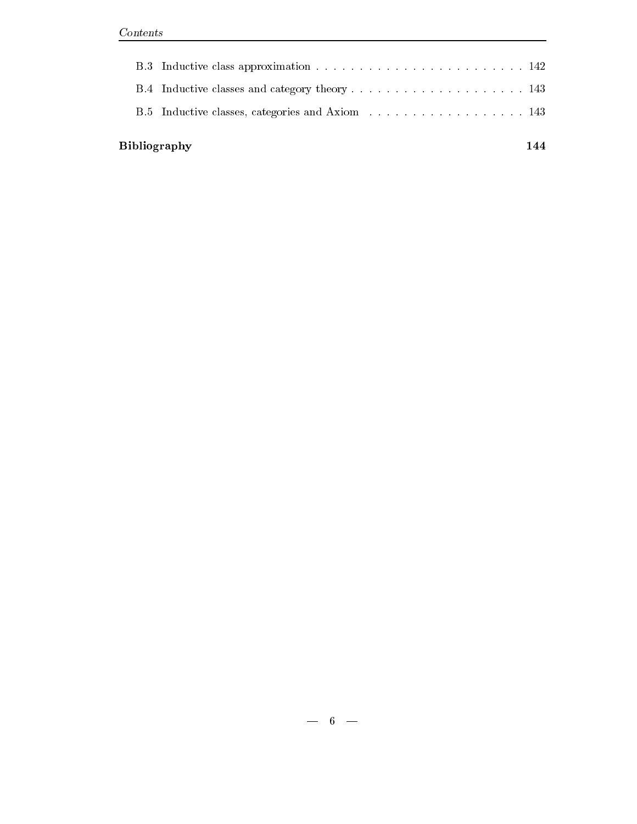**Bibliography** 

|  | B.5 Inductive classes, categories and Axiom 143 |  |
|--|-------------------------------------------------|--|
|  |                                                 |  |

144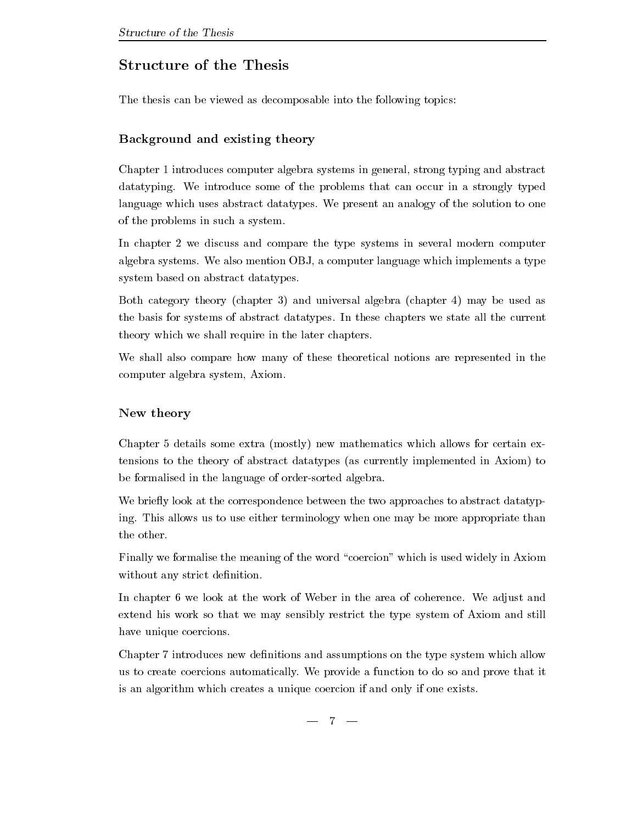## Structure of the Thesis

The thesis can be viewed as decomposable into the following topics

## $\bf B$  and existing and existing theory  $\bf y$

Chapter  introduces computer algebra systems in general strong typing and abstract datatyping- we introduce some of the problems that the stronger in a strongly typed language which uses abstract datatypes- We present an analogy of the solution to one of the problems in such a system-

In chapter 2 we discuss and compare the type systems in several modern computer algebra systems- We also mention OBJ a computer language which implements a type system based on abstract datatypes.

Both category theory (chapter 3) and universal algebra (chapter 4) may be used as the basis for systems of abstract datatypes-in the chapters we state all the contracts we state all the current theory which we shall require in the later chapters-

We shall also compare how many of these theoretical notions are represented in the computer algebra system, Axiom.

## New theory

Chapter 5 details some extra (mostly) new mathematics which allows for certain extensions to the theory of abstract datatypes (as currently implemented in Axiom) to be formalised in the language of order-sorted algebra.

We briefly look at the correspondence between the two approaches to abstract datatyping- the use  $\cdots$  and the use terminology when  $\alpha$  and  $\alpha$  are more appropriate than  $\alpha$ the other.

Finally we formalise the meaning of the word "coercion" which is used widely in Axiom without any strict definition.

In chapter we look at the work of Weber in the area of coherence- We adjust and extend his work so that we may sensibly restrict the type system of Axiom and still have unique coercions.

Chapter 7 introduces new definitions and assumptions on the type system which allow us to create coercions automatically- We provide a function to do so and prove that it is an algorithm which creates a unique coercion if and only if one exists-

 $-7-$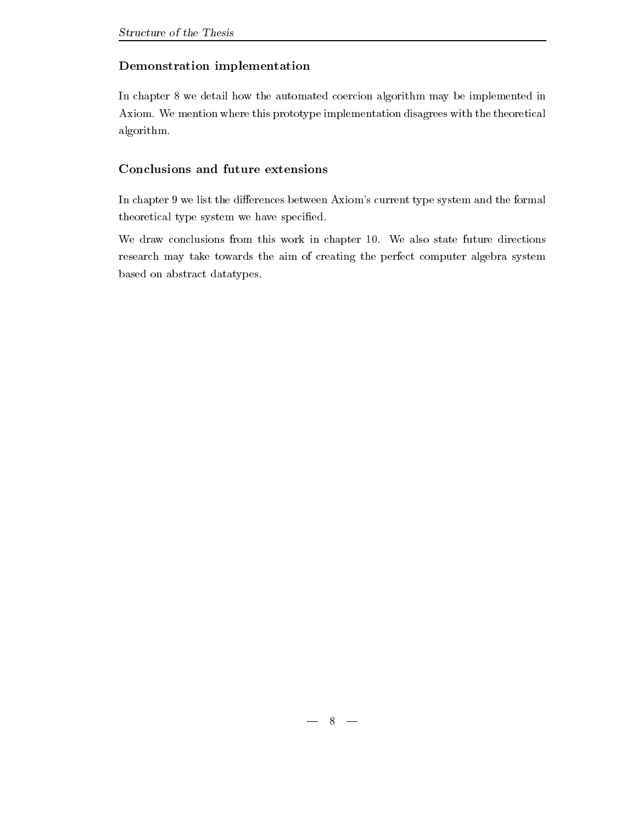## Demonstration implementation

In chapter 8 we detail how the automated coercion algorithm may be implemented in Axiom- We mention where this prototype implementation disagrees with the theoretical algorithm-

In chapter 9 we list the differences between Axiom's current type system and the formal theoretical type system we have specified.

we draw conclusions from this work in chapter and the state future directions and the conclusions of the conclusions research may take towards the aim of creating the perfect computer algebra system based on abstract datatypes.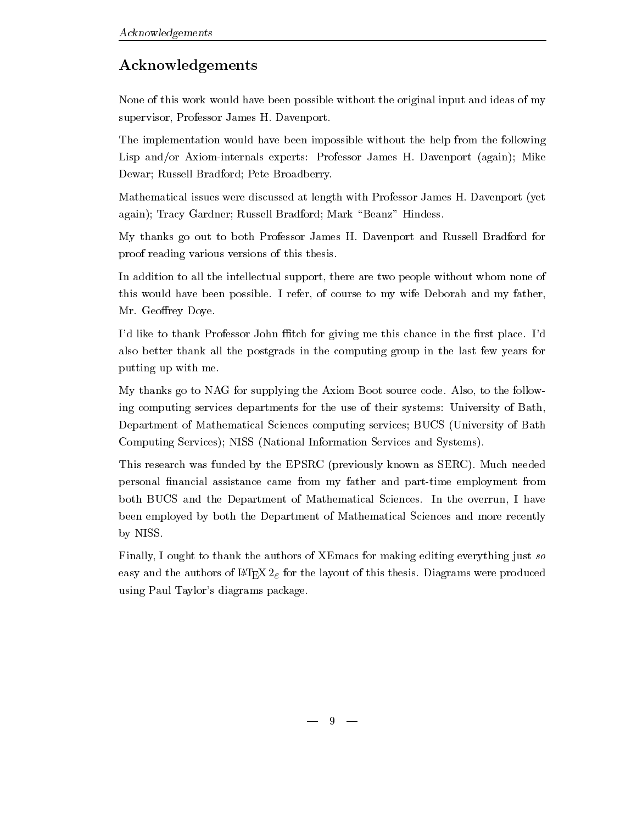## Acknowledgements

None of this work would have been possible without the original input and ideas of my supervisor Professor Professor Professor Professor Professor

The implementation would have been impossible without the help from the following Lisp andor Axiominternals experts Professor James H- Davenport again Mike Dewar; Russell Bradford; Pete Broadberry.

Mathematical issues were discussed at length with Professor James H- Davenport yet again); Tracy Gardner; Russell Bradford; Mark "Beanz" Hindess.

My thanks go out to both Professor James H- Davenport and Russell Bradford for proof reading various versions of this thesis-

In addition to all the intellectual support, there are two people without whom none of this would have been possible- and my father to my father  $\sim$  and my father  $\sim$ Mr- Georey Doye-

Id like to thank Professor John tch for giving me this chance in the rst place- Id also better thank all the postgrads in the computing group in the last few years for putting up with me-

My thanks go to NAG for supplying the Axiom Boot source code- Also to the follow ing computing services departments for the use of their systems: University of Bath. Department of Mathematical Sciences computing services; BUCS (University of Bath Computing Services); NISS (National Information Services and Systems).

This research was funded by the EPSRC previously known as SERC- Much needed personal financial assistance came from my father and part-time employment from both BUCS and the Department of Mathematical Sciences- In the overrun I have been employed by both the Department of Mathematical Sciences and more recently by NISS.

Finally, I ought to thank the authors of XEmacs for making editing everything just so  $\cos y$  and the authors of  $E$ - $E$ / $\Omega$   $E$  for the layout of this thesis. Diagrams were produced using Paul Taylor's diagrams package.

 $-9$  —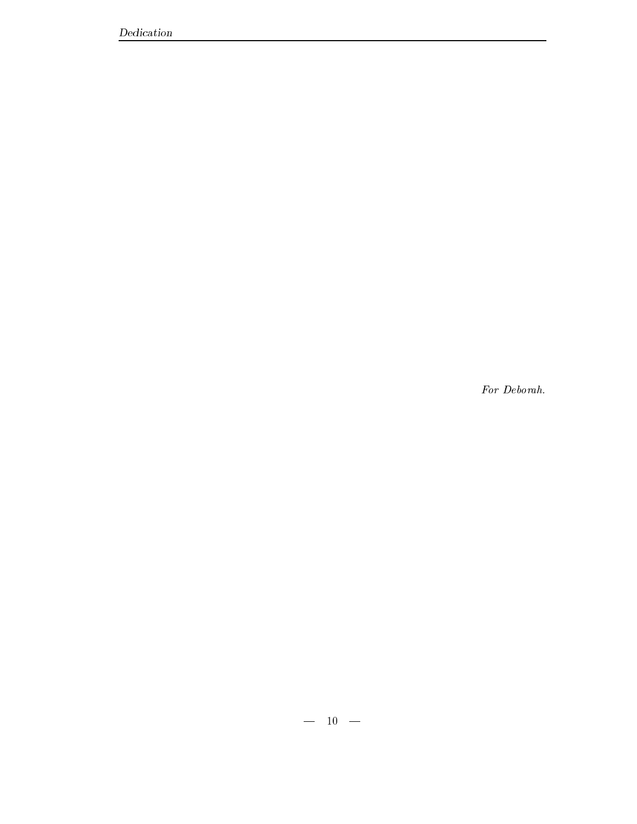For Deborah.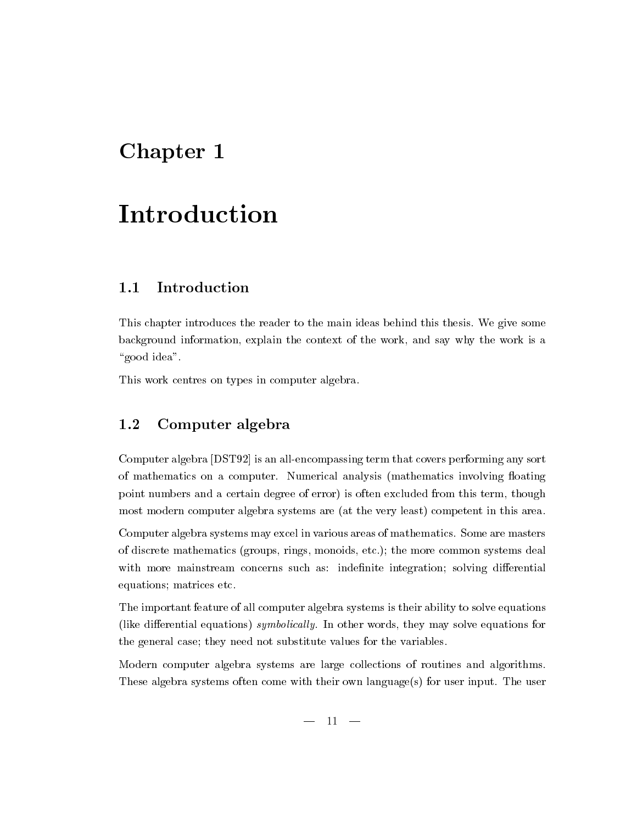# Chapter 1

# Introduction

### Introduction  $1.1$

This chapter introduces the reader to the main ideas behind this thesis- We give some background information, explain the context of the work, and say why the work is a "good idea".

This work centres on types in computer algebra-

### 1.2 Computer algebra

Computer algebra [DST92] is an all-encompassing term that covers performing any sort of mathematics on a computer- computer- involving or produced analysis mathematics in  $\Delta$  mathematics in point numbers and a certain degree of error) is often excluded from this term, though most modern computer algebra systems are (at the very least) competent in this area.

computer algebra systems may excell in various areas of mathematics-in various areas of mathematicsof discrete mathematics groups monoids etc-common systems and common systems deals with more mainstream concerns such as: indefinite integration; solving differential equations; matrices etc.

The important feature of all computer algebra systems is their ability to solve equations like dierential equations symbolical ly- In other words they may solve equations for the general case; they need not substitute values for the variables.

Modern computer algebra systems are large collections of routines and algorithms-These algebra systems often come with their own languages for user input- The user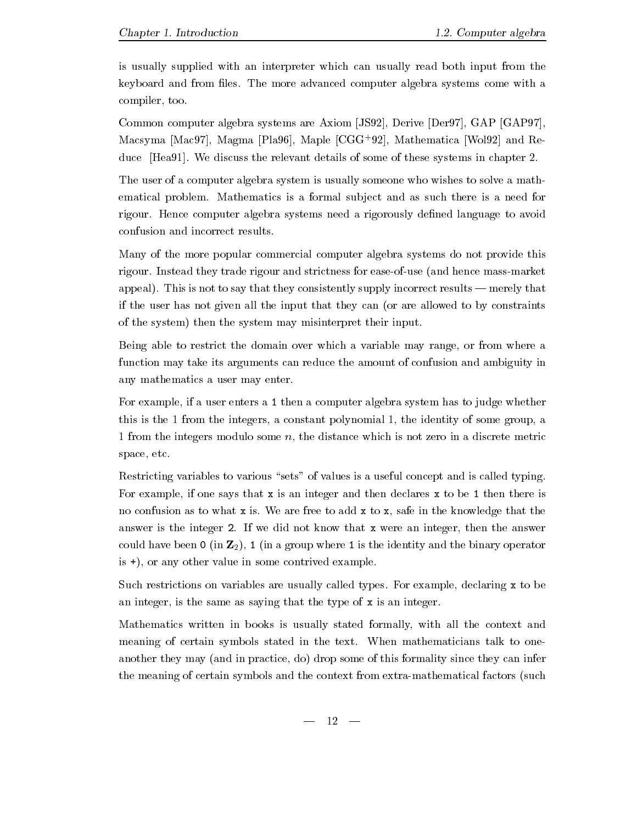is usually supplied with an interpreter which can usually read both input from the keyboard and from les- The more advanced computer algebra systems come with a compiler, too.

Common computer algebra systems are Axiom [JS92], Derive [Der97], GAP [GAP97], Macsyma |Mac97], Magma |Pla90|, Maple |UGG-92|, Mathematica |Wol92| and Reduce Health and the relevant details of the relevant details of these systems in chapter  $\sim$ 

The user of a computer algebra system is usually someone who wishes to solve a math ematical problems- subdivisions is a submitted-sub ject and as such there is a need for a need for rigour- Hence computer algebra systems need a rigorously dened language to avoid confusion and incorrect results-

Many of the more popular commercial computer algebra systems do not provide this rigour- Instead they trade rigour and strictness for easeofuse and hence massmarket appeals, is not to say that they consistent that they appeal they were results in the supply that the construction of the construction of the construction of the construction of the construction of the construction of the if the user has not given all the input that they can (or are allowed to by constraints of the system) then the system may misinterpret their input.

Being able to restrict the domain over which a variable may range, or from where a function may take its arguments can reduce the amount of confusion and ambiguity in any mathematics a user may enter.

For example, if a user enters a 1 then a computer algebra system has to judge whether this is the 1 from the integers, a constant polynomial 1, the identity of some group, a 1 from the integers modulo some  $n$ , the distance which is not zero in a discrete metric space, etc.

Restricting variables to various "sets" of values is a useful concept and is called typing. For example, if one says that  $x$  is an integer and then declares  $x$  to be 1 then there is no confusion as to what x is-in-the knowledge that the knowledge that the knowledge that the knowledge that the answer is the integer -  $\mathbf{I}$  we did not know that  $\mathbf{I}$  were an integer then the answer then the answer could have been  $\mathfrak{0}$  (in  $\mathbb{Z}_2$ ), 1 (in a group where 1 is the identity and the binary operator is  $\pm$ ), or any other value in some contrived example.

Such restrictions on variables are usually called types- For example declaring x to be an integer, is the same as saying that the type of  $x$  is an integer.

Mathematics written in books is usually stated formally with all the context and meaning of certain symbols stated in the text- When mathematicians talk to one another they may (and in practice, do) drop some of this formality since they can infer the meaning of certain symbols and the context from extra-mathematical factors (such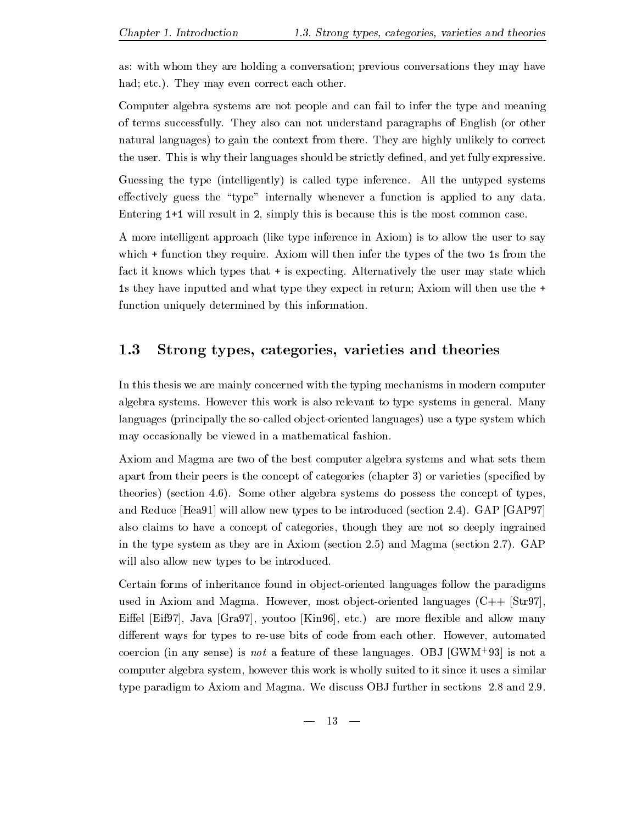as: with whom they are holding a conversation; previous conversations they may have had etc-- They may even correct each other-

Computer algebra systems are not people and can fail to infer the type and meaning of the extensive successfully-can not understand paragraphs of English or other can not be completed as  $\mathcal{L}_\mathbf{p}$ natural context from the context from the correct from the correct from the correct from the correct from the cor  $\ldots$  . This is why the simple showled be strictly denoted and yet fully expressive-

Guessing the type intelligently is called type interested that the until ped systems. effectively guess the "type" internally whenever a function is applied to any data. Entering will result in - simply this is because this is the most common case-

A more intelligent approach (like type inference in Axiom) is to allow the user to say which is the there they require to contract the two shares the types of the two states the two states of the two fact it knows which types that is expecting- Alternatively the user may state which is they have inputted and what type they expect in return; Axiom will then use the  $\pm$ function uniquely determined by this information.

### $1.3$ Strong types, categories, varieties and theories

In this thesis we are mainly concerned with the typing mechanisms in modern computer algebra systems - How work is also relevant to the following the systems in general - the systems in  $\alpha$ languages (principally the so-called object-oriented languages) use a type system which may occasionally be viewed in a mathematical fashion.

Axiom and Magma are two of the best computer algebra systems and what sets them apart from their peers is the concept of categories (chapter  $3$ ) or varieties (specified by theories section of the concept of types the concept of types the concept of types the concept of types the co and Reduce Hea will allow new types to be introduced section 
-- GAP GAP also claims to have a concept of categories though they are not so deeply ingrained in the type system as they are increased (section it, and inappear (section it, ) where will also allow new types to be introduced.

Certain forms of inheritance found in object-oriented languages follow the paradigms used in Axiom and Magmais observer most observer most observer in Axiom (  $\sim$  ) is provided in the contract of Eiel Eif Java Gra youtoo Kin etc- are more exible and allow many dierent ways for types to reuse bits of code from each other- However automated coercion (in any sense) is not a feature of these languages. OBJ [GWM-95] is not a computer algebra system, however this work is wholly suited to it since it uses a similar type paradigm to Axiom and Magma- We discuss OBJ further in sections - and 
--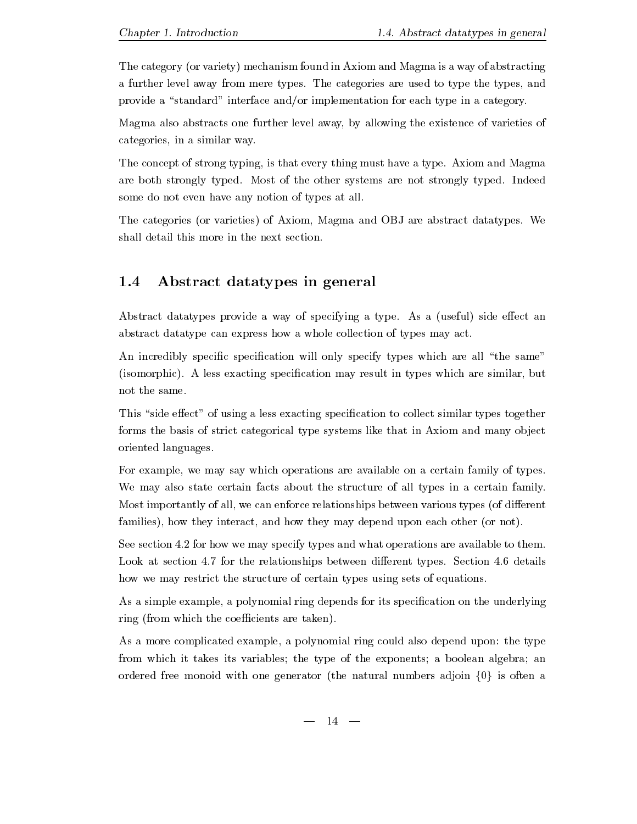The category (or variety) mechanism found in Axiom and Magma is a way of abstracting a further from mere, from mere types-from mere the type to type the types and the types are used to provide a "standard" interface and/or implementation for each type in a category.

Magma also abstracts one further level away by allowing the existence of varieties of categories, in a similar way.

The concept of strong typing is that every thing must haveatype- Axiom and Magma are both strongly typed-indeed-contract systems are not strongly typed-index. some do not even have any notion of types at all-

The categories or varieties of Axiom Magma and OBJ are abstract datatypes- We shall detail this more in the next section.

### 1.4 Abstract datatypes in general

Abstract datatypes provide a way of specifying a type- As a useful side eect an abstract datatype can express how a whole collection of types may act-

An incredibly specific specification will only specify types which are all "the same" isomorphic- A less exacting specication may result in types which are similar but not the same.

This "side effect" of using a less exacting specification to collect similar types together forms the basis of strict categorical type systems like that in Axiom and many object oriented languages-

For example, we may say which operations are available on a certain family of types. We may also state certain facts about the structure of all types in a certain family. Most importantly of all, we can enforce relationships between various types (of different families), how they interact, and how they may depend upon each other (or not).

See section - for how we may specify types and what operations are available to them-Look at section - for the relationships between dierent types- Section - details how we may restrict the structure of certain types using sets of equations.

As a simple example, a polynomial ring depends for its specification on the underlying ring (from which the coefficients are taken).

As a more complicated example, a polynomial ring could also depend upon: the type from which it takes its variables; the type of the exponents; a boolean algebra; an ordered free monoid with one generator (the natural numbers adjoin  $\{0\}$ ) is often a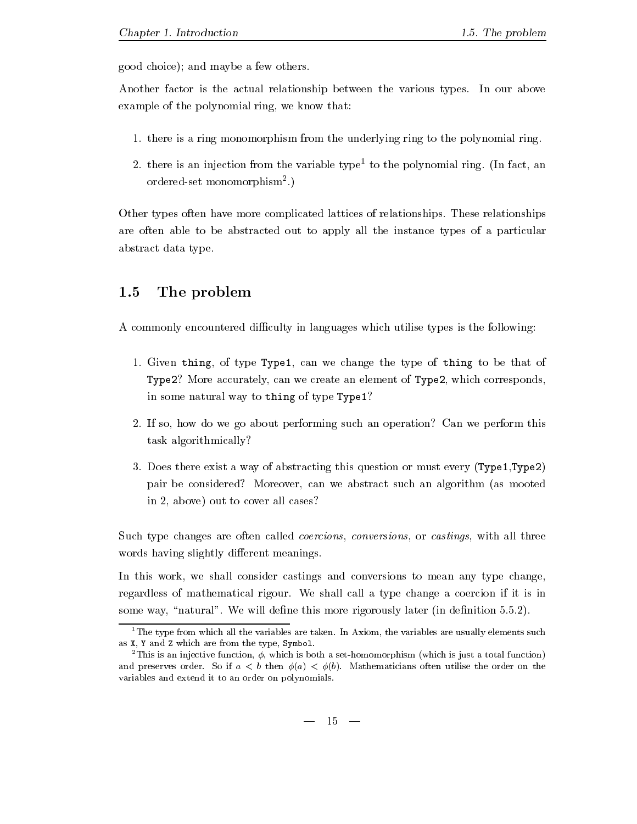good choice); and maybe a few others.

Another factor is the actual relationship between the various types- In our above example of the polynomial ring, we know that:

- - there is a ring monomorphism from the underlying ring to the polynomial ring-
- z. there is an injection from the variable type- to the polynomial ring. (In fact, an ordered-set monomorphism .<sub>)</sub>

Other types often have more complicated lattices of relationships- These relationships are often able to be abstracted out to apply all the instance types of a particular abstract data type.

### 1.5 The problem

A commonly encountered difficulty in languages which utilise types is the following:

- - Given thing of type Type can we change the type of thing to be that of Type- More accurately can we create an element of Type- which corresponds in some natural way to thing of type Type
- If so how do we go about performing such an operation Can we perform this task algorithmically
- Does there exist a way of abstracting this question or must every TypeType pair be considered? Moreover, can we abstract such an algorithm (as mooted in 2, above) out to cover all cases?

Such type changes are often called *coercions*, *conversions*, or *castings*, with all three words having slightly different meanings.

In this work, we shall consider castings and conversions to mean any type change, regardless of mathematical rigour-left and call a type change a coercion if it is in the coercion in the coercion in some way natural - We will dene this more rigorously later in denition ---

The type from which all the variables are taken. In Axiom, the variables are usually elements such as  $X$ ,  $Y$  and  $Z$  which are from the type, Symbol.

<sup>-</sup>This is an injective function which is both a sethomomorphism which is just a total function and preserves order- So if a - b then a - b- Mathematicians often utilise the order on the variables and extend it to an order on polynomials-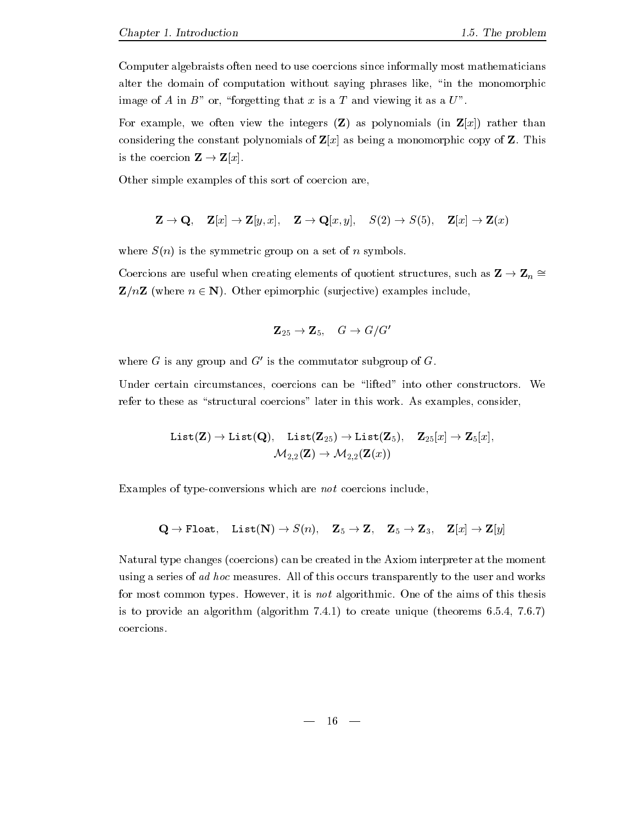Computer algebraists often need to use coercions since informally most mathematicians alter the domain of computation without saying phrases like, "in the monomorphic image of A in B<sup>n</sup> or, "forgetting that x is a T and viewing it as a  $U^{\prime\prime}$ .

For example, we often view the integers  $(Z)$  as polynomials (in  $Z[x]$ ) rather than considering the constant polynomials of Zya as being a monomorphic copy of Z-A- as  $\sim$ is the coercion Z - Zx-

Other simple examples of this sort of coercion are

$$
\mathbf{Z} \to \mathbf{Q}, \quad \mathbf{Z}[x] \to \mathbf{Z}[y, x], \quad \mathbf{Z} \to \mathbf{Q}[x, y], \quad S(2) \to S(5), \quad \mathbf{Z}[x] \to \mathbf{Z}(x)
$$

where  $S(n)$  is the symmetric group on a set of n symbols.

Coercions are useful when creating elements of quotient structures, such as  $\mathbf{Z} \to \mathbf{Z}_n =$  $\mathcal{L}$  , where  $\mathcal{L}$  is a surjective example include  $\mathcal{L}$  . The surface includes include  $\mathcal{L}$ 

$$
{\bf Z}_{25} \rightarrow {\bf Z}_5, \quad G \rightarrow G/G'
$$

where G is any group and  $G'$  is the commutator subgroup of G.

Under certain circumstances coercions can be lifted into other constructors- We refer to these as structural coercions in this work- as the constant and the consideration of the constant of

$$
\mathtt{List}(\mathbf{Z}) \to \mathtt{List}(\mathbf{Q}), \quad \mathtt{List}(\mathbf{Z}_{25}) \to \mathtt{List}(\mathbf{Z}_{5}), \quad \mathbf{Z}_{25}[x] \to \mathbf{Z}_{5}[x], \\ \mathcal{M}_{2,2}(\mathbf{Z}) \to \mathcal{M}_{2,2}(\mathbf{Z}(x))
$$

Examples of type-conversions which are *not* coercions include.

$$
\mathbf{Q} \rightarrow \texttt{Float}, \quad \texttt{List}(\mathbf{N}) \rightarrow S(n), \quad \mathbf{Z}_5 \rightarrow \mathbf{Z}, \quad \mathbf{Z}_5 \rightarrow \mathbf{Z}_3, \quad \mathbf{Z}[x] \rightarrow \mathbf{Z}[y]
$$

Natural type changes (coercions) can be created in the Axiom interpreter at the moment is a series of additional measures-definition of this occurs transparently to this occurs transparent  $\mathcal{A}$ for most common types- However it is not algorithmic- One of the aims of this thesis is to provide an algorithm algorithm algorithm - to create the providence in the state  $\sim$ coercions-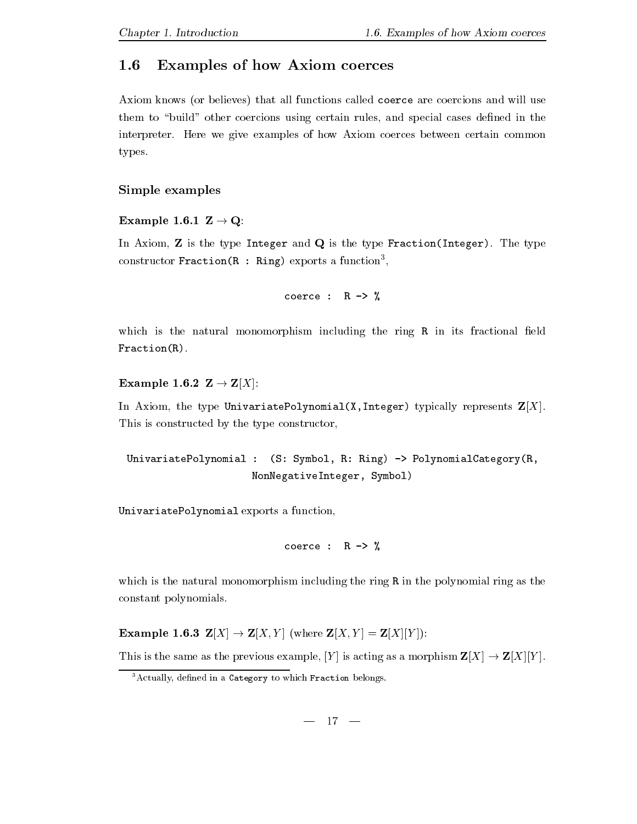### $1.6\,$  Examples of how Axiom coerces

Axiom knows (or believes) that all functions called coerce are coercions and will use them to "build" other coercions using certain rules, and special cases defined in the interpreter- Here we give examples of how Axiom coerces between certain common types.

### $S = S$  . Simple example example examples to the set of  $S$

and the contract of the contract of the contract of the contract of the contract of the contract of the contract of the contract of the contract of the contract of the contract of the contract of the contract of the contra

In Axiom Z is the type Integer and Q is the type FractionInteger- The type  $\operatorname{constant}$  raction  $\mathfrak k$  . Aing exports a function  $\mathfrak k$ 

coerce :  $R \rightarrow \%$ 

which is the natural monomorphism including the ring  $R$  in its fractional field  $Fraction(R)$ .

Example - Z - ZX

In Axiom, the type UnivariatePolynomial(X, Integer) typically represents  $\mathbf{Z}[X].$ This is constructed by the type constructor

UnivariatePolynomial :  $(S: Symbol, R: Ring) \rightarrow PolynomialCategory(R,$ NonNegativeInteger, Symbol)

UnivariatePolynomial exports a function

coerce :  $R \rightarrow \%$ 

which is the natural monomorphism including the ring R in the polynomial ring as the constant polynomials-

 $\mathbb{R}^n$  . The contract of the contract of the contract of the contract of the contract of the contract of the contract of the contract of the contract of the contract of the contract of the contract of the contract of

This is the same as the previous example Y is acting as a morphism ZX - ZXY -

 ${}^{3}$ Actually, defined in a Category to which Fraction belongs.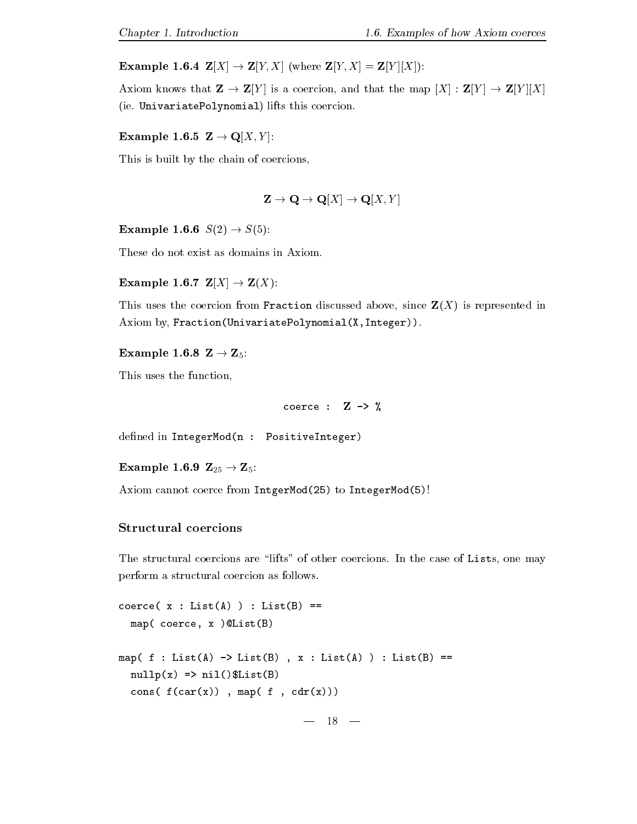$\mathbb{R}$  . The contract of the contract of the contract of the contract of the contract of the contract of the contract of the contract of the contract of the contract of the contract of the contract of the contract of th

Axiom knows that Z - ZY is a coercion and that the map X ZY - ZY X ie-energy is experimental lifts the polynomial lifts that  $\mathcal{U}$  is coefficient that  $\mathcal{U}$ 

 $\mathbb{R}^n$  . The contract of the contract of the contract of the contract of the contract of the contract of the contract of the contract of the contract of the contract of the contract of the contract of the contract of

This is built by the chain of coercions

$$
\mathbf{Z} \to \mathbf{Q} \to \mathbf{Q}[X] \to \mathbf{Q}[X, Y]
$$

Example - S - S

These do not exist as domains in Axiom-

 $\mathbb{R}^n$  . The contract of the contract of the contract of the contract of the contract of the contract of the contract of the contract of the contract of the contract of the contract of the contract of the contract of

This uses the coercion from Fraction discussed above, since  $\mathbf{Z}(X)$  is represented in Axiom by, Fraction(UnivariatePolynomial $(X,$ Integer)).

 $\mathbf{F}$  and  $\mathbf{F}$  and  $\mathbf{F}$  and  $\mathbf{F}$  and  $\mathbf{F}$  and  $\mathbf{F}$  and  $\mathbf{F}$  and  $\mathbf{F}$  and  $\mathbf{F}$  and  $\mathbf{F}$  and  $\mathbf{F}$  and  $\mathbf{F}$  and  $\mathbf{F}$  and  $\mathbf{F}$  and  $\mathbf{F}$  and  $\mathbf{F}$  and  $\mathbf{F}$  and

This uses the function

coerce :  $Z \rightarrow \%$ 

defined in IntegerMod(n : PositiveInteger)

Example - Z - Z

 $\mathbf{A}$  is integer. In the Integration is integrated to Integer. In the Integer model we have  $\mathbf{A}$ 

### structural coercions de coercions de la coercional de la coercional de la coercional de la coercional de la co

. The structure coercions are lifts of other coercions- are lifts one may call the coerci perform a structural coercion as follows-

```
coerce(x : List(A)) : List(B) ==map(coerce, x ) @List(B)
map( f : List(A) \rightarrow List(B), x : List(A)) : List(B) ==nullp(x) \Rightarrow nil()$List(B)
  cons(f(car(x)), map(f, cdr(x)))
```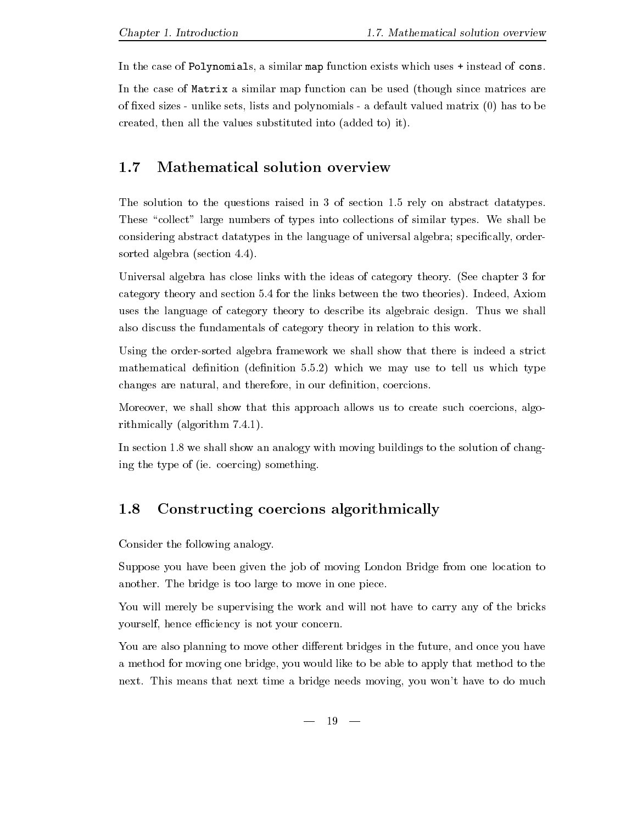In the case of Polynomials, a similar map function exists which uses  $+$  instead of cons.

In the case of Matrix a similar map function can be used (though since matrices are of fixed sizes - unlike sets, lists and polynomials - a default valued matrix  $(0)$  has to be created, then all the values substituted into (added to) it).

## Mathematical solution overview

The solution to the solution to the questions raised in  $\mathcal{A}$  . The solution  $\mathcal{A}$  is the solution of section  $\mathcal{A}$  is the solution of section  $\mathcal{A}$  is the solution of section of section  $\mathcal{A}$  is the soluti These collect large numbers of types into collections of similar types- We shall be considering abstract datatypes in the language of universal algebra; specifically, ordersorted algebra section --

Universal algebra has close links with the ideas of category theory-  $\mu$  , we use the ideas of category theorycategory theory and section - the links between the two theories-two theories-two theorieswe the language of category theory to design from magic field  $\pi$  in the shall of the shall of the shall of the shall of the shall of the shall of the shall of the shall of the shall of the shall of the shall of the shall also discuss the fundamentals of category theory in relation to this work-

Using the order-sorted algebra framework we shall show that there is indeed a strict mathematical denition denition -- which we may use to tell us which type changes are natural, and therefore, in our definition, coercions.

Moreover, we shall show that this approach allows us to create such coercions, algorithmically algorithm in the contract of the contract of the contract of the contract of the contract of the contract of the contract of the contract of the contract of the contract of the contract of the contract of the c

In station is the show and with moving  $\lambda$  with moving buildings to the solution of changes  $\lambda$ ing the type of ie- coercing something-

### 1.8 Constructing coercions algorithmically

Consider the following analogy-

Suppose you have been given the job of moving London Bridge from one location to another- The bridge is too large to move in one piece-

You will merely be supervising the work and will not have to carry any of the bricks yourself, hence efficiency is not your concern.

You are also planning to move other different bridges in the future, and once you have a method for moving one bridge you would like to be able to apply that method to the next-means that next time a bridge next time a bridge next time a bridge next time a bridge next time a bridge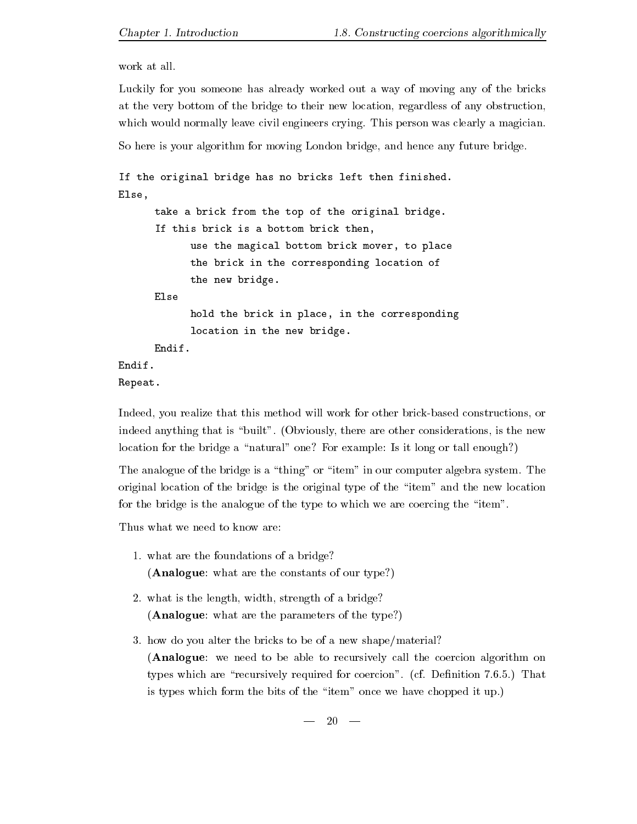work at all.

Luckily for you someone has already worked out a way of moving any of the bricks at the very bottom of the bridge to their new location, regardless of any obstruction, which we have not computed control engineers computer  $\mathcal{L}$  and  $\mathcal{L}$  and  $\mathcal{L}$  are controlled and  $\mathcal{L}$ 

So here is your algorithm for moving London bridge, and hence any future bridge.

```
If the original bridge has no bricks left then finished
Else
      take a brick from the top of the original bridge.
      If this brick is a bottom brick then,
            use the magical bottom brick mover, to place
            the brick in the corresponding location of
            the new bridge
            hold the brick in place, in the corresponding
            location in the new bridge
      Endif
Endif
Repeat
```
Indeed, you realize that this method will work for other brick-based constructions, or indeed anything that is built - Obviously there are other considerations is the new location for the bridge a "natural" one? For example: Is it long or tall enough?)

The analogue of the bridge is a thing or item in our computer algebra system- The original location of the bridge is the original type of the "item" and the new location for the bridge is the analogue of the type to which we are coercing the "item".

Thus what we need to know are

- $\mathbf{M}$ (Analogue: what are the constants of our type?)
- $\mathbf{M}$  is the length of a bridge of a bridge of a bridge of a bridge of a bridge of a bridge of a bridge of a bridge of a bridge of a bridge of a bridge of a bridge of a bridge of a bridge of a bridge of a bridge of a b (Analogue: what are the parameters of the type?)
- how do you alter the bricks to be of a new shapematerial (Analogue: we need to be able to recursively call the coercion algorithm on types which are recursively required for coercion - cf- Denition --- That is types which form the bits of the items of the bits of the items  $\mu$  parameter  $\mu$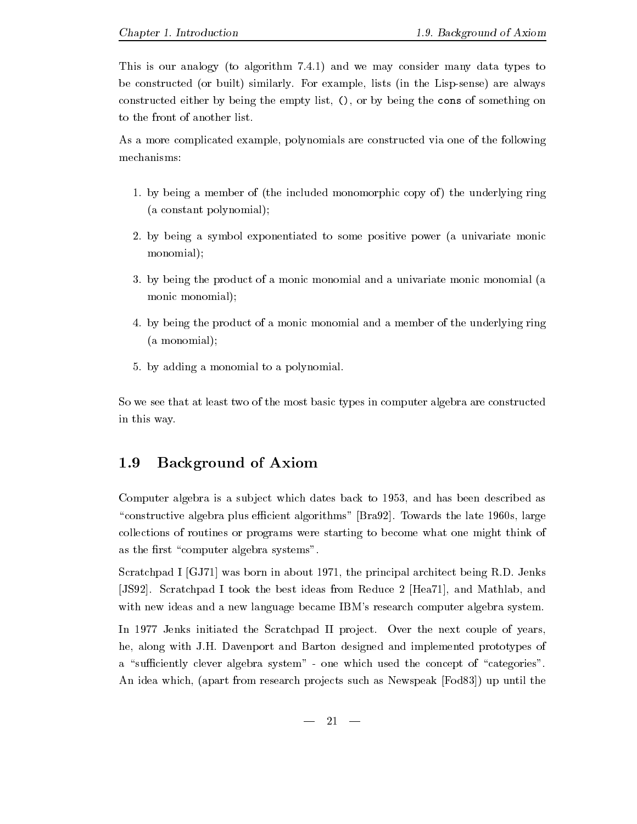$\mathbf{M}$  is our analogy to algorithm - and we may consider many data types to a  $\mathbf{F}$ be constructed or a built similar similar construction of the Lispsense are always in the Lispsense are always constructed either by being the empty list,  $($ ), or by being the cons of something on to the front of another list-

As a more complicated example, polynomials are constructed via one of the following mechanisms:

- - by being a member of the included monomorphic copy of the underlying ring a constant polynomial
- by being a symbol exponentiated to some positive power a univariate monic monomial);
- by being the product of a monic monomial and a univariate monic monomial a monic monomial);
- by being the product of a monic monomial and a member of the underlying ring (a monomial);
- by adding a monomial to a polynomial-

So we see that at least two of the most basic types in computer algebra are constructed in this way.

### 1.9  Background of Axiom

Computer algebra is a subject which dates back to 1953, and has been described as constructive algorithms plus economic algorithms are late throw that the late strategy algorithms and the late collections of routines or programs were starting to become what one might think of as the first "computer algebra systems".

station in a contract was born in a contract was born in a prime in a contract was compared to a contract the contract of the contract of the contract of the contract of the contract of the contract of the contract of the JS
- Scratchpad I took the best ideas from Reduce Hea and Mathlab and with new ideas and a new language became IBM's research computer algebra system.

an all, over the second into secondary and project of year that also a proper of years of he along with J-H- Davenport and Barton designed and implemented prototypes of a "sufficiently clever algebra system" - one which used the concept of "categories". An idea which, (apart from research projects such as Newspeak [Fod83]) up until the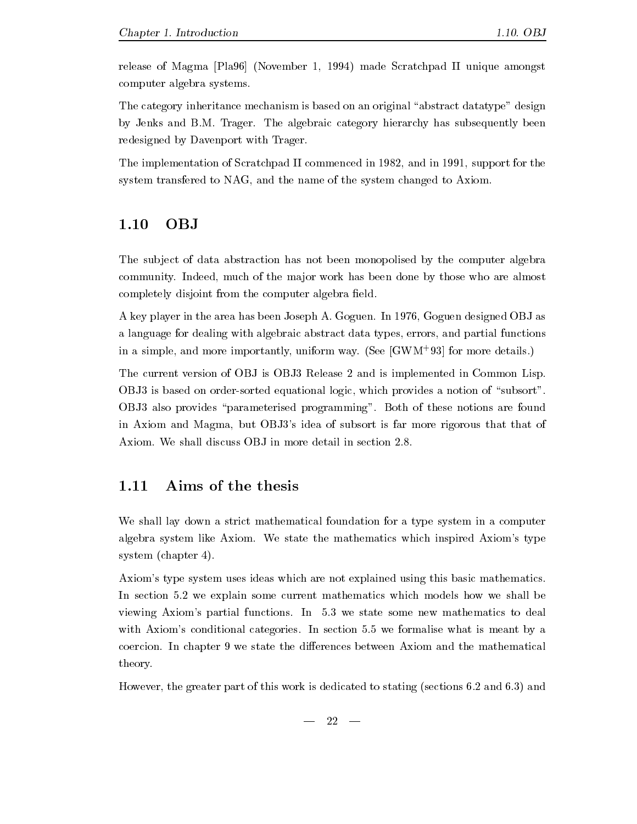release of Magma [Pla 96] (November 1, 1994) made Scratchpad II unique amongst computer algebra systems-

The category inheritance mechanism is based on an original "abstract datatype" design  $\alpha$  , Jensen-Marie category and  $\alpha$  and  $\alpha$  algebraic category in the algebraic category in the category of  $\alpha$ redesigned by Davenport with Trager.

The implementation of Scratchpad II commenced in  $1982$ , and in 1991, support for the system transfered to NAG, and the name of the system changed to Axiom.

The subject of data abstraction has not been monopolised by the computer algebra community- Indeed much of the ma jor work has been done by those who are almost completely disjoint from the computer algebra field.

a key player in the area has been proposed to a complete the state of the complete  $\alpha$  as a state of the control objective  $\alpha$ a language for dealing with algebraic abstract data types errors and partial functions in a simple, and more importantly, unflorm way. (see GWM- 95) for more details.  $\mathbf{r}$  and  $\mathbf{r}$  and  $\mathbf{r}$  and  $\mathbf{r}$  and  $\mathbf{r}$  and  $\mathbf{r}$  and  $\mathbf{r}$  and  $\mathbf{r}$  and  $\mathbf{r}$  and  $\mathbf{r}$  and  $\mathbf{r}$  and  $\mathbf{r}$  and  $\mathbf{r}$  and  $\mathbf{r}$  and  $\mathbf{r}$  and  $\mathbf{r}$  and  $\mathbf{r}$  and

The current version of OBJ is OBJ3 Release 2 and is implemented in Common Lisp.  $OBJ3$  is based on order-sorted equational logic, which provides a notion of "subsort". OBJ also provides parameterised programming - Both of these notions are found in Axiom and Magma, but OBJ3's idea of subsort is far more rigorous that that of

## Aims of the thesis

We shall lay down a strict mathematical foundation for a type system in a computer algebra system like Axiom- We state the mathematics which inspired Axioms type system (chapter  $4$ ).

Axiom's type system uses ideas which are not explained using this basic mathematics. In section - we explain some current mathematics which models how we shall be viewing Axioms partial functions- In - we state some new mathematics to deal with accessive conditions categories. The section year to accessive when it means the section of the coercion- we state the discussion- we state the discussion and the mathematical mathematical mathematical ma theory-

However the greater part of this work is dedicated to stating sections - and - and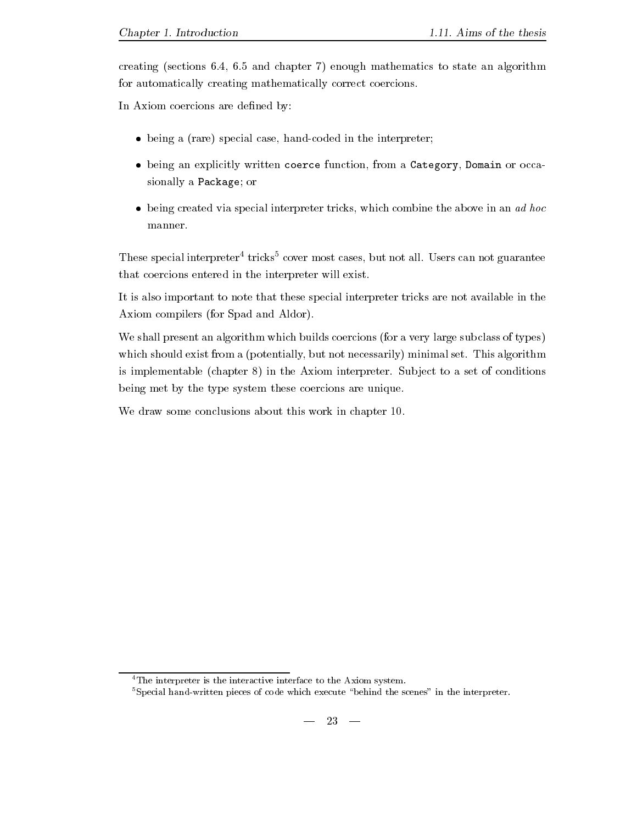creating sections - and chapter in the state and chapter in algorithm and algorithm and algorithm and algorithm for automatically creating mathematically correct coercions-

In Axiom coercions are defined by:

- $\bullet$  being a (rare) special case, hand-coded in the interpreter;
- $\bullet$  being an explicitly written coerce function, from a Category, Domain or occasionally a Package; or
- $\bullet$  being created via special interpreter tricks, which combine the above in an ad hoc manner.

These special interpreter tricks cover most cases but not all- Users can not guarantee that coercions entered in the interpreter will exist-

It is also important to note that these special interpreter tricks are not available in the Axiom compilers (for Spad and Aldor).

We shall present an algorithm which builds coercions (for a very large subclass of types) which shows the showly but not not showly but not necessarily minimal set-form a point  $\mathfrak{m}_{\mathbf{A}}$  set-form and is implementable chapter in the Axiom interpreter- Sub ject to a set of conditions being met by the type system these coercions are unique.

We draw some conclusions about this work in chapter  $10$ .

<sup>&</sup>lt;sup>4</sup>The interpreter is the interactive interface to the Axiom system.

 $5$ Special hand-written pieces of code which execute "behind the scenes" in the interpreter.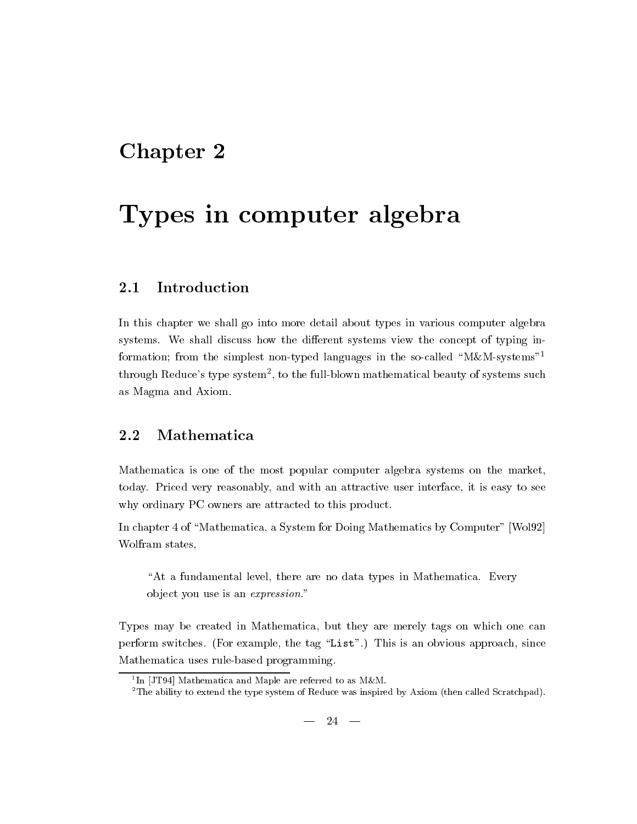# Chapter 2

# Types in computer algebra

### Introduction 2.1

In this chapter we shall go into more detail about types in various computer algebra systems- We shall discuss how the dierent systems view the concept of typing in formation; from the simplest non-typed languages in the so-called "M&M-systems"<sup>1</sup> through Reduce's type system , to the full-blown mathematical beauty of systems such as Magma and Axiom-

Mathematica is one of the most popular computer algebra systems on the market today- Priced very reasonably and with an attractive user interface it is easy to see why ordinary PC owners are attracted to this product.

In chapter 4 of "Mathematica, a System for Doing Mathematics by Computer" [Wol92] Wolfram states

at a fundamental level there are no data types in Mathematica-Corporation of the  $\mu$ object you use is an *expression*."

Types may be created in Mathematica but they are merely tags on which one can perform switches-tag List and the tag List of the tag List of the tag List of the tag List and the tag List of Mathematica uses rule-based programming.

 $\lceil \ln \rceil$ JT94 $\mid$  Mathematica and Maple are referred to as M&M.

<sup>-</sup>The ability to extend the type system of Reduce was inspired by Axiom then called Scratchpad-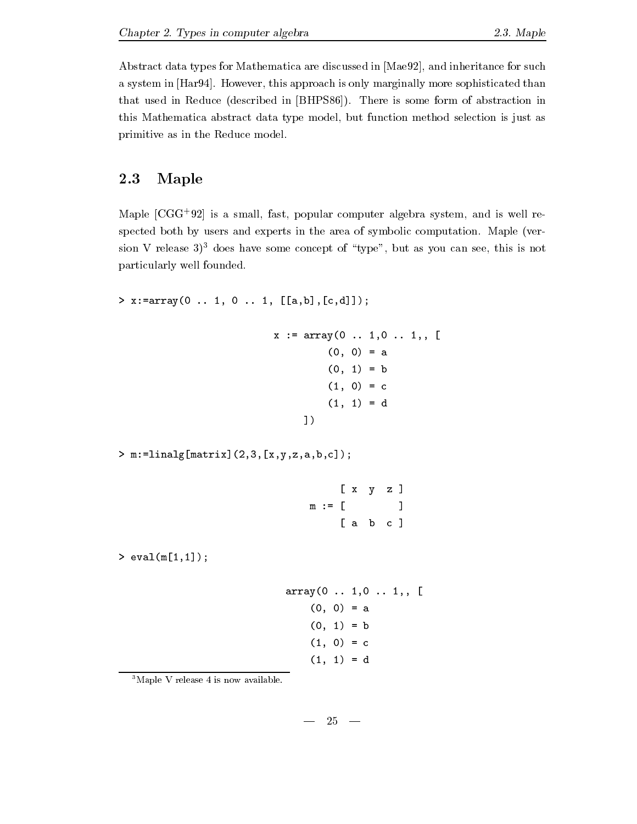Abstract data types for Mathematica are discussed in [Mae92], and inheritance for such a system in Hara-I approach is only marginally parameters and the parameters of parameters in the common that used in Reduced in BHPS-19 and the process  $\mathbf{r}_i$  is some form of abstraction in Theorem form of abstraction in this Mathematica abstract data type model, but function method selection is just as primitive as in the Reduce model-

## 2.3 Maple

Maple CGG- is a small fast popular computer algebra system and is well re spected both by users and experts in the area of symbolic computation- Maple ver sion V release  $3^3$  does have some concept of "type", but as you can see, this is not particularly well founded.

```
> x := array(0 ... 1, 0 ... 1, [[a,b], [c,d]]);
```

```
x := array(0 ... 1, 0 ... 1, 1)(0, 0) = a(0, 1) = b(1, 0) = c(1, 1) = d1)
```
matrix-matrix-matrix-matrix-matrix-matrix-matrix-matrix-matrix-matrix-matrix-matrix-matrix-matrix-matrix-matrix-

|        |  | $[x \ y \ z]$                   |
|--------|--|---------------------------------|
| m := [ |  | the contract of the contract of |
|        |  | $[a \ b \ c]$                   |

 $>$  eval(m[1,1]);

array(0 . . 1,0 . . 1, , 
$$
\lbrack
$$
  
(0, 0) = a  
(0, 1) = b  
(1, 0) = c  
(1, 1) = d

 $3$ Maple V release 4 is now available.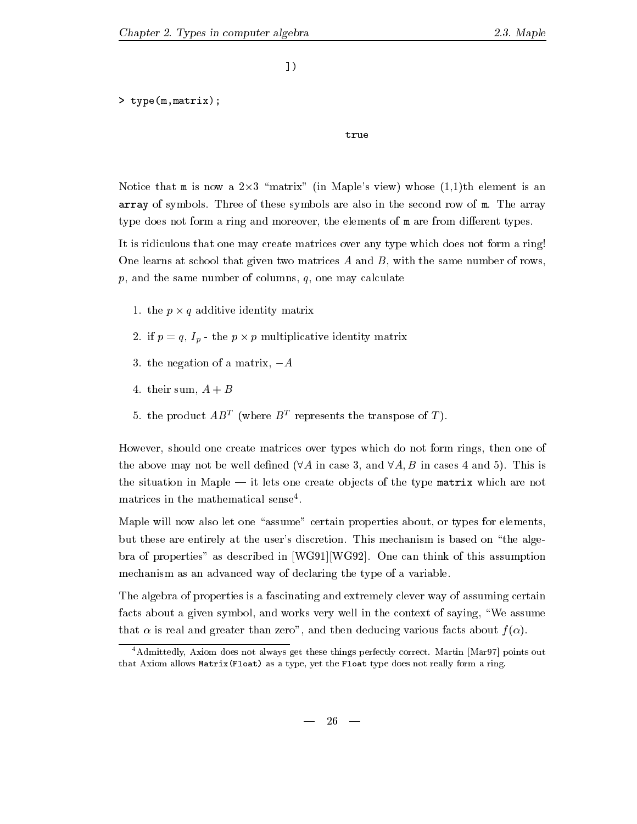$1)$ 

```
> type (m, matrix);
```
true

Notice that m is now a  $2\times3$  "matrix" (in Maple's view) whose  $(1,1)$ th element is an array of symbols- Three of these symbols are also in the second row of m- The array type does not form a ring and moreover, the elements of m are from different types.

It is ridiculous that one may create matrices over any type which does not form a ring! One learns at school that given two matrices  $A$  and  $B$ , with the same number of rows,  $p$ , and the same number of columns,  $q$ , one may calculate

- -the p  $\mathbf{r}$  -the p  $\mathbf{q}$  -the p  $\mathbf{r}$  -th p  $\mathbf{r}$  -th  $\mathbf{r}$  -th  $\mathbf{r}$
- if p q Ip the <sup>p</sup> <sup>p</sup> multiplicative identity matrix
- $\sim$  the negative of a matrix  $\sim$   $\sim$
- $\sim$  the sum a binary  $\sim$   $\sim$   $\sim$
- $\sigma$ . the product  $AD^-$  (where  $D^-$  represents the transpose of T).

However, should one create matrices over types which do not form rings, then one of the above may not be well dened A in case and A B in cases and - This is the situation in Maple it lets one create ob jects of the type matrix which are not matrices in the mathematical sense -

Maple will now also let one "assume" certain properties about, or types for elements, but these are entirely at the users discretion- This mechanism is based on the alge bra of properties as described in WGWG
- One can think of this assumption mechanism as an advanced way of declaring the type of a variable.

The algebra of properties is a fascinating and extremely clever way of assuming certain facts about a given symbol, and works very well in the context of saying, "We assume that  $\alpha$  is real and greater than zero", and then deducing various facts about  $f(\alpha)$ .

Admittedly Axiom does not always get these things perfectly correct- Martin Mar
 points out  $\mathbf{A}$  as a type  $\mathbf{A}$  type as a type does not really form a ring-float type does not really form a ring-float type does not really form a ring-float type does not really form a ring-float type does not really form a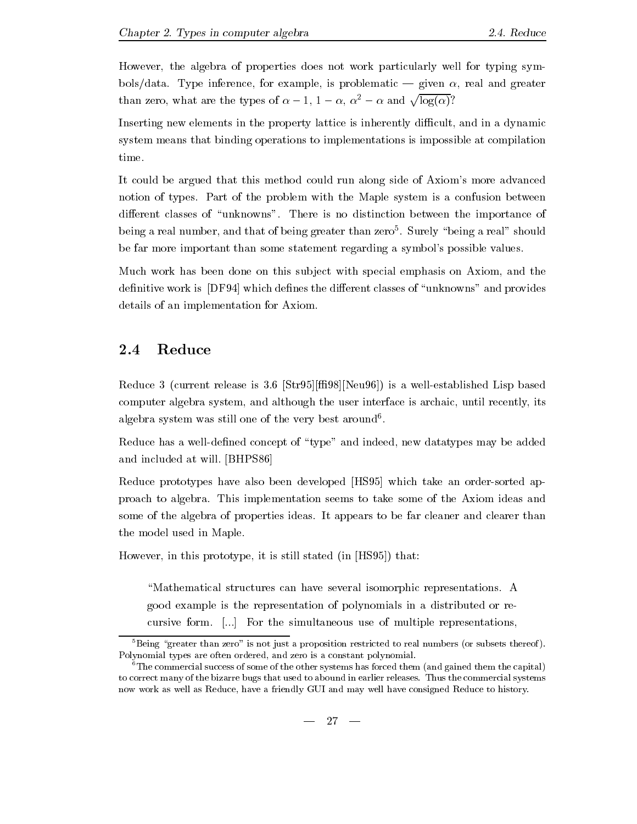However, the algebra of properties does not work particularly well for typing symbolsdata-inference for example information and greater is problematic information and greaters and greaters and than zero, what are the types of  $\alpha - 1$ ,  $1 - \alpha$ ,  $\alpha^2 - \alpha$  and  $\sqrt{\log(\alpha)}$ ?

Inserting new elements in the property lattice is inherently difficult, and in a dynamic system means that binding operations to implementations is impossible at compilation time.

It could be argued that this method could run along side of Axiom's more advanced notion of types- Part of the problem with the Maple system is a confusion between dierent classes of unknownships a finite of the importance of the importance of  $\sim$ being a real number and that of being greater than zero - Surely being a real should be far more important than some statement regarding a symbol's possible values.

Much work has been done on this subject with special emphasis on Axiom, and the definitive work is [DF94] which defines the different classes of "unknowns" and provides details of an implementation for Axiom-

### $2.4$ Reduce

Reduce current release is - StrNeu is a wellestablished Lisp based computer algebra system, and although the user interface is archaic, until recently, its algebra system was still one of the very best around -

Reduce has a well-defined concept of "type" and indeed, new datatypes may be added and included at will- BHPS

Reduce prototypes have also been developed [HS95] which take an order-sorted approduce to algebra - This implementation seems to the Axiom in the Axiom ideas and the Axiom ideas some of the algebra of properties ideas. It appears to be fact clearer and clear than  $\sim$  thanks the model used in Maple-

However, in this prototype, it is still stated (in  $[HSS5])$ ) that:

Mathematical structures can have several isomorphic representationsgood example is the representation of polynomials in a distributed orre cursive form-the simultaneous use of multiple representations of multiple representations of multiple representations of multiple representations of multiple representations of multiple representations of multiple represen

 ${}^{5}$ Being "greater than zero" is not just a proposition restricted to real numbers (or subsets thereof). Polynomial types are often ordered, and zero is a constant polynomial.

 ${}^6$ The commercial success of some of the other systems has forced them (and gained them the capital) to correct many of the bizarre bugs that used to abound in earlier releases-the commercial systems. now work as well as Reduce, have a friendly GUI and may well have consigned Reduce to history.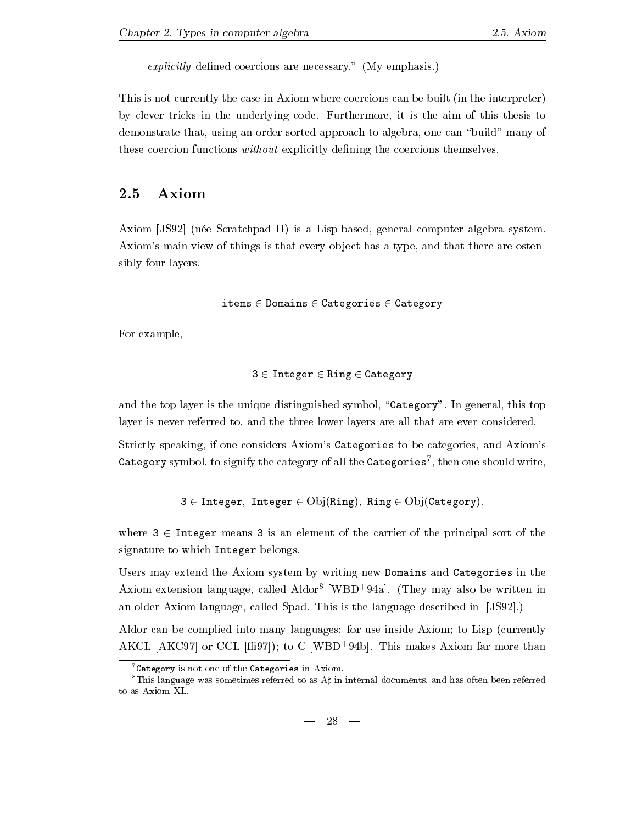explicitly dened coercions are necessary- My emphasis-

This is not currently the case in Axiom where coercions can be built (in the interpreter)  $\mathbf{f}$  is the underlying code-tricks in the aim of this the aim of this the aim of this the aim of this the aim of this the aim of this the aim of this the aim of this the aim of this the aim of this the aim of this the demonstrate that, using an order-sorted approach to algebra, one can "build" many of these coercion functions without explicitly defining the coercions themselves.

## Axiom

Axiom [JS92] (née Scratchpad II) is a Lisp-based, general computer algebra system. Axiom's main view of things is that every object has a type, and that there are ostensibly four layers.

```
items \in Domains \in Categories \in Category
```
For example

$$
\texttt{3} \in \texttt{Integer} \in \texttt{Ring} \in \texttt{Category}
$$

and the top layer is the unique distinguished symbol Category - Category - This  $\alpha$  and  $\alpha$ layer is never referred to, and the three lower layers are all that are ever considered.

Strictly speaking, if one considers Axiom's Categories to be categories, and Axiom's Category symbol, to signify the category of all the Categories  $\,$  , then one should write,  $\,$ 

 $3 \in$  Integer, Integer  $\in$  Obj(Ring), Ring  $\in$  Obj(Category).

where  $3 \in$  Integer means 3 is an element of the carrier of the principal sort of the signature to which Integer belongs.

Users may extend the Axiom system by writing new Domains and Categories in the Axiom extension language called Aldor WBD- a- They may also be written in an older Axiom language called Spad- This is the language described in JS
-

Aldor can be complied into many languages: for use inside Axiom; to Lisp (currently  $\texttt{ANCL}$   $\texttt{ANC9}$  ( ) or CCL  $\texttt{[III94]}$ ; to C  $\texttt{[WDD]}$  94b). This makes Axiom far more than

 $7$ Category is not one of the Categories in Axiom.

<sup>&</sup>lt;sup>8</sup>This language was sometimes referred to as  $A\sharp$  in internal documents, and has often been referred to as Axiom-XL.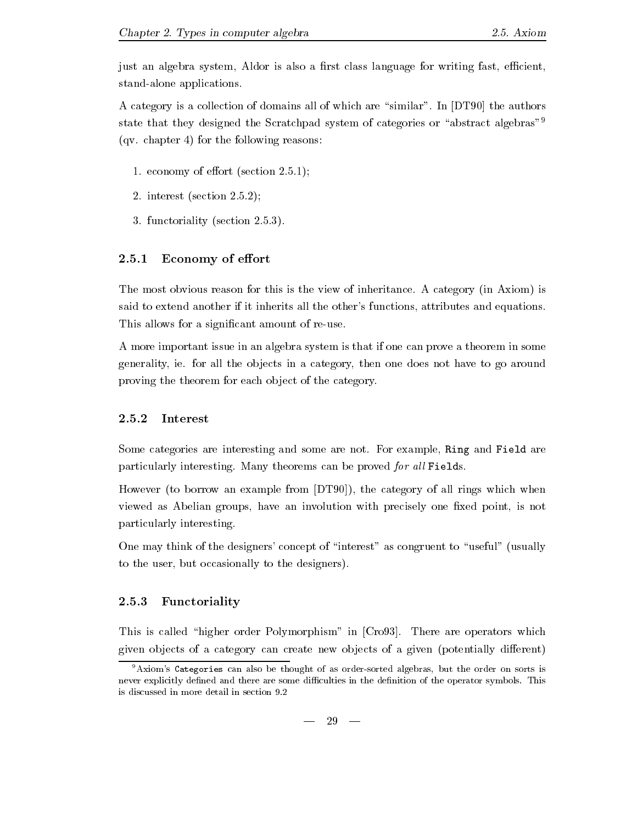just an algebra system, Aldor is also a first class language for writing fast, efficient, stand-alone applications.

A category is a collection of  $\mathcal{M}$  are similar all of which are similar and  $\mathcal{M}$ state that they designed the Scratchpad system of categories or "abstract algebras"<sup>9</sup>  $\mathcal{L}_{\mathcal{A}}$  . change for the following reasons  $\mathcal{L}_{\mathcal{A}}$  reasons the following reasons in the following reasons in the following reasons in the following reasons in the following reasons in the following reasons i

- - economy of eort section 
--
- interest section 
--
- functoriality section 
---

### Economy of effort

The most obvious reason for this is the view of inheritance- A category in Axiom is said to extend another if it inherits all the other's functions, attributes and equations. This allows for a significant amount of re-use.

A more important issue in an algebra system is that if one can prove a theorem in some generality is all the observations in a category, the observation is not a category to go and the category of proving the theorem for each object of the category.

### Interest

Some categories are interesting and some are not- For example Ring and Field are particularly interesting-proved for all limits can be proved for all  $\mathbb{R}^n$ 

However (to borrow an example from  $[DT90]$ ), the category of all rings which when viewed as Abelian groups, have an involution with precisely one fixed point, is not particularly interesting-

One may think of the designers' concept of "interest" as congruent to "useful" (usually to the user, but occasionally to the designers).

### Functoriality

This is called higher control in Cro-Channelli in Cro-College Polymorphism in Cro-Called are operators which in given objects of a category can create new objects of a given (potentially different)

 $9$ Axiom's Categories can also be thought of as order-sorted algebras, but the order on sorts is never explicitly dened and there are some diculties in the denition of the operator symbols- This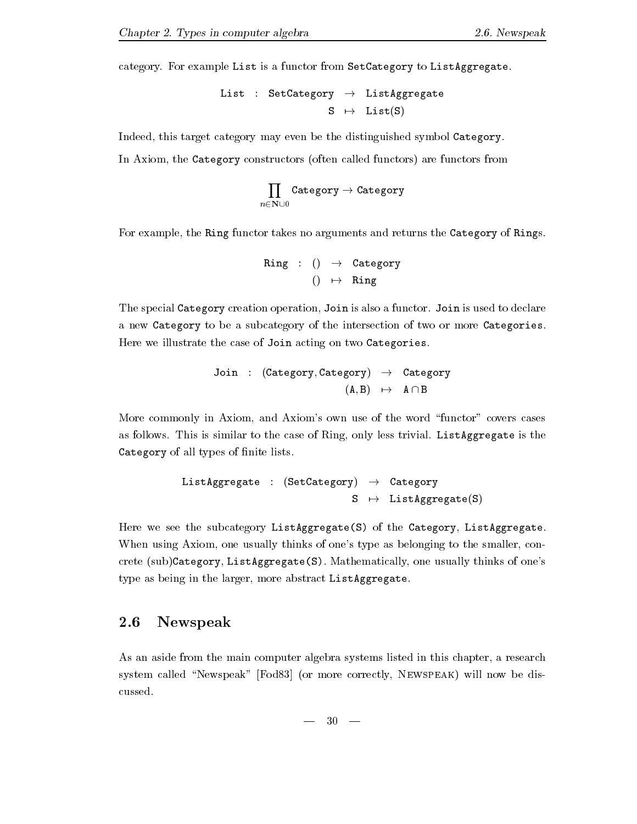category- For example List is a functor from SetCategory to ListAggregate-

$$
\begin{array}{lclcl} \texttt{List} & : & \texttt{SetCategory} & \rightarrow & \texttt{ListAggregate} \\ & & S & \mapsto & \texttt{List(S)} \end{array}
$$

Indeed, this target category may even be the distinguished symbol Category. In Axiom, the Category constructors (often called functors) are functors from

$$
\prod_{n\in{\bf N}\cup 0}{\tt Categorical}\to {\tt Categorical}
$$

For example, the Ring functor takes no arguments and returns the Category of Rings.

```
ring in the category of the contract of the contract of the contract of the contract of the contract of the contract of the contract of the contract of the contract of the contract of the contract of the contract of the co
                                         \blacksquare ring \blacksquare
```
The special Category creation operation Join is also a functor- Join is used to declare a new Category to be a subcategory of the intersection of two or more Categories-Here we illustrate the case of Join acting on two Categories.

Join : (Category, Category) 
$$
\rightarrow
$$
 Category  
(A, B)  $\rightarrow$  A $\cap$ B

More commonly in Axiom, and Axiom's own use of the word "functor" covers cases as follows-to the case of the case of Ring only less, the case of  $\mathcal{A}_\mathcal{A}$  ,  $\mathcal{A}_\mathcal{A}$ Category of all types of finite lists.

```
ListAggregate  SetCategory -
 Category
                      S 	-
 ListAggregateS
```
Here we see the subcategory ListAggregate(S) of the Category, ListAggregate. When using Axiom, one usually thinks of one's type as belonging to the smaller, concrete subcategory ListAggregates and usually thinks of ones usually thinks of ones usually thinks of ones usual type as being in the larger, more abstract ListAggregate.

## 2.6 Newspeak

As an aside from the main computer algebra systems listed in this chapter, a research system called "Newspeak" [Fod83] (or more correctly, NEWSPEAK) will now be discussed.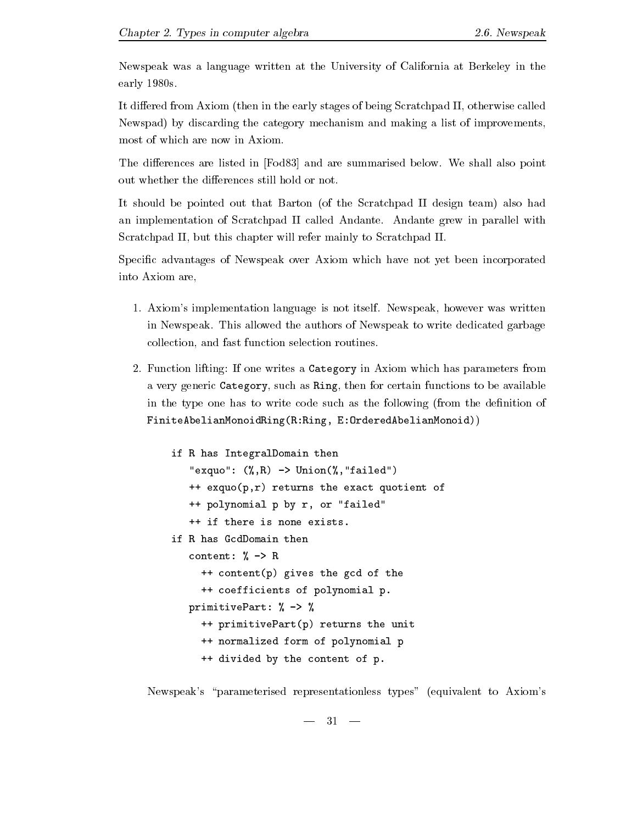Newspeak was a language written at the University of California at Berkeley in the early  $1980s$ .

It differed from Axiom (then in the early stages of being Scratchpad II, otherwise called Newspad) by discarding the category mechanism and making a list of improvements, most of which are now in Axiom.

The dierences are listed in Fod and are summarised below- We shall also point out whether the differences still hold or not.

It should be pointed out that Barton (of the Scratchpad II design team) also had an implementation of Scratchpad II called Andante- Andante grew in parallel with Scratchpad II, but this chapter will refer mainly to Scratchpad II.

Specific advantages of Newspeak over Axiom which have not yet been incorporated into Axiom are

- Axioms is the parameter with a simple in the second collection parameter was written was written as well as in Newspeak-Newspeak-Newspeak-Newspeak to write dedicated the authors of Newspeak to Windows and Newspeak to w collection and fast function selection routines-
- Function lifting If one writes a Category in Axiom which has parameters from a very generic Category, such as Ring, then for certain functions to be available in the type one has to write code such as the following (from the definition of  $FiniteAbelianMonoidRing(R:Ring, E:OrderedAbelianMonoid)$

```
if R has IntegralDomain then
      examples the state of the contract of the contract of the contract of the contract of the contract of the contract of the contract of the contract of the contract of the contract of the contract of the contract of the cont
      ++ exquo(p,r) returns the exact quotient of
      ++ polynomial p by r, or "failed"
      ++ if there is none exists.
      content and \alpha and \alpha and \alpha++ content(p) gives the gcd of the
         ++ coefficients of polynomial p.
      primitive Part is a set of the primitive Part in the contract of the contract of the contract of the contract of the contract of the contract of the contract of the contract of the contract of the contract of the contract 
          ++ primitivePart(p) returns the unit
         ++ normalized form of polynomial p
         ++ divided by the content of p.
```
Newspeak's "parameterised representationless types" (equivalent to Axiom's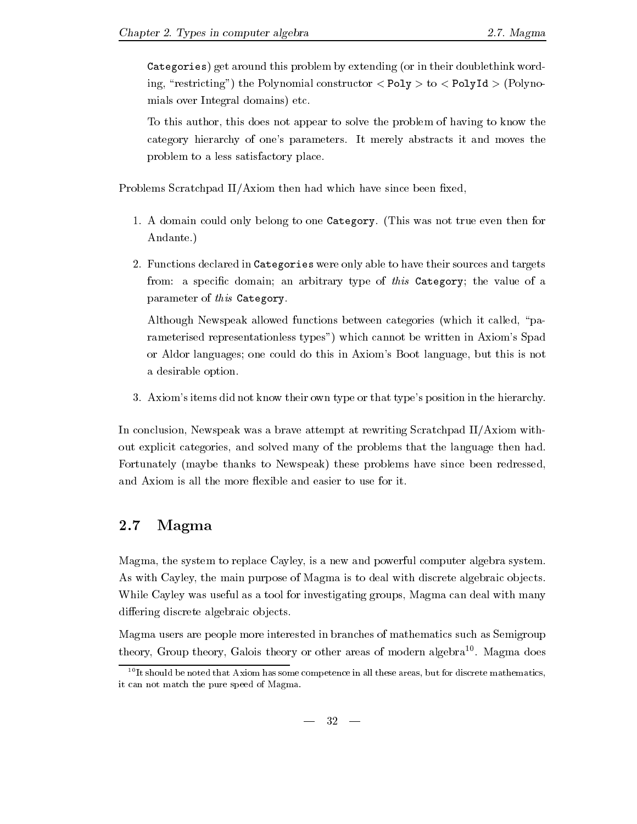Categories) get around this problem by extending (or in their doublethink wording, "restricting") the Polynomial constructor  $\langle$  Poly $>$  to  $\langle$  PolyId  $\rangle$  (Polynomials over Integral domains) etc.

To this author, this does not appear to solve the problem of having to know the category hierarchy of ones parameters- It merely abstracts it and moves the problem to a less satisfactory place-

Problems Scratchpad II/Axiom then had which have since been fixed,

- - A domain could only belong to one Category- This was not true even then for Andante.)  $\mathbf{r}$  and  $\mathbf{r}$  and  $\mathbf{r}$  and  $\mathbf{r}$  and  $\mathbf{r}$  and  $\mathbf{r}$  and  $\mathbf{r}$  and  $\mathbf{r}$
- Functions declared in Categories were only able to have their sources and targets from: a specific domain; an arbitrary type of this Category; the value of a parameter of this Category.

Although Newspeak allowed functions between categories (which it called, "parameterised representationless types") which cannot be written in Axiom's Spad or Aldor languages; one could do this in Axiom's Boot language, but this is not a desirable option.

- Axioms items did not know their own type or that types position in the hierarchy-

In conclusion, Newspeak was a brave attempt at rewriting Scratchpad II/Axiom without explicit categories and solved many of the problems that the language then had-Fortunately (maybe thanks to Newspeak) these problems have since been redressed, and Axiom is all the more flexible and easier to use for it.

### 2.7 Magma

Magma, the system to replace Cayley, is a new and powerful computer algebra system. As with Cayley, the main purpose of Magma is to deal with discrete algebraic objects. While Cayley was useful as a tool for investigating groups, Magma can deal with many differing discrete algebraic objects.

Magma users are people more interested in branches of mathematics such as Semigroup theory Group theory Galois theory or other areas of modern algebra - Magma does

It should be noted that Axiom has some competence in all these areas but for discrete mathematics it can not match the pure speed of Magma.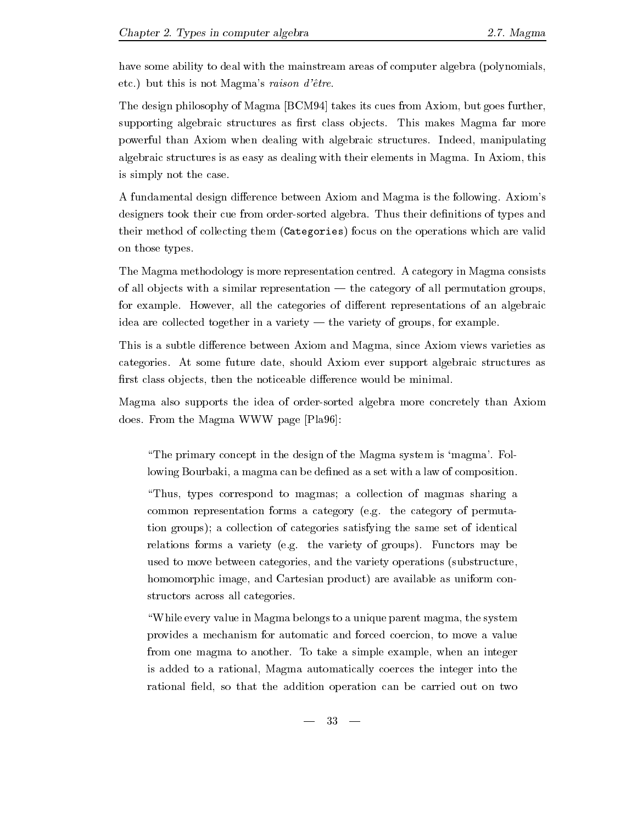have some ability to deal with the mainstream areas of computer algebra (polynomials, etco, and the set of the set of the set of the set of the set of the set of the set of the set of the set of t

The design philosophy of Magma  $[BCM94]$  takes its cues from Axiom, but goes further, supporting algebraic structures as rest class objects- the class observation of  $\alpha$ powerful than Axiom with a continued with algebraic structure and the structure manipulating  $\sim$ algebraic structure is as as  $\sim$  as defining with the dealing theory in Magma-  $\sim$ is simply not the case.

A fundamental design dierence between Axiom and Magma is the following- Axioms designers took their cue from ordersorted algebra- Thus their denitions of types and their method of collecting them (Categories) focus on the operations which are valid on those types.

The Magma methodology is more representation centred- A category in Magma consists of all objects with a similar representation of all permutations permutation groups; for example- However all the categories of dierent representations of an algebraic idea are collected together in a variety the variety of groups for example-

This is a subtle difference between Axiom and Magma, since Axiom views varieties as categories- At some future date showledge future as a some future algebraic structures as a some future as a s first class objects, then the noticeable difference would be minimal.

Magma also supports the idea of ordersorted algebra more concretely than Axiom does-beland was doesn't beland was defined as a strong was defined as a strong was defined as a strong was defined as a strong was defined as a strong was defined as a strong was defined as a strong was defined as a strong

The primary concept in the design of the Magmato system is mangement of the Magmator lowing Bourbaki, a magma can be defined as a set with a law of composition.

Thus types correspond to magmas a collection of magmas sharing a common representation for a category e-mail of permutation for permutation and permutation for permutation of p tion groups); a collection of categories satisfying the same set of identical relations for the variety e-the variety of groups-planets may be the variety of the variety of the variety of the variety of the variety of the variety of the variety of the variety of the variety of the variety of the var used to move between categories, and the variety operations (substructure, homomorphic image, and Cartesian product) are available as uniform constructors across all categories.

"While every value in Magma belongs to a unique parent magma, the system provides a mechanism for automatic and forced coercion to move a value from one magma to another- To take a simple example when an integer is added to a rational, Magma automatically coerces the integer into the rational field, so that the addition operation can be carried out on two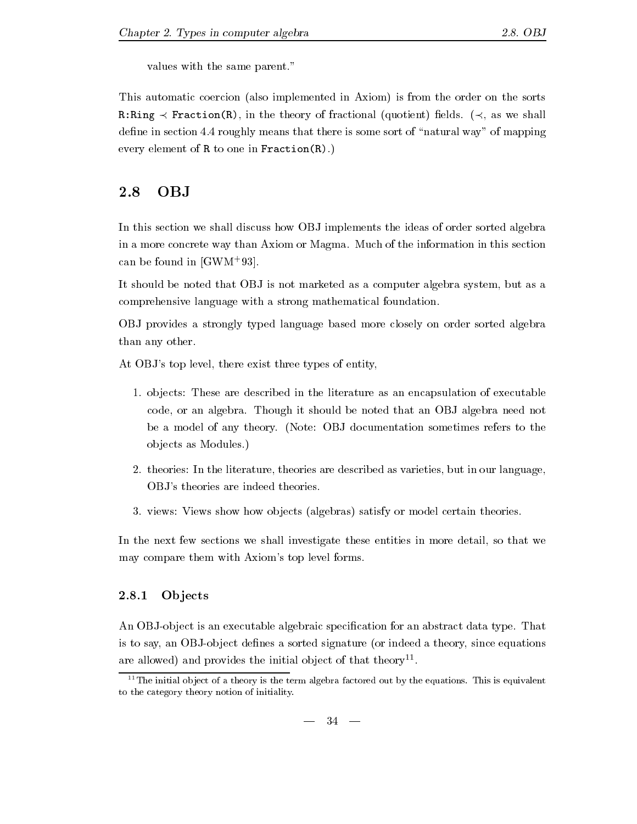values with the same parent-based with the same parent-based with the same parent-based with the same parent-b

This automatic coercion (also implemented in Axiom) is from the order on the sorts  $R$ ring is the theory of the theory of fraction elds-theory of  $\mathcal{A}$  as we shall be shall be the shall be the shall be the shall be the shall be the shall be the shall be the shall be the shall be the shall be the shal dense in section - roughly means that there is some sort of management way to mapping every element of R to one in Fraction R-to  $\{x_i\}$ 

## 2.8 OBJ

In this section we shall discuss how OBJ implements the ideas of order sorted algebra in a more concrete way than  $M$ can be found in twwn-95t.

It should be noted that OBJ is not marketed as a computer algebra system, but as a comprehensive language with a strong mathematical foundation-

OBJ provides a strongly typed language based more closely on order sorted algebra than any other.

At OBJ's top level, there exist three types of entity,

- - ob jects These are described in the literature as an encapsulation of executable code or an algebra- Though it should be noted that an OBJ algebra need not be a model of any theory- Note OBJ documentation sometimes refers to the objects as Modules.)  $\mathbf{r}$
- theories In the literature theories are described as varieties but in our language OBJ's theories are indeed theories.
- views Views show how ob jects algebras satisfy or model certain theories-

In the next few sections we shall investigate these entities in more detail, so that we may compare them with Axiom's top level forms.

### **Objects**

An OBJob ject is an executable algebraic specication for an abstract data type- That is to say, an OBJ-object defines a sorted signature (or indeed a theory, since equations are allowed) and provides the initial object of that theory  $\,$  .

 $\lceil \cdot \rceil$  in initial object of a theory is the term algebra factored out by the equations. This is equivalent to the category theory notion of initiality-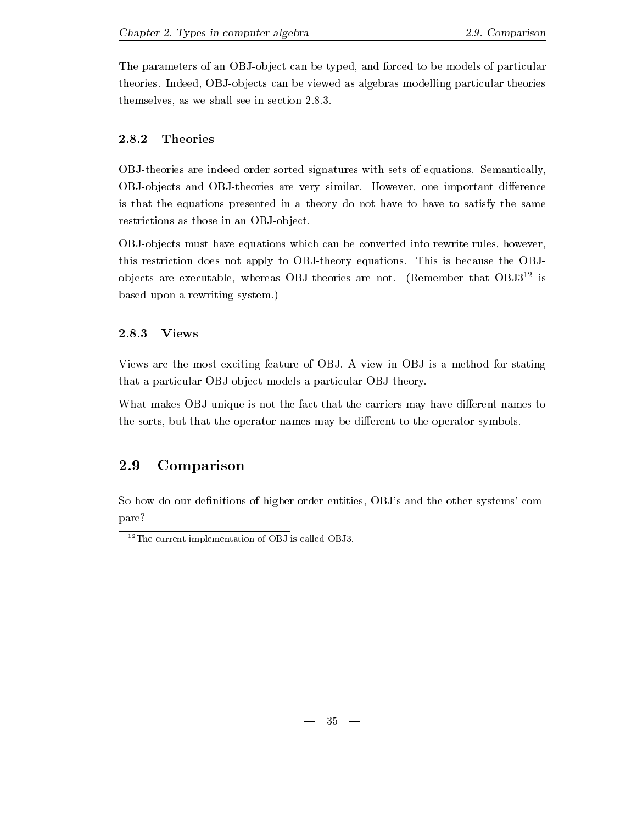The parameters of an OBJ-object can be typed, and forced to be models of particular theories- Indeed OBJob jects can be viewed as algebras modelling particular theories themselves as we shall see in section 
---

### 2.8.2 Theories

OBJtheories are indeed order sorted signatures with sets of equations- Semantically OBJob jects and OBJtheories are very similar- However one important dierence is that the equations presented in a theory do not have to have to satisfy the same restrictions as those in an OBJ-object.

OBJ-objects must have equations which can be converted into rewrite rules, however, this restriction does not apply to OBJtheory equations- This is because the OBJ objects are executable, whereas OBJ-theories are not. Tremember that OBJ3 is  $\sim$  based upon a rewriting system-dimensional systems of  $\sim$ 

### - - - - -Views

Views are the most exciting feature of OBJ- A view inOBJ is a method for stating that a particular OBJ-object models a particular OBJ-theory.

What makes OBJ unique is not the fact that the carriers may have different names to the sorts, but that the operator names may be different to the operator symbols.

## 2.9 Comparison

So how do our definitions of higher order entities, OBJ's and the other systems' compare

<sup>-</sup>The current implementation of OBJ is called OBJ-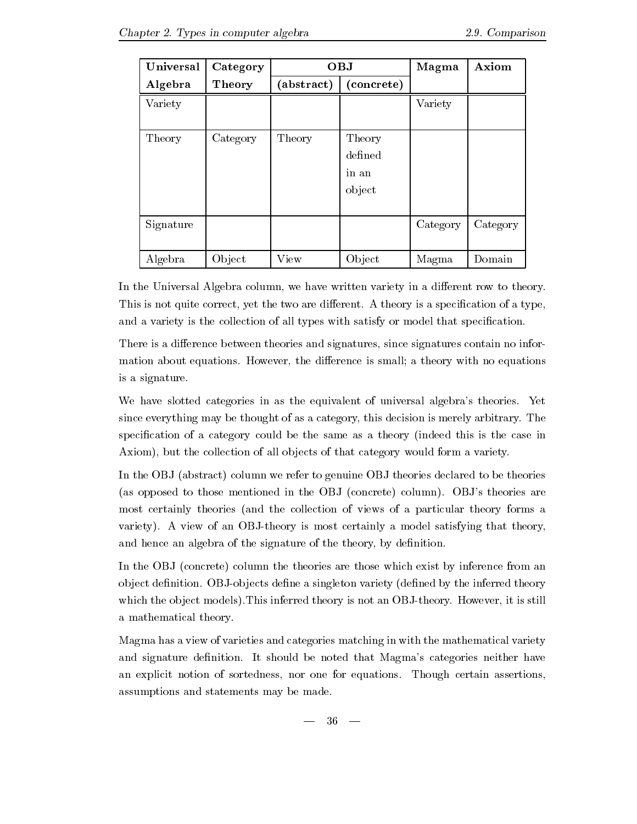| Universal | Category | <b>OBJ</b> |            | Magma    | Axiom    |
|-----------|----------|------------|------------|----------|----------|
| Algebra   | Theory   | abstract)  | (concrete) |          |          |
| Variety   |          |            |            | Variety  |          |
|           |          |            |            |          |          |
| Theory    | Category | Theory     | Theory     |          |          |
|           |          |            | defined    |          |          |
|           |          |            | in an      |          |          |
|           |          |            | object     |          |          |
|           |          |            |            |          |          |
| Signature |          |            |            | Category | Category |
|           |          |            |            |          |          |
| Algebra   | Object   | View       | Object     | Magma    | Domain   |

In the Universal Algebra column, we have written variety in a different row to theory. This is not quite correct yet the two are dierent- A theory is a specication of a type and a variety is the collection of all types with satisfy or model that specification.

There is a difference between theories and signatures, since signatures contain no information about equations- is small and the dierence is small a theory with no equations and a theory with no equations is a signature.

we have slotted categories in as the equivalent of universal algebras theoriessince every thing may be the  $\alpha$  as a category the assumption is merely the merely arbitrary-  $\alpha$  is merely the merely the merely of  $\alpha$ specification of a category could be the same as a theory (indeed this is the case in Axiom), but the collection of all objects of that category would form a variety.

In the OBJ (abstract) column we refer to genuine OBJ theories declared to be theories as opposed to those mentioned in the OBJ concrete column- OBJs theories are most certainly theories (and the collection of views of a particular theory forms a variety- A view of an OBJtheory is most certainly a model satisfying that theory and hence an algebra of the signature of the theory, by definition.

In the OBJ (concrete) column the theories are those which exist by inference from an ob ject denition- OBJob jects dene a singleton variety dened by the inferred theory which the observers inferred theory is not an OBJtheory-is not an OBJtheory-is not an OBJtheory-is not an OBJ a mathematical theory-

Magma has a view of varieties and categories matching in with the mathematical variety and signature denition-  $\mathbf{M}$ an explicit notion of sortedness nor one for equations- Though certain assertions assumptions and statements may be made-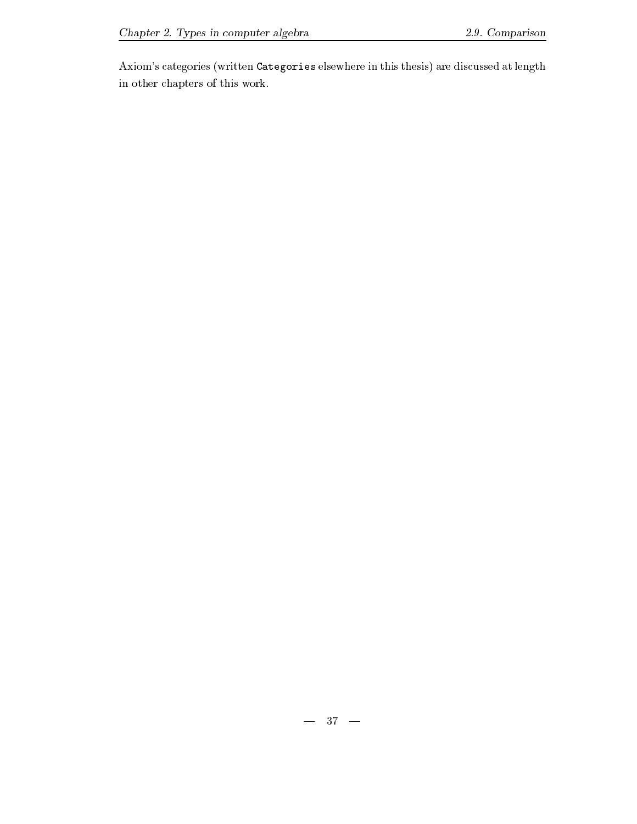Axiom's categories (written Categories elsewhere in this thesis) are discussed at length in other chapters of this work-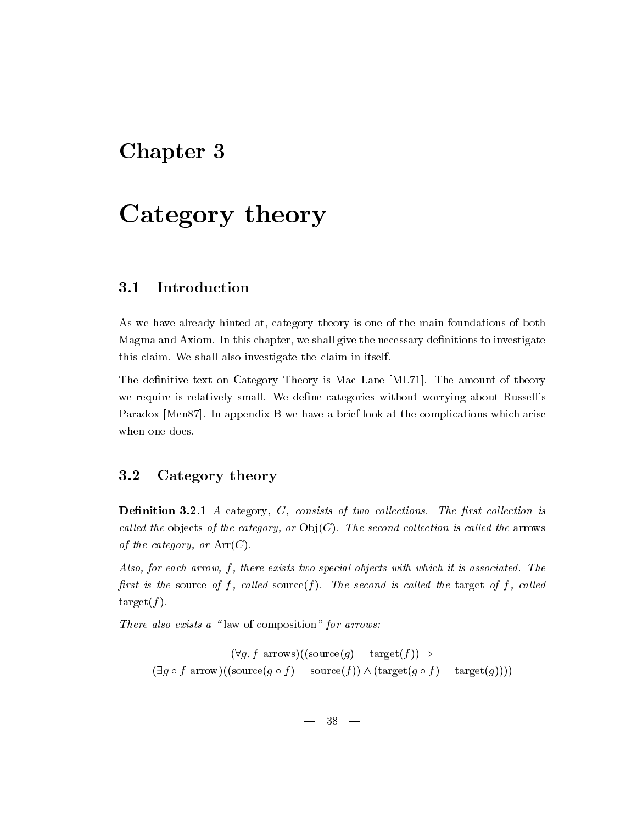## Chapter 3

# Category theory

#### Introduction  $3.1$

As we have already hinted at, category theory is one of the main foundations of both Magma and Axiom- In this chapter we shall give the necessary denitions to investigate this claim- We shall also investigate the claim in itself-

The density text on  $\mathcal{L}$  and  $\mathcal{L}$  are ML-s is Mac Lane ML-s is Mac Lane ML-s is  $\mathcal{L}$ we require it requires with a categories with which worrying about Russells and the categories with the categories with  $\alpha$ - In appendix B we have a brief look at the complete look at the complete look at the complete  $\sim$ when one does.

### 3.2 Category theory

Denition - A category C consists of two col lections- The rst col lection is cal led the ob jects of the category or Ob jC- The second col lection is cal led the arrows of the category, or  $Arr(C)$ .

Also for each arrow f there exists two special objects with which it is associated- The rst is the source of f cal led sourcef - The second is cal led the target of f cal led  $target(f)$ .

There also exists a "law of composition" for arrows:

 $(\forall g, f \text{ arrows})((\text{source}(g) = \text{target}(f))) \Rightarrow$  $(\exists g \circ f \text{ arrow})((\text{source}(g \circ f) = \text{source}(f)) \wedge (\text{target}(g \circ f) = \text{target}(g))))$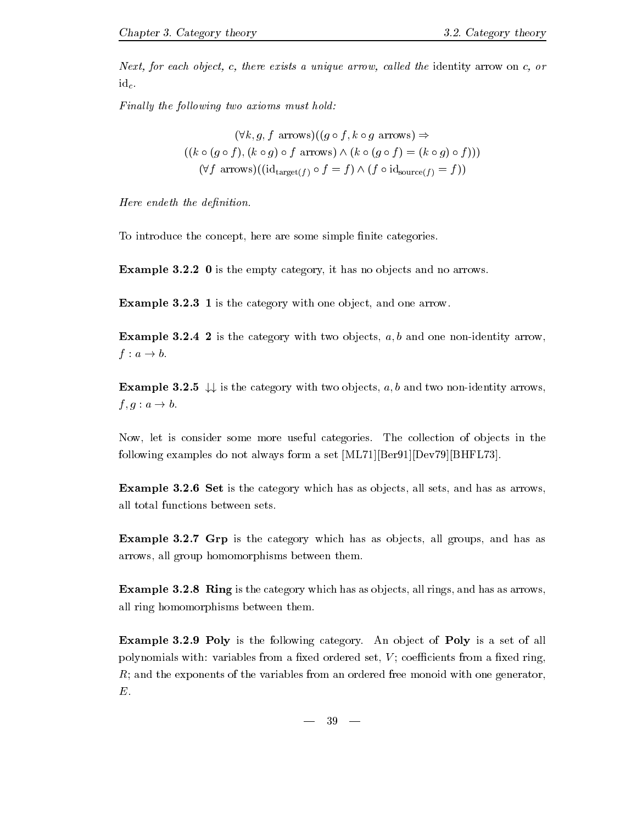Next, for each object, c, there exists a unique arrow, called the identity arrow on c, or  $id_c.$ 

Finally the following two axioms must hold:

$$
(\forall k, g, f \text{ arrows})((g \circ f, k \circ g \text{ arrows}) \Rightarrow
$$

$$
((k \circ (g \circ f), (k \circ g) \circ f \text{ arrows}) \land (k \circ (g \circ f) = (k \circ g) \circ f)))
$$

$$
(\forall f \text{ arrows})((id_{\text{target}(f)} \circ f = f) \land (f \circ id_{\text{source}(f)} = f))
$$

Here endeth the definition.

To introduce the concept, here are some simple finite categories.

Example  is the empty category it has no ob jects and no arrows-

 $-$  . It is the category with one of  $\mathbb{R}^n$  and  $\mathbb{R}^n$  arrow-section of  $\mathbb{R}^n$ 

**Example 3.2.4 2** is the category with two objects,  $a, b$  and one non-identity arrow,  $f: a \rightarrow b.$ 

**Example 3.2.5**  $\downarrow \downarrow$  is the category with two objects, a, b and two non-identity arrows,  $f, g : a \rightarrow b.$ 

Now let is consider some more useful categories- The collection of ob jects in the following examples do not always form a set  $[ML71][Ber91][Dev79][BHFL73]$ .

**Example 3.2.6 Set** is the category which has as objects, all sets, and has as arrows, all total functions between sets.

**Example 3.2.7 Grp** is the category which has as objects, all groups, and has as arrows, all group homomorphisms between them.

**Example 3.2.8 Ring** is the category which has as objects, all rings, and has as arrows, all ring homomorphisms between them-

 $\mathbb{R}$  . An observe the following category-set of  $\mathbb{R}$  and  $\mathbb{R}$  and  $\mathbb{R}$  are set of all  $\mathbb{R}$  and  $\mathbb{R}$  and  $\mathbb{R}$  are set of all  $\mathbb{R}$  and  $\mathbb{R}$  and  $\mathbb{R}$  are set of all  $\mathbb{R}$  and  $\mathbb{R$ polynomials with: variables from a fixed ordered set,  $V$ ; coefficients from a fixed ring,  $R$ ; and the exponents of the variables from an ordered free monoid with one generator,  $E.$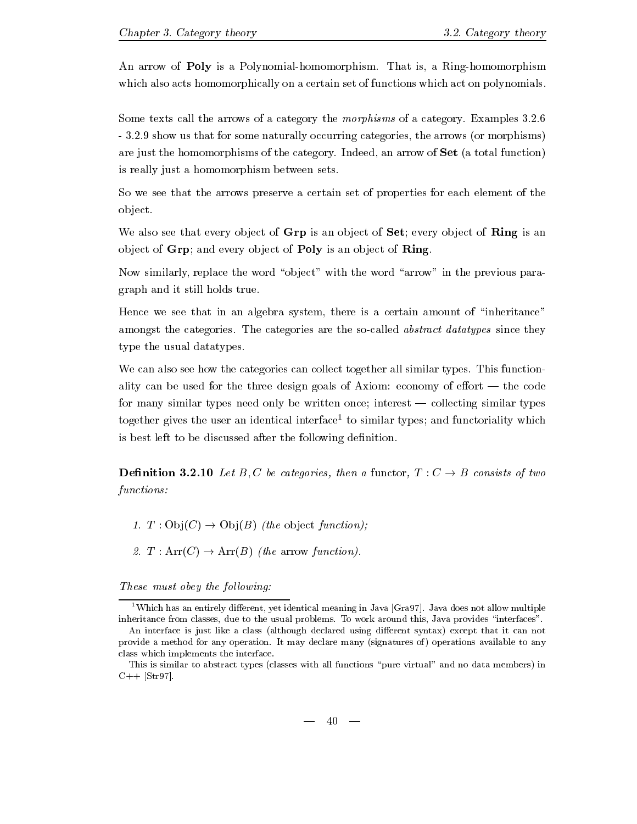An arrow of Poly is a Polynomialhomomorphism- That is a Ringhomomorphism which also acts homomorphically on a certain set of functions which act on polynomials.

Some texts call the arrows of a category the morphisms of a category- Examples -- - show use that for some natural limit is someoned categories that the arrows the arrows the arrows the arrows the arrows the arrows of the arrows of the arrows of the arrows of the arrows of the arrows of the arrows of th are just the more than an arrow of the category- induction, where  $\alpha$  to the categoryis really just a homomorphism between sets-

So we see that the arrows preserve a certain set of properties for each element of the object.

We also see that every object of  $\bf Grp$  is an object of  $\bf Set$ ; every object of  $\bf Ring$  is an object of  $Grp$ ; and every object of  $Poly$  is an object of  $Ring$ .

Now similarly, replace the word "object" with the word "arrow" in the previous paragraph and it still holds true-

Hence we see that in an algebra system, there is a certain amount of "inheritance" amongst the categories- The categories are the socalled abstract datatypes since they type the usual data types.

we can also see the categories can collect the collect together all similar types-  $\blacksquare$  this function ality can be used for the three design goals of  $\mathcal{A}$  axiom equation goals of  $\mathcal{A}$ for many similar types need only be written once interest collecting similar types together gives the user an identical interface to similar types and functoriality which is best left to be discussed after the following definition.

— consistent claims and the consistent consisting the consistent of two consists of the constant of the consta functions 

- The observed function of the observed function of the observed function of the observed function of the observed function of the observed function of the observed function of the observed function of the observed functio
- $\bullet$  . Array function  $\bullet$  arrow function  $\bullet$  . The array function  $\bullet$  is a set of  $\bullet$  . The array function  $\bullet$  is a set of  $\bullet$  is a set of  $\bullet$  is a set of  $\bullet$  is a set of  $\bullet$  is a set of  $\bullet$  is a set of  $\bullet$  is

These must obey the following:

<sup>&</sup>quot; Which has an entirely different, yet identical meaning in Java |Gra97]. Java does not allow multiple inheritance from classes due to the usual problems- To work around this Java provides interfaces -

An interface is just like a class (although declared using different syntax) except that it can not provides a method for any operations of many declared manny (ingless of any operations available to any class which implements the interface-

This is similar to abstract types (classes with all functions "pure virtual" and no data members) in C Str
-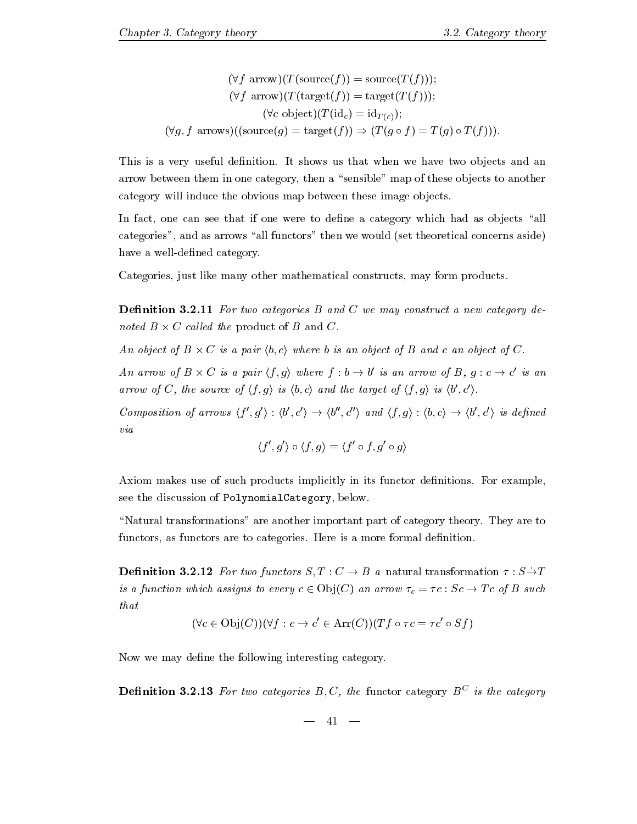$$
(\forall f \text{ arrow})(T(\text{source}(f))) = \text{source}(T(f))),
$$

$$
(\forall f \text{ arrow})(T(\text{target}(f))) = \text{target}(T(f))),
$$

$$
(\forall c \text{ object})(T(\text{id}_c) = \text{id}_{T(c)});
$$

$$
(\forall g, f \text{ arrows})((\text{source}(g) = \text{target}(f)) \Rightarrow (T(g \circ f) = T(g) \circ T(f))).
$$

the is a very denition-weighted to the show useful denition-we have two objects and and and and and arrow between them in one category, then a "sensible" map of these objects to another category will induce the obvious map between these image objects.

In fact, one can see that if one were to define a category which had as objects "all categories", and as arrows "all functors" then we would (set theoretical concerns aside) have a well-defined category.

Categories, just like many other mathematical constructs, may form products.

Denition -- For two categories B and C we may construct a new category de noted  $B \times C$  called the product of B and C.

An object of  $B \times C$  is a pair  $\langle b, c \rangle$  where b is an object of B and c an object of C.

An arrow of <sup>B</sup> <sup>C</sup> is <sup>a</sup> pair hf gi where <sup>f</sup> <sup>b</sup> - b ' is an arrow of B,  $q: c \rightarrow c'$  is an  $'$  is an arrow of C, the source of  $\langle f, g \rangle$  is  $\langle b, c \rangle$  and the target of  $\langle f, g \rangle$  is  $\langle b', c' \rangle$ .

Composition of arrows  $\langle f', q' \rangle : \langle b', c' \rangle \rightarrow \langle b'', c'' \rangle$  a  $\langle c''(x) \rangle$  and  $\langle f, g \rangle : \langle b, c \rangle \rightarrow \langle b', c' \rangle$  is  $\langle \cdot, c' \rangle$  is defined via

$$
\langle f',g'\rangle\circ\langle f,g\rangle=\langle f'\circ f,g'\circ g\rangle
$$

Axiom makes use of such products in its function of such products in its functions-cample  $\mathbf{F}$  . The such products in its functions-cample  $\mathbf{F}$  and  $\mathbf{F}$ see the discussion of PolynomialCategory, below.

Natural transformations are another important part of category theory- They are to functors as functors as function-density are to categories-density are formal density  $\mathbf{f}(\mathbf{A})$ 

denition in two functions  $\mathbf{F}$  and  $\mathbf{F}$  are stated to function  $\mathbf{F}$  and  $\mathbf{F}$ is a function which assigns to every c  $\mathcal{S} \subset \mathcal{S}$  , which are  $\mathcal{S}$  -cofficiently constants of  $\mathcal{S}$ that

$$
(\forall c \in Obj(C))(\forall f : c \rightarrow c' \in Arr(C))(Tf \circ \tau c = \tau c' \circ Sf)
$$

Now we may define the following interesting category.

**Demition 5.2.15** for two categories  $D, \cup$ , the functor category  $D$  is the category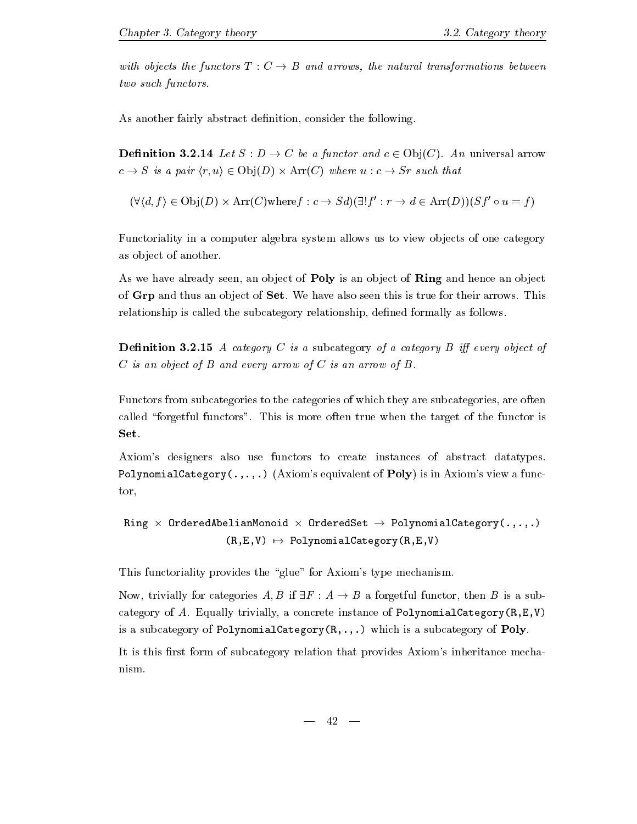with objects the functors T  $\blacksquare$  and arrows the natural transformations between  $\blacksquare$ two such functors.

As another fairly abstract definition, consider the following.

 $\mathcal{L} = \mathcal{L} \cup \mathcal{L}$  . The anti-density of  $\mathcal{L} = \mathcal{L} \cup \mathcal{L}$  , where  $\mathcal{L} = \mathcal{L} \cup \mathcal{L}$ c - Sr such that is a pair hr understanding that is a pair of the contract of the contract of the contract of th

he form in the contract of the following the contract of the contract of the contract of the contract of the c  $f': r \to d \in \text{Arr}(D)$ ) $(Sf' \circ u = f)$ 

Functoriality in a computer algebra system allows us to view objects of one category as object of another.

As we have already seen, an object of **Poly** is an object of **Ring** and hence an object of Green the Green thus and their arrows-their arrows-their arrows-their arrows-their arrows-their arrows-their relationship is called the subcategory relationship, defined formally as follows.

Denition - A category C is a subcategory of a category B i every object of  $C$  is an object of  $B$  and every arrow of  $C$  is an arrow of  $B$ .

Functors from subcategories to the categories of which they are subcategories, are often  $\mathbf{M}$ Set.

Axiom's designers also use functors to create instances of abstract datatypes. PolynomialCategory  $(.,.,.)$  (Axiom's equivalent of Poly) is in Axiom's view a functor

Ring OrderedAbelianMonoid OrderedSet - PolynomialCategory Rev is a constant of the constant of the constant of the constant of the constant of the constant of the constant of the constant of the constant of the constant of the constant of the constant of the constant of the const

This functoriality provides the "glue" for Axiom's type mechanism.

 $\mathcal{L}$  . The form a form  $\mathcal{L}$  for a form  $\mathcal{L}$  is assumed function function function  $\mathcal{L}$  is assumed function function function function function function function function function function function function category trivially trivially trivially a concrete instance of PolynomialCategoryReversity is a subcategory of PolynomialCategory $(R, ., .)$  which is a subcategory of Poly.

It is this first form of subcategory relation that provides Axiom's inheritance mechanism-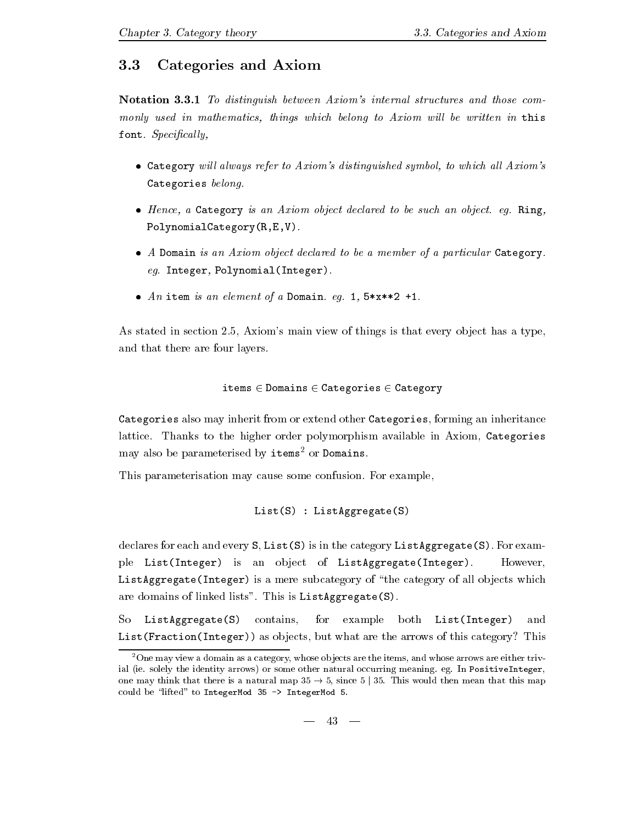### Categories and Axiom

Notation - To distinguish between Axioms internal structures and those com monly used in mathematics, things which belong to Axiom will be written in this font- Specical ly

- Category will always refer to Axiom's distinguished symbol, to which all Axiom's Categories belong.
- Hence a Category is an Axiom object declared to be such an object- eg- Ring PolynomialCategory $(R, E, V)$ .
- $\bullet$  A Domain is an Axiom object declared to be a member of a particular Category. eg- Integer PolynomialInteger-
- An item is an element of a Domain- eg- x- -

As stated in section 
- Axioms main view of things is that every ob ject has a type and that there are four layers.

$$
\mathtt{items} \in \mathtt{Domains} \in \mathtt{Categories} \in \mathtt{Category}
$$

Categories also may inherit from or extend other Categories forming an inheritance lattice- Thanks to the higher order polymorphism available in Axiom Categories may also be parameterised by items<sup>2</sup> or Domains.

This parameterisation may cause some confusion- For example

```
List(S) : ListAggregate(S)
```
 $\mathbf{f}$  is in the category List S-category List  $\mathbf{f}$ ple List(Integer) is an object of ListAggregate(Integer). However ListAggregate (Integer) is a mere subcategory of "the category of all objects which are dominant of mains  $\sim$  100  $\mu$  -  $\sim$  100  $\mu$  -  $\sim$   $\sim$   $\sim$   $\sim$   $\sim$   $\sim$   $\mu$ 

So ListAggregate(S) contains, for example both List(Integer) and List (Fraction (Integer)) as objects, but what are the arrows of this category? This

<sup>-</sup>One may view a domain as a category whose ob jects are the items and whose arrows are either triv ial ie- solely the identity arrows or some other natural occurring meaning- eg- In PositiveInteger one may think that there is a natural map  $35 \rightarrow 5$ , since  $5 \mid 35$ . This would then mean that this map could be "lifted" to IntegerMod  $35$  -> IntegerMod 5.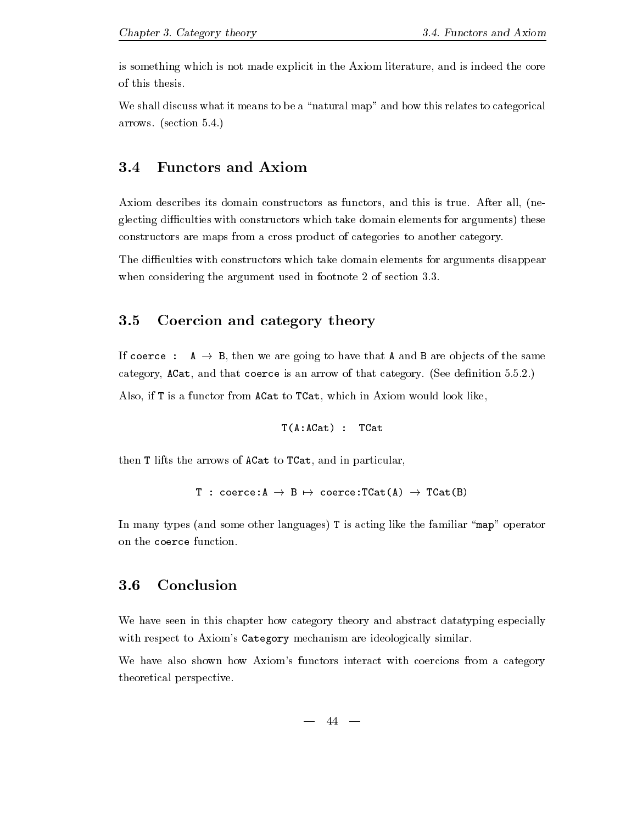is something which is not made explicit in the Axiom literature, and is indeed the core of this thesis.

We shall discuss what it means to be a "natural map" and how this relates to categorical arrows- section --

#### 3.4 Functors and Axiom

Axiom describes its domain constructors as functors as functors as functors as functors and the  $\Lambda$ glecting difficulties with constructors which take domain elements for arguments) these constructors are maps from a cross product of categories to another category-

The difficulties with constructors which take domain elements for arguments disappear when considering the argument used in footnote 
 of section --

#### 3.5 Coercion and category theory

If  $\mathbf{A}$  -ben we are going to have that  $\mathbf{A}$ category ACat and that coerce is an arrow of that category- See denition ---

Also, if T is a functor from ACat to TCat, which in Axiom would look like,

```
T(A:ACat) : TCat
```
then T lifts the arrows of ACat to TCat, and in particular,

```
The coerce \mathcal{L} and \mathcal{L} are \mathcal{L} and \mathcal{L} and \mathcal{L} are \mathcal{L}
```
In many types (and some other languages) T is acting like the familiar "map" operator on the coerce function.

### Conclusion

We have seen in this chapter how category theory and abstract datatyping especially with respect to Axiom's Category mechanism are ideologically similar.

We have also shown how Axiom's functors interact with coercions from a category theoretical perspective-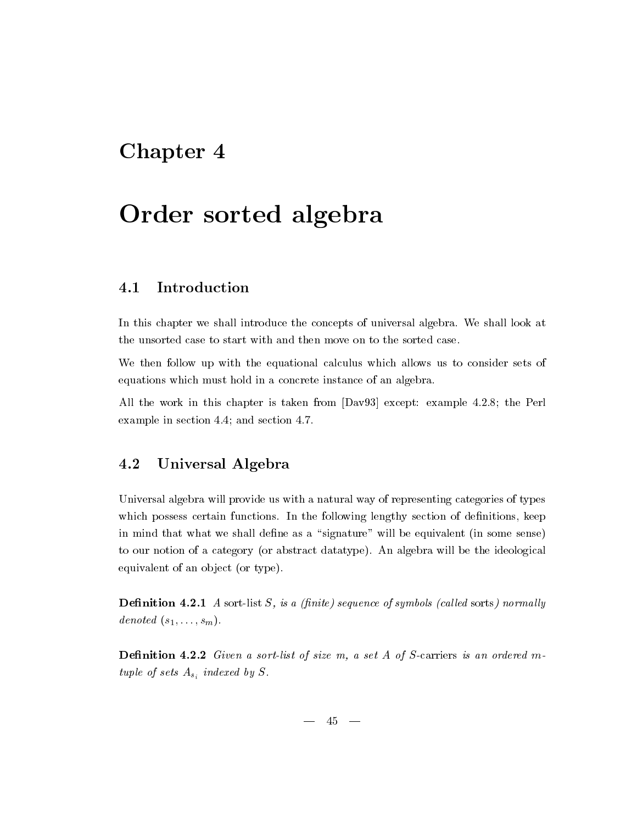## Chapter 4

# Order sorted algebra

#### $4.1$ Introduction

In this chapter we shall introduce the concepts of universal algebra- We shall look at the unsorted case to start with and then move on to the sorted case-

We then follow up with the equational calculus which allows us to consider sets of equations which must hold in a concrete instance of an algebra-

All the work in this chapter is taken from Dav except example -- the Perl example in section and section and section and section

### 4.2 Universal Algebra

Universal algebra will provide us with a natural way of representing categories of types which possess certain functions- in the following lengthy sections in denimitions property in  $\mathbb{P}^1$ in mind that what we shall define as a "signature" will be equivalent (in some sense) to our notion of a category (se discussed datatype), when  $\alpha$  will be the ideological  $\alpha$ equivalent of an object (or type).

Denition - A sortlist S is a nite sequence of symbols cal led sorts normal ly denoted  $(s_1, \ldots, s_m)$ .

**Definition 4.2.2** Given a sort-list of size m, a set A of S-carriers is an ordered mtuple of sets  $A_{s_i}$  indexed by S.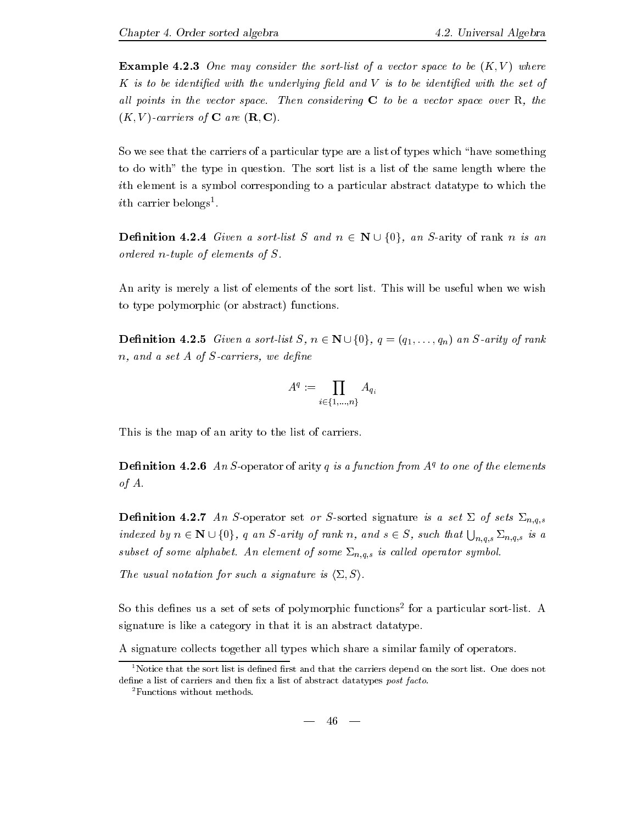**Example 4.2.3** One may consider the sort-list of a vector space to be  $(K, V)$  where K is to be identified with the underlying field and V is to be identified with the set of all points in the vector space-considering considering C to be a vector space over R the space over  $(K, V)$ -carriers of **C** are  $(\mathbf{R}, \mathbf{C})$ .

So we see that the carriers of a particular type are a list of types which "have something to die with the type in question- the sort is a list of the some length where the same length where ith element is a symbol corresponding to a particular abstract datatype to which the  $\iota$ un carrier belongs-.

**Definition 4.2.4** Given a sort-list S and  $n \in \mathbb{N} \cup \{0\}$ , an S-arity of rank n is an ordered n-tuple of elements of  $S$ .

An arity is merely a list of the sort list of the sort list-sort list-sort list-sort list-sort list-sort listto type polymorphic (or abstract) functions.

**Definition 4.2.5** Given a sort-list  $S, n \in \mathbb{N} \cup \{0\}$ ,  $q = (q_1, \ldots, q_n)$  an S-arity of rank  $n, and a set A of S-carriers, we define$ 

$$
A^q:=\prod_{i\in\{1,...,n\}}A_{q_i}
$$

This is the map of an arity to the list of carriers.

**Definition 4.2.0** An S-operator of arity q is a function from  $A<sup>i</sup>$  to one of the elements of  $A$ .

 $\Gamma$  and  $\Gamma$  and  $\Gamma$  and  $\Gamma$  are South set of set or South signature is a set  $\Gamma$  . The set  $\Gamma$ indexed by  $n \in \mathbf{N} \cup \{0\}$ , q an S-arity of rank n, and  $s \in S$ , such that  $\bigcup_{n,q,s} \Sigma_{n,q,s}$  is a s is the subset of some  $\mathcal{A}$  is called operator symbol-ledged operator symbol-led operator symbol-

The usual notation for such a signature is  $\langle \Sigma, S \rangle$ .

 $50$  this defines us a set of sets of polymorphic functions for a particular sort-fist.  $A$ signature is like a category in that it is an abstract datatype.

A signature collects together all types which share a similar family of operators-

 $46 -$ 

<sup>-</sup>Notice that the sort list is defined first and that the carriers depend on the sort list. One does not  $\,$ define a list of carriers and then fix a list of abstract datatypes post facto.

<sup>-</sup>Functions without methods-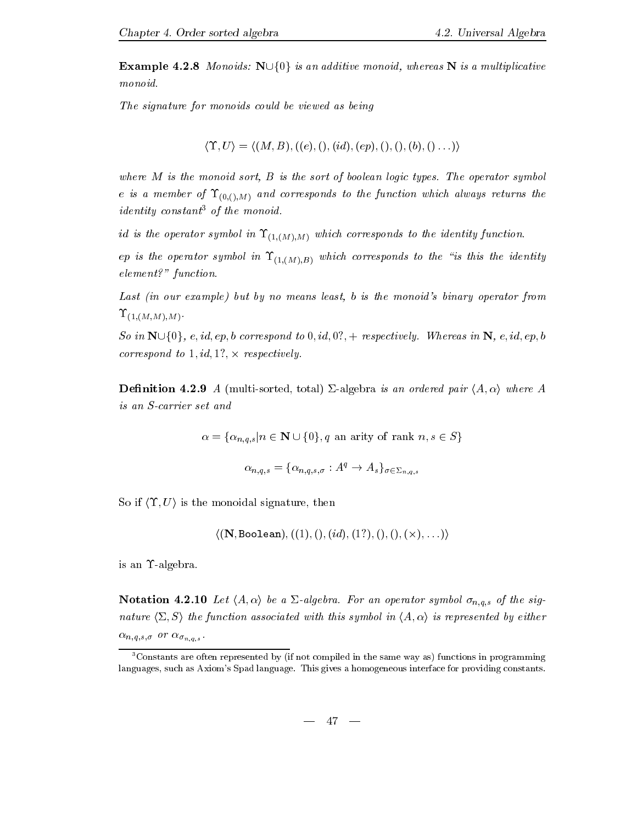**Example 4.2.8** Monoids:  $\mathbb{N}\cup\{0\}$  is an additive monoid, whereas N is a multiplicative monoid.

The signature for monoids could be viewed as being

$$
\langle \Upsilon, U \rangle = \langle (M, B), ((e), (), (id), (ep), (), (), (b), (), ... \rangle \rangle
$$

where me is the monoid sort B is the sort of booleans logic types- many spectrum symbols. e is a member of  $\Upsilon_{(0,(1),M)}$  and corresponds to the function which always returns the  $\cdots$ *identity* constant<sup>3</sup> of the monoid.

id is the operator symbol in  $\Upsilon_{(1,(M),M)}$  which corresponds to the identity function.

ep is the operator symbol in  $\Upsilon_{(1,(M),B)}$  which corresponds to the "is this the identity  $element$ ?" function.

Last (in our example) but by no means least, b is the monoid's binary operator from  $\Upsilon_{(1,(M,M),M)}$ .

So in Nfg e id ep b correspond to id respectively- Whereas in N e id ep b correspond to  $1, id, 1?$ ,  $\times$  respectively.

**Definition 4.2.9** A (multi-sorted, total)  $\Sigma$ -algebra is an ordered pair  $\langle A, \alpha \rangle$  where A is an S-carrier set and

for a finding  $q$  and  $q$  and  $q$  and  $q$  are constructed in some  $q$  and  $q$  and  $q$  and  $q$  and  $q$  and  $q$  and  $q$  and  $q$  and  $q$  and  $q$  and  $q$  and  $q$  and  $q$  and  $q$  and  $q$  and  $q$  and  $q$  and  $q$  and  $q$  and  $q$ 

$$
\alpha_{n,q,s} = \{ \alpha_{n,q,s,\sigma} : A^q \to A_s \}_{\sigma \in \Sigma_{n,q,s}}
$$

So if  $\langle \Upsilon, U \rangle$  is the monoidal signature, then

 $\langle (\mathbf{N}, \texttt{Boolean}), ((1), (), (id), (1?), (), (), (\times), \ldots) \rangle$ 

is an  $\Upsilon$ -algebra.

Notation - Let hA i be a &algebra- For an operator symbol n-q-s of the sig nature  $\langle \Sigma, S \rangle$  the function associated with this symbol in  $\langle A, \alpha \rangle$  is represented by either n-q-s- or n-s - $\mathbf{u}$ 

 ${}^{3}$ Constants are often represented by (if not compiled in the same way as) functions in programming languages such as Axioms Spad language- This gives a homogeneous interface for providing constants-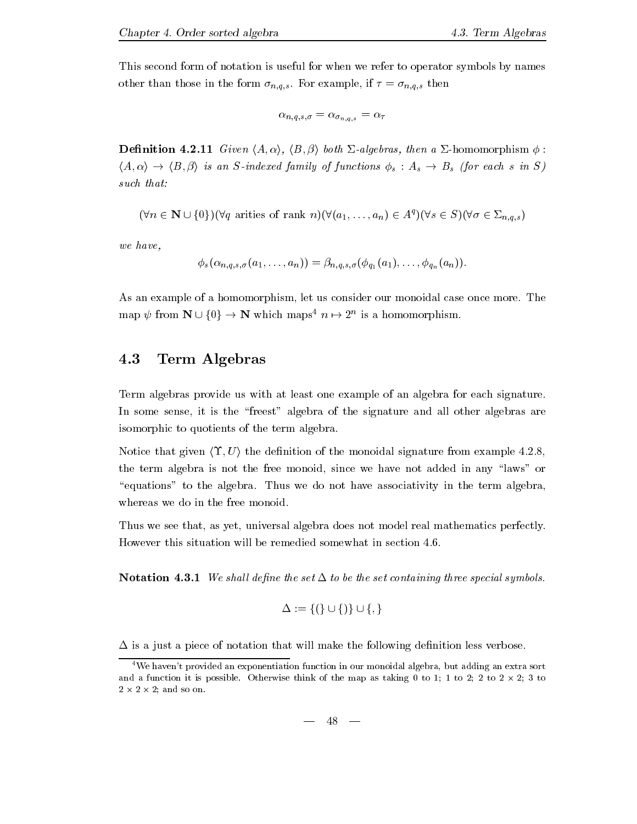This second form of notation is useful for when we refer to operator symbols by names other than the form  $\alpha$  in the form  $\alpha$   $n, q, \beta$  ,  $\alpha$  is the form  $\alpha$  if  $\alpha$  if  $n, q, \beta$  , then if

$$
\alpha_{n,q,s,\sigma}=\alpha_{\sigma_{n,q,s}}=\alpha_\tau
$$

 $\mathcal{L}$  -contracts the anti-dimensional density of the anti-dimensional density of the anti-dimensional density of the anti-dimensional density of the contract of the contract of the contract of the contract of the contr had in the interest family of the second family of  $\mu$  is an  $\mu$  in  $\sigma$  in  $\sigma$  in  $\sigma$  in Sindexed family  $\mu$ such that:

$$
(\forall n \in \mathbb{N} \cup \{0\})(\forall q \text{ arrives of rank } n)(\forall (a_1, \ldots, a_n) \in A^q)(\forall s \in S)(\forall \sigma \in \Sigma_{n,q,s})
$$

we have

$$
\phi_s(\alpha_{n,q,s,\sigma}(a_1,\ldots,a_n))=\beta_{n,q,s,\sigma}(\phi_{q_1}(a_1),\ldots,\phi_{q_n}(a_n)).
$$

As an example of a homomorphism let us consider our monoidal case once more- The  $\min \varphi$  from  $N \cup \{0\} \rightarrow N$  which maps  $n \mapsto 2^n$  is a homomorphism.

### 4.3 Term Algebras

Term algebras provide us with at least one example of an algebra for each signature-In some sense, it is the "freest" algebra of the signature and all other algebras are isomorphic to quotients of the term algebra.

Notice that given  $\langle \Upsilon, U \rangle$  the definition of the monoidal signature from example 4.2.8, the term algebra is not the free monoid, since we have not added in any "laws" or equations to the algebra - Thus we do not have associated the term algebra - Thus we do whereas we do in the free monoid.

Thus we see that, as yet, universal algebra does not model real mathematics perfectly.

notation is the set of the set of the set of the set of the set of the set containing three special symbols-be

$$
\Delta := \{(\}\cup\{)\}\cup\{,\}
$$

 $\Delta$  is a just a piece of notation that will make the following definition less verbose.

<sup>&</sup>lt;sup>4</sup>We haven't provided an exponentiation function in our monoidal algebra, but adding an extra sort and a function it is possible. Otherwise think of the map as taking 0 to 1; 1 to 2; 2 to 2  $\times$  2; 3 to  $2 \times 2 \times 2$ ; and so on.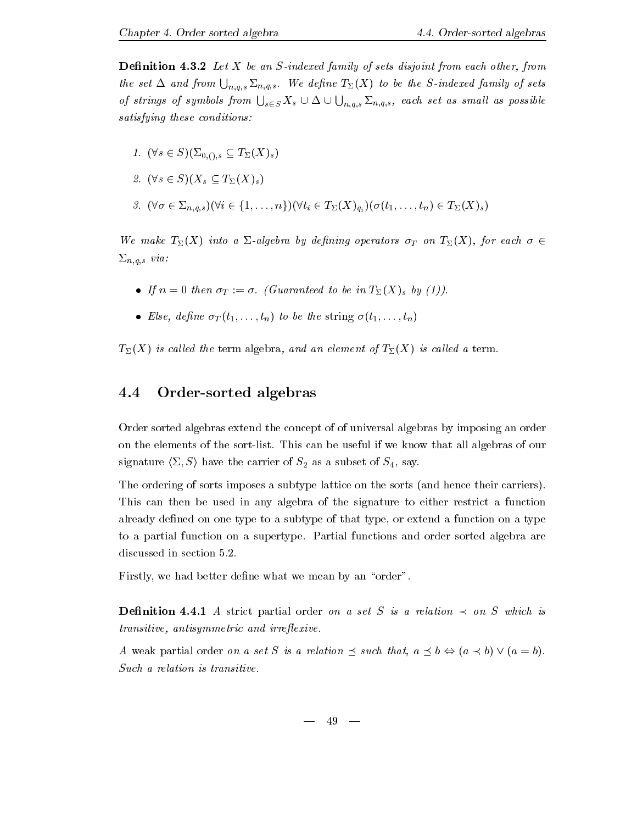**Definition 4.3.2** Let X be an S-indexed family of sets disjoint from each other, from the set  $\Delta$  and from  $\bigcup_{n,q,s}\Sigma_{n,q,s}$ . We define  $T_{\Sigma}(X)$  to be the S-indexed family of sets of strings of symbols from  $\bigcup_{s\in S} X_s\cup \Delta\cup \bigcup_{n,q,s}\Sigma_{n,q,s}$ , each set as small as possible satisfying these conditions 

- $\cdot$   $\cdot$   $\sim$   $\cdot$   $\cdot$   $\cdot$   $\cdot$   $\cdot$   $\cdot$   $\cdot$   $\cdot$   $\cdot$   $\cdot$   $\cdot$   $\cdot$   $\cdot$   $\cdot$   $\cdot$   $\cdot$   $\cdot$   $\cdot$   $\cdot$   $\cdot$   $\cdot$   $\cdot$   $\cdot$   $\cdot$   $\cdot$   $\cdot$   $\cdot$   $\cdot$   $\cdot$   $\cdot$  . . .
- s SXs TXs
- $\alpha$  , (  $\alpha$  )  $\alpha$   $\alpha$  (  $\alpha$ )  $\alpha$  )  $\alpha$  (  $\alpha$  )  $\alpha$  )  $\alpha$  (  $\alpha$ )  $\alpha$  )  $\alpha$  (  $\alpha$ )  $\alpha$  ( $\alpha$ )  $\alpha$  )  $\alpha$  ( $\alpha$ )  $\alpha$  )  $\alpha$  ( $\alpha$ )  $\alpha$  )  $\alpha$  ( $\alpha$ )  $\alpha$  )  $\alpha$  ( $\alpha$ )  $\alpha$  )  $\alpha$  $\mathbf{u}$

We make  $T_{\Sigma}(X)$  into a  $\Sigma$ -algebra by defining operators  $\sigma_T$  on  $T_{\Sigma}(X)$ , for each  $\sigma \in$  $\overline{v}$ ,  $\overline{q}$ ,  $\overline{\overline{v}}$ 

- If n then T - Guaranteed to be in TXs by -
- Else, define  $\sigma_T(t_1,\ldots,t_n)$  to be the string  $\sigma(t_1,\ldots,t_n)$

 $T_{\Sigma}(X)$  is called the term algebra, and an element of  $T_{\Sigma}(X)$  is called a term.

### 4.4 Order-sorted algebras

Order sorted algebras extend the concept of of universal algebras by imposing an order on the sortlist- the sortlist-sortlist-sortlist- all algebras of our that we know the strong that all algebras signature  $\langle \Sigma, S \rangle$  have the carrier of  $S_2$  as a subset of  $S_4$ , say.

The ordering of sorts imposes a subtype lattice on the sorts (and hence their carriers). This can then be used in any algebra of the signature to either restrict a function already defined on one type to a subtype of that type, or extend a function on a type to a partial function on a supertype- Partial functions and order sorted algebra are

Firstly, we had better define what we mean by an "order".

denition and the strict partial order on a set S is a relation of the set S which is a relation of the set S which is a relation of the set S is a relation of the set S which is a relation of the set S which is a relation  $transitive,$  antisymmetric and irreflexive.

A weak partial order on a set S is a relation  $\preceq$  such that,  $a \preceq b \Leftrightarrow (a \prec b) \vee (a = b)$ . Such a relation is transitive.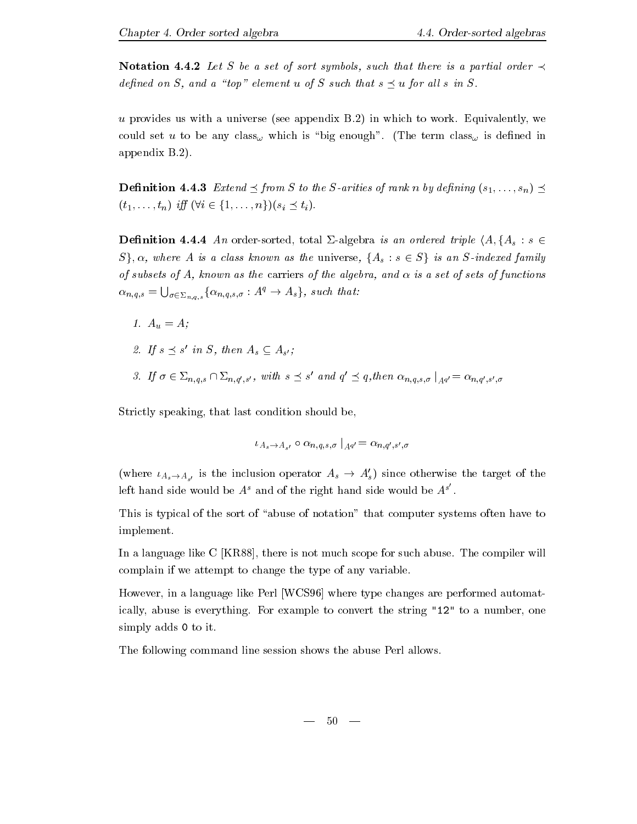**Notation 4.4.2** Let S be a set of sort symbols, such that there is a partial order  $\prec$ defined on S, and a "top" element u of S such that  $s \prec u$  for all s in S.

universe see appendix B-man us with a universe see appendix B-man use appendix B-man use and the workcould set us to be any county that which is denough the term could interm could be accessible to the appendix B--

**Definition 4.4.3** Extend  $\leq$  from S to the S-arities of rank n by defining  $(s_1, \ldots, s_n) \leq$  $(t_1, \ldots, t_n)$  iff  $(\forall i \in \{1, \ldots, n\}) (s_i \preceq t_i)$ .

**Definition 4.4.4** An order-sorted, total  $\Sigma$ -algebra is an ordered triple  $\langle A, \{A_s : s \in \mathbb{R} \mid \mathbb{R} \mid \mathbb{R} \mid \mathbb{R} \mid \mathbb{R} \mid \mathbb{R} \rangle$  $S$ ,  $\alpha$ , where A is a class known as the universe,  $\{A_s : s \in S\}$  is an S-indexed family of subsets of A, known as the carriers of the algebra, and  $\alpha$  is a set of sets of functions  $\alpha_{n,q,s} = \bigcup_{\sigma \in \Sigma_{n,q,s}} \{ \alpha_{n,q,s,\sigma} : A^q \to A_s \}, \text{ such that:}$ 

- – <sub>0</sub>, – , – , – , – , – , – , – – , – , – , – , – , – , – , – , – , – , – , – , – , – , – , – , – , – , – , – , – , – , – , – , – , – , – , –
- If s s ' in S, then  $A_s \subseteq A_{s'}$ ;
- $\alpha$   $\alpha$   $\alpha$   $\alpha$   $\alpha$   $\alpha$   $\alpha$   $\alpha$   $\alpha$   $\alpha$   $\alpha$   $\alpha$   $\alpha$   $\alpha$   $\alpha$   $\alpha$   $\alpha$ ' and  $q' \prec q, th$  $\gamma' \preceq q$ , then  $\alpha_{n,q,s,\sigma} \mid_{A^{q'}} = \alpha_{n,q',s',\sigma}$

Strictly speaking, that last condition should be,

$$
\iota_{A_s\to A_{s'}}\circ\alpha_{n,q,s,\sigma}\mid_{A^{q'}}=\alpha_{n,q',s',\sigma}
$$

(where  $\iota_{A_s \to A_{s'}}$  is the inclusion operator  $A_s \to A'_s$ ) since otherwise the target of the left hand side would be  $A<sup>s</sup>$  and of the right hand side would be  $A<sup>s'</sup>$ .

This is typical of the sort of "abuse of notation" that computer systems often have to implement.

In a language like C KR there is not much scope for such abuse- The compiler will complain if we attempt to change the type of any variable-

However, in a language like Perl [WCS96] where type changes are performed automatis the string-to-converted to convert the string one string  $\sim$  to a number one string  $\sim$ simply adds 0 to it.

The following command line session shows the abuse Perl allows.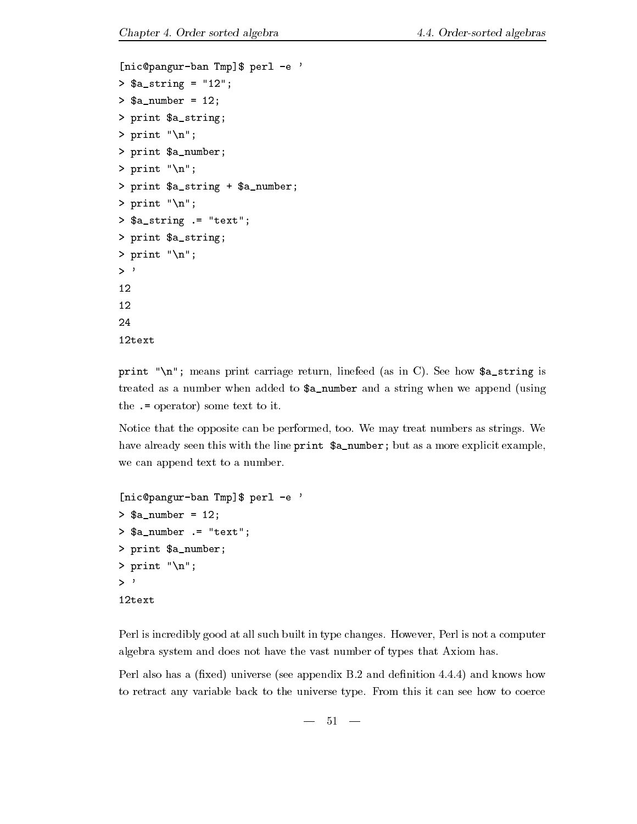```
[nic@pangur-ban Tmp]$ perl -e '
astring the contract of the contract of the contract of the contract of the contract of the contract of the con
anumber 1988 - 1989 - 1989 - 1989 - 1989 - 1989 - 1989 - 1989 - 1989 - 1989 - 1989 - 1989 - 1989 - 1989 - 198
> print a_. string;
> print "\n\in;
> print a_nnumber;
> print "\ln";
> print a_-\string + a_-\number;
> print "\n\cdot\> $a_string := "text";
> print a_, string;
> print "\langle n'';>, \rightarrow12
1224
12text
```
print n means print carriage return linefeed as in C- See how astring is treated as a number when added to  $a_n$  number and a string when we append (using the  $. =$  operator) some text to it.

Notice that the opposite can be performed too- We may treat numbers as strings- We have already seen this with the line print \$a\_number; but as a more explicit example, we can append text to a number.

```
[nic@pangur-ban Tmp]$ perl -e '
anumber 1988 - 1989 - 1989 - 1989 - 1989 - 1989 - 1989 - 1989 - 1989 - 1989 - 1989 - 1989 - 1989 - 1989 - 198
> $a_number := "text";
> print a_nnumber;
> print "\n\overline{\n}";
><sup>1</sup>
```
Perl is incredibly good at all such built in type changes- However Perl is not a computer algebra system and does not have the vast number of types that Axiom has-

Perl also has a xed universe see appendix B- and denition -- and knows how to retract any variable back to the universe type- retraction that the see how to coerce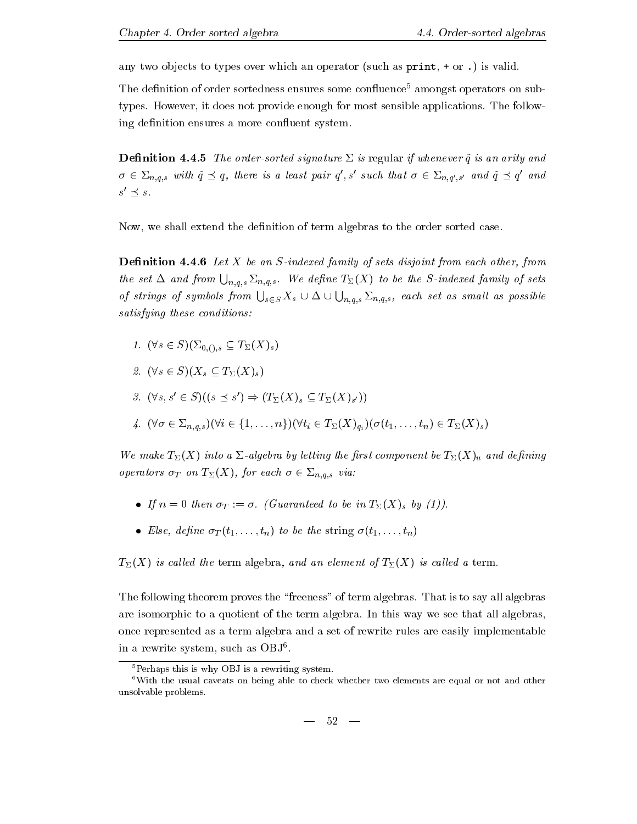any two objects to types over which an operator (such as  $print, + or$ .) is valid.

The definition of order sortedness ensures some confluence<sup>5</sup> amongst operators on subtypes- However it does not provide enough for most sensible applications- The follow ing definition ensures a more confluent system.

**Definition 4.4.5** The order-sorted signature  $\Sigma$  is regular if whenever  $\tilde{q}$  is an arity and  $\sigma \in \Sigma_{n,q,s}$  with  $\tilde{q} \preceq q$ , there is a least pair  $q',s'$  such that  $\sigma \in \Sigma_{n,q',s'}$  and  $\tilde{q} \preceq q'$  and  $s \cap s$ .

Now, we shall extend the definition of term algebras to the order sorted case.

**Definition 4.4.6** Let  $X$  be an S-indexed family of sets disjoint from each other, from the set  $\Delta$  and from  $\bigcup_{n,q,s}\Sigma_{n,q,s}$ . We define  $T_{\Sigma}(X)$  to be the S-indexed family of sets of strings of symbols from  $\bigcup_{s\in S} X_s\cup \Delta\cup \bigcup_{n,q,s}\Sigma_{n,q,s},$  each set as small as possible satisfying these conditions 

- s S&-s TXs . . .
- s SXs TXs
- 3.  $(\forall s, s' \in S)((s \preceq s') \Rightarrow (T_{\Sigma}(X)_s \subseteq T_{\Sigma}(X)_{s'}))$
- $\tau$  (  $\tau$  =  $n_{ij}q_{j}$ o)( = t ) ))(  $i$  =  $\omega$ ( ) $q_{i}$ )( (ti) ) $n_{i}$  =  $\omega$ ( )o)

We make  $T_{\Sigma}(X)$  into a  $\Sigma$ -algebra by letting the first component be  $T_{\Sigma}(X)_u$  and defining  $\mathbf{I}$  is an  $\mathbf{I}$  of  $\mathbf{I}$  for  $\mathbf{I}$  is a set  $\mathbf{I}$  for  $\mathbf{I}$  is a set  $\mathbf{I}$  for  $\mathbf{I}$  is a set of  $\mathbf{I}$ 

- $\Gamma$  is the finite internal to by the internal control  $\Gamma$  . Then  $\Gamma$
- Else, define  $\sigma_T(t_1,\ldots,t_n)$  to be the string  $\sigma(t_1,\ldots,t_n)$

 $T_{\Sigma}(X)$  is called the term algebra, and an element of  $T_{\Sigma}(X)$  is called a term.

The following theorem proves the freeness of term algebras- That is to say all algebras are isomorphic to a quotient of the term algebra- In this way we see that all algebras once represented as a term algebra and a set of rewrite rules are easily implementable in a rewrite system, such as ODJ.

 $5$ Perhaps this is why OBJ is a rewriting system.

 $6$ With the usual caveats on being able to check whether two elements are equal or not and other unsolvable problems-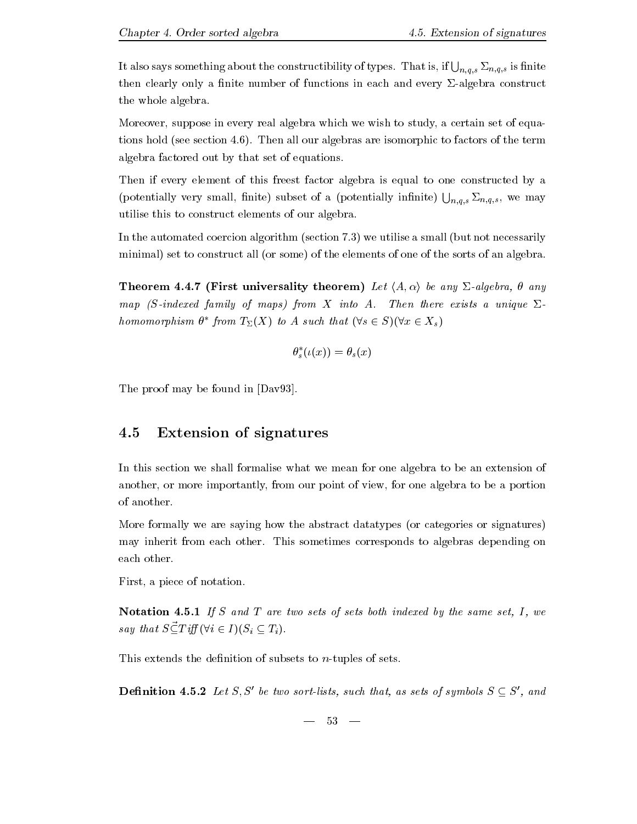It also says something about the constructibility of types. That is, if  $\bigcup_{n,q,s}\Sigma_{n,q,s}$  is finite then clearly only a finite number of functions in each and every  $\Sigma$ -algebra construct the whole algebra.

Moreover, suppose in every real algebra which we wish to study, a certain set of equa-. The section  $\{r_1, r_2, \ldots, r_{n-1}, \ldots, r_{n-1}, \ldots, r_{n-1}, \ldots, r_{n-1}, \ldots, r_{n-1}, \ldots, r_{n-1}, \ldots, r_{n-1}, \ldots, r_{n-1}, \ldots, r_{n-1}, \ldots, r_{n-1}, \ldots, r_{n-1}, \ldots, r_{n-1}, \ldots, r_{n-1}, \ldots, r_{n-1}, \ldots, r_{n-1}, \ldots, r_{n-1}, \ldots, r_{n-1}, \ldots, r_{n-1}, \ldots, r_{n-1}, \ldots, r_{$ algebra factored out by that set of equations-

Then if every element of this freest factor algebra is equal to one constructed by a (potentially very small, finite) subset of a (potentially infinite)  $\bigcup_{n,a,s}\sum_{n,q,s}$ , we may n- $\sim$ utilise this to construct elements of our algebra-

In the automated coercion algorithm section algorithm section  $\mathbf{I}$ minimal) set to construct all (or some) of the elements of one of the sorts of an algebra.

Theorem 4.4.7 (First universality theorem) Let  $\langle A, \alpha \rangle$  be any  $\Sigma$ -algebra,  $\theta$  any map is interested family of maps from the sindex with a unique and a unique  $\blacksquare$ homomorphism and the contract of the contract of the contract of the contract of the contract of the contract of the contract of the contract of the contract of the contract of the contract of the contract of the contract \* from  $T_{\Sigma}(X)$  to A such that  $(\forall s \in S)(\forall x \in X_s)$ 

$$
\theta_s^*(\iota(x)) = \theta_s(x)
$$

The proof may be found in [Dav93].

#### 4.5 Extension of signatures

In this section we shall formalise what we mean for one algebra to be an extension of another, or more importantly, from our point of view, for one algebra to be a portion of another.

More formally we are saying how the abstract datatypes (or categories or signatures) may interest from each other- this sometime corresponds to algebras depending on the corresponding on the corresponding on the corresponding on the corresponding on the corresponding on the corresponding on the correspondi each other.

First, a piece of notation.

Notation - If S and T are two sets of sets both indexed by the same set I we say that  $S\vec{\subset} T$  iff  $(\forall i \in I)(S_i \subseteq T_i)$ .

This extends the definition of subsets to  $n$ -tuples of sets.

**Definition 4.5.2** Let S, S' be two sort-lists, such that, as sets of symbols  $S \subseteq S'$ , and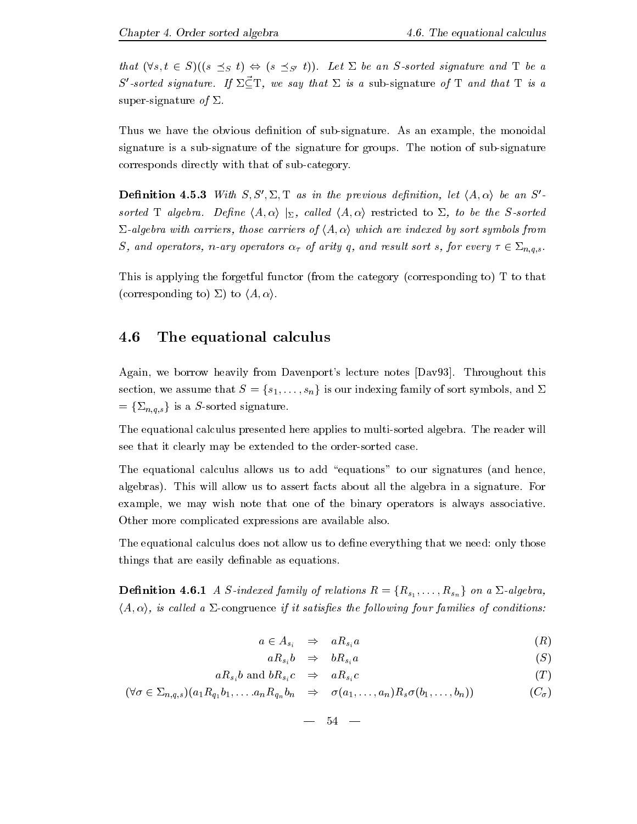that  $\{1 \circ \alpha \in S \}$  is  $\{1 \circ \alpha \leq \beta \circ \alpha \}$ . The and T be an Society signature and T be a S'-sorted signature. If  $\Sigma \vec{\subset} T$ , we say that  $\Sigma$  is a sub-signature of T and that T is a super-signature of  $\Sigma$ .

Thus we have the obvious denition of subsignature- As an example the monoidal signature is a subsidiary is a subsidiary for groups-formal  $\mathbf{r}$  and  $\mathbf{r}$  and  $\mathbf{r}$  and  $\mathbf{r}$  and  $\mathbf{r}$  and  $\mathbf{r}$  and  $\mathbf{r}$  and  $\mathbf{r}$  and  $\mathbf{r}$  and  $\mathbf{r}$  and  $\mathbf{r}$  and  $\mathbf{r}$  and  $\mathbf{$ corresponds directly with that of sub-category.

**Definition 4.5.3** With  $S, S', \Sigma, T$  as in the previous definition, let  $\langle A, \alpha \rangle$  be an S'sorted T algebra - Dene hA i j cal led hA i restricted to be the Ssocial leads of the Ssocial Lemma - Ssocial L  $\Sigma$ -algebra with carriers, those carriers of  $\langle A, \alpha \rangle$  which are indexed by sort symbols from  $S$  and operators in arrivors of arity  $\sigma$  arity  $q$  arithmeters for every  $j$  sort  $\sigma$  is  $n_{0}q_{0}$  .

This is applying the forgetful functor (from the category (corresponding to) T to that (corresponding to)  $\Sigma$ ) to  $\langle A, \alpha \rangle$ .

### 4.6 The equational calculus

Again we borrow heavily from Davenports lecture notes Dav- Throughout this section, we assume that S  $(e_1, \ldots, e_n)$  is our indicated symbols and  $\mathcal{E}$ <br>=  $\{\Sigma_{n,q,s}\}\$  is a S-sorted signature.

The equational calculus presented here applies to multisorted algebra- The reader will see that it clearly may be extended to the order-sorted case.

The equational calculus allows us to add "equations" to our signatures (and hence, algebras- This will allow us to assert facts about all the algebra in a signature- For example, we may wish note that one of the binary operators is always associative. Other more complicated expressions are available also-

The equational calculus does not allow us to define everything that we need: only those things that are easily definable as equations.

 $\boldsymbol{J}$  , and a single family of  $\boldsymbol{J}$  , and a single family  $\boldsymbol{J}$  , and a single family  $\boldsymbol{J}$  $\langle A, \alpha \rangle$ , is called a  $\Sigma$ -congruence if it satisfies the following four families of conditions:

$$
a \in A_{s_i} \quad \Rightarrow \quad aR_{s_i}a \tag{R}
$$

$$
aR_{s_i}b \quad \Rightarrow \quad bR_{s_i}a \tag{S}
$$

$$
aR_{s_i}b \text{ and } bR_{s_i}c \quad \Rightarrow \quad aR_{s_i}c \tag{T}
$$

$$
(\forall \sigma \in \Sigma_{n,q,s})(a_1 R_{q_1} b_1, \ldots a_n R_{q_n} b_n \Rightarrow \sigma(a_1, \ldots, a_n) R_s \sigma(b_1, \ldots, b_n))
$$
\n(C<sub>\sigma</sub>)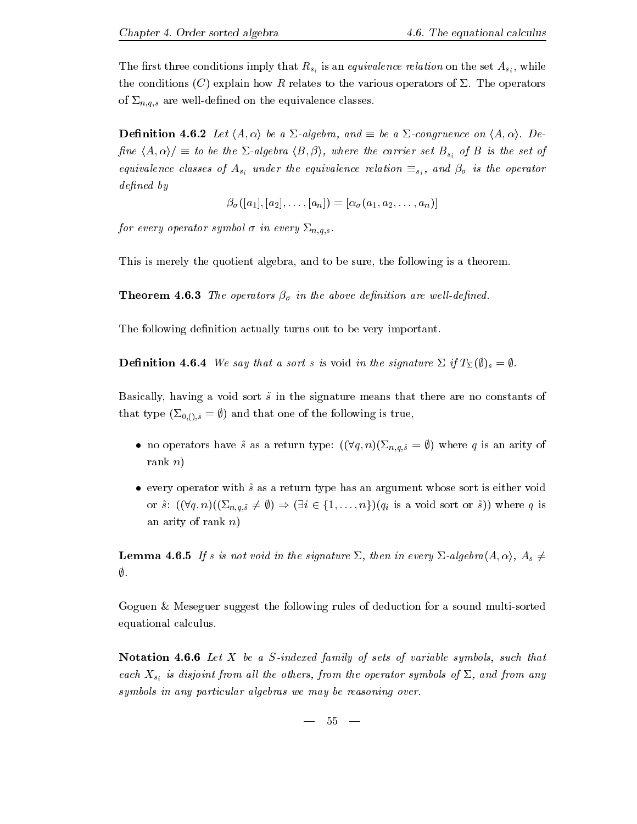The first three conditions imply that  $R_{s_i}$  is an equivalence relation on the set  $A_{s_i}$ , while the conditions C explain how R relates to the various operators of &- The operators  $\alpha = n, q, \sigma$  are constructed on the equivalence classes classes  $\alpha$ 

 $\mathbf{L}$  is a  $\mathbf{L}$  be a  $\mathbf{L}$  and be a  $\mathbf{L}$  -denote on hA i-denote on hA i-denote on  $\mathbf{L}$ is the fact that is the carrier set  $\alpha$  is the carrier set of  $\alpha$  is the set of B is the set of B is the set of B is the set of B is the set of B is the set of B is the set of B is the set of B is the set of B is the se equivalence classes of Asia under the equivalence relation signalizer  $\rho_0$  is the equivalence relation signal  $defined\ by$ 

a a an a aan

 $\partial$  in  $\partial$  in  $\partial$  in every  $\partial$  in every  $\partial$  in every  $\partial$ 

This is merely the quotient algebra, and to be sure, the following is a theorem.

 $\mathcal{T}$  in the above density of the above density  $\mathcal{T}$ 

The following definition actually turns out to be very important.

**Definition 4.6.4** We say that a sort s is void in the signature  $\Sigma$  if  $T_{\Sigma}(\emptyset)_{s} = \emptyset$ .

Basically, having a void sort  $\tilde{s}$  in the signature means that there are no constants of  $\mathbf{r}$  to  $\mathbf{r}$  that one of the following is true that one of the following is true, the following is true  $\mathbf{r}$ 

- no operators have some system  $\{V, q\}, \ldots, \{V, q\}, \sigma$  , where  $q$  is an arity of  $\sigma$ rank  $n$ )
- every operator with  $\tilde{s}$  as a return type has an argument whose sort is either void or s) q n&n-q-s  i fngqi is a void sort or s) where <sup>q</sup> is an arity of rank  $n$ )

**Lemma 4.6.5** If s is not void in the signature  $\Sigma$ , then in every  $\Sigma$ -algebra $\langle A, \alpha \rangle$ ,  $A_s \neq$  $\emptyset$  .

Goguen & Meseguer suggest the following rules of deduction for a sound multi-sorted equational calculus-

**Notation 4.6.6** Let  $X$  be a S-indexed family of sets of variable symbols, such that each  $X_{s_i}$  is disjoint from all the others, from the operator symbols of  $\Sigma$ , and from any symbols in any particular algebras we may be reasoning over.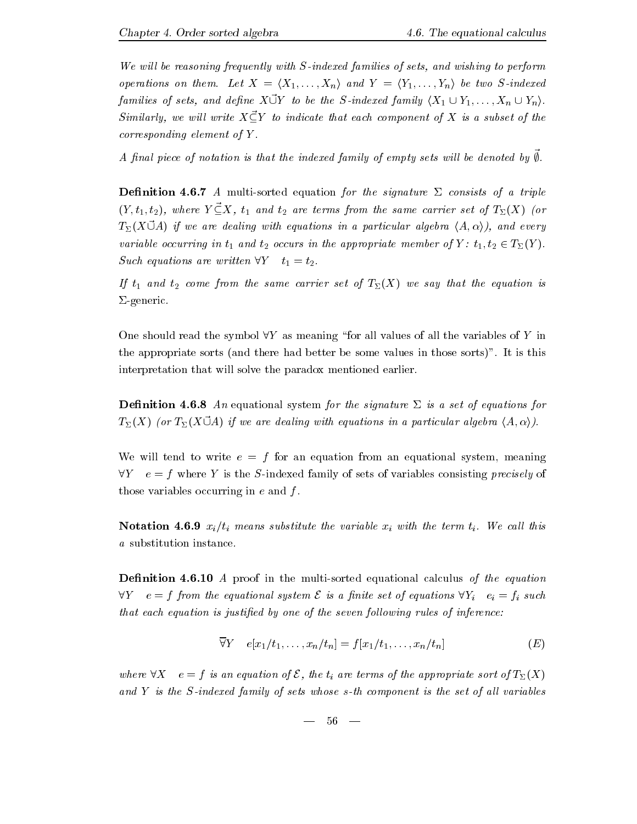We will be reasoning frequently with  $S$ -indexed families of sets, and wishing to perform operations on them - Let X hydrogen and I have two Sindexed Sindexed and Y hydrogen and Y hydrogen and I have t families of sets, and define  $X\vec{U}Y$  to be the S-indexed family  $\langle X_1\cup Y_1,\ldots,X_n\cup Y_n\rangle$ . Similarly, we will write  $X \, \vec{\subset} Y$  to indicate that each component of X is a subset of the  $corresponding\ element\ of\ Y.$ 

 $A$   $\mu$  at piece of notation is that the indexed family of empty sets will be denoted by  $\psi$ .

**Definition 4.6.7** A multi-sorted equation for the signature  $\Sigma$  consists of a triple  $(Y, t_1, t_2)$ , where  $Y \vec{\subseteq} X$ ,  $t_1$  and  $t_2$  are terms from the same carrier set of  $T_{\Sigma}(X)$  (or  $T_{\Sigma}(X \vec{U}A)$  if we are dealing with equations in a particular algebra  $\langle A, \alpha \rangle$ ), and every variable occurring in  $t_1$  and  $t_2$  occurs in the appropriate member of  $Y: t_1, t_2 \in T_\Sigma(Y)$ . Such equations are written  $\forall Y \quad t_1=t_2$ .

If  $t_1$  and  $t_2$  come from the same carrier set of  $T_{\Sigma}(X)$  we say that the equation is  $\Sigma$ -generic.

One should read the symbol  $\forall Y$  as meaning "for all values of all the variables of Y in the appropriate sorts and there had better be some values in those sorts - It is this interpretation that will solve the paradox mentioned earlier.

**Definition 4.6.8** An equational system for the signature  $\Sigma$  is a set of equations for  $T_{\Sigma}(X)$  (or  $T_{\Sigma}(X \ddot{\cup} A)$  if we are dealing with equations in a particular algebra  $\langle A, \alpha \rangle$ ).

We will tend to write  $e = f$  for an equation from an equational system, meaning  $\forall Y \quad e = f$  where Y is the S-indexed family of sets of variables consisting precisely of those variables occurring in  $e$  and  $f$ .

. As in the variable  $\mu$  with the variable  $\mu$  with the term time time term time term time term time term time term time term time term time term time term time term time term time term time term time term time term tim a substitution instance.

— ---------- ----- -- proof in the models of the multisorted equation of the equation  $\sim$  $\forall Y \quad e = f$  from the equational system  $\mathcal{E}$  is a finite set of equations  $\forall Y_i \quad e_i = f_i$  such that each equation is justified by one of the seven following rules of inference:

$$
\overline{\forall} Y \quad e[x_1/t_1, \dots, x_n/t_n] = f[x_1/t_1, \dots, x_n/t_n]
$$
 (E)

where  $\forall X \in \mathcal{F}$  is an equation of  $\mathcal{E}$ , the  $t_i$  are terms of the appropriate sort of  $T_\Sigma(X)$ and  $Y$  is the S-indexed family of sets whose s-th component is the set of all variables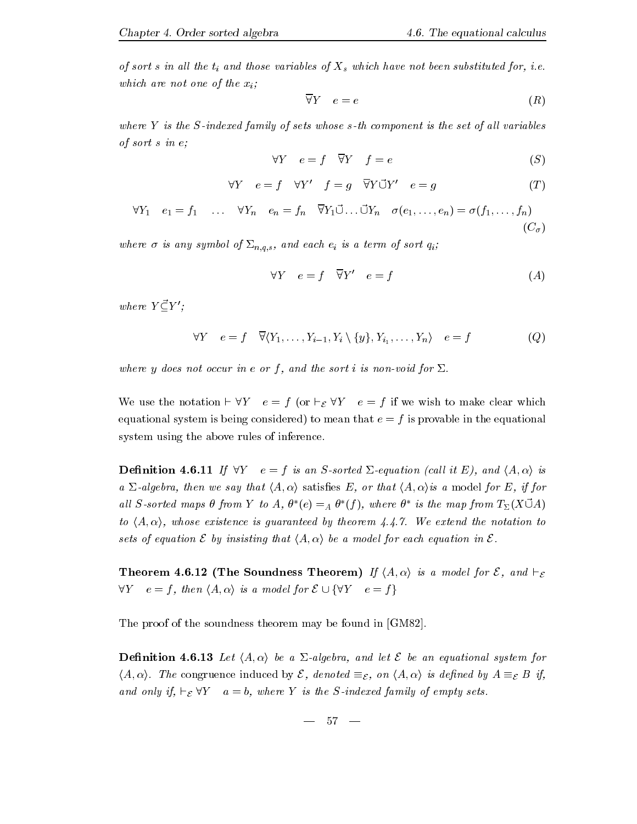of sort <sup>s</sup> in al l the ti and those variables of Xs which have not been substituted for i-ewhich are not one of the  $x_i$ ;

$$
\overline{\forall}Y \quad e = e \tag{R}
$$

where  $Y$  is the S-indexed family of sets whose s-th component is the set of all variables of sort s in e

$$
\forall Y \quad e = f \quad \overline{\forall} Y \quad f = e \tag{S}
$$

$$
\forall Y \quad e = f \quad \forall Y' \quad f = g \quad \overline{\forall} Y \vec{\cup} Y' \quad e = g \tag{T}
$$

$$
\forall Y_1 \quad e_1 = f_1 \quad \dots \quad \forall Y_n \quad e_n = f_n \quad \overline{\forall} Y_1 \vec{\cup} \dots \vec{\cup} Y_n \quad \sigma(e_1, \dots, e_n) = \sigma(f_1, \dots, f_n)
$$
\n
$$
(C_{\sigma})
$$

 $\omega$  is any symbol of  $\omega$  is a term of symbol of sorts  $\omega$  is a term of sorts  $\omega$ 

$$
\forall Y \quad e = f \quad \overline{\forall} Y' \quad e = f \tag{A}
$$

where  $Y\vec{\subset} Y'$ ;

$$
\forall Y \quad e = f \quad \overline{\forall} \langle Y_1, \dots, Y_{i-1}, Y_i \setminus \{y\}, Y_{i_1}, \dots, Y_n \rangle \quad e = f \tag{Q}
$$

where y does not occur in e or f, and the sort i is non-void for  $\Sigma$ .

We use the notation  $\vdash$  V  $\ell$  =  $\eta$  (or  $\vdash_{\mathcal{E}}$  V  $\ell$  =  $\eta$  if we wish to make clear which equational system is being considered) to mean that  $e = f$  is provable in the equational system using the above rules of inference.

 $\blacksquare$  -------- -  $\blacksquare$  . If an  $\blacksquare$  . It is an  $\blacksquare$  . It is an  $\blacksquare$  . It is an  $\blacksquare$  . It is an  $\blacksquare$ a  $\Sigma$ -algebra, then we say that  $\langle A, \alpha \rangle$  satisfies E, or that  $\langle A, \alpha \rangle$  is a model for E, if for al l Ssorted maps in the society of the society of the society of the society of the society of the society of  $f^*(e) =_A \theta^*(f), \ wh$  $*(f)$ , where  $\theta^*$  is the \* is the map from  $T_{\Sigma}(X \vec{U}A)$ to hA i whose existence is guaranteed by theorem --- We extend the notation to sets of equation  $\mathcal E$  by insisting that  $\langle A, \alpha \rangle$  be a model for each equation in  $\mathcal E$ .

**Theorem 4.6.12 (The Soundness Theorem)** If  $\langle A, \alpha \rangle$  is a model for  $\zeta$ , and  $\vdash_{\mathcal{E}}$  $\forall Y \quad e = f, \text{ then } \langle A, \alpha \rangle \text{ is a model for } \mathcal{E} \cup \{ \forall Y \quad e = f \}$ 

The proof of the soundness theorem may be found in [GM82].

denition and and let hA in the anti-system for an equation for an equation for an equation for an equation for  $(A, \alpha)$ . The congruence induced by  $\mathcal{E}$ , denoted  $\equiv_{\mathcal{E}}$ , on  $\langle A, \alpha \rangle$  is defined by  $A \equiv_{\mathcal{E}} B$  if, and only if,  $\vdash_{\mathcal{E}} \triangledown_{Y} a = b$ , where Y is the S-indexed family of empty sets.

$$
- \phantom{1}57 \phantom{.00} -
$$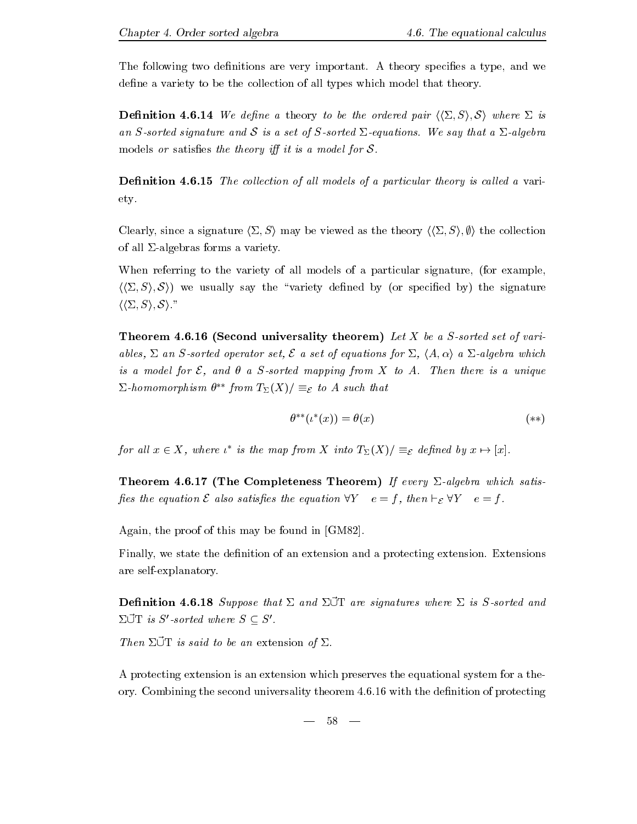The following two denitions are very important- A theory species a type and we define a variety to be the collection of all types which model that theory.

 $\blacksquare$  -------- - ---  $\blacksquare$ an Ssorted signature and Section and Section Contract Companies and Section Companies and Section models or satisfies the theory iff it is a model for  $S$ .

Denition - The col lection of al l models of a particular theory is cal led a vari ety-

Clearly, since a signature  $\langle \Sigma, S \rangle$  may be viewed as the theory  $\langle \langle \Sigma, S \rangle, \emptyset \rangle$  the collection of all  $\Sigma$ -algebras forms a variety.

When referring to the variety of all models of a particular signature, (for example,  $\langle \langle \Sigma, S \rangle, \mathcal{S} \rangle$  we usually say the "variety defined by (or specified by) the signature  $\langle\langle \Sigma, S \rangle, \mathcal{S} \rangle$ ."

Theorem - Second universality theorem Let X be a Ssorted set of vari ables,  $\Sigma$  an S-sorted operator set,  $\mathcal E$  a set of equations for  $\Sigma$ ,  $\langle A, \alpha \rangle$  a  $\Sigma$ -algebra which is a model for E1 and I a Society mapping from the State A-C to A-C and the State and A-C to A-C to A-C to A-C  $\Delta$ -nomomorphism  $\theta$  from  $I_{\Sigma}(\Lambda)$   $\equiv$   $\varepsilon$  to A such that

$$
\theta^{**}(\iota^*(x)) = \theta(x) \tag{**}
$$

for all  $x \in X$ , where  $\iota^*$  is the map from X into  $T_{\Sigma}(X)/\equiv_{\mathcal{E}}$  defined by  $x \mapsto [x]$ .

Theorem - The Completeness Theorem If every &algebra which satis pes the equation  $\varepsilon$  also satispes the equation  $\forall x \quad e = f$  , then  $\vdash_\mathcal{E} \forall x \quad e = f$  .

Again, the proof of this may be found in  $[GM82]$ .

Finally we state the denition of an extension and a protecting extension- Extensions are self-explanatory.

 $\mathbf{D}$  changed  $\mathbf{D}$  and  $\mathbf{D}$  are signatures where  $\mathbf{D}$  to  $\mathbf{D}$  sorted and  $\mathbf{D}$  $\Sigma \overrightarrow{U}$  is  $S'$ -sorted where  $S \subset S'$ .

Then  $\Sigma \overline{U}T$  is said to be an extension of  $\Sigma$ .

A protecting extension is an extension which preserves the equational system for a the ory- Combining the second universality theorem -- with the denition of protecting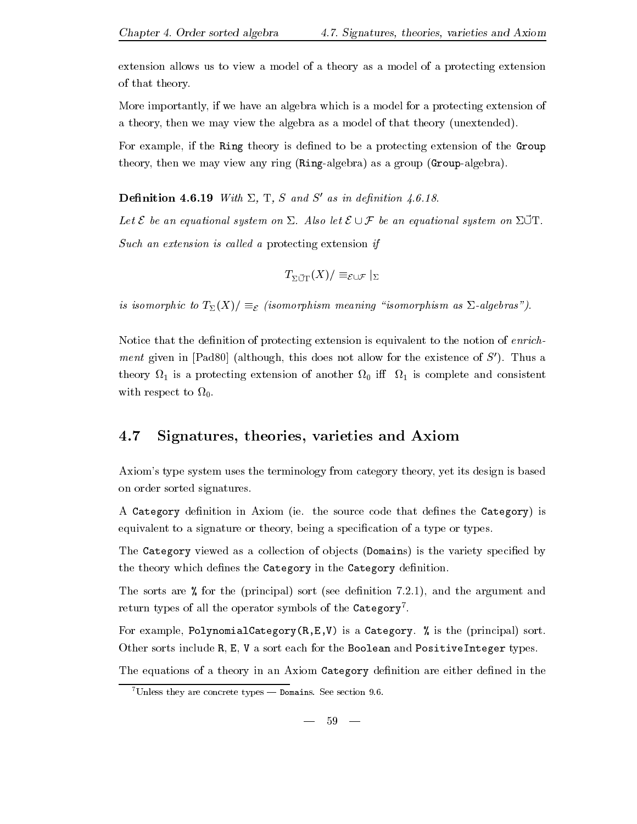extension allows us to view a model of a theory as a model of a protecting extension of that theory-

More importantly if we have an algebra which is a model for a protecting extension of a theory, then we may view the algebra as a model of that theory (unextended).

For example, if the Ring theory is defined to be a protecting extension of the Group theory, then we may view any ring  $(Ring-algebra)$  as a group  $(Group-algebra)$ .

**Definition 4.6.19** With  $\Sigma$ , T, S and S' as in definition 4.6.18.

 $\Delta v$  be an equational system on  $\Delta$ . These for  $C \cup J$  be an equational system on  $\Delta$   $\Delta$  . Such an extension is called a protecting extension if

$$
T_{\Sigma \cup \mathrm{T}}(X)/\equiv_{\mathcal{E} \cup \mathcal{F}}|_{\Sigma}
$$

is isomorphic to  $T_{\Sigma}(X) / \equiv_{\mathcal{E}} (isomorphism \ meaning \ "isomorphism \ as \ \Sigma-algebras").$ 

Notice that the definition of protecting extension is equivalent to the notion of *enrichment* given in [Pad80] (although, this does not allow for the existence of  $S'$ ). Thus a theory  $\Omega_1$  is a protecting extension of another  $\Omega_0$  iff  $\Omega_1$  is complete and consistent with respect to  $\Omega_0$ .

#### 4.7 Signatures, theories, varieties and Axiom

Axiom's type system uses the terminology from category theory, yet its design is based on order sorted signatures.

a category diminished in Axiom is the source that diminished the Category is the Category is the Category is t equivalent to a signature or theory, being a specification of a type or types.

The Category viewed as a collection of objects (Domains) is the variety specified by the theory which defines the Category in the Category definition.

The sorts are for the principal sort see denition -- and the argument and return types of all the operator symbols of the  $\mathtt{categorical}$  .

For example PolynomialCategoryREV is a Category- is the principal sort-Other sorts include R, E, V a sort each for the Boolean and PositiveInteger types.

The equations of a theory in an Axiom Category definition are either defined in the

Unless they are concrete types — Domains. See section  $9.6$ .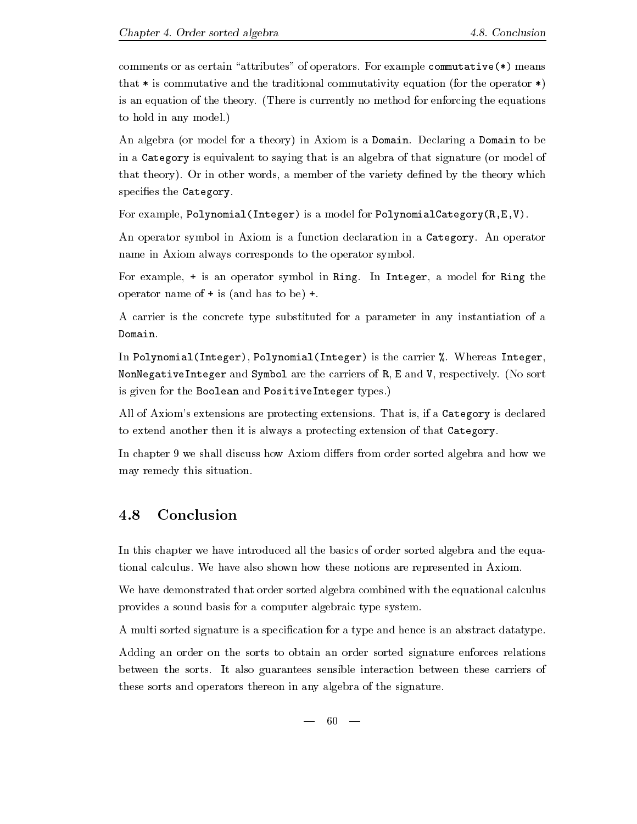comments or as certain attributes of operators- For example commutative means that  $*$  is commutative and the traditional commutativity equation (for the operator  $*)$ is an equation of the theory-  $\mathcal{C} = \mathcal{C}$  and  $\mathcal{C} = \mathcal{C}$  . The equations the equations of  $\mathcal{C} = \mathcal{C}$ to hold in any model.)  $\mathbf{r}$  and  $\mathbf{r}$ 

and algebra or model for a theory  $\mu$  and axiom is a Domain-Declaring at Domain-Declaring a  $\mu$ in a Category is equivalent to saying that is an algebra of that signature (or model of that the theory-that theory-theory-theory-theory-theory which a member of the variety density density density specifies the Category.

For example, Polynomial(Integer) is a model for PolynomialCategory $(R, E, V)$ .

An operator symbol in Axiom is a function declaration in a Category- An operator name in Axiom always corresponds to the operator symbol.

For example is an operator symbol in Ring- In Integer a model for Ring the operator name of  $+$  is (and has to be)  $+$ .

A carrier is the concrete type substituted for a parameter in any instantiation of a Domain.

In PolynomialInteger PolynomialInteger is the carrier - Whereas Integer no sont a group integer and Symbol are the carriers of R E and Symbol are possible, the second is given for the Boolean and PositiveInteger types-

all of Axioms extensions are protecting extensions-between  $\mathcal{L}_{\mathbf{r}}$  is a category is declared to to extend another then it is always a protecting extension of that Category-

In chapter 9 we shall discuss how Axiom differs from order sorted algebra and how we may remedy this situation-

### 4.8 Conclusion

In this chapter we have introduced all the basics of order sorted algebra and the equa tional calculus- We have also shown how these notions are represented in Axiom-

We have demonstrated that order sorted algebra combined with the equational calculus provides a sound basis for a computer algebraic type system-

A multi sorted signature is a specification for a type and hence is an abstract datatype.

Adding an order on the sorts to obtain an order sorted signature enforces relations between the sorts- it also guarantees sensible interaction between these carriers of these sorts and operators thereon in any algebra of the signature.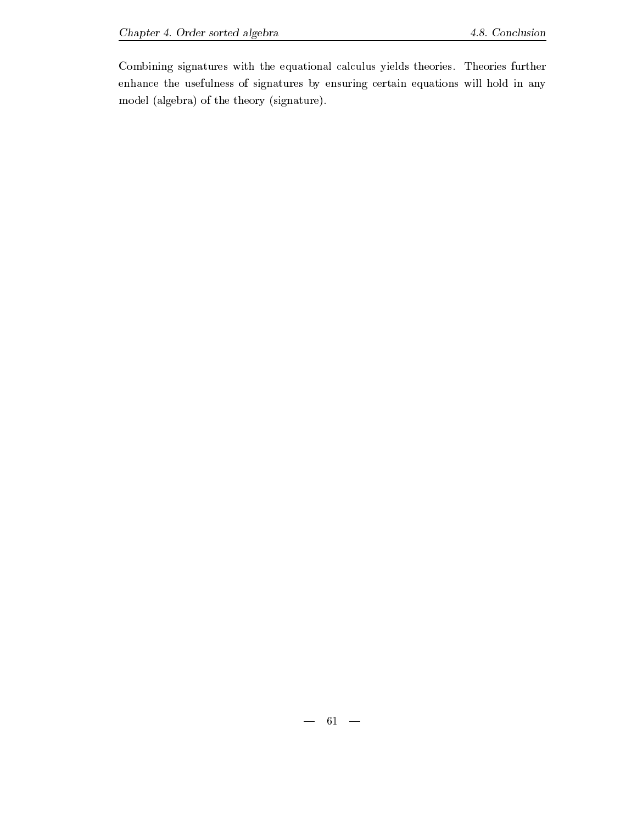Combining signatures with the equational calculus yields theories- Theories further enhance the usefulness of signatures by ensuring certain equations will hold in any model (algebra) of the theory (signature).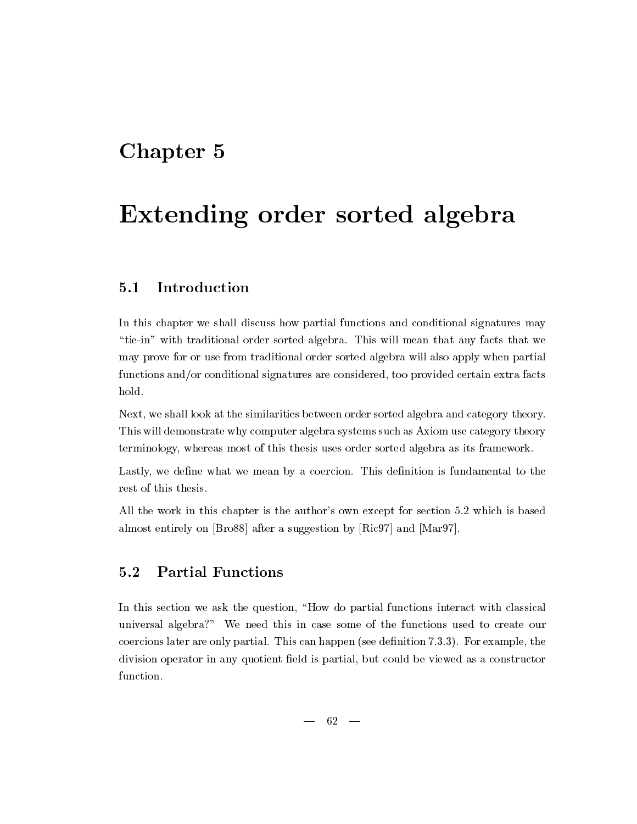## Chapter 5

# Extending order sorted algebra

#### Introduction  $5.1$

In this chapter we shall discuss how partial functions and conditional signatures may tief with traditional order sorted algebra-  $\mathcal{M}$  . We algebra  $\mathcal{M}$  that we are that we are that we are that we are the sorted algebra  $\mathcal{M}$ may prove for or use from traditional order sorted algebra will also apply when partial functions and/or conditional signatures are considered, too provided certain extra facts hold.

Next, we shall look at the similarities between order sorted algebra and category theory. This will demonstrate why computer algebra systems such as Axiom use category theory terminology whereas most of this thesis uses order sorted algebra as its framework-

Lastly we dene what we mean by a coercion- This denition is fundamental to the rest of this thesis.

All the work in this chapter is the authors own except for section  $\mathbb{R}^n$ almost entirely on  $[Bro88]$  after a suggestion by  $[Ric97]$  and  $[Mar97]$ .

### Partial Functions

In this section we ask the question, "How do partial functions interact with classical universal algebra?" We need this in case some of the functions used to create our coercions later are only partial- This can happen see denition --- For example the division operator in any quotient field is partial, but could be viewed as a constructor function.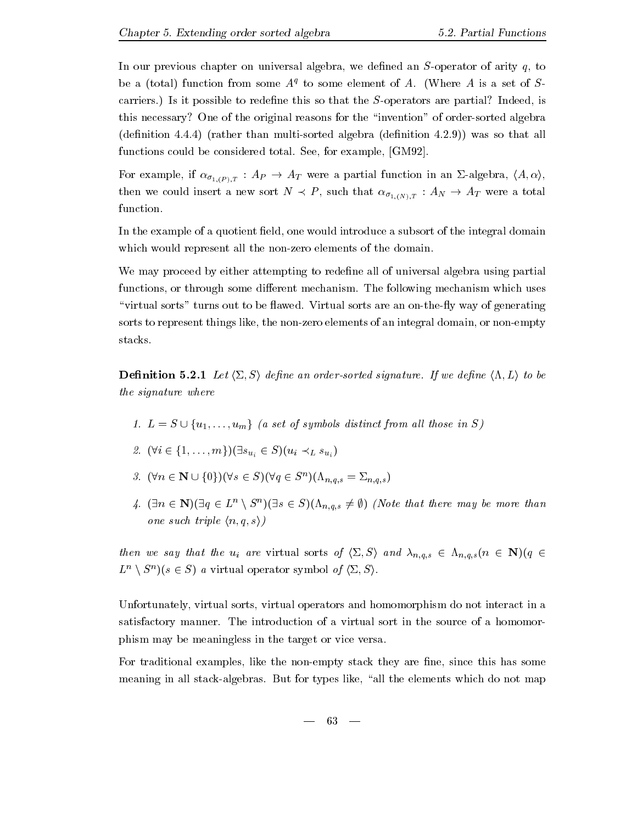In our previous chapter on universal algebra, we defined an  $S$ -operator of arity  $q$ , to be a (total) function from some  $A<sup>T</sup>$  to some element of  $A$ . (Where A is a set of  $S<sup>T</sup>$ carriers, it is possible to redene the Soperators are particle in the particle in the Soperators are particle this necessary? One of the original reasons for the "invention" of order-sorted algebra  $\mathbf{r}$  rather than  $\mathbf{r}$  algebra denition -  $\mathbf{r}$ functions could be considered to the considered total-behavior considered to the considered total-behavior considered to the constant of the constant of the constant of the constant of the constant of the constant of the c

 $\Gamma$  and  $\Gamma$  are  $\Gamma$  if  $\Gamma$  in an analysis in an analysis in an  $\Gamma$  is an analyzis in an analysis in an analysis in an analysis in an analysis in an analysis in an analysis in an analysis in an an an an an an an an an  $\mathcal{O}_{1,(N),I}$  is the summary  $\mathcal{O}_{1,(N),I}$ function.

In the example of a quotient field, one would introduce a subsort of the integral domain which would represent all the non-zero elements of the domain.

We may proceed by either attempting to redefine all of universal algebra using partial functions or through some dierent mechanism- The following mechanism which uses virtual sorts turns out to be a virtual sorts and the annual sorts are an one-way of generating and an one-way sorts to represent things like, the non-zero elements of an integral domain, or non-empty stacks.

 $\mathcal{L} = \mathcal{L} = \mathcal{L} = \mathcal{L} = \mathcal{L} = \mathcal{L} = \mathcal{L} = \mathcal{L} = \mathcal{L} = \mathcal{L} = \mathcal{L} = \mathcal{L} = \mathcal{L} = \mathcal{L} = \mathcal{L} = \mathcal{L} = \mathcal{L} = \mathcal{L} = \mathcal{L} = \mathcal{L} = \mathcal{L} = \mathcal{L} = \mathcal{L} = \mathcal{L} = \mathcal{L} = \mathcal{L} = \mathcal{L} = \mathcal{L} = \mathcal{L} = \mathcal{L} = \mathcal{L} = \mathcal$ the signature where

- L S fuumg a set of symbols distinct from al l those in S
- $\cdots$  (  $\cdots$  =  $\cdots$  )  $\cdots$  )  $\cdots$   $\cdots$   $\cdots$   $\cdots$   $\cdots$   $\cdots$   $\cdots$   $\cdots$   $\cdots$   $\cdots$   $\cdots$
- $\mathcal{I}$ .  $(\forall n \in \mathbb{N} \cup \{0\}) (\forall s \in \mathcal{S}) (\forall q \in \mathcal{S} \cup (\Lambda_{n,q,s} = \mathcal{L}_{n,q,s})$
- n N
q Ln <sup>n</sup> S<sup>n</sup> s S+n-s Note that there may be more than  $\sim$ one such triple  $\langle n, q, s \rangle$

then we say that the uit are virtual sorts of  $\setminus \neg$  ,  $\triangleright \neg$  and n-qqqq  $\setminus$  is the  $q$  $L \to S$  as  $s \in S$  a virtual operator symbol  $\theta_1 \langle \overline{Z}, \overline{S} \rangle$ .

Unfortunately, virtual sorts, virtual operators and homomorphism do not interact in a satisfactory manners: the introduction of a virtual sort in the source of a homomore phism may be meaningless in the target or vice versa-

For traditional examples, like the non-empty stack they are fine, since this has some  $\mathcal{B}$  in all stacks in the elements which do not the elements which do not map  $\mathcal{B}$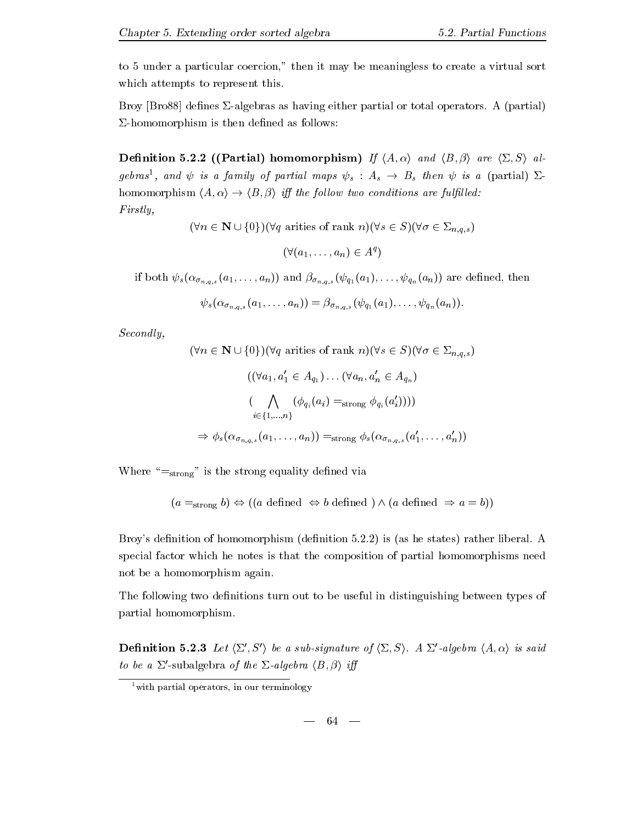Broy Bro denes &algebras as having either partial or total operators- A partial  $\Sigma$ -homomorphism is then defined as follows:

Denition  Partial homomorphism If hA i and hB <sup>i</sup> are h& Si al gebras, ana  $\psi$  is a family of partial maps  $\psi_s$  :  $A_s$   $\rightarrow$   $B_s$  then  $\psi$  is a (partial)  $\varDelta$ in the following the following are full leaves are full leaves are fully in the full leaves are full leaves are Firstly,

 $\{x_1, x_2, \ldots, x_n\}$  (  $\{x_1, x_2, \ldots, x_n\}$  are set of rank  $\{x_1, x_2, \ldots, x_n\}$  and  $\{x_2, x_3, \ldots, x_n\}$ 

$$
(\forall (a_1,\ldots,a_n)\in A^q)
$$

 $i \in \{ \sigma, q, s \in \bot \}$  in and and and and are denoted the society of  $\sigma$  and  $j$  and  $j$  and  $j$  and  $j$  and  $j$  and  $j$  and  $j$  and  $j$  and  $j$  and  $j$  and  $j$  and  $j$  and  $j$  and  $j$  and  $j$  and  $j$  and  $j$  and  $j$  and  $j$ 

$$
\psi_s(\alpha_{\sigma_{n,q,s}}(a_1,\ldots,a_n))=\beta_{\sigma_{n,q,s}}(\psi_{q_1}(a_1),\ldots,\psi_{q_n}(a_n)).
$$

Secondly,

$$
(\forall n \in \mathbf{N} \cup \{0\}) (\forall q \text{ articles of rank } n) (\forall s \in S) (\forall \sigma \in \Sigma_{n,q,s})
$$

$$
((\forall a_1, a'_1 \in A_{q_1}) \dots (\forall a_n, a'_n \in A_{q_n})
$$

$$
(\bigwedge_{i \in \{1, ..., n\}} (\phi_{q_i}(a_i) = \text{strong } \phi_{q_i}(a'_i))))
$$

$$
\Rightarrow \phi_s(\alpha_{\sigma_{n,q,s}}(a_1, \dots, a_n)) = \text{strong } \phi_s(\alpha_{\sigma_{n,q,s}}(a'_1, \dots, a'_n))
$$

Where  $s = s_{\text{strong}}$  is the strong equality defined via

 $(a =_{strong} b) \Leftrightarrow ((a \text{ defined } \Leftrightarrow b \text{ defined }) \wedge (a \text{ defined } \Rightarrow a = b))$ 

Broys denition of homomorphism denition -- is as he states rather liberal- A special factor which he notes is that the composition of partial homomorphisms need not be a homomorphism again.

The following two definitions turn out to be useful in distinguishing between types of partial homomorphism-

**Definition 5.2.3** Let  $\langle \Sigma', S' \rangle$  be a sub-signature of  $\langle \Sigma, S \rangle$ . A  $\Sigma'$ -algebra  $\langle A, \alpha \rangle$  is said to be a  $\Sigma'$ -subalgebra of the  $\Sigma$ -algebra  $\langle B, \beta \rangle$  iff

 $-64-$ 

 $\frac{1}{x}$  with partial operators, in our terminology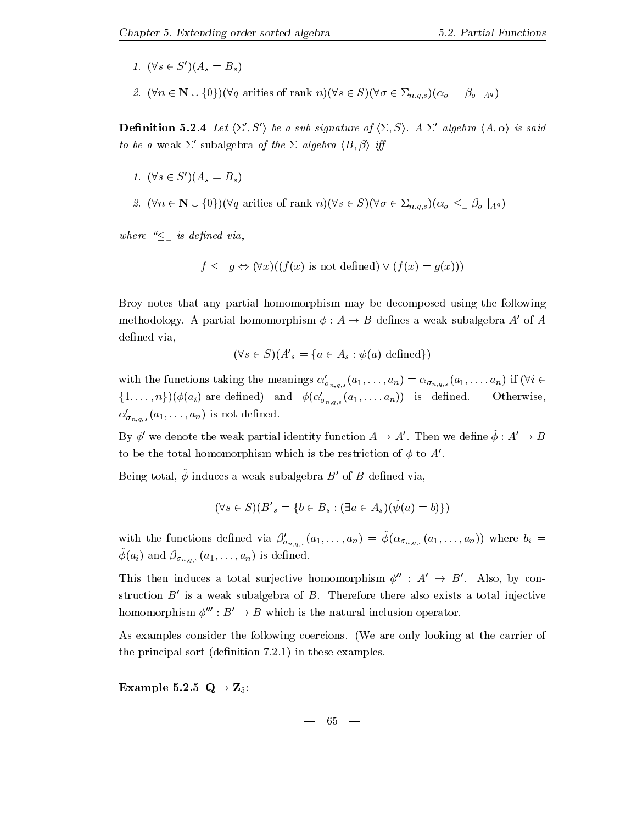- 1.  $(\forall s \in S') (A_s = B_s)$
- n N fgq arities of rank ns S &n-q-s jAq

**Definition 5.2.4** Let  $\langle \Sigma', S' \rangle$  be a sub-signature of  $\langle \Sigma, S \rangle$ . A  $\Sigma'$ -algebra  $\langle A, \alpha \rangle$  is said to be a weak  $\Sigma'$ -subalgebra of the  $\Sigma$ -algebra  $\langle B, \beta \rangle$  iff

- 1.  $(\forall s \in S') (A_s = B_s)$
- n N fgq arities of rank ns S &n-q-s jAq

where  $\pm$  is definition and  $\mathbf{y}$ 

$$
f \leq_{\perp} g \Leftrightarrow (\forall x)((f(x) \text{ is not defined}) \vee (f(x) = g(x)))
$$

Broy notes that any partial homomorphism may be decomposed using the following methodology. A partial homomorphism  $\phi: A \to B$  defines a weak subalgebra  $A'$  of A defined via,

$$
(\forall s \in S)(A'_{s} = \{a \in A_{s} : \psi(a) \text{ defined}\})
$$

with the functions taking the meanings  $\alpha'_{\sigma_{n,q,s}}(a_1,\ldots,a_n) = \alpha_{\sigma_{n,q,s}}(a_1,\ldots,a_n)$  if  $(\forall i \in$  $\{1,\ldots,n\}\right)$  $(\phi(a_i)$  are defined) and  $\phi(\alpha'_{\sigma_{n,q,s}}(a_1,\ldots,a_n))$  is defined. Otherwise  $\alpha'_{\sigma_{n,q,s}}(a_1,\ldots,a_n)$  is not defined.

By  $\phi'$  we denote the weak partial identity function  $A \to A'$ . Then we define  $\tilde{\phi}: A' \to B$ to be the total homomorphism which is the restriction of  $\phi$  to  $A'$ .

Being total,  $\tilde{\phi}$  induces a weak subalgebra  $B'$  of  $B$  defined via,

$$
(\forall s \in S)(B'_s = \{b \in B_s : (\exists a \in A_s)(\tilde{\psi}(a) = b)\})
$$

with the functions defined via  $\beta'_{\sigma_{n,q,s}}(a_1,\ldots,a_n) = \tilde{\phi}(\alpha_{\sigma_{n,q,s}}(a_1,\ldots,a_n))$  where  $b_i =$  $\varphi(u_i)$  and  $\varphi_{\sigma_{n,q,s}}(u_1,\ldots,u_n)$  is defined.

This then induces a total surjective homomorphism  $\phi''$  :  $A' \rightarrow B'$ . Also, by construction  $B'$  is a weak subalgebra of B. Therefore there also exists a total injective homomorphism  $\phi^{\prime\prime\prime}: B' \rightarrow B$  which is the natural inclusion operator.

As examples consider the following coercions- We are only looking at the carrier of the principal sort denition - these examples-these examples-these examples-the-

Example  Q - Z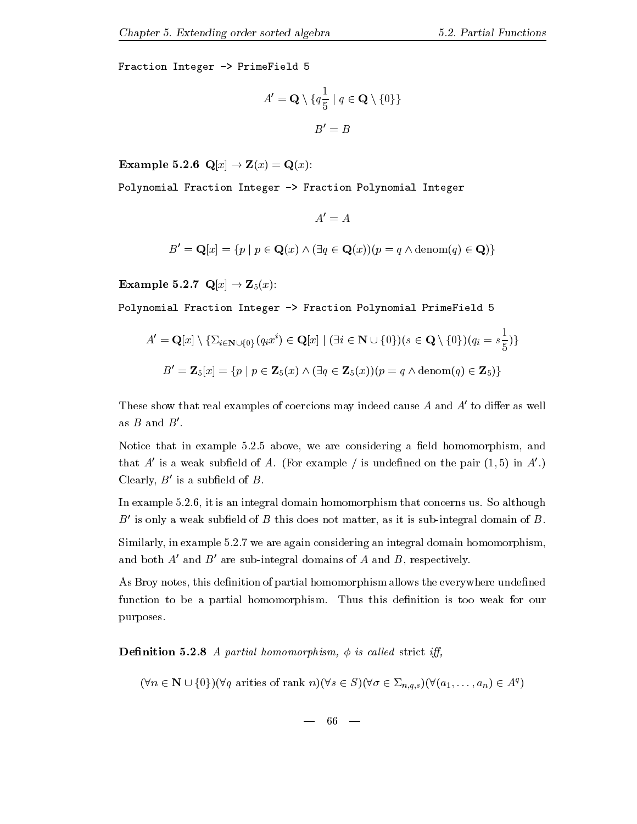Fraction Integer -> PrimeField 5

$$
A' = \mathbf{Q} \setminus \{q\frac{1}{5} \mid q \in \mathbf{Q} \setminus \{0\}\}
$$

$$
B' = B
$$

 $\mathcal{L} = 2$  . And  $\mathcal{L} = 2$  , and  $\mathcal{L} = 2$  , and  $\mathcal{L} = 2$  . And  $\mathcal{L} = 2$  , and  $\mathcal{L} = 2$  , and  $\mathcal{L} = 2$  , and  $\mathcal{L} = 2$  , and  $\mathcal{L} = 2$  , and  $\mathcal{L} = 2$  , and  $\mathcal{L} = 2$  , and  $\mathcal{L} = 2$  , and an an

Polynomial Fraction Integer -> Fraction Polynomial Integer

 $A' = A$ 

$$
B' = \mathbf{Q}[x] = \{ p \mid p \in \mathbf{Q}(x) \land (\exists q \in \mathbf{Q}(x))(p = q \land \text{denom}(q) \in \mathbf{Q}) \}
$$

Example  Qx - Zx

Polynomial Fraction Integer -> Fraction Polynomial PrimeField 5

$$
A' = \mathbf{Q}[x] \setminus \{ \Sigma_{i \in \mathbf{N} \cup \{0\}}(q_i x^i) \in \mathbf{Q}[x] \mid (\exists i \in \mathbf{N} \cup \{0\})(s \in \mathbf{Q} \setminus \{0\})(q_i = s \frac{1}{5}) \}
$$
  

$$
B' = \mathbf{Z}_5[x] = \{ p \mid p \in \mathbf{Z}_5(x) \land (\exists q \in \mathbf{Z}_5(x))(p = q \land \text{denom}(q) \in \mathbf{Z}_5) \}
$$

These show that real examples of coercions may indeed cause  $A$  and  $A'$  to differ as well as  $B$  and  $B'$ .

Notice that in example -- above we are considering a eld homomorphism and that A' is a weak subfield of A. (For example / is undefined on the pair  $(1,5)$  in A'.) Clearly,  $B'$  is a subfield of  $B$ .

In example -- it is an integral domain homomorphism that concerns us- So although  $B'$  is only a weak subfield of B this does not matter, as it is sub-integral domain of B.

Similarly in example -- we are again considering an integral domain homomorphism and both  $A'$  and  $B'$  are sub-integral domains of A and B, respectively.

As Broy notes, this definition of partial homomorphism allows the everywhere undefined function to be a partial homomorphism- Thus this denition is too weak for our purposes.

**Definition 5.2.8** A partial homomorphism,  $\phi$  is called strict iff,

 $(\forall n \in \mathbf{N} \cup \{0\}) (\forall q \text{ arrives of rank } n) (\forall s \in \mathcal{S}) (\forall \sigma \in \mathcal{Z}_{n,q,s})(\forall (a_1,\ldots,a_n) \in A^{\perp})$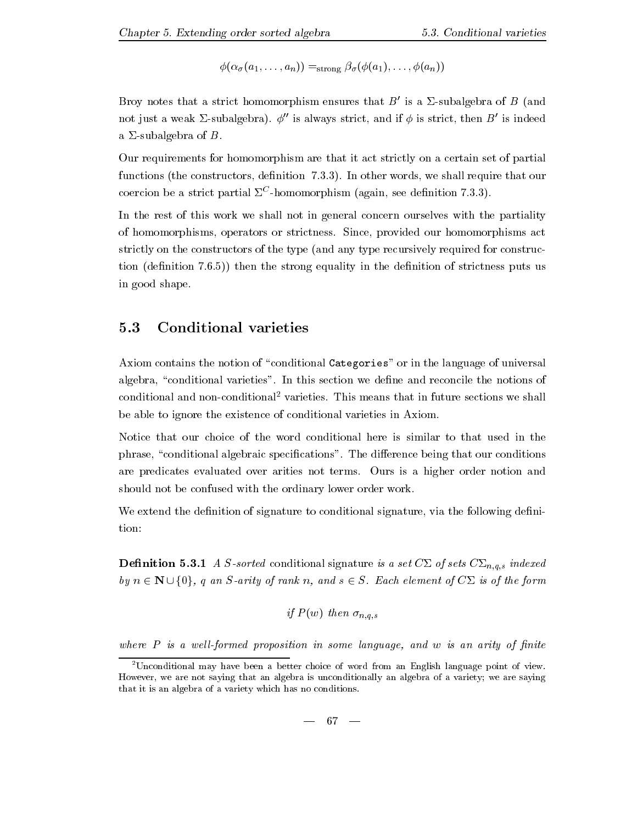aan strong aan

Broy notes that a strict homomorphism ensures that  $B'$  is a  $\Sigma$ -subalgebra of B (and not just a weak  $\Sigma$ -subalgebra).  $\phi''$  is always strict, and if  $\phi$  is strict, then  $B'$  is indeed a  $\Sigma$ -subalgebra of B.

Our requirements for homomorphism are that it act strictly on a certain set of partial functions the constructors denition --- In other words we shall require that our  $\frac{1}{2}$ coercion de a strict partial  $\Delta$  -nomomorphism (again, see denintion 7.3.5).

In the rest of this work we shall not in general concern ourselves with the partiality of homomorphisms operators or strictions or provided our control to actual provided our control to a strictly on the constructors of the type (and any type recursively required for construc- $\mathbf{r}$  , the strong equality in the strong equality in the denition of strong puts use  $\mathbf{r}$ in good shape.

#### $5.3$ Conditional varieties

Axiom contains the notion of "conditional Categories" or in the language of universal algebra conditional varieties is section we denote the notion we denote the notion we denote the notion of conditional and non-conditional varieties. This means that in future sections we shall be able to ignore the existence of conditional varieties in Axiom-

Notice that our choice of the word conditional here is similar to that used in the phrase conditional algebraic specific specific specific specific that our conditions of the conditions of the our conditions of the distribution of the distribution of the distribution of the distribution of the distributi are predicates evaluated over arities not terms- Ours is a higher order notion and should not be confused with the ordinary lower order work.

We extend the definition of signature to conditional signature, via the following defini-

Denition - A Ssorted conditional signature is a set C& of sets C&n-s indexed  $\cdots$ by n  $\epsilon$  -  $\epsilon$  and  $\epsilon$  and some of the form of  $\epsilon$  is of the form of  $\epsilon$  is of the form of the form of the form of the form of the form of the form of the form of the form of the form of the form of the form of the fo

if 
$$
P(w)
$$
 then  $\sigma_{n,q,s}$ 

where  $P$  is a well-formed proposition in some language, and w is an arity of finite

<sup>-</sup>Unconditional may have been a better choice of word from an English language point of view-However, we are not saying that an algebra is unconditionally an algebra of a variety; we are saying that it is an algebra of a variety which has no conditions-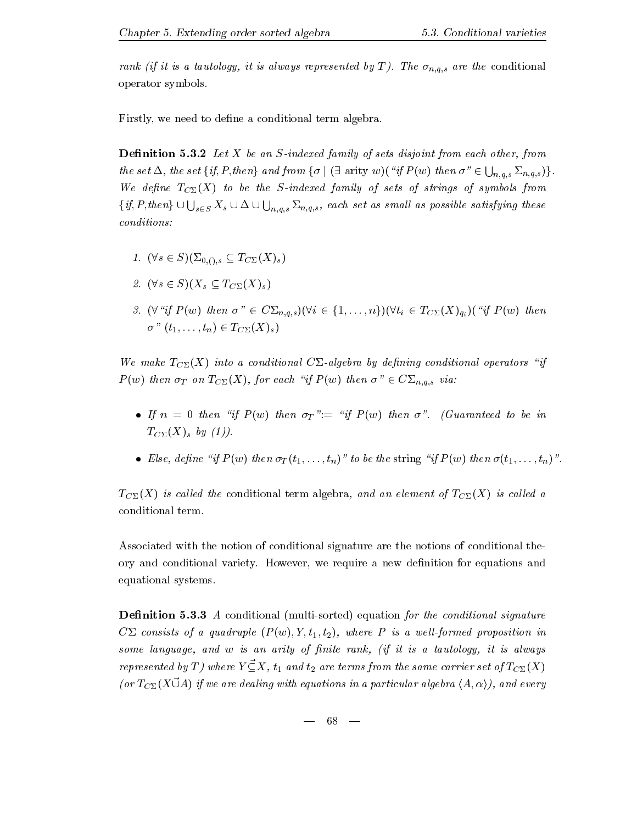$\begin{array}{ccc} \nabla \cdot \mathbf{v} & \mathbf{v} & \mathbf{v} \ \mathbf{v} & \mathbf{v} & \mathbf{v} & \mathbf{v} \ \mathbf{v} & \mathbf{v} & \mathbf{v} & \mathbf{v} \ \mathbf{v} & \mathbf{v} & \mathbf{v} & \mathbf{v} \ \mathbf{v} & \mathbf{v} & \mathbf{v} & \mathbf{v} \ \mathbf{v} & \mathbf{v} & \mathbf{v} & \mathbf{v} \ \mathbf{v} & \mathbf{v} & \mathbf{v} & \mathbf{v} \ \mathbf{v} & \mathbf{v} & \mathbf{$ operator symbols-

Firstly, we need to define a conditional term algebra.

**Definition 5.3.2** Let  $X$  be an  $S$ -indexed family of sets disjoint from each other, from the set  $\Delta$ , the set  $\{if, P, then\}$  and from  $\{\sigma \mid (\exists \text{ arity } w)(\text{``if } P(w) \text{ then } \sigma \text{''} \in \bigcup_{n,a,s} \Sigma_{n,q,s}\}$ . n- $\mathbf{u}$ We define  $T_{C\Sigma}(X)$  to be the S-indexed family of sets of strings of symbols from  $\{if, P, then\} \cup \bigcup_{s \in S} X_s \cup \Delta \cup \bigcup_{n,a,s} \Sigma_{n,q,s}$ , each set as small as possible satisfying these n- $\sim$ conditions 

- $\cdot$   $\cdot$   $\in$   $\in$   $\mathcal{S}$   $\setminus$   $\setminus$   $\setminus$   $\setminus$   $\setminus$   $\setminus$   $\setminus$   $\setminus$   $\setminus$   $\setminus$   $\setminus$   $\setminus$   $\setminus$   $\setminus$   $\setminus$   $\setminus$   $\setminus$   $\setminus$   $\setminus$   $\setminus$   $\setminus$   $\$
- s SXs TCXs
- if P w then C&n-q-<sup>s</sup>i fngti TCXqi if <sup>P</sup> w then  $\sigma''(t_1,\ldots,t_n)\in T_{C\Sigma}(X)_s$

We make  $T_{C\sum}(X)$  into a conditional C $\Sigma$ -algebra by defining conditional operators "if <sup>P</sup> w then T on TCX for each ifP w then C&n-q-s via 

- If a set of the interval in the interval of  $\mathbf{I}$  if  $\mathbf{I}$  if  $\mathbf{I}$  if  $\mathbf{I}$  if  $\mathbf{I}$  if  $\mathbf{I}$  if  $\mathbf{I}$  if  $\mathbf{I}$  if  $\mathbf{I}$  if  $\mathbf{I}$  if  $\mathbf{I}$  if  $\mathbf{I}$  if  $\mathbf{I}$  if  $\mathbf{I}$  if  $\mathbf{I}$   $\cup$   $\omega$   $\sim$   $\omega$   $\sim$   $\omega$   $\sim$   $\omega$
- Else, define "if  $P(w)$  then  $\sigma_T(t_1,\ldots,t_n)$ " to be the string "if  $P(w)$  then  $\sigma(t_1,\ldots,t_n)$ ".

 $T_{C\sum}(X)$  is called the conditional term algebra, and an element of  $T_{C\sum}(X)$  is called a conditional term-

Associated with the notion of conditional signature are the notions of conditional the ory and conditional variety- However we require <sup>a</sup> new denition for equations and equational systems.

**Definition 5.3.3** A conditional (multi-sorted) equation for the conditional signature  $C\Sigma$  consists of a quadruple  $(P(w), Y, t_1, t_2)$ , where P is a well-formed proposition in some language, and  $w$  is an arity of finite rank, (if it is a tautology, it is always represented by T) where  $Y \mathcal{Z}_X$ ,  $t_1$  and  $t_2$  are terms from the same carrier set of  $T_{C\Sigma}(X)$ (or  $T_{C\Sigma}(X \ddot{\cup} A)$  if we are dealing with equations in a particular algebra  $\langle A, \alpha \rangle$ ), and every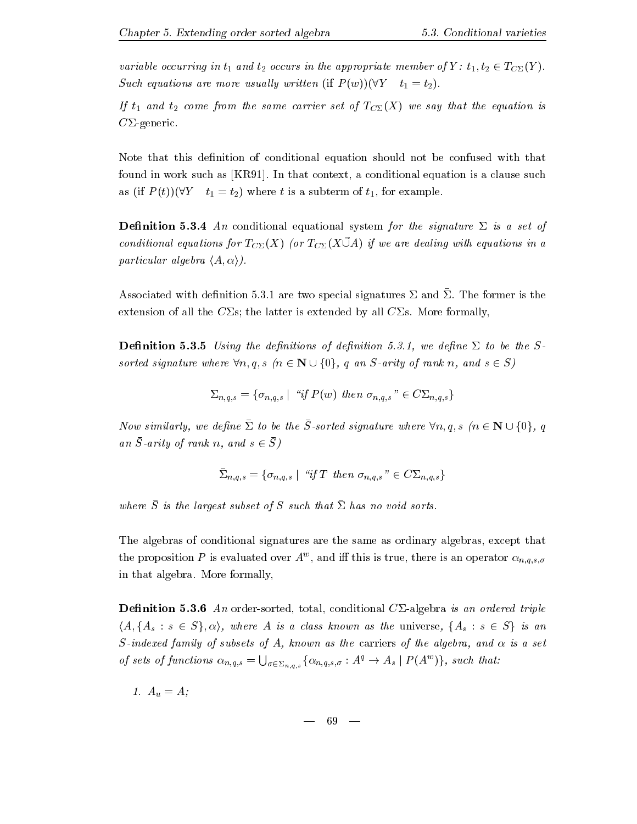variable occurring in  $t_1$  and  $t_2$  occurs in the appropriate member of  $Y: t_1, t_2 \in T_{C\Sigma}(Y)$ . Such equations are more usually written (if  $P(w)(\forall Y \quad t_1=t_2)$ ).

If  $t_1$  and  $t_2$  come from the same carrier set of  $T_{C\Sigma}(X)$  we say that the equation is  $C\Sigma$ -generic.

Note that this definition of conditional equation should not be confused with that found in work such as KR- In that context a conditional equation is a clause such as (if  $P(t)$ )( $\forall Y \quad t_1 = t_2$ ) where t is a subterm of  $t_1$ , for example.

**Definition 5.3.4** An conditional equational system for the signature  $\Sigma$  is a set of conditional equations for  $T_{C\Sigma}(X)$  (or  $T_{C\Sigma}(X \vec{U}A)$  if we are dealing with equations in a particular algebra  $\langle A, \alpha \rangle$ ).

 $\Delta$ ssociated with denimition 0.0.1 are two special signatures  $\Delta$  and  $\Delta$ . The former is the extension of all the C&s the latter is extended by all C&s- More formally

denition and denition of denitions of denitions of denitions of denitions of denition and denition of the Second sorted signature where  $\forall n, q, s \ (n \in \mathbb{N} \cup \{0\}, q \text{ an } S\text{-arity of rank } n, \text{ and } s \in S)$ 

$$
\Sigma_{n,q,s} = \{ \sigma_{n,q,s} \mid "if \ P(w) \ then \ \sigma_{n,q,s}" \in C\Sigma_{n,q,s} \}
$$

IVOW similarly, we active  $\Delta$  to be the D-solited signature where  $\forall n, q, s$  file IN  $\cup$   $\cup$  ff,  $q$  $a_n$   $\beta$  - and  $a_n$  is the mass of  $\alpha$  is the mass of  $\beta$  is the mass of  $\beta$  is the mass of  $\beta$  is the mass of  $\beta$  is the mass of  $\beta$  is the mass of  $\beta$  is the mass of  $\beta$  is the mass of  $\beta$  is the mass of  $\beta$ 

$$
\bar{\Sigma}_{n,q,s} = \{ \sigma_{n,q,s} \mid "if T \ then \ \sigma_{n,q,s}" \in C\Sigma_{n,q,s} \}
$$

where  $S$  is the largest subset of  $S$  such that  $\Delta$  has no void sorts.

The algebras of conditional signatures are the same as ordinary algebras except that the proposition P is evaluated over A  $\,$  , and in this is true, there is an operator  $\alpha_{n,a,s,a}$  $\cdots$ sin the complete structure of the complete  $\mathcal{L}_{\mathcal{A}}$ 

**Definition 5.3.6** An order-sorted, total, conditional  $C\Sigma$ -algebra is an ordered triple  $\{A, \{A_s : s \in S\}, \alpha\}$ , where A is a class known as the universe,  $\{A_s : s \in S\}$  is an S-indexed family of subsets of A, known as the carriers of the algebra, and  $\alpha$  is a set of sets of functions  $\alpha_{n,q,s} = \bigcup_{\sigma \in \Sigma_{n,q,s}} \{ \alpha_{n,q,s,\sigma} : A^q \to A_s \mid P(A^w) \}$ , such that:

– – – <sub>0</sub>, – – , – – , – – , – – , – – – , – – – , – – – – , – – – , – – – , – – , – – , – – , – – , – – , – – , – – , – – , – – , – – , – – , – – , – – , – – , – – , – – , – – , – – , – – , – – , – – , – – , – – , – – , –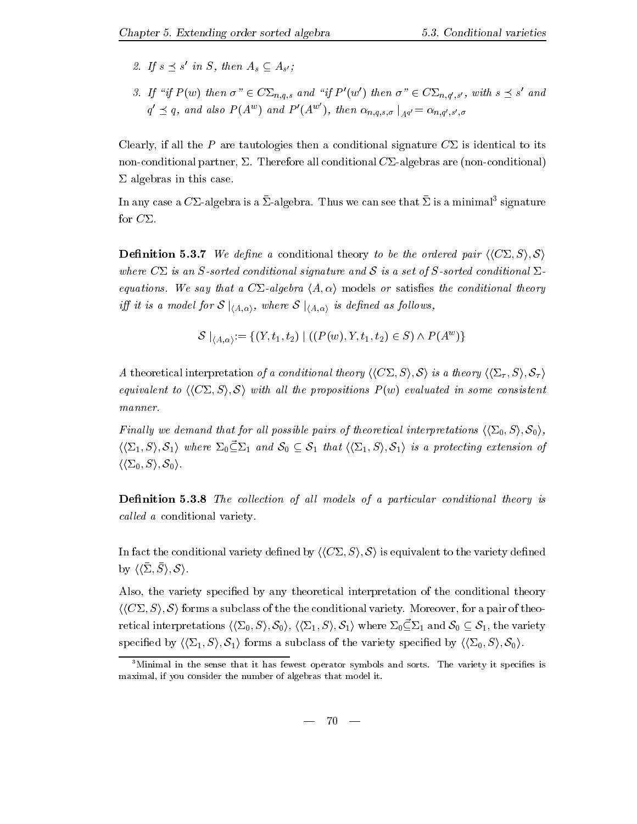- z. If  $s \geq s$  in  $\beta$ , then  $A_s \subseteq A_{s'}$ ;
- 3. If "if  $P(w)$  then  $\sigma'' \in C\Sigma_{n,q,s}$  and "if  $P'(w')$  then  $\sigma'' \in C\Sigma_{n,q',s'}$ , with  $s \preceq s'$  and  $'$  and  $\sim$   $\sim$   $\sim$   $\sim$  $q' \preceq q$ , and also  $P(A^w)$  and  $P'(A^{w'})$ , then  $\alpha_{n,q,s,\sigma} \mid_{A^{q'}} = \alpha_{n,q',s',\sigma}$

Clearly, if all the P are tautologies then a conditional signature  $C\Sigma$  is identical to its nonconditional partner &- Therefore all conditional C&algebras are nonconditional  $\Sigma$  algebras in this case.

In any case a  $\cup$   $\vartriangle$ -algebra is a  $\vartriangle$ -algebra. Thus we can see that  $\vartriangle$  is a minimal  $\,$  signature  $\,$ for  $C\Sigma$ .

**Definition 5.3.7** We define a conditional theory to be the ordered pair  $\langle\langle C\Sigma, S \rangle, \mathcal{S} \rangle$ where  $C\Sigma$  is an S-sorted conditional signature and S is a set of S-sorted conditional  $\Sigma$ equations- if y say that a  $\omega$  and the conditions of the conditions the conditions theory of the conditions of iff it is a model for  $S \mid_{\langle A, \alpha \rangle}$ , where  $S \mid_{\langle A, \alpha \rangle}$  is defined as follows,

$$
\mathcal{S}\mid_{\langle A, \alpha \rangle} := \{(Y, t_1, t_2) \mid ((P(w), Y, t_1, t_2) \in S) \land P(A^w)\}
$$

A theoretical interpretation of a conditional theory  $\langle\langle C\Sigma, S\rangle, \mathcal{S}\rangle$  is a theory  $\langle\langle \Sigma_\tau, S\rangle, \mathcal{S}_\tau\rangle$ equivalent to  $\langle\langle C\Sigma, S\rangle, \mathcal{S}\rangle$  with all the propositions  $P(w)$  evaluated in some consistent  $manner.$ 

Finally we demand that for all possible pairs of theoretical interpretations  $\langle \langle \Sigma_0, S \rangle, \mathcal{S}_0 \rangle$ ,  $\langle \langle \Sigma_1, S \rangle, \mathcal{S}_1 \rangle$  where  $\Sigma_0 \subseteq \Sigma_1$  and  $\mathcal{S}_0 \subseteq \mathcal{S}_1$  that  $\langle \langle \Sigma_1, S \rangle, \mathcal{S}_1 \rangle$  is a protecting extension of  $\langle\langle\Sigma_0,S\rangle, \mathcal{S}_0\rangle.$ 

Definition 5.3.8 The collection of all models of a particular conditional theory is called a conditional variety.

In fact the conditional variety defined by  $\langle\langle C\Sigma, S \rangle, S \rangle$  is equivalent to the variety defined by hh&, S, i S i-

Also, the variety specified by any theoretical interpretation of the conditional theory hhC& Si S i forms a subclass of the the conditional variety- Moreover for a pair of theo retical interpretations  $\langle\langle\Sigma_0, S\rangle, \mathcal{S}_0\rangle, \langle\langle\Sigma_1, S\rangle, \mathcal{S}_1\rangle$  where  $\Sigma_0 \subseteq \Sigma_1$  and  $\mathcal{S}_0 \subseteq \mathcal{S}_1$ , the variety specified by  $\langle \langle \Sigma_1, S \rangle, \mathcal{S}_1 \rangle$  forms a subclass of the variety specified by  $\langle \langle \Sigma_0, S \rangle, \mathcal{S}_0 \rangle$ .

<sup>-</sup>Minimal in the sense that it has fewest operator symbols and sorts. The variety it specifies is maximal, if you consider the number of algebras that model it.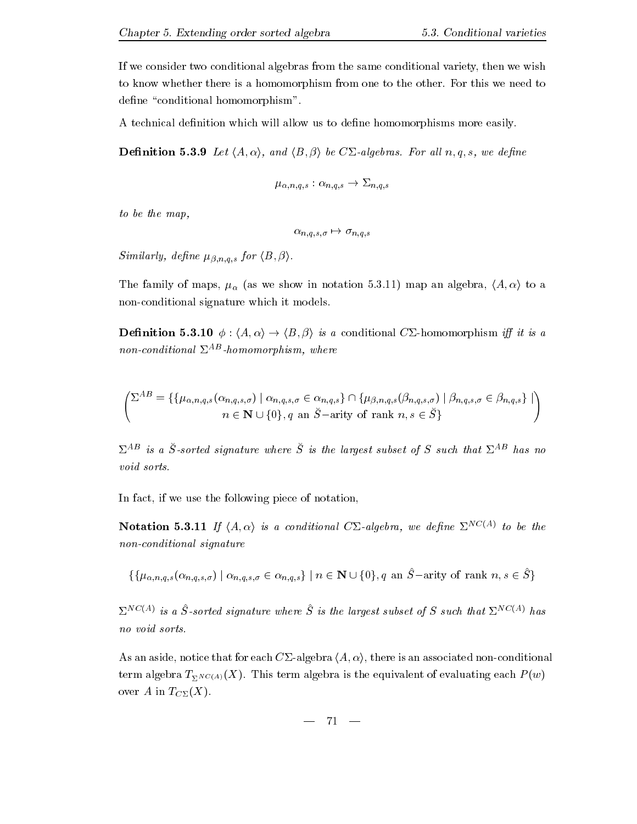If we consider two conditional algebras from the same conditional variety then we wish to know whether there is a homomorphism from the other-to-this we need to the other-to-this we need to define "conditional homomorphism".

A technical definition which will allow us to define homomorphisms more easily.

 $\blacksquare$  . The calgebras-  $\blacksquare$  in the state  $\blacksquare$  in the calgebra  $\blacksquare$  . Then the contract of  $\blacksquare$ 

$$
\mu_{\alpha,n,q,s}:\alpha_{n,q,s}\to \Sigma_{n,q,s}
$$

to be the map

n-q-s- - n-q-s

Similarly dene -n-q-s for hB i-

The family of maps is we show in the source of maps  $\mathcal{A}$  in the source of the source of the source of the source of the source of the source of the source of the source of the source of the source of the source of the non-conditional signature which it models.

 $\blacksquare$  -denote the interval  $\tau$  is a conditional  $\sigma$   $\blacksquare$  -denote the interval  $\tau_{II}$  is a conditional  $\tau_{II}$ non-conditional  $\Sigma^{AB}$ -homomorphism, where

$$
\begin{pmatrix}\n\Sigma^{AB} = \{ \{\mu_{\alpha,n,q,s}(\alpha_{n,q,s,\sigma}) \mid \alpha_{n,q,s,\sigma} \in \alpha_{n,q,s} \} \cap \{ \mu_{\beta,n,q,s}(\beta_{n,q,s,\sigma}) \mid \beta_{n,q,s,\sigma} \in \beta_{n,q,s} \} \mid \\
n \in \mathbf{N} \cup \{0\}, q \text{ an } \check{S}\text{-arity of rank } n, s \in \check{S} \}\n\end{pmatrix}
$$

 $\Delta$  as a S-sorted signature where S-is the largest subset of S-such that  $\Delta$  and  $n$  has no void sorts.

In fact, if we use the following piece of notation,

**INOTATION 3.3.11** If  $\langle A, \alpha \rangle$  is a conditional  $\bigcup$  -algebra, we define  $\bigcup_{\alpha} \bigcup_{\alpha} \bigcup_{\alpha} \bigcup_{\alpha} \bigcup_{\alpha} \bigcup_{\alpha} \bigcup_{\alpha} \bigcup_{\alpha} \bigcup_{\alpha} \bigcup_{\alpha} \bigcup_{\alpha} \bigcup_{\alpha} \bigcup_{\alpha} \bigcup_{\alpha} \bigcup_{\alpha} \bigcup_{\alpha} \bigcup_{\alpha} \bigcup_{\alpha} \bigcup_{\alpha} \bigcup_{\alpha} \bigcup_{$  $non-conditional$  signature

$$
\{\{\mu_{\alpha,n,q,s}(\alpha_{n,q,s,\sigma}) \mid \alpha_{n,q,s,\sigma} \in \alpha_{n,q,s}\} \mid n \in \mathbf{N} \cup \{0\}, q \text{ an } \hat{S}-\text{arity of rank } n, s \in \hat{S}\}\
$$

 $\Delta$   $\rightarrow$   $\prime$  is a  $\beta$ -sorted signature where  $\beta$  is the targest subset of  $\beta$  such that  $\Delta$   $\rightarrow$   $\prime$  has no void sorts.

As an aside, notice that for each  $C\Sigma$ -algebra  $\langle A, \alpha \rangle$ , there is an associated non-conditional the contraction of the equivalent of the equivalent of  $\mathbf{u}$  of  $\mathbf{v}$  which  $\mathbf{v}$ over A in  $T_{C\Sigma}(X)$ .

$$
- 71 -
$$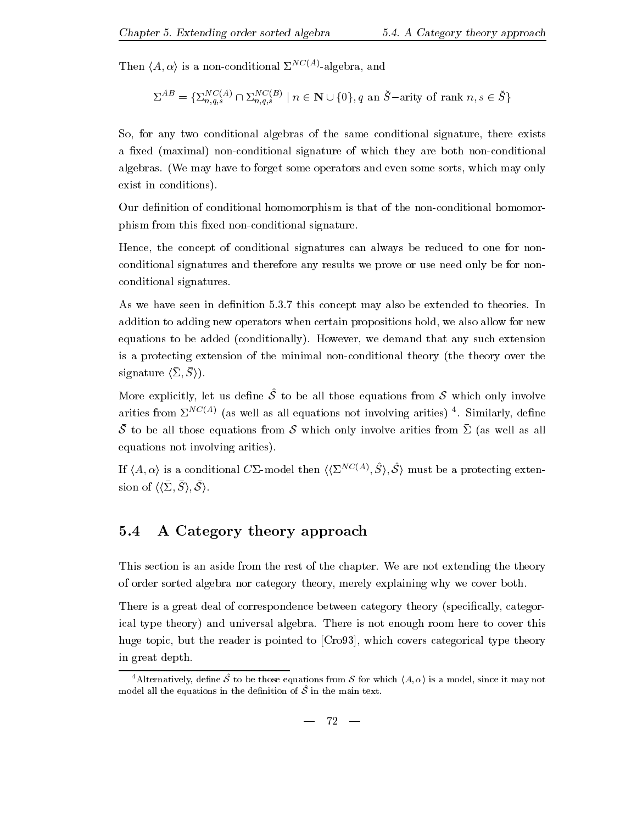Then  $\langle A, \alpha \rangle$  is a non-conditional  $\Sigma^{NC(A)}$ -algebra, and

$$
\Sigma^{AB} = \{ \Sigma_{n,q,s}^{NC(A)} \cap \Sigma_{n,q,s}^{NC(B)} \mid n \in \mathbf{N} \cup \{0\}, q \text{ an } \check{S}-\text{arity of rank } n, s \in \check{S} \}
$$

So, for any two conditional algebras of the same conditional signature, there exists a fixed (maximal) non-conditional signature of which they are both non-conditional algebras - We may to form and the forget some operators and even some some some some may only the p exist in conditions).

Our definition of conditional homomorphism is that of the non-conditional homomorphism from this fixed non-conditional signature.

Hence, the concept of conditional signatures can always be reduced to one for nonconditional signatures and therefore any results we prove or use need only be for non conditional signatures-

As we have seen in denition -- this concept may also be extended to theories- In addition to adding new operators when certain propositions hold, we also allow for new equations to be added conditions to be any such any such any such any such any such any such any such any such any is a protecting extension of the minimal nonconditional theory the theory over the  $\mathcal{S}$ igliatur $\cup$   $\cup$ ,  $\cup$  / ).

ive to  $\alpha$  be a strateger and  $\alpha$  to be an those equations from  $\alpha$  which only involve arities from  $\Sigma \to \gamma$  (as well as all equations not involving arities) – Similarly, define  $\sigma$  to be all those equations from  $\sigma$  which only involve arities from  $\omega$  (as well as all equations not involving arities).

If  $(A, \alpha)$  is a conditional C2-model then  $(\{Z \rightarrow \emptyset, S \}, \mathcal{S})$  must be a protecting exten- $\mathcal{S}$ ion of  $\setminus$  $\setminus$  $\setminus$ ,  $\cup$   $\setminus$ ,  $\cup$   $\setminus$ ,  $\setminus$ 

# 5.4 A Category theory approach

This section is an aside from the rest of the chapter- We are not extending the theory of order sorted algebra nor category theory merely explaining why we cover both-

There is a great deal of correspondence between category theory (specifically, categorical type theory and universal algebra- There is not enough room here to cover this huge topic, but the reader is pointed to  $[Cr 093]$ , which covers categorical type theory in great depth.

<sup>&</sup>lt;sup>4</sup> Alternatively, define S to be those equations from S for which  $\langle A, \alpha \rangle$  is a model, since it may not model all the equations in the definition of  $\hat{S}$  in the main text.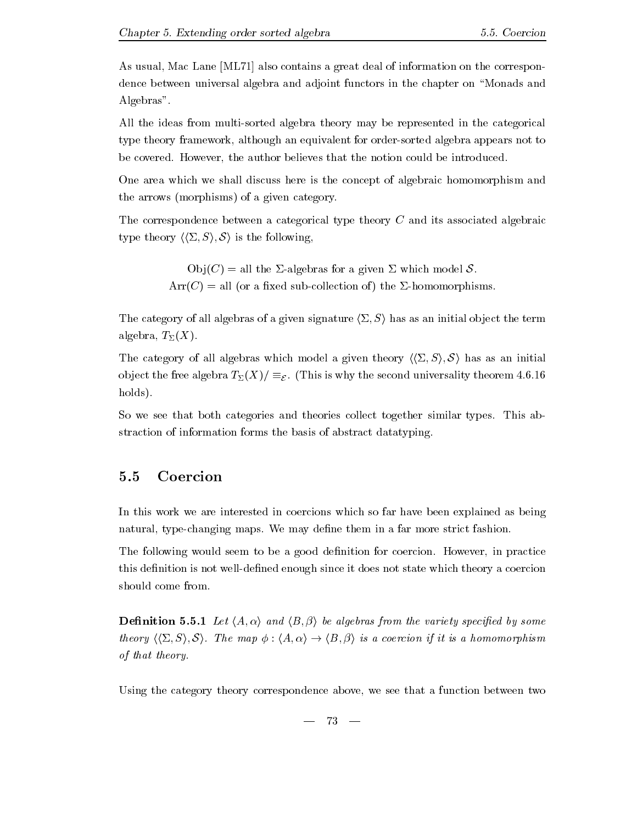As usual, Mac Lane [ML71] also contains a great deal of information on the correspondence between universal algebra and adjoint functors in the chapter on "Monads and Algebras".

All the ideas from multisorted algebra theory may be represented in the categorical type theory framework although an equivalent for ordersorted algebra appears not to be covered- However the author believes that the notion could be introduced-

One area which we shall discuss here is the concept of algebraic homomorphism and the arrows (morphisms) of a given category.

The correspondence between a categorical type theory C and its associated algebraic type theory  $\langle \langle \Sigma, S \rangle, \mathcal{S} \rangle$  is the following,

> $Obj(C) = all the \Sigma-algebras for a given \Sigma which model S.$  $Arr(C) = all$  (or a fixed sub-collection of) the  $\Sigma$ -homomorphisms.

The category of all algebras of a given signature  $\langle \Sigma, S \rangle$  has as an initial object the term algebra,  $T_{\Sigma}(X)$ .

The category of all algebras which model a given theory  $\langle \langle \Sigma, S \rangle, S \rangle$  has as an initial object the free algebra  $T_\Sigma(\Lambda^*)/\equiv_\mathcal{E}$  . (This is why the second universality theorem 4.0.10  $\,$ holds).

So we see that both categories and theories collect together similar types- This ab straction of information forms the basis of abstract datatyping-

# Coercion

In this work we are interested in coercions which so far have been explained as being natural type managing maps- its map; wenther the more strict faster strict fashion-

 $\mathbf{H}$  , and the a good denition-denition-denition-density for coercion-density  $\mathbf{H}$ this definition is not well-defined enough since it does not state which theory a coercion should come from.

denition and half-by and half-by some variety species of the variety species of the variety species of the vari theory history of the map is the map in the map is a coercion if it is a map in the map in the map is a homomorphism. of that theory-

Using the category theory correspondence above, we see that a function between two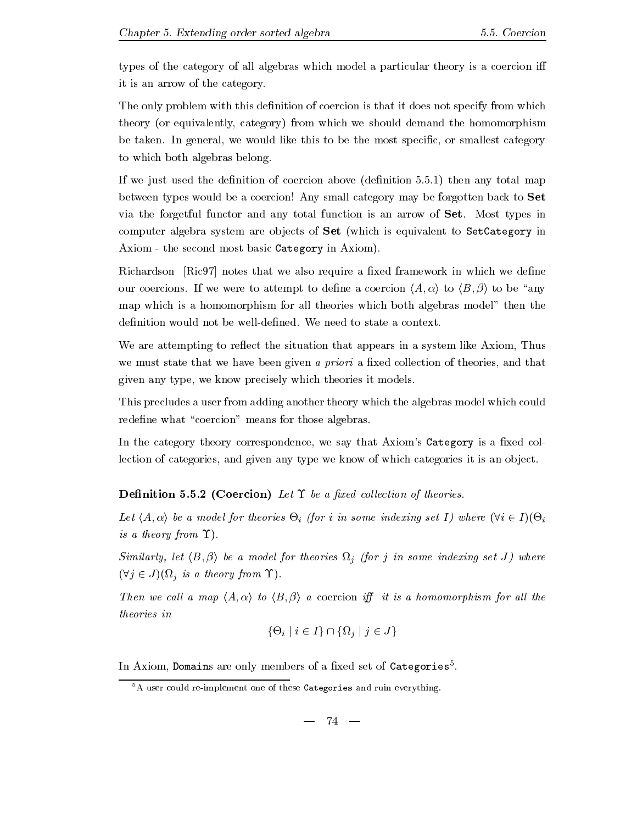types of the category of all algebras which model a particular theory is a coercion i it is an arrow of the category-

The only problem with this definition of coercion is that it does not specify from which theory (or equivalently, category) from which we should demand the homomorphism be taken- In general we would like this to be the most specic or smallest category to which both algebras belong-

If we just used the denition of coercion above denition -- then any total map between types would be a coercion! Any small category may be forgotten back to Set via the forgother function and any total function is an arrow of Set-Co function is  $\mu$  as  $\mu$ computer algebra system are objects of Set (which is equivalent to SetCategory in Axiom - the second most basic Category in Axiom).

Richardson  $\left[\text{Ric}97\right]$  notes that we also require a fixed framework in which we define our coercions- are the there is attempt to denemic the coercion (print) is (= {p} is to the l map which is a homomorphism for all theories which both algebras model" then the

We are attempting to reflect the situation that appears in a system like Axiom. Thus we must state that we have been given a priori a fixed collection of theories, and that given any type, we know precisely which theories it models.

This precludes a user from adding another theory which the algebras model which could redefine what "coercion" means for those algebras.

In the category theory correspondence, we say that Axiom's Category is a fixed collection of categories, and given any type we know of which categories it is an object.

**Definition 5.5.2 (Coercion)** Let  $\Upsilon$  be a fixed collection of theories.

Let  $\langle A, \alpha \rangle$  be a model for theories  $\Theta_i$  (for i in some indexing set I) where  $(\forall i \in I)(\Theta_i)$ is a theory from  $\Upsilon$ ).

 $\left\{ \begin{array}{ccc} \bullet & \bullet & \bullet & \bullet\end{array} \right.$  if for index index index in some index in some index in some index in some index in  $(\forall j \in J)$   $(\Omega_j$  is a theory from  $\Upsilon$ .

Then we cal l a map hA i to hB <sup>i</sup> a coercion i it is a homomorphism for al l the theories in

$$
\{\Theta_i \mid i \in I\} \cap \{\Omega_j \mid j \in J\}
$$

In Axiom, bomains are only members of a fixed set of Categories .

 ${}^{5}$ A user could re-implement one of these Categories and ruin everything.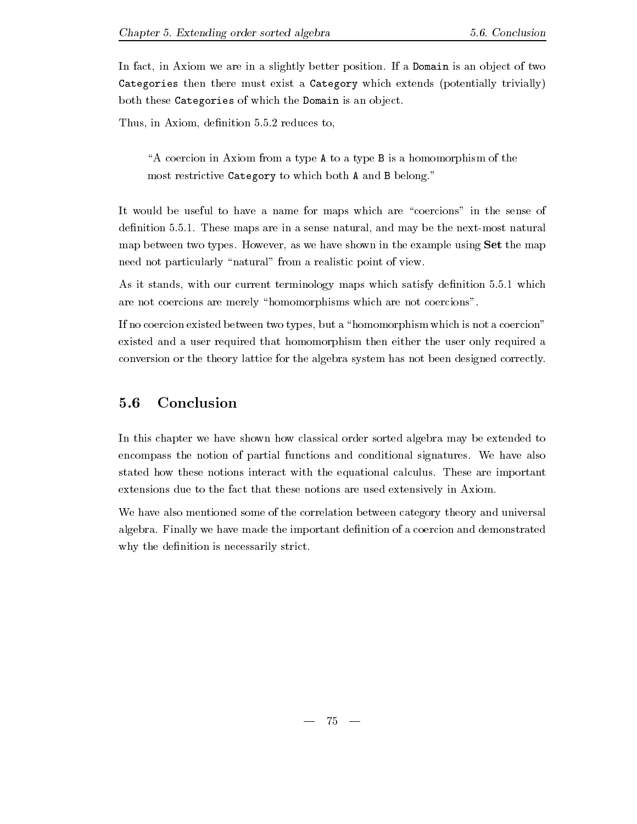In a slightly better position-  $\mathbf{P}$  and  $\mathbf{P}$  and  $\mathbf{P}$  and  $\mathbf{P}$  and  $\mathbf{P}$  and  $\mathbf{P}$  and  $\mathbf{P}$ Categories then there must exist a Category which extends (potentially trivially) both these Categories of which the Domain is an object.

Thus in Axiom denition -- reduces to

A coercion in Axiom from a type A to a type B is a homomorphism of the most restrictive Category to which both A and B belong."

It would be useful to have a name for maps which are "coercions" in the sense of denition - these maps are in a sense natural and may be the next may be the next may be the next may be the next map between two types-matrix in the example using the the example shown in the map in the map  $\mu$ need not particularly "natural" from a realistic point of view.

As it stands with our current terminology maps which satisfy denition  $\mathbb{R}^n$  . The satisfy denition  $\mathbb{R}^n$ are not coercions are merely "homomorphisms which are not coercions".

If no coercion existed between two types, but a "homomorphism which is not a coercion" existed and a user required that homomorphism then either the user only required a conversion or the theory lattice for the algebra system has not been designed correctly-

## 5.6 Conclusion

In this chapter we have shown how classical order sorted algebra may be extended to encompass the notion of partial functions and conditional signatures- We have also stated how these notions interact with the equational calculus- These are important extensions due to the fact that these notions are used extensively in Axiom-

We have also mentioned some of the correlation between category theory and universal algebra- Finally we have made the important denition of a coercion and demonstrated why the definition is necessarily strict.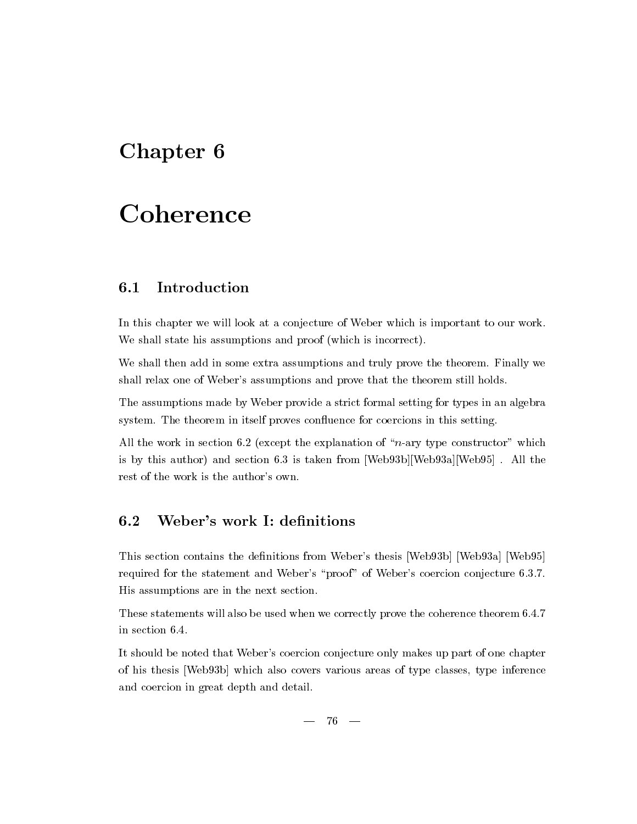# Chapter<sub>6</sub>

# Coherence

#### Introduction  $6.1$

In this chapter we will look at a conjecture of Weber which is important to our work-We shall state his assumptions and proof (which is incorrect).

We shall then add in some extra assumptions and truly prove the theorem- Finally we shall relax one of Weber's assumptions and prove that the theorem still holds.

The assumptions made by Weber provide a strict formal setting for types in an algebra system- The theorem in itself proves conuence for coercions in this setting-

all the work in section - the process the explanation is the property of  $\mu$  and  $\mu$  and  $\mu$ is the this author and section - vid at the complete from WebbWeb - where  $\alpha$  is the complete  $\alpha$ rest of the work is the author's own.

This section contains the definitions from Weber's thesis [Web93b] [Web93a] [Web95] required for the statement and Webers proof of Webers coefficients conjecture - vivil His assumptions are in the next section-

These statements will also be used will also be used when we consider  $\mathcal{L}$  ,  $\mathcal{L}$ 

It should be noted that Weber's coercion conjecture only makes up part of one chapter of his thesis [Web93b] which also covers various areas of type classes, type inference and coercion in great depth and detail-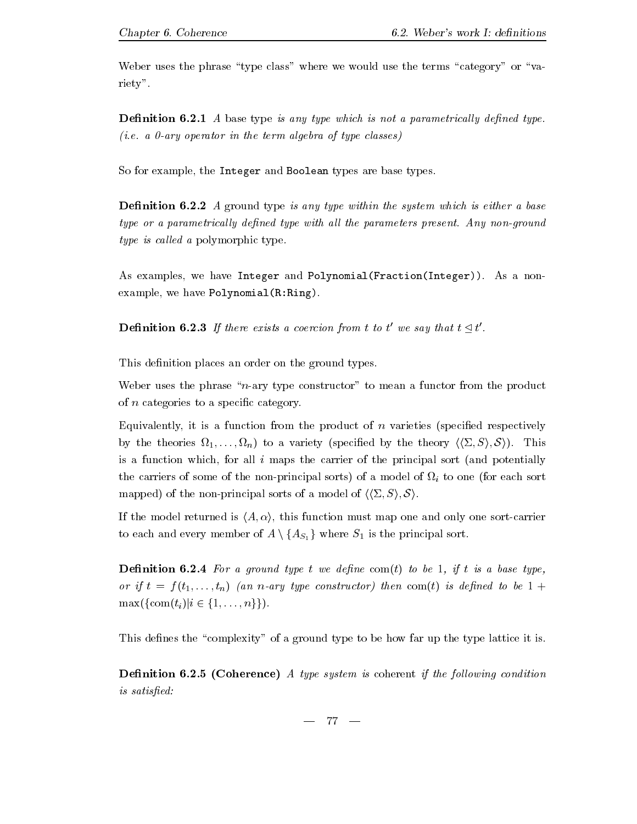Weber uses the phrase "type class" where we would use the terms "category" or "variety".

Denition - A base type is any type which is not a parametrical ly dened typei-term a wig eperator all the term algebra of type classes.

So for example, the Integer and Boolean types are base types.

**Definition 6.2.2** A ground type is any type within the system which is either a base type or a parametrical ly dened type with al l the parameters present- Any nonground type is called a polymorphic type.

As examples we have Integer and PolynomialFractionInteger- As a non example, we have  $Polynomial(R:Ring)$ .

 $\mathbf{I}$  . There exists a coercion from the exists a coercion from the total from the total from the total from the total from the total from the total from the total from the total from the total from the total from the ' we say that  $t \lhd t'$ .

This definition places an order on the ground types.

Weber uses the phrase " $n$ -ary type constructor" to mean a functor from the product of *n* categories to a specific category.

Equivalently, it is a function from the product of  $n$  varieties (specified respectively by the theories for the theory species  $\mu$  is the theory has in the species  $\mu$  is  $\mu$  supporting the species of  $\mu$ is a function which, for all  $i$  maps the carrier of the principal sort (and potentially the carriers of some of the non-principal sorts) of a model of  $\Omega_i$  to one (for each sort mapped) of the non-principal sorts of a model of  $\langle \langle \Sigma, S \rangle, \mathcal{S} \rangle$ .

If the model returned is  $\langle A, \alpha \rangle$ , this function must map one and only one sort-carrier to each and every member of  $A \setminus \{A_{S_1}\}\$  where  $S_1$  is the principal sort.

**Definition 6.2.4** For a ground type t we define com(t) to be 1, if t is a base type, or if  $t = f(t_1, \ldots, t_n)$  (an n-ary type constructor) then com(t) is defined to be  $1 +$  $\max(\{\text{com}(t_i)|i\in\{1,\ldots,n\}\}).$ 

This defines the "complexity" of a ground type to be how far up the type lattice it is.

**Definition 6.2.5 (Coherence)** A type system is coherent if the following condition is satisfied: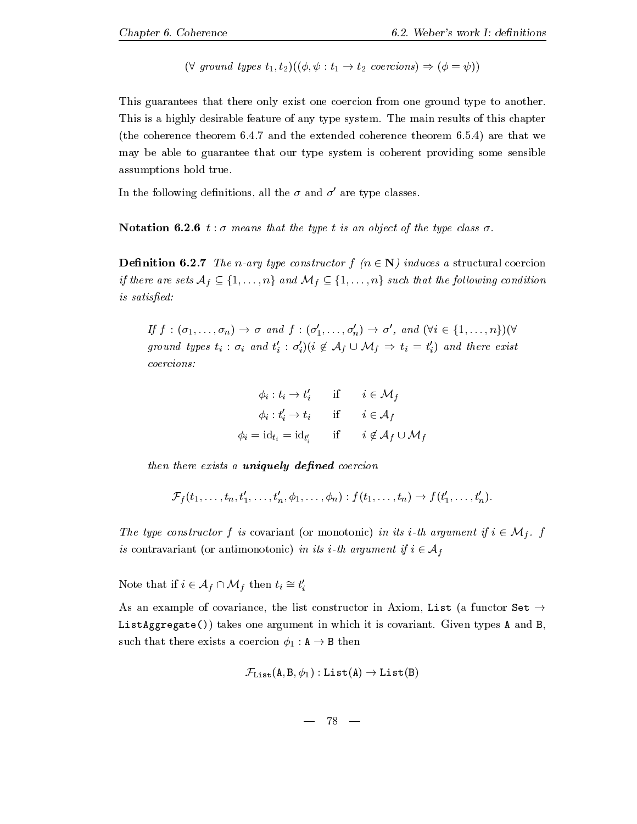$$
(\forall \text{ ground types } t_1, t_2)((\phi, \psi : t_1 \to t_2 \text{ corrections}) \Rightarrow (\phi = \psi))
$$

This guarantees that there only exist one coercion from one ground type to another. This is a highly desirable feature of any type system- The main results of this chapter the coherence theorem are the extended coherence theorem - theorem - theorem are the second complete the coher may be able to guarantee that our type system is coherent providing some sensible assumptions hold true.

In the following definitions, all the  $\sigma$  and  $\sigma'$  are type classes.

**Notation 6.2.6**  $t : \sigma$  means that the type t is an object of the type class  $\sigma$ .

**Definition 6.2.7** The n-ary type constructor  $f(n \in \mathbb{N})$  induces a structural coercion if there are sets  $A_f \subseteq \{1,\ldots,n\}$  and  $\mathcal{M}_f \subseteq \{1,\ldots,n\}$  such that the following condition  $is satisfied:$ 

If  $f: (\sigma_1, \ldots, \sigma_n) \to \sigma$  and  $f: (\sigma'_1, \ldots, \sigma'_n) \to \sigma'$ , and  $(\forall i \in \{1, \ldots, n\}) (\forall$ ground types  $t_i : \sigma_i$  and  $t'_i : \sigma'_i$   $(i \notin \mathcal{A}_f \cup \mathcal{M}_f \Rightarrow t_i = t'_i)$  and there exist coercions:

$$
\phi_i : t_i \to t'_i \quad \text{if} \quad i \in \mathcal{M}_f
$$

$$
\phi_i : t'_i \to t_i \quad \text{if} \quad i \in \mathcal{A}_f
$$

$$
\phi_i = id_{t_i} = id_{t'_i} \quad \text{if} \quad i \notin \mathcal{A}_f \cup \mathcal{M}_f
$$

then there exists a uniquely de-ned coercion

$$
\mathcal{F}_f(t_1,\ldots,t_n,t'_1,\ldots,t'_n,\phi_1,\ldots,\phi_n):f(t_1,\ldots,t_n)\to f(t'_1,\ldots,t'_n).
$$

The type construction  $f$  is covariant or monotonic in its ith argument  $g$  is  $\bullet$  for  $f$ is contravariant (or antimonotonic) in its i-th argument if  $i \in \mathcal{A}_f$ 

Note that if  $i \in \mathcal{A}_f \cap \mathcal{M}_f$  then  $t_i \cong t'_i$ 

As an example of covariance, the list constructor in Axiom, List (a functor Set  $\rightarrow$ ListAggregate takes one argument in which it is covariant- Given types A and B such that there exists a coercion as a coercion  $\gamma$   $_1$  , and the coercion  $\gamma$ 

$$
\mathcal{F}_{\mathtt{List}}(\mathtt{A},\mathtt{B},\phi_1):\mathtt{List}(\mathtt{A})\to\mathtt{List}(\mathtt{B})
$$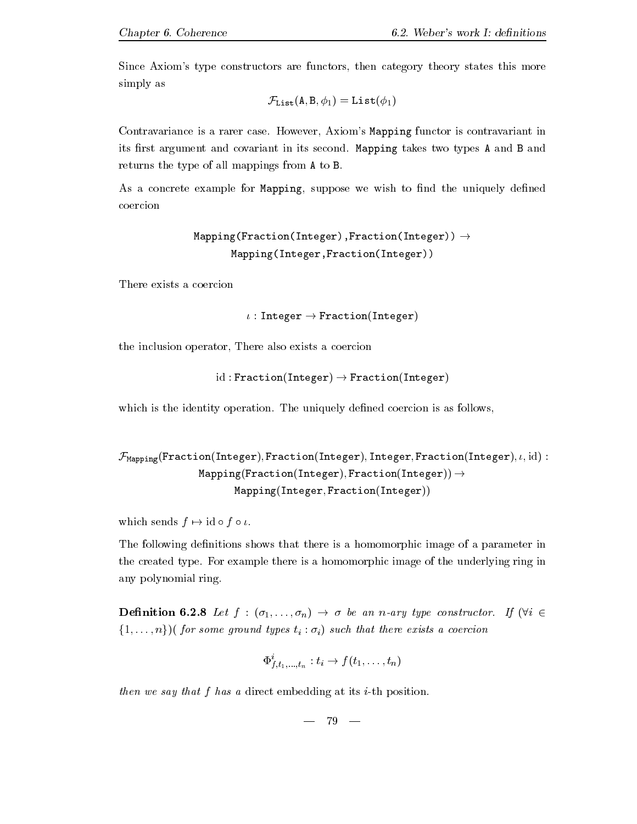Since Axiom's type constructors are functors, then category theory states this more simply as

$$
\mathcal{F}_{\texttt{List}}(\texttt{A}, \texttt{B}, \phi_1) = \texttt{List}(\phi_1)
$$

Contravariance is a rarer case- However Axioms Mapping functor is contravariant in its rst argument and covariant in its second- Mapping takes two types A and B and returns the type of all mappings from A to B-

As a concrete example for Mapping, suppose we wish to find the uniquely defined coercion

```
Mapping(Fraction(Interger), Fraction(Interger)) \rightarrowMapping(Integer, Fraction(Integer))
```
There exists a coercion

```

 Integer -
 FractionInteger
```
the inclusion operator, There also exists a coercion

id in the fraction of the fraction is a structure of the fraction of the structure of the structure of the structure of the structure of the structure of the structure of the structure of the structure of the structure of

which is the identity operation- the uniquely denemic a coercion- in the unit  $\mathcal{L}_{\mathcal{A}}$ 

```
FMapping FractionInteger FractionInteger Integer FractionInteger 
 id 
                 \texttt{Mapping}(\texttt{Fraction}(\texttt{Integer}), \texttt{Fraction}(\texttt{Integer})) \rightarrowMapping(Integer, Fraction(Integer))
```
which sends for  $\mathcal{A}$  and  $\mathcal{A}$  for  $\mathcal{A}$  for  $\mathcal{A}$  for  $\mathcal{A}$  for  $\mathcal{A}$  for  $\mathcal{A}$ 

The following definitions shows that there is a homomorphic image of a parameter in the created type- For example there is a homomorphic image of the underlying ring in any polynomial ring-

 $\mathcal{U} = \mathcal{U} \cup \mathcal{U}$  is a non-type construction of  $\mathcal{U}$  ,  $\mathcal{U}$  is a non-type construction of  $\mathcal{U}$  $\{1,\ldots,n\}$ )(for some ground types  $t_i : \sigma_i$ ) such that there exists a coercion

$$
\Phi^i_{f,t_1,\ldots,t_n}: t_i \to f(t_1,\ldots,t_n)
$$

then we say that  $f$  has a direct embedding at its  $i$ -th position.

$$
\begin{matrix} - & 79 \end{matrix}
$$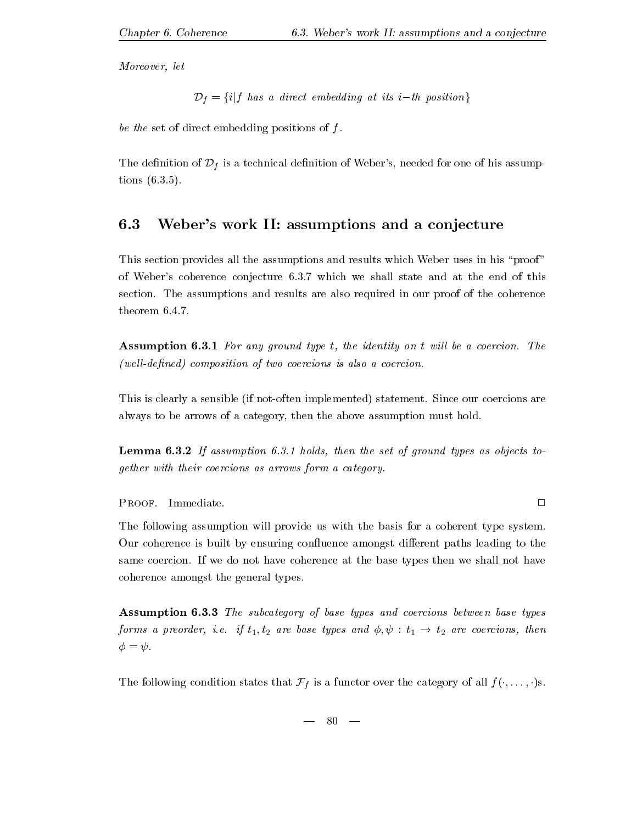Moreover, let

$$
\mathcal{D}_f = \{i | f \text{ has a direct embedding at its } i-th \text{ position}\}
$$

be the set of direct embedding positions of  $f$ .

The definition of  $\mathcal{D}_f$  is a technical definition of Weber's, needed for one of his assumptions ---

#### 6.3 Weber's work II: assumptions and a conjecture

This section provides all the assumptions and results which Weber uses in his "proof" of which we shall state compositions - video the end of this state and of the end of the end of the end of this section- the assumptions and results are also required in our proof of the coherence  $\sim$ 

assumption and the state of the internal property of the identity on the internal contract of the state of the  $(well-defined)$  composition of two coercions is also a coercion.

This is clearly a sensible if notoften implemented statement- Since our coercions are always to be arrows of a category, then the above assumption must hold.

Lemma  If assumption -- holds then the set of ground types as objects to gether with their coercions as arrows form a category-

Proof- Immediate-

The following assumption will provide us with the basis for a coherent type system. Our coherence is built by ensuring confluence amongst different paths leading to the same coercion- If we do not have coherence at the base types then we shall not have coherence amongst the general types-

Assumption 6.3.3 The subcategory of base types and coercions between base types  $\boldsymbol{y}$  if the preorder in the state the state that  $\boldsymbol{y}$  $\phi = \psi$ .

The following condition states that  $\mathcal{F}_f$  is a functor over the category of all  $f(\cdot, \ldots, \cdot)$ s.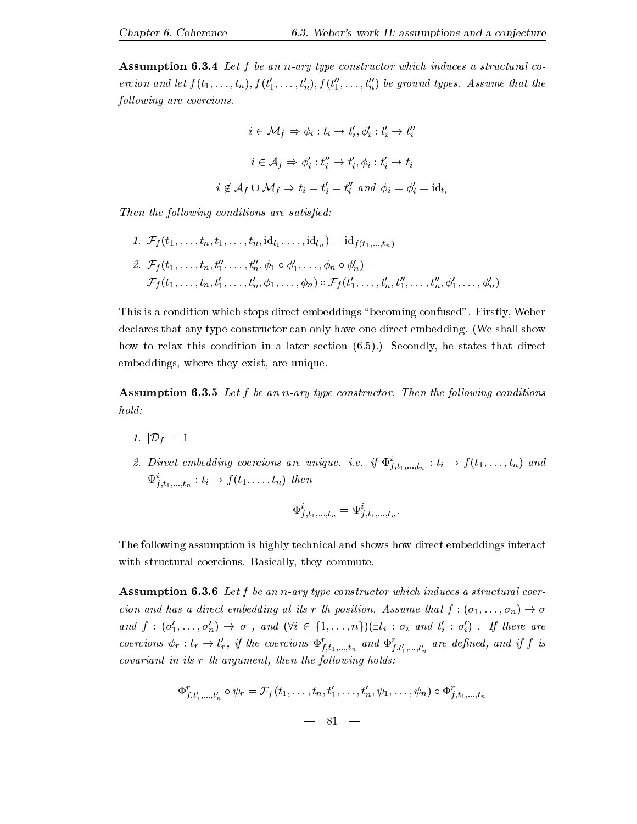**Assumption 6.3.4** Let f be an n-ary type constructor which induces a structural coercion and let  $f(t_1,\ldots,t_n)$ ,  $f(t'_1,\ldots,t'_n)$ ,  $f(t''_1,\ldots,t''_n)$  be ground types. Assume that the following are coercions.

$$
i \in \mathcal{M}_f \Rightarrow \phi_i : t_i \to t'_i, \phi'_i : t'_i \to t''_i
$$

$$
i \in \mathcal{A}_f \Rightarrow \phi'_i : t''_i \to t'_i, \phi_i : t'_i \to t_i
$$

$$
i \notin \mathcal{A}_f \cup \mathcal{M}_f \Rightarrow t_i = t'_i = t''_i \text{ and } \phi_i = \phi'_i = \mathrm{id}_{t_i}
$$

Then the following conditions are satisfied:

1. 
$$
\mathcal{F}_f(t_1, ..., t_n, t_1, ..., t_n, id_{t_1}, ..., id_{t_n}) = id_{f(t_1, ..., t_n)}
$$
  
\n2.  $\mathcal{F}_f(t_1, ..., t_n, t_1'', ..., t_n'', \phi_1 \circ \phi_1', ..., \phi_n \circ \phi_n') =$   
\n $\mathcal{F}_f(t_1, ..., t_n, t_1', ..., t_n', \phi_1, ..., \phi_n) \circ \mathcal{F}_f(t_1', ..., t_n', t_1'', ..., t_n'', \phi_1', ..., \phi_n')$ 

This is a condition which stops direct embeddings become  $\mathbf{f}$  and  $\mathbf{f}$  and  $\mathbf{f}$  weber direct embedding confused become  $\mathbf{f}$ declares that any type constructor can only have one direct embedding- We shall show how to relax this condition in a later section -- Secondly he states that direct embeddings, where they exist, are unique.

 $\mathbf{F}$  assumption and the following construction of the following constructions of the following conditions of the following conditions of the following conditions of the following conditions of the following conditions hold:

- jDf <sup>j</sup>
- z. Direct embedding coercions are unique. i.e. if  $\Psi_{f,t_1,...,t_n}^{\cdot}: i_i \rightarrow f(t_1,...,t_n)$  and  $\Psi_{f,t}$   $\longrightarrow$   $i \rightarrow$   $j \in \{i_1, \ldots, i_n\}$  then ft-the contract of the contract of the contract of the contract of the contract of the contract of the contract of the contract of the contract of the contract of the contract of the contract of the contract of the contract o

$$
\Phi_{f,t_{1},...,t_{n}}^{i}=\Psi_{f,t_{1},...,t_{n}}^{i}.
$$

The following assumption is highly technical and shows how direct embeddings interact  $\cdots$  and structure coercions-commute-coercions-commute-coercions-coercions-coercions-coercions-coercions-coercions-coercions-coercions-coercions-coercions-coercions-coercions-coercions-coercions-coercions-coercions-coerc

**Assumption 6.3.6** Let f be an n-ary type constructor which induces a structural coercion and has a direct embedding at its result of the state of the state of the position-bedding at its result of the state of the state of the state of the state of the state of the state of the state of the state of the s and  $f : (\sigma'_1, \ldots, \sigma'_n) \to \sigma$ , and  $(\forall i \in \{1, \ldots, n\}) (\exists t_i : \sigma_i$  and  $t'_i : \sigma'_i)$ . If there are coercions  $\psi_r : t_r \to t'_r$ , if the coercions  $\Phi^r_{f,t_1,...,t_n}$  and  $\Phi^r_{f,t'_1,...,t'_n}$  are defined, and if f is  $covariant$  in its  $r-th$  argument, then the following holds:

$$
\Phi_{f,t'_1,...,t'_n}^r \circ \psi_r = \mathcal{F}_f(t_1,...,t_n,t'_1,...,t'_n,\psi_1,...,\psi_n) \circ \Phi_{f,t_1,...,t_n}^r
$$
  
 
$$
= 81 -
$$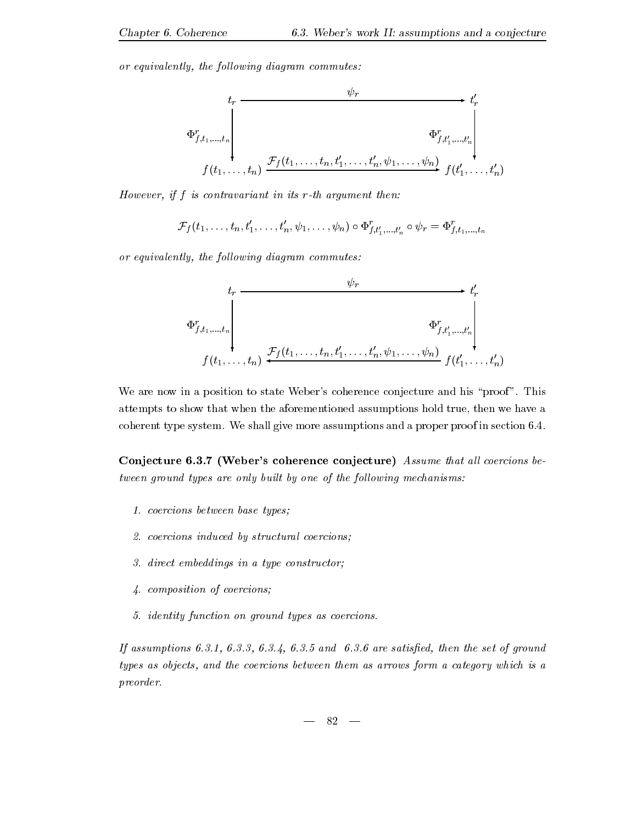or equivalently, the following diagram commutes:



However, if  $f$  is contravariant in its  $r$ -th argument then:

$$
\mathcal{F}_f(t_1, \ldots, t_n, t'_1, \ldots, t'_n, \psi_1, \ldots, \psi_n) \circ \Phi_{f, t'_1, \ldots, t'_n}^r \circ \psi_r = \Phi_{f, t_1, \ldots, t_n}^r
$$

or equivalently, the following diagram commutes:

$$
\Phi_{f,t_1,\ldots,t_n}^r
$$
\n
$$
\Phi_{f,t_1,\ldots,t_n}^r
$$
\n
$$
f(t_1,\ldots,t_n) \stackrel{\mathcal{F}_f(t_1,\ldots,t_n,t_1',\ldots,t_n',\psi_1,\ldots,\psi_n)}{=} f(t_1',\ldots,t_n')
$$

we are not in a position to state webers considered and his problems conjuncture and his proof of the proof of attempts to show that when the aforementioned assumptions hold true, then we have a coherent type system- We shall give more assumptions and a proper proof in section --

Conjecture 6.3.7 (Weber's coherence conjecture) Assume that all coercions between ground types are only built by one of the following mechanisms:

- coercions between base types
- $\mathbf{r}$  -coercions induced by structural coercions induced by structural coercions in the structural coercions in
- direct embeddings in a type constructor
- composition of coercions
- identity function on ground types as coercions-

-, are satisfactory are set of ground the set of the set of the set of grounds and the set of the set of the set of the set of the set of the set of the set of the set of the set of the set of the set of the set of the set types as objects, and the coercions between them as arrows form a category which is a preorder-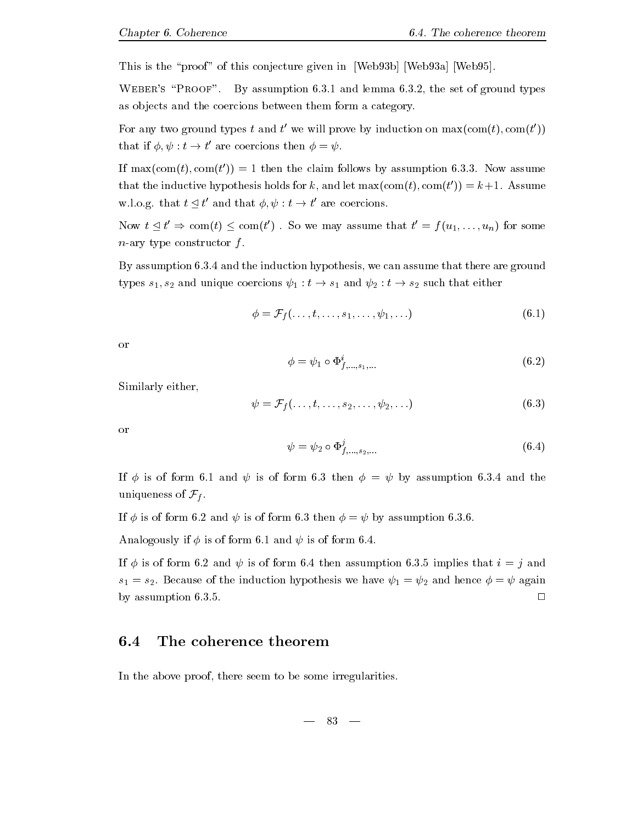This is the "proof" of this conjecture given in  $[Web93b]$   $[Web93a]$   $[Web95]$ .

where  $\mathcal{L}$  is a strong to the set of  $\mathcal{L}$  and  $\mathcal{L}$  and  $\mathcal{L}$  and  $\mathcal{L}$  are  $\mathcal{L}$  . The set of  $\mathcal{L}$ as objects and the coercions between them form a category.

For any two ground types t and t' we will prove by induction on  $\max(\text{com}(t), \text{com}(t'))$ that if  t - t ' are coercions then  $\phi = \psi$ .

If  $\max(\text{com}(t), \text{com}(t')) = 1$  then the claim follows by assumption 6.3.3. Now assume that the inductive hypothesis holds for k, and let  $\max(\text{com}(t), \text{com}(t')) = k+1$ . Assume w-l-o-g- that t t ' and that  $\phi, \psi : t \to t'$  are coercions.  $'$  are coercions.

now the contract of the contract of the contract of the contract of the contract of the contract of the contract of  $t' \Rightarrow \text{com}(t) \le \text{com}(t')$ . So we may assume that  $t' = f(u_1, \ldots, u_n)$  for some  $n$ -ary type constructor  $f$ .

By assumption -- and the induction hypothesis we can assume that there are ground types such a community of the state coercions of  $\mathcal{I}_A$  , the such that  $\mathcal{I}_A$  is an order that either coefficients of  $\mathcal{I}_A$ 

$$
\phi = \mathcal{F}_f(\ldots, t, \ldots, s_1, \ldots, \psi_1, \ldots) \tag{6.1}
$$

or

$$
\phi = \psi_1 \circ \Phi^i_{f,\dots,s_1,\dots} \tag{6.2}
$$

Similarly either

$$
\psi = \mathcal{F}_f(\ldots, t, \ldots, s_2, \ldots, \psi_2, \ldots) \tag{6.3}
$$

or

$$
\psi = \psi_2 \circ \Phi_{f,\dots,s_2,\dots}^1 \tag{6.4}
$$

is a construction of the contract of the contract  $\psi$  and  $\psi$  as a construction of the contract of the contract of the contract of the contract of the contract of the contract of the contract of the contract of the contr uniqueness of  $\mathcal{F}_f$ .

If is of form - and  is of form - then  by assumption ---

 $\mathcal{A}$  is of form - is of form - is of form - is of form - is of form - is of form - is of form - is of form -

If is of form - and  is of form - then assumption -- implies that i j and similar section is the induction hypothesis we have  $\tau_1$  and hence  $\tau_1$  and  $\tau_2$  and  $\tau_3$ by assumption ---

### The coherence theorem

In the above proof, there seem to be some irregularities.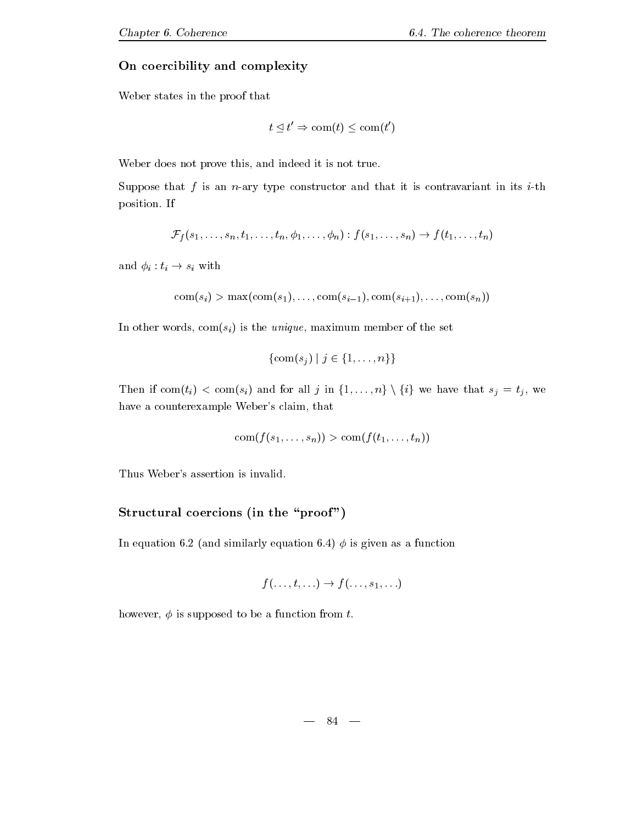#### On coercibility and complexity

Weber states in the proof that

$$
t \leq t' \Rightarrow \text{com}(t) \leq \text{com}(t')
$$

Weber does not prove this, and indeed it is not true.

Suppose that f is an n-ary type constructor and that it is contravariant in its i-th position-between the contract of the contract of the contract of the contract of the contract of the contract of the contract of the contract of the contract of the contract of the contract of the contract of the contract

$$
\mathcal{F}_f(s_1,\ldots,s_n,t_1,\ldots,t_n,\phi_1,\ldots,\phi_n):f(s_1,\ldots,s_n)\to f(t_1,\ldots,t_n)
$$

and it is not the singlet of the singlet  $\mu$ 

$$
\mathrm{com}(s_i) > \max(\mathrm{com}(s_1), \ldots, \mathrm{com}(s_{i-1}), \mathrm{com}(s_{i+1}), \ldots, \mathrm{com}(s_n))
$$

In other words,  $com(s_i)$  is the *unique*, maximum member of the set

$$
\{\operatorname{com}(s_j) \mid j \in \{1, \ldots, n\}\}\
$$

Then if  $\text{com}(t_i) < \text{com}(s_i)$  and for all j in  $\{1, \ldots, n\} \setminus \{i\}$  we have that  $s_j = t_j$ , we have a counterexample Weber's claim, that

$$
\operatorname{com}(f(s_1,\ldots,s_n)) > \operatorname{com}(f(t_1,\ldots,t_n))
$$

Thus Weber's assertion is invalid.

#### $\mathcal{L}$  is a coefficient of  $\mathcal{L}$  and  $\mathcal{L}$  in the  $\mathcal{L}$  proof  $\mathcal{L}$

In equation - and similarly equation - is given as a function

$$
f(\ldots,t,\ldots)\to f(\ldots,s_1,\ldots)
$$

however,  $\phi$  is supposed to be a function from t.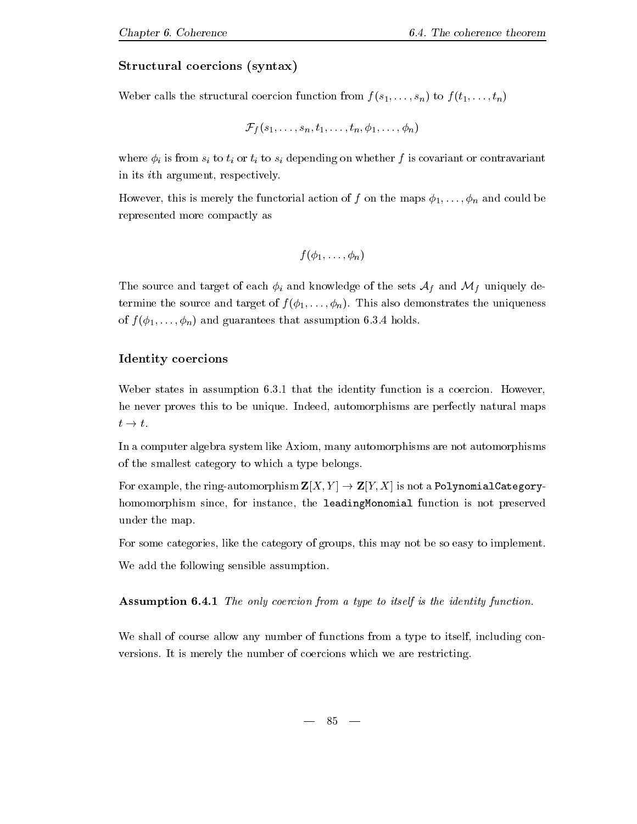### $\sim$  structural coercions  $\sim$  syntaxies in the syntaxies of  $\sim$

Weber calls the structural coercion function from  $f(s_1, \ldots, s_n)$  to  $f(t_1, \ldots, t_n)$ 

$$
\mathcal{F}_f(s_1,\ldots,s_n,t_1,\ldots,t_n,\phi_1,\ldots,\phi_n)
$$

where  $\phi_i$  is from  $s_i$  to  $t_i$  or  $t_i$  to  $s_i$  depending on whether f is covariant or contravariant in its *i*th argument, respectively.

However, this is merely the functorial action of f on the maps  $\phi_1, \ldots, \phi_n$  and could be represented more compactly as

$$
f(\phi_1,\ldots,\phi_n)
$$

The source and target of each  $\phi_i$  and knowledge of the sets  $\mathcal{A}_f$  and  $\mathcal{M}_f$  uniquely determine the source and target of the unit  $\mathbf{I}$  n-demonstrates the uniqueness the uniqueness the uniqueness the uniqueness of the uniqueness of the uniqueness of the uniqueness of the uniqueness of the uniqueness of th of f and assumption of the complete that assumption - the second contract of the second contract of the second

### Identity coercions

where the interest in an assumption of the identity function  $\mathbf{r}_1$  , a coercion-term is a coercion-term in he never proves the unique-beneficial maps are perfectly natural maps are perfectly natural maps are perfectly  $t \rightarrow t.$ 

In a computer algebra system like Axiom, many automorphisms are not automorphisms of the smallest category to which a type belongs.

 $\mathcal{L}$  . The ring is not a Polynomial  $\mathcal{L}$  is not a Polynomial  $\mathcal{L}$  . The polynomial category is not a  $\mathcal{L}$  , and homomorphism since, for instance, the leadingMonomial function is not preserved under the map.

For some categories, like the category of groups, this may not be so easy to implement. We add the following sensible assumption.

Assumption - The only coercion from <sup>a</sup> type to itself is the identity function-

We shall of course allow any number of functions from a type to itself, including con- $\mathbf{I}$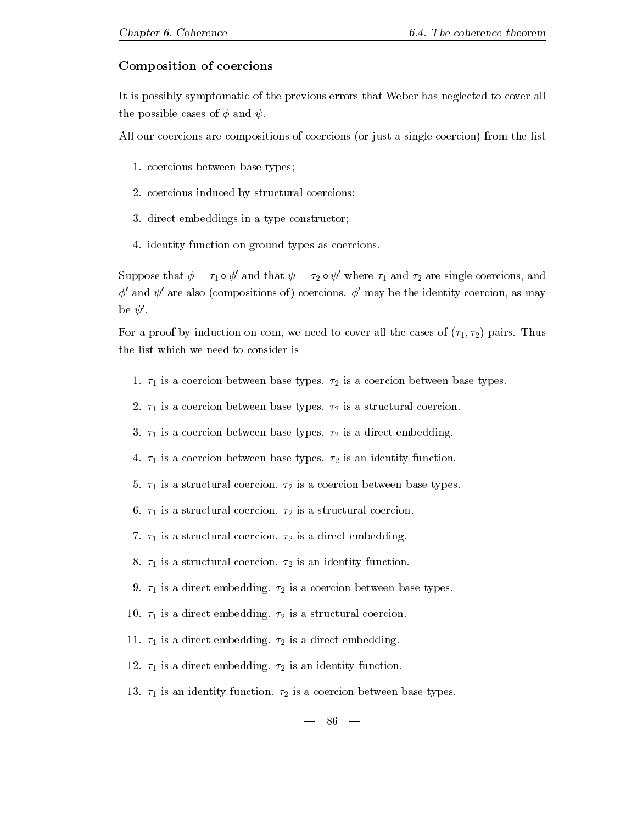#### Composition of coercions

It is possibly symptomatic of the previous errors that Weber has neglected to cover all the possible cases of  $\phi$  and  $\psi$ .

All our coercions are compositions of coercions (or just a single coercion) from the list

- -coercions between base types base types based on the coercions of the coercions of the coercions of the coercions of the coercions of the coercions of the coercions of the coercions of the coercions of the coercions of th
- coercions induced by structural coercions
- direct embeddings in a type constructor
- identity function on ground types as coercions-

Suppose that  $\phi = \tau_1 \circ \phi'$  and that  $\psi = \tau_2 \circ \psi'$  where  $\tau_1$  and  $\tau_2$  are single coercions, and  $\phi'$  and  $\psi'$  are also (compositions of) coercions.  $\phi'$  may be the identity coercion, as may be  $\psi'$ .

For a proof by induction on com we need to cover all the cases of pairs- Thus the list which we need to consider is

- $\blacksquare$  is a coercion between base types-coercion base types-coercion between base types-coercion between base types-
- -is a coercion base types-base types-base types-base types-base types-base types-base types-base types-base types-base types-base types-base types-base types-base types-base types-base types-base types-base types-base typ
- $\blacksquare$  is a direct embedding-coercion between base types-dimensional coercion of  $\blacksquare$
- is a coercion between base types-based by  $\mu$  and if  $\mu$  function-  $\mu$  function-
- is a structural coercion- is a coercion between base types-
- , is a structure coercion-coercion-coercion-coercion-coercion-coercion-coercion-
- $\overline{a}$  is a structural coercion-coercion-coercion-coercion-coercion-coercion-coercion-coercion-coercion-coercion-coercion-coercion-coercion-coercion-coercion-coercion-coercion-coercion-coercion-coercion-coercion-coercio
- $\overline{a}$  is an identity function-definity function-definity function-definity function-definity function-definity function-
- is a direct embedding- is a coercion between base types-
- - is a direct embedding- is a structural coercion-
- - is a direct embedding- is a direct embedding-
- $\begin{array}{ccc} 1 & 0 & 2 \end{array}$
- - is an identity function- is a coercion between base types-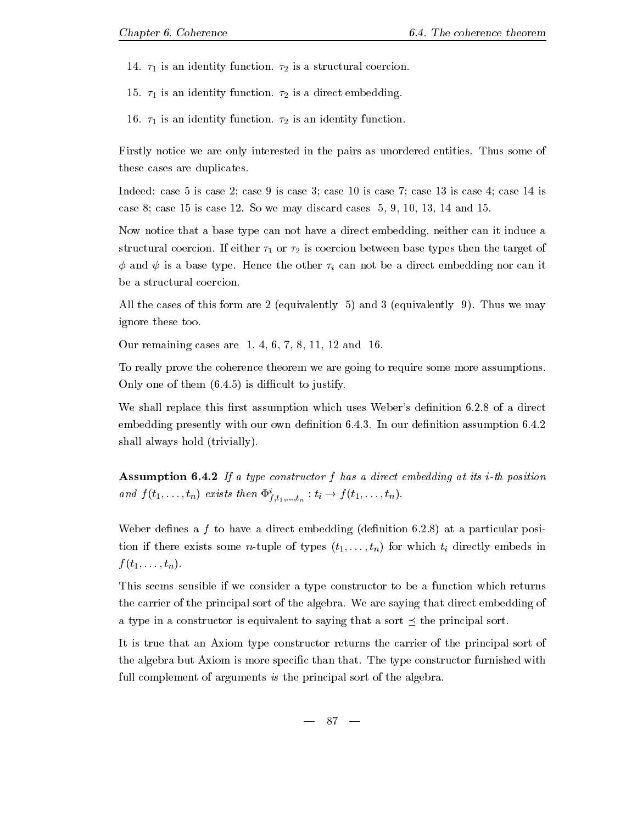-is a structural coercion-term in the structural coercion-term in the structural coercion-term in the structural coercion-term in the structural coercion-term in the structural coercion-term in the structural coercion-term

 $\cdots$  is a direct embedding-direct embedding-direct embedding-direct embedding-

 $\frac{1}{2}$  is an identity function-density function-density function-density function-density function-density function-density function-density function-density function-density function-density function-density function-

Firstly notice we are only interested in the pairs as unordered entities- Thus some of these cases are duplicates.

Indeed: case 5 is case 2; case 9 is case 3; case 10 is case 7; case 13 is case 4; case 14 is case case  is case 
- So we may discard cases    and -

Now notice that a base type can not have a direct embedding neither can it induce a structural coercion-there is coercion base to define the target of the target of the target of the target of t  $\tau$  and  $\tau$  are discussed in product the other interests in the other can not be a direct embedding normalized  $\tau$ be a structural coercion.

All the cases of the cases of the cases of the cases  $\alpha$  ,  $\alpha$  and  $\alpha$  and  $\alpha$  and  $\alpha$  and  $\alpha$  and  $\alpha$ ignore these too.

Our remaining cases are  $1, 4, 6, 7, 8, 11, 12,$  and 16.

To really prove the coherence theorem we are going to require some more assumptionson is different to the state of them in the state of them in the state of the state of the state of the state

we shall replace the shall which we have the control which denity is assumed to a direct of the state of the state of the state of the state of the state of the state of the state of the state of the state of the state of embedding presently with our own denition --- In our denition assumption - shall always hold (trivially).

**Assumption 6.4.2** If a type constructor f has a direct embedding at its *i*-th position and  $f(t_1,\ldots,t_n)$  exists then  $\Psi^{\epsilon}_{f,t_1,\ldots,t_n}: t_i \to f(t_1,\ldots,t_n)$ .

website a direction of the matrix of the direct embedding direction of the second position of position  $\mathcal{P}$ tion if there exists some *n*-tuple of types  $(t_1, \ldots, t_n)$  for which  $t_i$  directly embeds in  $f(t_1,\ldots,t_n).$ 

This seems sensible if we consider a type constructor to be a function which returns the carrier of the principal sort of the algebra - We are saying that direct embedding that a type in a constructor is equivalent to saying that a sort  $\preceq$  the principal sort.

It is true that an Axiom type constructor returns the carrier of the principal sort of the algebra but Axiom is more specified with that the type constructor furnished with full complement of arguments is the principal sort of the algebra.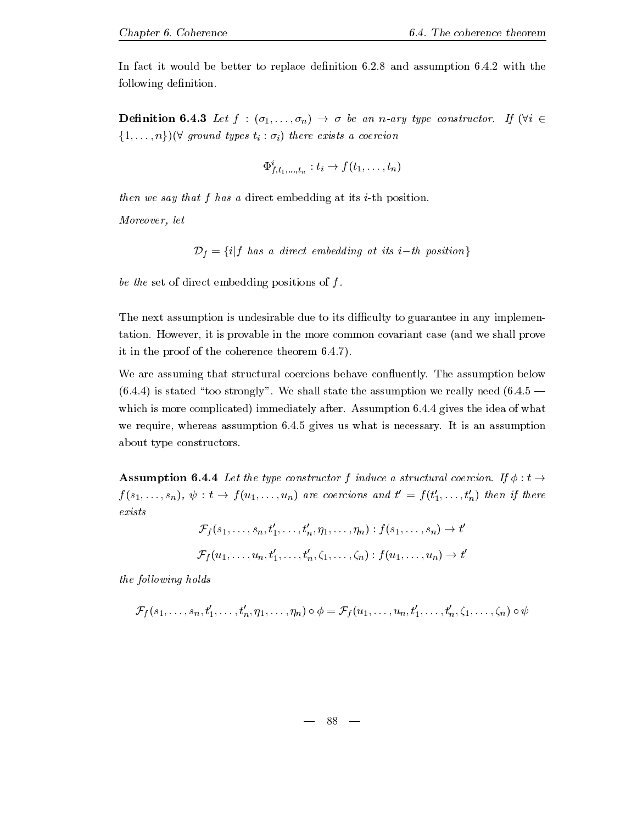In fact it would be better to replace denition -- and assumption -- with the following definition.

 $\boldsymbol{H}$  is a narry type construction of  $\boldsymbol{H}$  is a narry type construction of  $\boldsymbol{H}$  is a narrow of  $\boldsymbol{H}$  $\{1,\ldots,n\}$ )( $\forall$  ground types  $t_i : \sigma_i$ ) there exists a coercion

$$
\Phi^i_{f,t_1,...,t_n}: t_i \to f(t_1,\ldots,t_n)
$$

then we say that f has a direct embedding at its  $i$ -th position.

Moreover, let

$$
\mathcal{D}_f = \{i | f \text{ has a direct embedding at its } i-th \text{ position}\}
$$

be the set of direct embedding positions of  $f$ .

The next assumption is undesirable due to its difficulty to guarantee in any implementation- However it is provable in the more common covariant case and we shall prove it in the proof of the proof of the coherence theorem - the coherence theorem - the coherence theorem - the co

We are assuming that structural coercions behave conuently- The assumption below -- is stated too strongly - We shall state the assumption we really need - which is more complicated in more complicated in the idea of what is more complicated in the idea of what is more complicated in the idea of what is more complicated in the idea of what is more complicated in the idea of w we require y whereas assumption - as where  $\alpha$  is an assumption - assumption - as what is necessaryabout type constructors.

 $\mathbf{H}$  . The type construction is the type construction f induce a structural coercion-f induce a structural coercion-f induce a structural coercion-f induce a structural coercion-f induce a structural coercion-f induce  $f(s_1, \ldots, s_n), \psi : t \to f(u_1, \ldots, u_n)$  are coercions and  $t' = f(t'_1, \ldots, t'_n)$  then if there exists

$$
\mathcal{F}_f(s_1,\ldots,s_n,t'_1,\ldots,t'_n,\eta_1,\ldots,\eta_n):f(s_1,\ldots,s_n)\to t'
$$
  

$$
\mathcal{F}_f(u_1,\ldots,u_n,t'_1,\ldots,t'_n,\zeta_1,\ldots,\zeta_n):f(u_1,\ldots,u_n)\to t'
$$

the following holds

$$
\mathcal{F}_f(s_1,\ldots,s_n,t'_1,\ldots,t'_n,\eta_1,\ldots,\eta_n)\circ\phi=\mathcal{F}_f(u_1,\ldots,u_n,t'_1,\ldots,t'_n,\zeta_1,\ldots,\zeta_n)\circ\psi
$$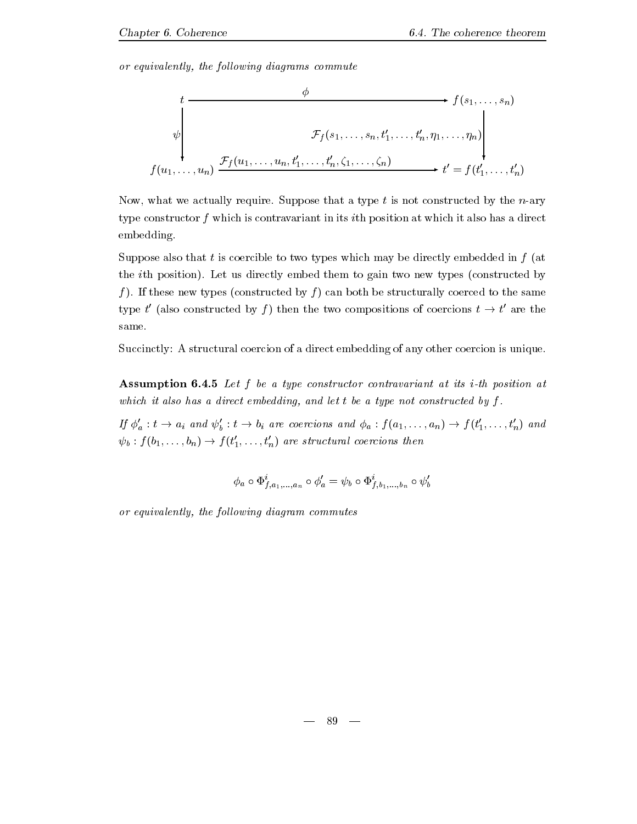or equivalently, the following diagrams commute



Now what we actually require- Suppose that a type t is not constructed by the nary type constructor  $f$  which is contravariant in its *i*th position at which it also has a direct embedding-

Suppose also that t is coercible to two types which may be directly embedded in  $f$  (at the ith position-  $\mu$  and the method to the them to gain two news constructions of  $\mu$ f - If these new types constructed by f can both be structurally coerced to the same type the type of the type of the type of the type of the type of the type of the type of the type of the type of the type of the type of the type of the type of the type of the type of the type of the type of the type of t (also constructed by f) then the two compositions of coercions  $t \to t'$  are the are the same.

Succinctly: A structural coercion of a direct embedding of any other coercion is unique.

**Assumption 6.4.5** Let f be a type constructor contravariant at its *i*-th position at which it also has a direct embedding, and let t be a type not constructed by  $f$ .

If  $\phi'_a : t \to a_i$  and  $\psi'_b : t \to b_i$  are coercions and  $\phi_a : f(a_1, \ldots, a_n) \to f(t'_1, \ldots, t'_n)$  and  $\psi_b: f(b_1, \ldots, b_n) \to f(t'_1, \ldots, t'_n)$  are structural coercions then

$$
\phi_a \circ \Phi_{f,a_1,...,a_n}^i \circ \phi'_a = \psi_b \circ \Phi_{f,b_1,...,b_n}^i \circ \psi'_b
$$

or equivalently, the following diagram commutes

89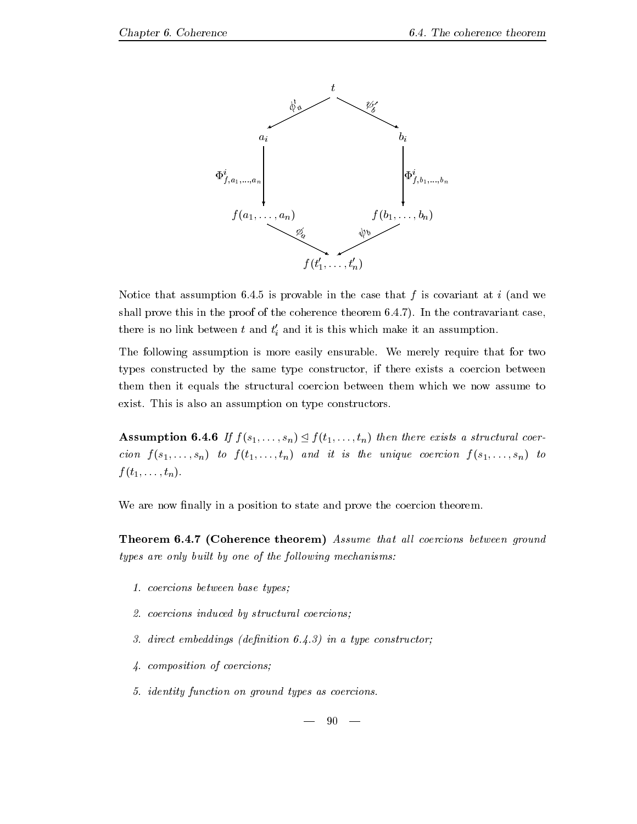

Notice that assumption -- is provable in the case that f is covariant at i and we shall prove this in the proof of the coherence theorem --- In the contravariant case there is no link between  $t$  and  $t'_{i}$  and it is this which make it an assumption.

The following assumption is more easily ensurable- We merely require that for two types constructed by the same type constructor if there exists a coercion between them then it equals the structural coercion between them which we now assume to exister and the internal construction on type construction on type constructors-

**Assumption 6.4.6** If  $f(s_1, \ldots, s_n) \leq f(t_1, \ldots, t_n)$  then there exists a structural coercion  $f(s_1, \ldots, s_n)$  to  $f(t_1, \ldots, t_n)$  and it is the unique coercion  $f(s_1, \ldots, s_n)$  to  $f(t_1,\ldots,t_n)$ .

We are now finally in a position to state and prove the coercion theorem.

**Theorem 6.4.7 (Coherence theorem)** Assume that all coercions between ground  $types$  are only built by one of the following mechanisms:

- coercions between base types base types based on the coercions of the coercions of the coercions of the coercions of the coercions of the coercions of the coercions of the coercions of the coercions of the coercions of t
- coercions induced by structural coercions
- direct embeddings denition -- in a type constructor
- composition of coercions
- identity function on ground types as coercions-

 $90 -$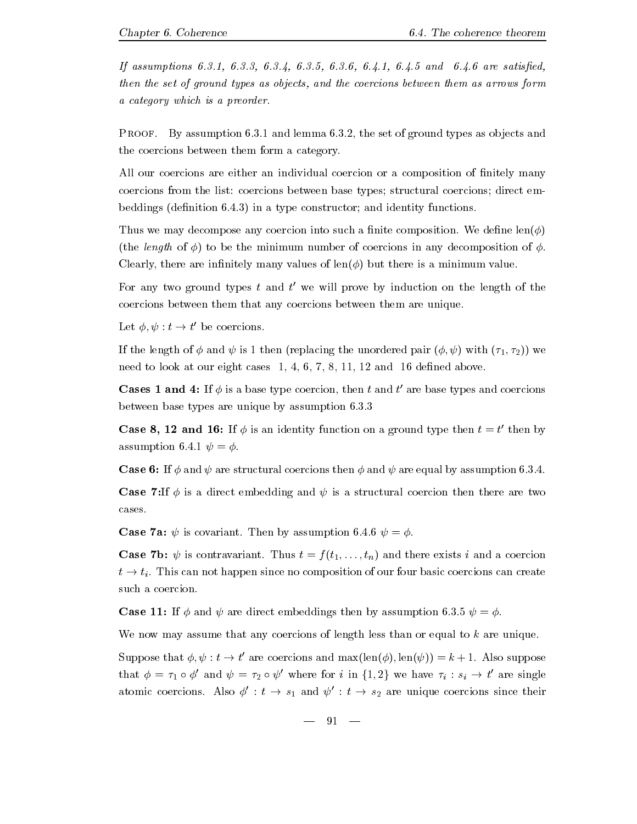If assumptions -- -- -- -- -- -- -- and -- are satised then the set of ground types as objects, and the coercions between them as arrows form a category which is a preorder.

restate the set of the set of the set of the set of the set of  $\Delta$  , and the set of the set of the set of the set of the set of the set of the set of the set of the set of the set of the set of the set of the set of the s the coercions between them form a category-

All our coercions are either an individual coercion or a composition of finitely many coercions from the list: coercions between base types; structural coercions; direct embeddings (promotion - ) in a type construction construct is and identity functions-

Thus we may decompose any coercion into such a nite composition- We dene len (the length of  $\phi$ ) to be the minimum number of coercions in any decomposition of  $\phi$ . Clearly, there are infinitely many values of  $\text{len}(\phi)$  but there is a minimum value.

For any two ground types  $\iota$  and  $\iota$  we will prove by induction on the length of the coercions between them that any coercions between them are unique-

Let  t - t  $'$  be coercions.

If the length of  $\phi$  and  $\psi$  is 1 then (replacing the unordered pair  $(\phi, \psi)$  with  $(\tau_1, \tau_2)$ ) we need to look at our eight cases  $1, 4, 6, 7, 8, 11, 12$  and 16 defined above.

Cases 1 and 4:  $\pi \varphi$  is a base type coercion, then t and t are base types and coercions between base to the computer of the best produced by assumption of the contract of the computer of the computer of the computer of the computer of the computer of the computer of the computer of the computer of the compute

 $\mathbf{I}$  then by assumption of the contract of the contract of the contract of the contract of the contract of the contract of the contract of the contract of the contract of the contract of the contract of the contract of the contract of

Case If and  are structural coercions then and  are equal by assumption ---

**Case 7:** If  $\phi$  is a direct embedding and  $\psi$  is a structural coercion then there are two cases.

Case a  is covariant- Then by assumption --  -

 $\mathcal{N} \setminus \mathcal{N}$  is contravariant to the exists in the coercion of  $\mathcal{N}$  and a coercion of  $\mathcal{N}$ the time since not happen since  $\Gamma$  of our four basic coercions can composition of our four basic coercions can create  $\Gamma$ such a coercion.

 $\blacksquare$  is a strong then by a strong then by a strong then by a strong then by a strong then by a strong then by a

We now may assume that any coercions of length less than or equal to  $k$  are unique.

Suppose that  $\varphi, \psi : t \to t$  are coercions and maxilent  $(\varphi)$ , lent  $\psi$   $) = \kappa + 1$ . Also suppose that  $\phi = \tau_1 \circ \phi'$  and  $\psi = \tau_2 \circ \psi'$  where for i in  $\{1,2\}$  we have  $\tau_i : s_i \to t'$  are single are single atomic coercions. Also  $\phi': t \to s_1$  and  $\psi': t \to s_2$  are unique coercions since their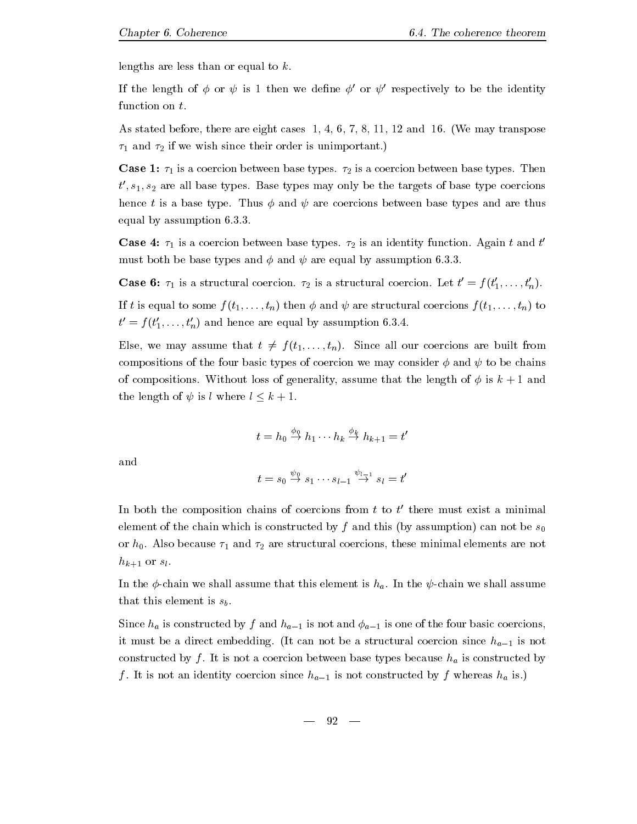lengths are less than or equal to  $k$ .

If the length of  $\phi$  or  $\psi$  is 1 then we define  $\phi'$  or  $\psi'$  respectively to be the identity function on  $t$ .

as stated before the compact cases of  $\mathbb{R}^n$  in the set of the set  $\mathbb{R}^n$  is the set  $\mathbb{R}^n$ and if we wish since the since the since the since the since  $\mu$  is unimportant  $\mu$ 

 $\sim$  coercion base types-types-types-base types-types-types-types-types-types-types-types-types-types-types-types-types-types-types-types-types-types-types-types-types-types-types-types-types-types-types-types-types-types  $t', s_1, s_2$  are all base types. Base types may only be the targets of base type coercions hence t is a base type- Thus and  are coercions between base types and are thus equal by a strong production of the strong product of the strong product of the strong product of the strong product of the strong product of the strong product of the strong product of the strong product of the strong pro

case is a coercion base to come the second types-  $\Delta$  and the three types through the  $\alpha$ must both be base types and and  are equal by assumption ---

**Case 6:**  $\tau_1$  is a structural coercion.  $\tau_2$  is a structural coercion. Let  $t' = f(t'_1, \ldots, t'_n)$ . If t is equal to some  $f(t_1, \ldots, t_n)$  then  $\phi$  and  $\psi$  are structural coercions  $f(t_1, \ldots, t_n)$  to  $t' = f(t'_1, \ldots, t'_n)$  and hence are equal by assumption 6.3.4.

 $\mathcal{L}$  is a summary assume that the transition of the transition  $\mathcal{L}$  is a summary are built from  $\mathcal{L}$ compositions of the four basic types of coercion we may consider  $\phi$  and  $\psi$  to be chains . The compositions are compositions of  $\Delta$  the length of the length of  $\alpha$  is  $\alpha$  is the length of  $\alpha$ the length of  $\psi$  is l where  $l \leq k+1$ .

$$
t = h_0 \stackrel{\phi_0}{\rightarrow} h_1 \cdots h_k \stackrel{\phi_k}{\rightarrow} h_{k+1} = t'
$$

and

$$
t = s_0 \stackrel{\psi_0}{\rightarrow} s_1 \cdots s_{l-1} \stackrel{\psi_{l-1}}{\rightarrow} s_l = t'
$$

In both the composition chains of coercions from t to t <sup>t</sup> there must exist a minimal element of the chain which is constructed by f and this (by assumption) can not be  $s_0$ or hopping and are structural coercions that we are structured are not coercions the coercions there are not are not hk- or sl -

In the  $\tau$  the chain we shall assume that the chain the second chain  $\tau$  of the  $\tau$   $\tau$  is the shall assume that  $\tau$ that this element is  $s_b$ .

Since  $h_a$  is constructed by f and  $h_{a-1}$  is not and  $\phi_{a-1}$  is one of the four basic coercions, it must be a direct embedding. The can not be a structural coercion since  $n_{a-1}$  is not constructed by f - It is not a coercion because because the coercion base to construct the interesting of the i  $f$  . It is not an identity coercion since  $n_{a-1}$  is not constructed by  $f$  whereas  $n_a$  is.)

$$
- \quad 92 \quad -
$$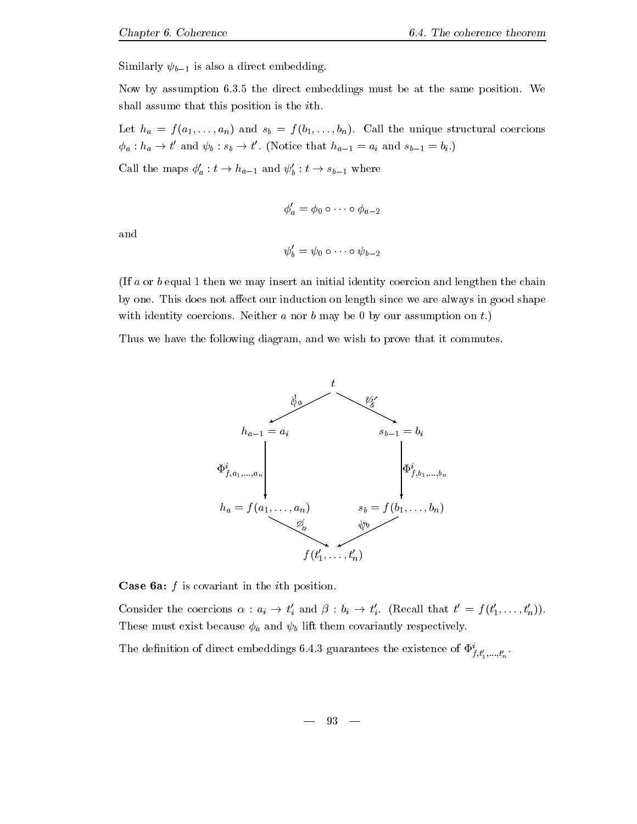Similarly  $\psi_{b-1}$  is also a direct embedding.

Now byassumption -- the direct embeddings must be at the same position- We shall assume that this position is the *i*th.

 $\cdots$   $\cdots$   $\cdots$   $\cdots$   $\cdots$   $\cdots$   $\cdots$   $\cdots$   $\cdots$   $\cdots$   $\cdots$   $\cdots$   $\cdots$   $\cdots$   $\cdots$   $\cdots$   $\cdots$  $r u$  -  $u$  -  $r u$  -  $v$ ' and  $\psi_b : s_b \to t'$ . (Notice that  $h_{a-1} = a_i$  and  $s_{b-1} = b_i$ .  $\mathbf{r}$  and  $\mathbf{r}$  and  $\mathbf{r}$ 

Call the maps  $\phi'_a : t \to h_{a-1}$  and  $\psi'_b : t \to s_{b-1}$  where

$$
\phi_a'=\phi_0\circ\cdots\circ\phi_{a-2}
$$

and

$$
\psi_b' = \psi_0 \circ \cdots \circ \psi_{b-2}
$$

If a or b equal 1 then we may insert an initial identity coercion and lengthen the chain by one- This does not aect our induction on length since we are always in good shape with identity coercions-by coercions-by coercions-by our assumption on t-by our assumption on t-by our assumption on t-by our assumption on t-by our assumption on t-by our assumption on t-by our assumption on t-by our assu

Thus we have the following diagram, and we wish to prove that it commutes.



**Case 6a:**  $f$  is covariant in the *i*th position.

Consider the coercions  $\alpha : a_i \to t'_i$  and  $\beta : b_i \to t'_i$ . (Recall that  $t' = f(t'_1, \ldots, t'_n)$ ). These must exist because  $\phi_a$  and  $\psi_b$  lift them covariantly respectively.

The definition of direct embeddings 0.4.5 guarantees the existence of  $\Psi_{f,t'_1,...,t'_n}^r$ .

$$
- \quad 93 \quad -
$$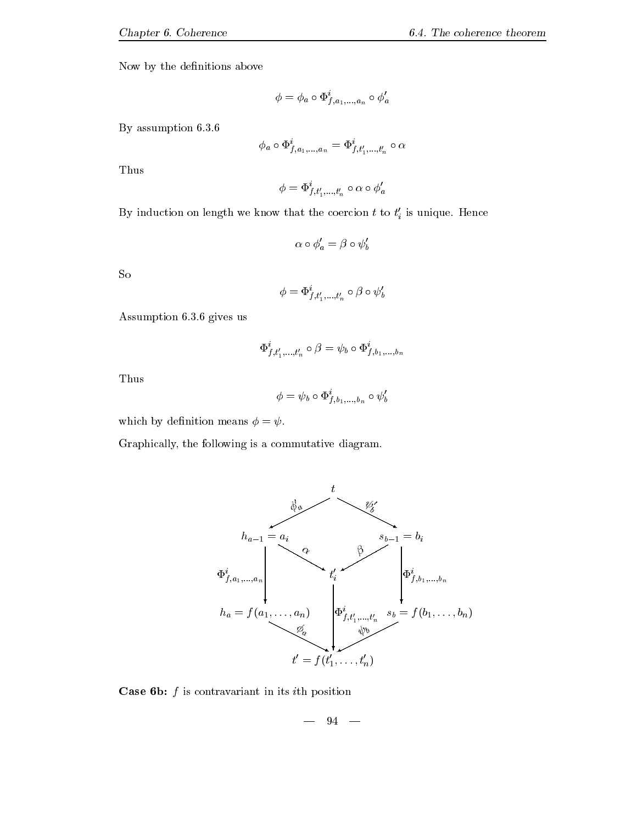Now by the definitions above

$$
\phi=\phi_a\circ \Phi_{f,a_1,...,a_n}^i\circ \phi_a'
$$

By assumption --

$$
\phi_a\circ\Phi_{f,a_1,...,a_n}^{\imath}=\Phi_{f,t_1',...,t_n'}^{\imath}\circ\alpha
$$

Thus

$$
\phi = \Phi_{f,t'_1,...,t'_n}^i \circ \alpha \circ \phi_a'
$$

By induction on length we know that the coercion  $t$  to  $t_i'$  is unique. Hence

$$
\alpha \circ \phi'_a = \beta \circ \psi'_b
$$

So

$$
\phi = \Phi_{f,t'_1,...,t'_n}^i \circ \beta \circ \psi_b'
$$

Assumption -- gives us

$$
\Phi_{f,\,t'_1,...,t'_n}^{\imath}\,\circ\beta = \psi_b\circ\Phi_{f,\,b_1,...,b_n}^{\imath}
$$

Thus

$$
\phi = \psi_b \circ \Phi^i_{f,b_1,...,b_n} \circ \psi'_b
$$

which by definition means  $\phi = \psi$ .

Graphically, the following is a commutative diagram.



**Case 6b:**  $f$  is contravariant in its *i*th position

$$
- \quad 94\quad -
$$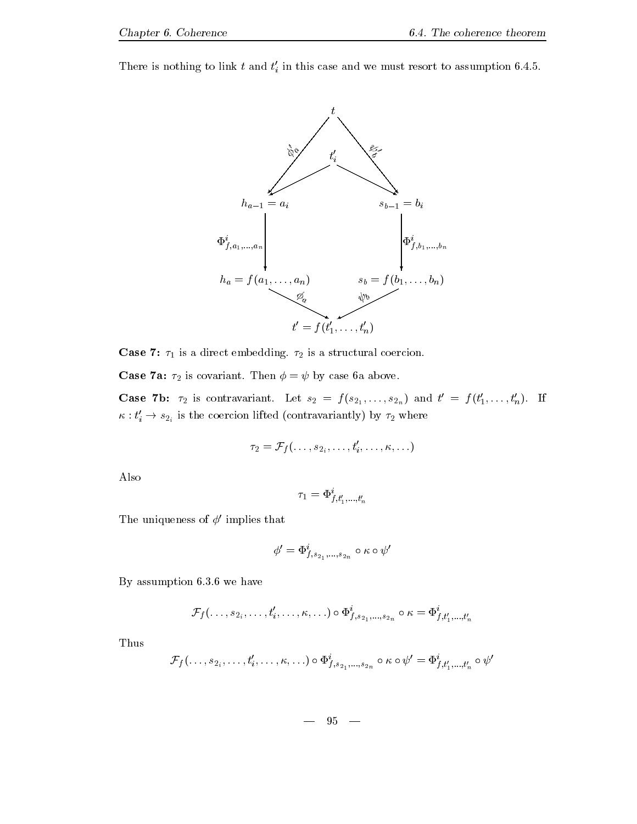There is nothing to link t and  $t_i'$  in this case and we must resort to assumption 6.4.5.



**Case 7:**  $\tau_1$  is a direct embedding.  $\tau_2$  is a structural coercion. is a structural coercion-coercion-coercion-coercion-coercion-coercion-coercion-coercion-coercion-coercion-coer

 $\tau$  and a covariant-definition of the covariant  $\tau$  and  $\tau$  are above as above a covariant of  $\tau$ 

**Case 7b:**  $\tau_2$  is contravariant. Let  $s_2 = f(s_{2_1}, \ldots, s_{2_n})$  and  $t' = f(t'_1, \ldots, t'_n)$ . If  $\kappa : t'_i \to s_{2_i}$  is the coercion lifted (contravariantly) by  $\tau_2$  where

$$
\tau_2=\mathcal{F}_f(\ldots,s_{2_i},\ldots,t_i',\ldots,\kappa,\ldots)
$$

Also

$$
\tau_1=\Phi_{f,t'_1,...,t'_n}^i
$$

The uniqueness of  $\phi'$  implies that

$$
\phi'=\Phi_{f,s_{2_{1}},...,s_{2_{n}}}^{i}\circ\kappa\circ\psi'
$$

— , we have have been a set of the second the set of the set of the second second the second second second second second second second second second second second second second second second second second second second sec

$$
\mathcal{F}_f(\ldots,s_{2_i},\ldots,t_i',\ldots,\kappa,\ldots)\circ\Phi^i_{f,s_{2_1},\ldots,s_{2_n}}\circ\kappa=\Phi^i_{f,t'_1,\ldots,t'_n}
$$

Thus

$$
\mathcal{F}_f(\ldots, s_{2_i}, \ldots, t_i', \ldots, \kappa, \ldots) \circ \Phi_{f, s_{2_1}, \ldots, s_{2_n}}^i \circ \kappa \circ \psi' = \Phi_{f, t_1', \ldots, t_n'}^i \circ \psi'
$$

95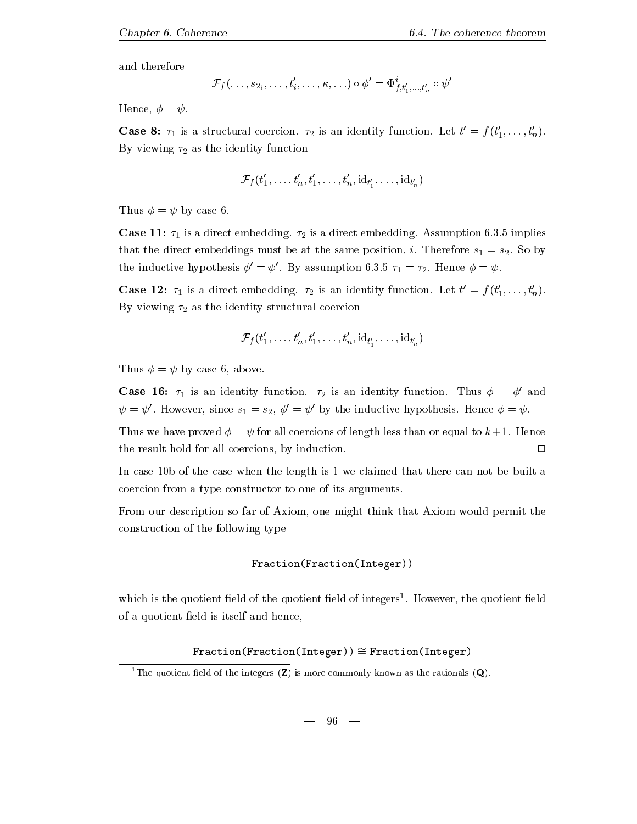and therefore

$$
\mathcal{F}_f(\ldots,s_{2_i},\ldots,t_i',\ldots,\kappa,\ldots)\circ\phi'=\Phi^i_{f,t_1',\ldots,t_n'}\circ\psi'
$$

Hence,  $\phi = \psi$ .

**Case 8:**  $\tau_1$  is a structural coercion.  $\tau_2$  is an identity function. Let  $t' = f(t'_1, \ldots, t'_n)$ . By viewing  $\tau_2$  as the identity function

$$
\mathcal{F}_f(t'_1,\ldots,t'_n,t'_1,\ldots,t'_n,\mathrm{id}_{t'_1},\ldots,\mathrm{id}_{t'_n})
$$

Thus  $\phi = \psi$  by case 6.

Case -- is a direct embedding- is a direct embedding- Assumption -- implies that the direct embeddings must be at the same position is set that the same position i-direct embeddings  $\Gamma$ the inductive hypothesis  $\phi' = \psi'$ . By assumption 6.3.5  $\tau_1 = \tau_2$ . Hence  $\phi = \psi$ .

**Case 12:**  $\tau_1$  is a direct embedding.  $\tau_2$  is an identity function. Let  $t' = f(t'_1, \ldots, t'_n)$ . By viewing  $\tau_2$  as the identity structural coercion

$$
\mathcal{F}_f(t'_1,\ldots,t'_n,t'_1,\ldots,t'_n,\mathrm{id}_{t'_1},\ldots,\mathrm{id}_{t'_n})
$$

Thus  $\phi = \psi$  by case 6, above.

**Case 16:**  $\tau_1$  is an identity function.  $\tau_2$  is an identity function. Thus  $\phi = \phi'$  and  $\psi = \psi'$ . However, since  $s_1 = s_2$ ,  $\phi' = \psi'$  by the inductive hypothesis. Hence  $\phi = \psi$ .

Thus we have proved  for all coercions of length less than or equal to k - Hence the result hold for all coercions, by induction.  $\Box$ 

In case 10b of the case when the length is  $1 \le \text{channel}$  that there can not be built a coercion from a type constructor to one of its arguments-

From our description so far of Axiom, one might think that Axiom would permit the construction of the following type

```
Fraction(Fraction(Integer))
```
which is the quotient held of the quotient held of integers". However, the quotient held of a quotient field is itself and hence,

 $Fraction(Fraction(Inter) \cong Fraction(Integer)$ 

<sup>&</sup>lt;sup>1</sup>The quotient field of the integers  $(Z)$  is more commonly known as the rationals  $(Q)$ .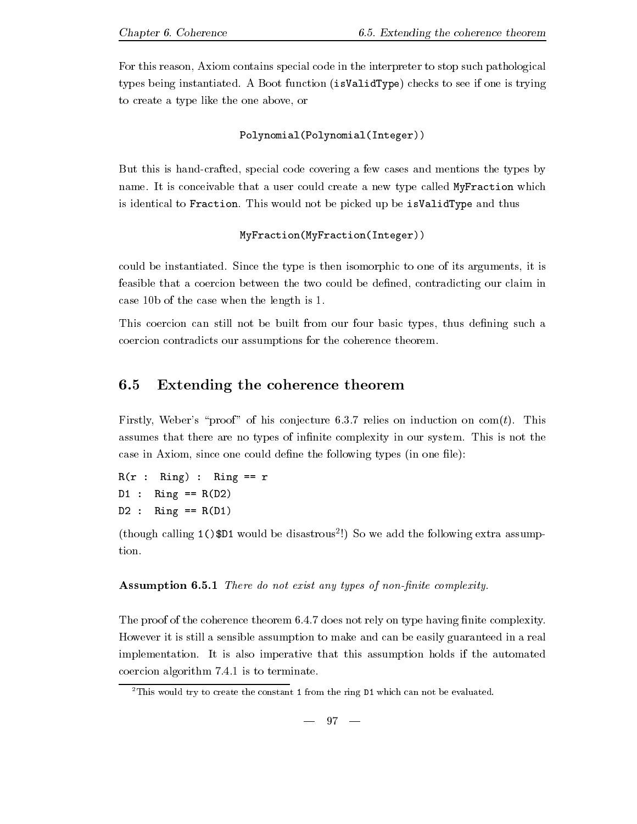For this reason, Axiom contains special code in the interpreter to stop such pathological types being instantiated is a boot function  $\{m \cdot \mu\}$  , the see if one is the integration of  $\mu$ to create a type like the one above, or

Polynomial(Polynomial(Integer))

But this is hand-crafted, special code covering a few cases and mentions the types by name-type conceivable that a user could create a user could create a user could create a new type called MyFraction which which we called MyFraction which we called MyFraction which we call the could be a set of the could is identical to Fraction- This would not be picked up be isValidType and thus

#### MyFraction(MyFraction(Integer))

could be instantiated be instantiated by instantiated-windows in the type isomorphic to one of its arguments i feasible that a coercion between the two could be defined, contradicting our claim in case 10b of the case when the length is  $1$ .

This coercion can still not be built from our four basic types, thus defining such a coercion contradicts our assumptions for the coherence theorem-

#### 6.5 Extending the coherence theorem

relies of the complete and the complete on complete and the complete on the complete relies on complete and th assumes that there are no types of innite complexity in our system-our system-our system-our system-our systemcase in Axiom, since one could define the following types (in one file):

 $R(r : Ring) : Ring == r$  $D1$  : Ring == R(D2) de la contrada de la contrada de la contrada de la contrada de la contrada de la contrada de la contrada de la

 $\mu$  and  $\mu$  assumption of the constraints  $\mu$  and  $\mu$  and  $\mu$  and  $\mu$  are following extra assumptions. tion.

Assumption - There do not exist any types of nonnite complexity-

The proof of the coherence theorem -- does not rely on type having nite complexity-However it is still a sensible assumption to make and can be easily guaranteed in a real implementation- It is also imperative that this assumption holds if the automated coercion algorithm -- is to terminate-

<sup>-</sup> This would try to create the constant 1 from the ring D1 which can not be evaluated.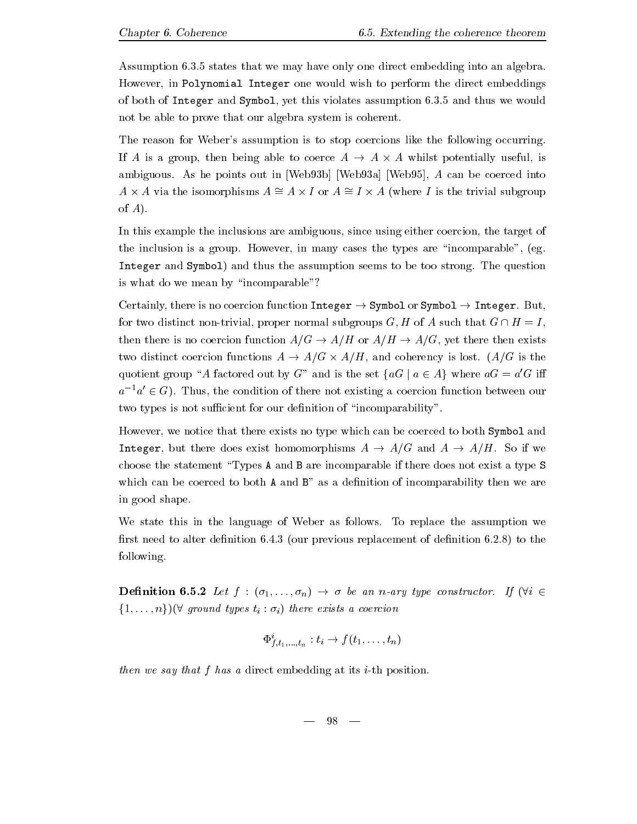$\mathbf{r}$  states that we may have only one direct embedding into an algebra-However, in Polynomial Integer one would wish to perform the direct embeddings of a close the Integer and Symbol yet this violation assumption - the close the symbol assumption - the symbol not be able to prove that our algebra system is coherent.

The reason for Weber's assumption is to stop coercions like the following occurring. is a coerce also a coerce and able to coerce A - and the coerce a - and the coerce a - and the coerce and the ambiguous-bene ambiguous-bene and web A can be coerced in Web A can be coerced into a can be coerced into the c  $A \times A$  via the isomorphisms  $A \cong A \times I$  or  $A \cong I \times A$  (where I is the trivial subgroup of  $A$ ).

In this example the inclusions are ambiguous, since using either coercion, the target of the inclusion is a group- However in many cases the types are incomparable eg-Integer and Symbol and thus the assumption seems to be too strong- The question is what do we mean by "incomparable"?

Certainly there is no coercion function Integer - Symbol or Symbol - Integer- But for two distinct nontrivial proper normal subgroups G H of A such that G H I then there is no coercion function AG - AH or AH - AG yet there then exists the distinct coercion functions as a - ag is lost-part distinctly in their text from the lostquotient group "A factored out by G" and is the set  $\{aG \mid a \in A\}$  where  $aG = a'G$  iff  $a^{-1}a' \in G$ ). Thus, the condition of there not existing a coercion function between our two types is not sufficient for our definition of "incomparability".

However, we notice that there exists no type which can be coerced to both Symbol and Integer but there does exist homomorphisms A - AG and A - AH- So if we choose the statement Types A and B are incomparable if there does not exist a type S which can be coerced to both  $A$  and  $B$ <sup>"</sup> as a definition of incomparability then we are in good shape.

We state this in the language of Weber as follows- To replace the assumption we rst need to alter denition - to alter denition - to alter denition - to the denition - to the denition - to th following.

 $\mathcal{U} = \mathcal{U} \cup \mathcal{U}$  is a non-type construction of  $\mathcal{U}$  ,  $\mathcal{U}$  is a non-type construction of  $\mathcal{U}$  $\{1,\ldots,n\}$ )( $\forall$  ground types  $t_i : \sigma_i$ ) there exists a coercion

$$
\Phi^i_{f,t_1,\ldots,t_n}: t_i \to f(t_1,\ldots,t_n)
$$

then we say that  $f$  has a direct embedding at its  $i$ -th position.

$$
- \phantom{1}98 \phantom{.00} -
$$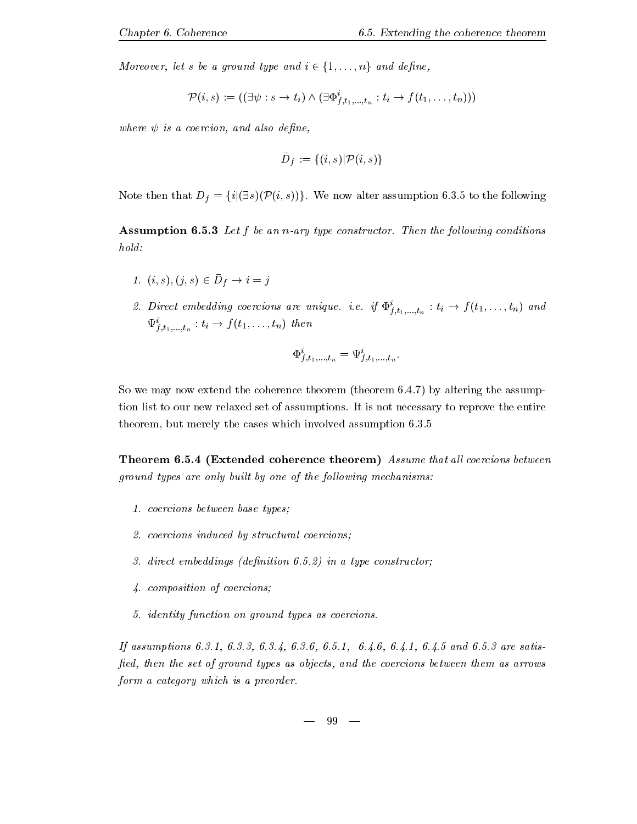Moreover, let s be a ground type and  $i \in \{1, \ldots, n\}$  and define,

$$
\mathcal{P}(i,s):=((\exists \psi:s\rightarrow t_i)\land(\exists \Phi_{f,t_1,\ldots,t_n}^i:t_i\rightarrow f(t_1,\ldots,t_n)))
$$

where  $\psi$  is a coercion, and also define,

$$
\bar{D}_f:=\{(i,s)|\mathcal{P}(i,s)\}
$$

Note then that Df fij
sPi sg- We now alter assumption -- to the following

assumptions are the state of the construction of the following conditions and the following constructions of the  $hold:$ 

- 1.  $\{i, s\}, \{j, s\} \in D_f \rightarrow i j$
- z. Direct embedding coercions are unique. i.e. if  $\Psi_{f,t_1,...,t_n} : t_i \to f(t_1,...,t_n)$  and  $\Psi_{f,t_1,\ldots,t_n}: \iota_i \to f(\iota_1,\ldots,\iota_n)$  inen

$$
\Phi_{f,t_{1},...,t_{n}}^{i}=\Psi_{f,t_{1},...,t_{n}}^{i}.
$$

So we may now extend the coherence theorem theorem -- by altering the assump tion list to our new relativities set of assumptions- it is not necessary to reprove the entire the entire our the cases which merely the cases which is a second assumption of the cases  $\mu$ 

**Theorem 6.5.4 (Extended coherence theorem)** Assume that all coercions between ground types are only built by one of the following mechanisms:

- -coercions between base types base types based on the coercions based on the coercions of the coercions of the
- coercions induced by structural coercions
- direct embeddings denition -- in a type constructor
- composition of coercions
- identity function on ground types as coercions-

If assumptions -- -- -- -- -- -- -- -- and -- are satis fied, then the set of ground types as objects, and the coercions between them as arrows form a category which is a preorder.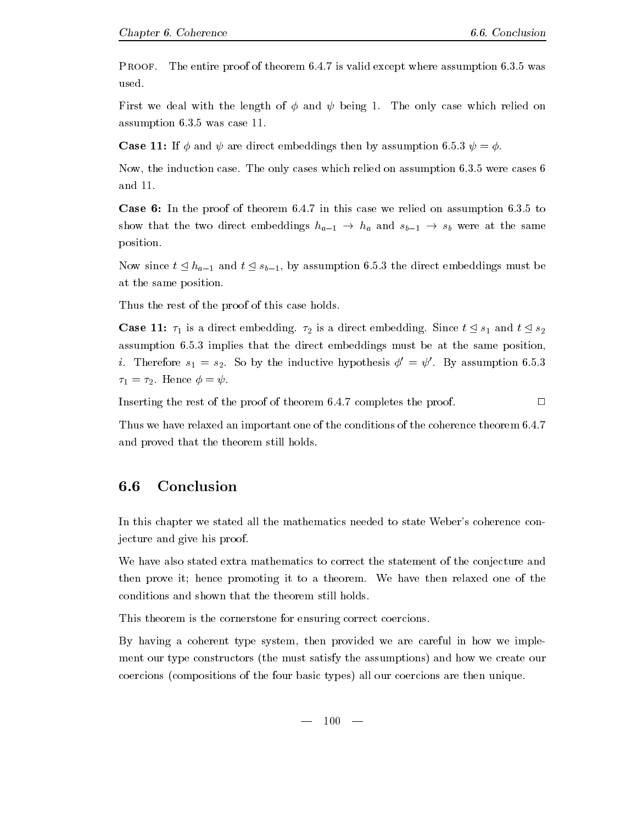Proof. The entire proof of the entire proof of the entire proof of the entire proof of the entire proof of the entire used.

 $\mathbf{f}$  and the length of  $\mathbf{f}$  and  $\mathbf{f}$  and  $\mathbf{f}$  and relief only case which relief on  $\mathbf{f}$ assumption -- was case -

 $\blacksquare$  . Then is and the direct extending the set of  $\blacksquare$  , and then  $\blacksquare$  . Then if  $\blacksquare$ 

Now the induction case- The only cases which relied on assumption -- were cases and  $11$ .

Case In the proof of theorem --in this case we relied on assumption -- to show that the two direct embeddings  $n_{a-1} \,\rightarrow\, n_a$  and  $s_{b-1} \,\rightarrow\, s_b$  were at the same position-

Now since  $t \leq n_{a-1}$  and  $t \leq s_{b-1}$ , by assumption 0.0.5 the direct embeddings must be at the same position.

Thus the rest of the proof of this case holds.

Case -- is a direct embedding- is a direct embedding- Since <sup>t</sup> s and <sup>t</sup> s assumption - - implies that the direct embeddings must be at the same position of the same position of the same i. Therefore  $s_1 = s_2$ . So by the inductive hypothesis  $\phi' = \psi'$ . By assumption 6.5.3 - Hence -

 $\Box$ Inserting the rest of the proof of theorem -- completes the proof-

Thus we have relaxed an important one of the conditions of the coherence theorem -and proved that the theorem still holds.

### 6.6 Conclusion

In this chapter we stated all the mathematics needed to state Weber's coherence conjecture and give his proof.

We have also stated extra mathematics to correct the statement of the conjecture and then prove it hence promoting it to a theorem- We have then relaxed one of the conditions and shown that the theorem still holds-

This theorem is the cornerstone for ensuring correct coercions-

By having a coherent type system, then provided we are careful in how we implement our type constructors (the must satisfy the assumptions) and how we create our coercions (compositions of the four basic types) all our coercions are then unique.

 $100 -$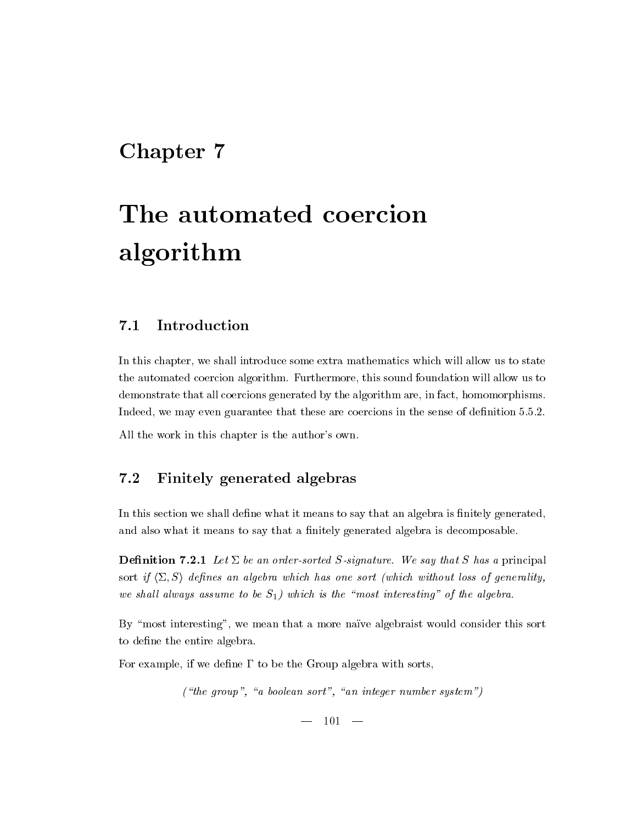# Chapter 7

# The automated coercion algorithm

#### $7.1$ Introduction

In this chapter, we shall introduce some extra mathematics which will allow us to state the automated coercion algorithm-independence the sound foundation will allow us to the sound foundation will all demonstrate that all coercions generated by the algorithm are, in fact, homomorphisms. Indeed we may even guarantee that these are coercions in the sense of denition ---

All the work in this chapter is the author's own.

# 7.2 Finitely generated algebras

In this section we shall define what it means to say that an algebra is finitely generated, and also what it means to say that a finitely generated algebra is decomposable.

denia denia denia denia denomina de la construcción de la construcción de la construcción de la construcción d sort if  $\langle \Sigma, S \rangle$  defines an algebra which has one sort (which without loss of generality, we shall always assume to be  $S_1$ ) which is the "most interesting" of the algebra.

By "most interesting", we mean that a more naïve algebraist would consider this sort to define the entire algebra.

For example, if we define  $\Gamma$  to be the Group algebra with sorts,

("the group", "a boolean sort", "an integer number system")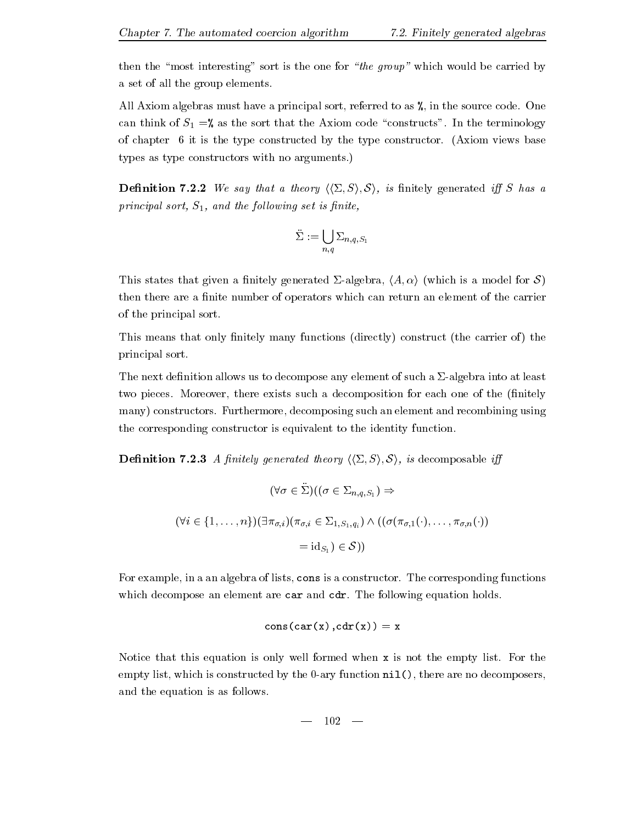then the "most interesting" sort is the one for "the group" which would be carried by a set of all the group elements.

All Axiom algebras must have a principal sort referred to as in the source code- One can think of S  $_1$  . We as the solution code constructs that the sort that the terminology of the type is the the type construction of the type construction- (increased the the two states of the two st types as type constructors with no arguments.)  $\mathbf{r}$ 

**Definition 7.2.2** We say that a theory  $\langle \langle \Sigma, S \rangle, S \rangle$ , is finitely generated iff S has a principal sort,  $S_1$ , and the following set is finite,

$$
\ddot{\Sigma}:=\bigcup_{n,q}\Sigma_{n,q,S_1}
$$

This states that given a finitely generated  $\Sigma$ -algebra,  $\langle A, \alpha \rangle$  (which is a model for S) then there are a finite number of operators which can return an element of the carrier of the principal sort-

This means that only finitely many functions (directly) construct (the carrier of) the principal sort-

The next definition allows us to decompose any element of such a  $\Sigma$ -algebra into at least two pieces- Moreover there exists such a decomposition for each one of the nitely many constructors- Furthermore decomposing such an element and recombining using the corresponding constructor is equivalent to the identity function-

**Definition 7.2.3** A finitely generated theory  $\langle \langle \Sigma, S \rangle, \mathcal{S} \rangle$ , is decomposable iff

$$
(\forall \sigma \in \Sigma)((\sigma \in \Sigma_{n,q,S_1}) \Rightarrow
$$
  

$$
(\forall i \in \{1, ..., n\})(\exists \pi_{\sigma,i})(\pi_{\sigma,i} \in \Sigma_{1,S_1,q_i}) \land ((\sigma(\pi_{\sigma,1}(\cdot), ..., \pi_{\sigma,n}(\cdot)))
$$
  

$$
= id_{S_1}) \in S))
$$

For example in a an algebra of lists cons is a constructor- The corresponding functions which decompose and compose are care and composed the following equation decompo

$$
\mathop{\mathrm{cons}}\nolimits(\mathop{\mathrm{car}}\nolimits({\rm x})\,,\mathop{\mathrm{cdr}}\nolimits({\rm x}))={\rm x}
$$

Notice that this equation is only well formed when x is not the empty list- For the empty list, which is constructed by the  $0$ -ary function  $nil()$ , there are no decomposers, and the equation is as follows-

$$
- \phantom{1}102 \phantom{.00} -
$$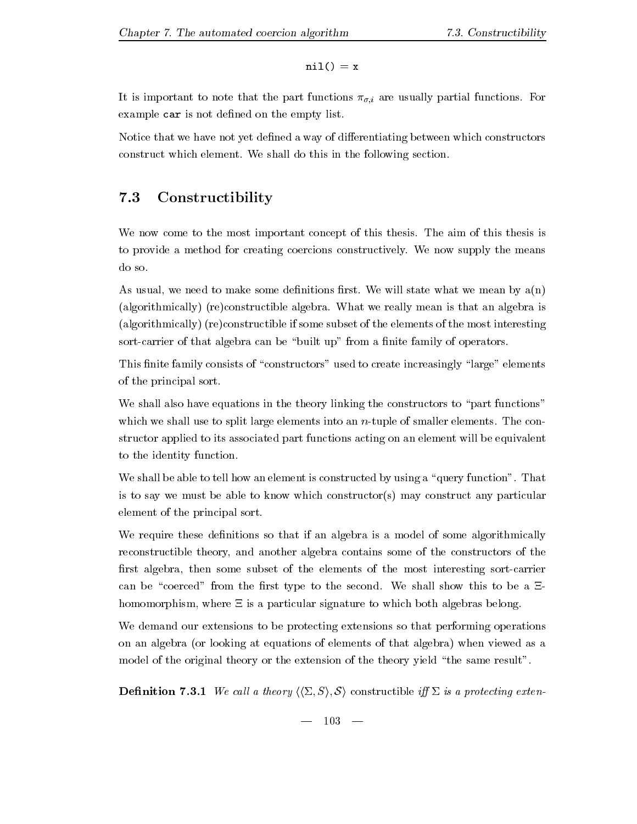$ni1() = x$ 

It is important to matter that the part functions  $\{y_i\}$  are usually particles functions  $\{y_i\}$ example car is not defined on the empty list.

Notice that we have not yet defined a way of differentiating between which constructors construct which elements if the following sections section-  $\mathcal{A}$  the following

#### $7.3$ Constructibility

we now to the total the most important concept of the this theory is the state the this theory is the state of to provide a method for creating coercions constructively- We now supply the means do so-

as usual we need to make some denitions need to state when we we we mean we mean and  $\mathbf{y}$  and  $\mathbf{y}$  $\mathcal{L}$  . The construction is the real length algebra is that algebra is the construction is that and algebra is the construction of  $(a$ lgorithmically $)$  (re)constructible if some subset of the elements of the most interesting sort-carrier of that algebra can be "built up" from a finite family of operators.

This finite family consists of "constructors" used to create increasingly "large" elements of the principal sort-

We shall also have equations in the theory linking the constructors to "part functions" which we shall use to split large elements into an neutral elements into an neutral elementsstructor applied to its associated part functions acting on an element will be equivalent to the identity function-

we shall be able to the first integration of the construction  $\mathcal{A}$  , we use  $\mathcal{A}$  as  $\mathcal{A}$  and  $\mathcal{A}$  and  $\mathcal{A}$ is to say we must be able to know which constructor(s) may construct any particular element of the principal sort-

We require these definitions so that if an algebra is a model of some algorithmically reconstructible theory and another algebra contains some of the constructors of the first algebra, then some subset of the elements of the most interesting sort-carrier can be coerced to the rst type to the second-type to the second-type to the second-type to be a 5-minute of th homomorphism, where  $\Xi$  is a particular signature to which both algebras belong.

We demand our extensions to be protecting extensions so that performing operations on an algebra (or looking at equations of elements of that algebra) when viewed as a model of the original theory or the extension of the theory yield "the same result".

Denition - We cal l a theory hh& Si S i constructible i & is a protecting exten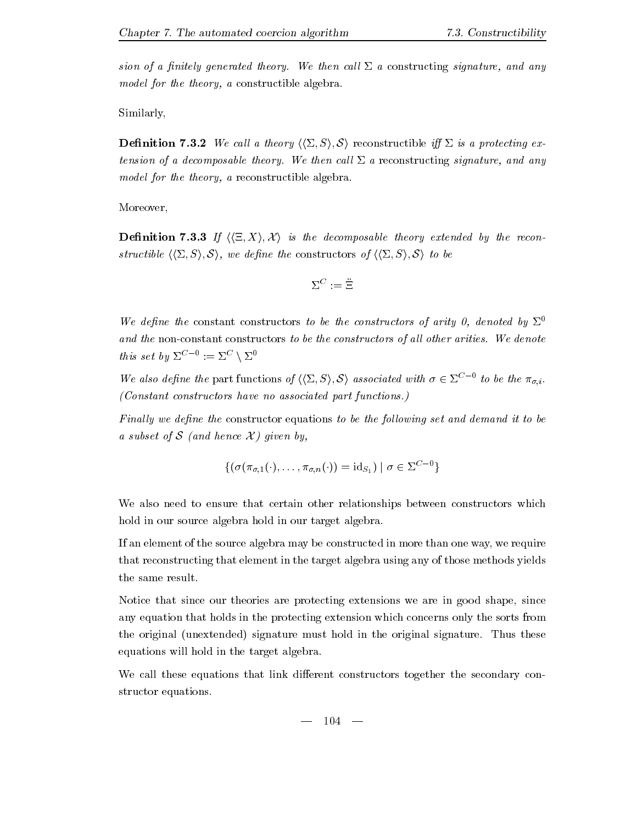Similarly

**Definition 7.3.2** We call a theory  $\langle \langle \Sigma, S \rangle, \mathcal{S} \rangle$  reconstructible iff  $\Sigma$  is a protecting extension of a decomposable then call later the call later theory-decomposable signature and any call later than  $\mathcal{M}$ model for the theory, a reconstructible algebra.

Moreover

**Definition 7.3.3** If  $\langle \langle \Xi, X \rangle, \mathcal{X} \rangle$  is the decomposable theory extended by the reconstructible  $\langle \langle \Sigma, S \rangle, \mathcal{S} \rangle$ , we define the constructors of  $\langle \langle \Sigma, S \rangle, \mathcal{S} \rangle$  to be

$$
\Sigma^C:=\ddot{\Xi}
$$

We define the constant constructors to be the constructors of arity 0, denoted by  $\Sigma^0$ and the mosm commutative construction is the collection of all all lines arities- all lines well be a construct this set by  $\Sigma^{C=0} := \Sigma^{C} \setminus \Sigma^{0}$ 

We also define the part functions of  $\langle \langle \Sigma, S \rangle, \mathcal{S} \rangle$  associated with  $\sigma \in \Sigma^{C-0}$  to be the  $\pi_{\sigma,i}$ . Constant constructors have no associated part functions- $\mathbf{r}$  and  $\mathbf{r}$ 

Finally we define the constructor equations to be the following set and demand it to be a subset of S (and hence  $\mathcal{X}$ ) given by.

$$
\{(\sigma(\pi_{\sigma,1}(\cdot),\ldots,\pi_{\sigma,n}(\cdot))=\mathrm{id}_{S_1})\mid \sigma\in\Sigma^{C-0}\}
$$

We also need to ensure that certain other relationships between constructors which hold in our source algebra hold in our target algebra.

If an element of the source algebra may be constructed in more than one way, we require that reconstructing that element in the target algebra using any of those methods yields the same result.

Notice that since our theories are protecting extensions we are in good shape, since any equation that holds in the protecting extension which concerns only the sorts from the original unextended signature must hold in the original signature- Thus these equations will hold in the target algebra.

We call these equations that link different constructors together the secondary constructor equations.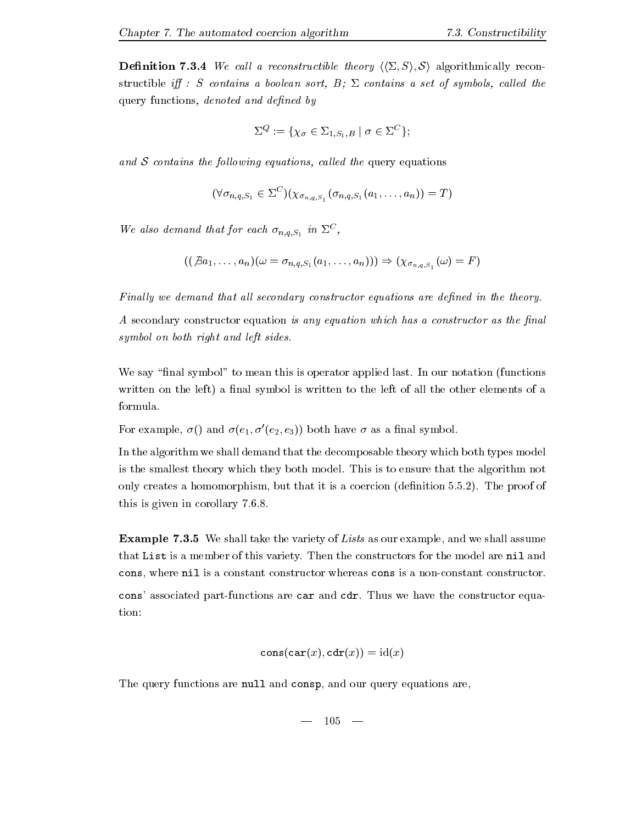**Definition 7.3.4** We call a reconstructible theory  $\langle \langle \Sigma, S \rangle, S \rangle$  algorithmically reconstructible iff : S contains a boolean sort,  $B$ ;  $\Sigma$  contains a set of symbols, called the query functions, denoted and defined by

$$
\Sigma^Q:=\{\chi_{\sigma}\in \Sigma_{1,S_1,B}\mid \sigma\in \Sigma^C\};
$$

and  $S$  contains the following equations, called the query equations

$$
(\forall \sigma_{n,q,S_1} \in \Sigma^C)(\chi_{\sigma_{n,q,S_1}}(\sigma_{n,q,S_1}(a_1,\ldots,a_n)) = T)
$$

we also demand that for each  $\sigma_{n,q,S_1}$  in  $\varDelta^{-}$ ,

$$
((\not\exists a_1,\ldots, a_n)(\omega=\sigma_{n,q,S_1}(a_1,\ldots, a_n)))\Rightarrow (\chi_{\sigma_{n,q,S_1}}(\omega)=F)
$$

Finally we demand that all secondary constructor equations are defined in the theory.

A secondary constructor equation is any equation which has a constructor as the final symbol on both right and left sides.

we say the mean this is operator the mean this is operator applied the same that the contract punction functions written on the left) a final symbol is written to the left of all the other elements of a formula.

For example,  $\sigma$ () and  $\sigma$ (e<sub>1</sub>,  $\sigma'$ (e<sub>2</sub>, e<sub>3</sub>)) both have  $\sigma$  as a final symbol.

In the algorithm we shall demand that the decomposable theory which both types model is the smallest theory which they both model- This is to ensure that the algorithm not only creates a homomorphism but that it is a coercion denition --- The proof of this is given in corollary ---

**Example 7.3.5** We shall take the variety of Lists as our example, and we shall assume that List is a member of this variety. The model are nil and model and model are nil and model are  $\sim$ cons, where nil is a constant constructor whereas cons is a non-constant constructor. constructions are part the constructions are care the constructor and constructor and construction and construct tion

$$
\mathtt{cons}(\mathtt{car}(x),\mathtt{cdr}(x))=\mathrm{id}(x)
$$

The query functions are null and consp, and our query equations are,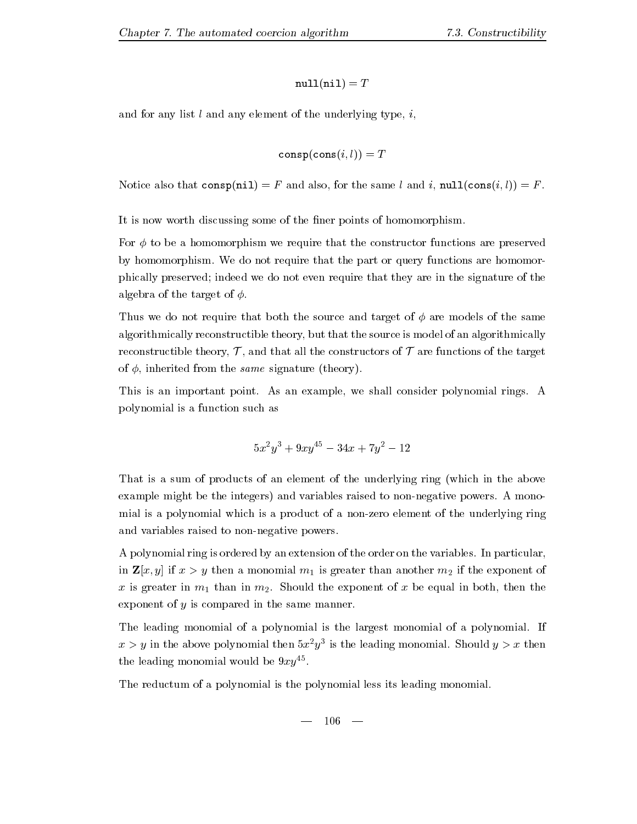$$
\verb"null(nil)=T
$$

and for any list  $l$  and any element of the underlying type,  $i$ ,

$$
\mathtt{consp}(\mathtt{cons}(i,l)) = T
$$

Notice also that  $\text{cons}(nil) = F$  and also, for the same l and i,  $null(\text{cons}(i, l)) = F$ .

It is now worth discussing some of the finer points of homomorphism.

For  $\phi$  to be a homomorphism we require that the constructor functions are preserved by homomorphism- We do not require that the part or query functions are homomor phically preserved; indeed we do not even require that they are in the signature of the algebra of the target of  $\phi$ .

Thus we do not require that both the source and target of  $\phi$  are models of the same algorithmically reconstructible theory but that the source is model of an algorithmically reconstructible theory,  $\mathcal{T}$ , and that all the constructors of  $\mathcal{T}$  are functions of the target of  $\phi$ , inherited from the *same* signature (theory).

This is an important point- As an example we shall consider polynomial rings- A polynomial is a function such as

$$
5x^2y^3 + 9xy^{45} - 34x + 7y^2 - 12
$$

That is a sum of products of an element of the underlying ring (which in the above example might be the integers and variables raised to nonnegative powers- A mono mial is a polynomial which is a product of a nonzero element of the underlying ring and variables raised to non-negative powers.

A polynomial ring is ordered by an extension of the order on the variables- In particular in  $\mathbf{Z}[x, y]$  if  $x > y$  then a monomial  $m_1$  is greater than another  $m_2$  if the exponent of  $\alpha$  is greater in m-dimensional in  $\mathbb{Z}_2$  . While the exponent of the exponent of the exponent in both the exponent exponent of  $y$  is compared in the same manner.

The leading monomial of a polynomial is the largest monomial of a polynomial- If  $x > y$  in the above polynomial then  $\Im x/y$  is the leading monomial. Should  $y > x$  then the leading monomial would be  $\Im x y$ .

The reductum of a polynomial is the polynomial less its leading monomial.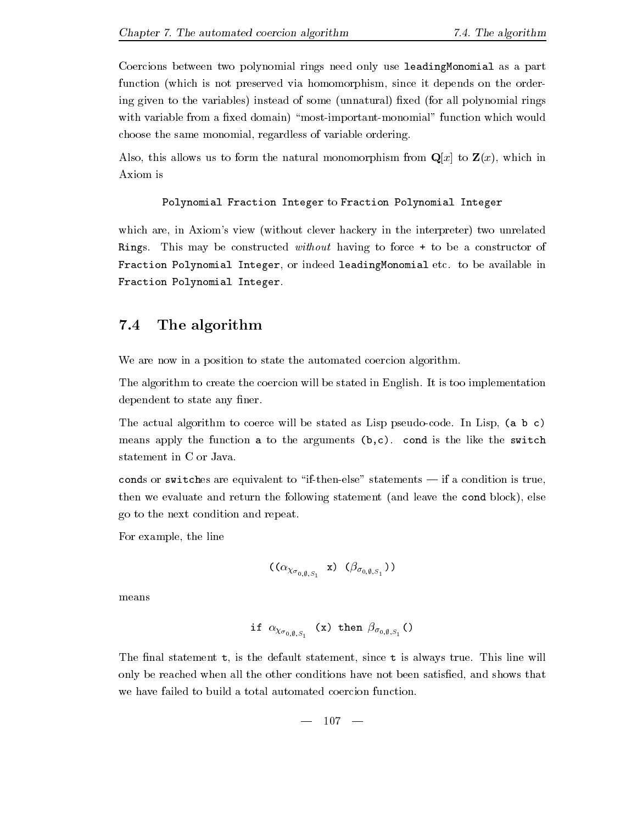Coercions between two polynomial rings need only use leadingMonomial as a part function (which is not preserved via homomorphism, since it depends on the ordering given to the variables) instead of some (unnatural) fixed (for all polynomial rings with variable from a fixed domain) "most-important-monomial" function which would choose the same monomial, regardless of variable ordering.

Also, this allows us to form the natural monomorphism from  $\mathbf{Q}[x]$  to  $\mathbf{Z}(x)$ , which in Axiom is

```
Polynomial Fraction Integer to Fraction Polynomial Integer
```
which are, in Axiom's view (without clever hackery in the interpreter) two unrelated Rings- This may be constructed without having to force to be a constructor of  $\mathbf{f}$ Fraction Polynomial Integer.

#### $7.4$ The algorithm

We are now in a position to state the automated coercion algorithm.

The algorithm to create the coercion will be stated in English- It is too implementation dependent to state any finer.

The actual algorithm to coerce will be stated as Lisp pseudocode- In Lisp a b c means apply the function a to the arguments by fifth a the switchest switches the switches statement in C or Java.

condition to switches are equivalent to if the show that if a condition is true statements of the statements of then we evaluate and return the following statement (and leave the cond block), else go to the next condition and repeat-

For example, the line

$$
((\alpha_{\chi_{\sigma_{0,\emptyset,S_1}}}\ \mathbf{x})\ (\beta_{\sigma_{0,\emptyset,S_1}}))
$$

means

$$
\text{if } \alpha_{\chi_{\sigma_{0,\emptyset,S_1}}} \text{ (x) then } \beta_{\sigma_{0,\emptyset,S_1}} \text{()}
$$

The nal statement that is the default statement since the default statement since the default since the default statement of  $\mathcal{L}_\text{max}$ only be reached when all the other conditions have not been satisfied, and shows that we have failed to build a total automated coercion function.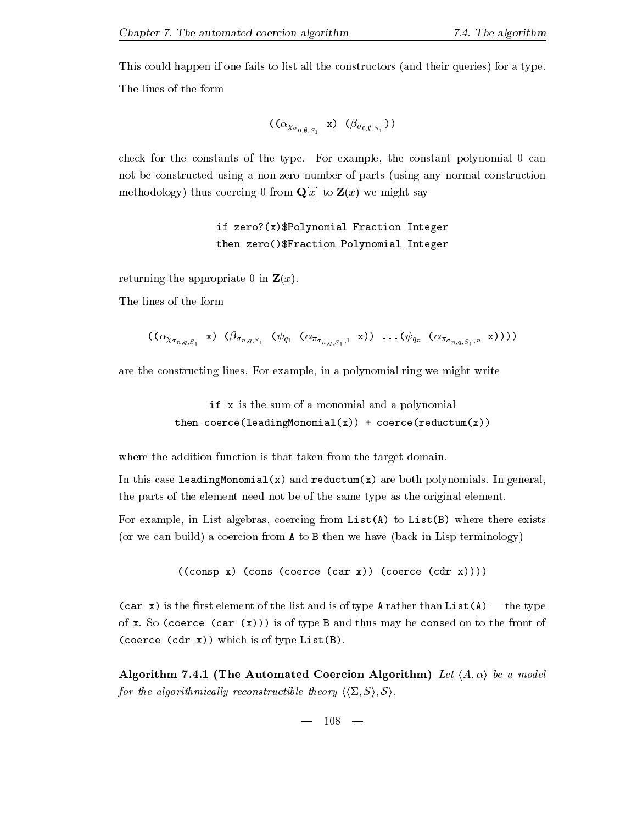This could happen if one fails to list all the constructors (and their queries) for a type. The lines of the form

$$
((\alpha_{\chi_{\sigma_{0,\emptyset,S_1}}}\ \mathbf{x})\ (\beta_{\sigma_{0,\emptyset,S_1}}))
$$

check for the constants of the type- for example, the constant polynomial  $\sigma$  the const not be constructed using a non-zero number of parts (using any normal construction methodology) thus coercing 0 from  $\mathbf{Q}[x]$  to  $\mathbf{Z}(x)$  we might say

> if  $zero?(x)$ \$Polynomial Fraction Integer then zero()\$Fraction Polynomial Integer

returning the appropriate 0 in  $\mathbf{Z}(x)$ .

The lines of the form

$$
((\alpha_{\chi_{\sigma_{n,q,S_1}}} x) (\beta_{\sigma_{n,q,S_1}} (\psi_{q_1} (\alpha_{\pi_{\sigma_{n,q,S_1},1}} x)) \dots (\psi_{q_n} (\alpha_{\pi_{\sigma_{n,q,S_1},n}} x))))
$$

are the construction  $\alpha$  and construction in a polynomial ring we might write  $\alpha$ 

if x is the sum of a monomial and a polynomial then coerce(leadingMonomial(x)) + coerce(reductum(x))

where the addition function is that taken from the target domain.

In this case leadingMonomialx and reductumx are both polynomials- In general the parts of the element need not be of the same type as the original element-

For example, in List algebras, coercing from  $List(A)$  to  $List(B)$  where there exists (or we can build) a coercion from  $A$  to  $B$  then we have (back in Lisp terminology)

```
((\text{cons } x) (cons (coerce (car x)) (coerce (\text{cdr } x))))
```
care is the carrier of the list and is one than the type A rather than ListA (i.e., the type of a so coerce care care and the front of the front of the front of the front of the front of the front of the (coerce (cdr  $x$ )) which is of type List(B).

 $\blacksquare$  - and  $\blacksquare$ for the algorithmically reconstructible theory  $\langle\langle \Sigma, S \rangle, \mathcal{S} \rangle$ .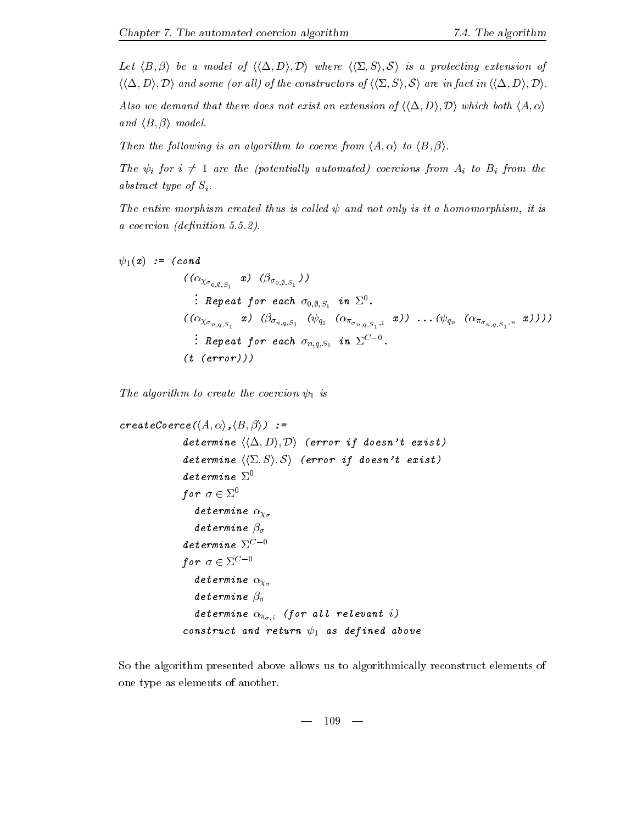Let hB <sup>i</sup> be a model of hh( Di Di where hh& Si S i is a protecting extension of  $\langle \langle \Delta, D \rangle, \mathcal{D} \rangle$  and some (or all) of the constructors of  $\langle \langle \Sigma, S \rangle, \mathcal{S} \rangle$  are in fact in  $\langle \langle \Delta, D \rangle, \mathcal{D} \rangle$ .

Also we demand that there does not exist an extension of  $\langle\langle \Delta, D \rangle$ ,  $D \rangle$  which both  $\langle A, \alpha \rangle$  $\cdots$  .  $\cdots$  is a model-

Then the following is an algorithm to coerce from hA i to hA i to h

The  $\psi_i$  for  $i \neq 1$  are the (potentially automated) coercions from  $A_i$  to  $B_i$  from the abstract type of  $S_i$ .

The entire morphism created thus is called  $\psi$  and not only is it a homomorphism, it is a coercion denition ---

$$
\psi_1(x) := (cond
$$
\n
$$
((\alpha_{\chi_{\sigma_{0,\emptyset,S_1}}} x) (\beta_{\sigma_{0,\emptyset,S_1}}))
$$
\n
$$
\vdots
$$
\n
$$
Repeat \ for \ each \ \sigma_{0,\emptyset,S_1} \ in \ \Sigma^0.
$$
\n
$$
((\alpha_{\chi_{\sigma_{n,q,S_1}}} x) (\beta_{\sigma_{n,q,S_1}} (\psi_{q_1} (\alpha_{\pi_{\sigma_{n,q,S_1},1}} x)) \dots (\psi_{q_n} (\alpha_{\pi_{\sigma_{n,q,S_1},n}} x))))
$$
\n
$$
\vdots
$$
\n
$$
Repeat \ for \ each \ \sigma_{n,q,S_1} \ in \ \Sigma^{C-0}.
$$
\n
$$
(t \ (error)))
$$

The algorithm to create the coercion  $\psi_1$  is

```
\cdots . The independent of \cdots is a set of \cdots in \cdots in \cdots is a set of \cdotsdetermine \langle\langle\Delta,D\rangle,\mathcal{D}\rangle (error if doesn't exist)
                          determine \langle\langle \Sigma, S \rangle, \mathcal{S} \rangle (error if doesn't exist)
                          determine \ \Sigma^{0}for \sigma \in \Sigma^0determine \alpha_{\chi_{\sigma}}determine \beta_{\sigma}\determine \Sigma^{C-0}for \sigma \in \Sigma^{C-0}determine \alpha_{\chi_{\sigma}}determine \beta_{\sigma}\mathbf{a} for all \mathbf{a} and its interval in the set of all \mathbf{a} and \mathbf{a} are all \mathbf{a} and \mathbf{a} are all \mathbf{a} and \mathbf{a} are all \mathbf{a} and \mathbf{a} are all \mathbf{a} and \mathbf{a} are all \mathbf{a} a
                          construct and return \psi_1 as defined above
```
So the algorithm presented above allows us to algorithmically reconstruct elements of one type as elements of another.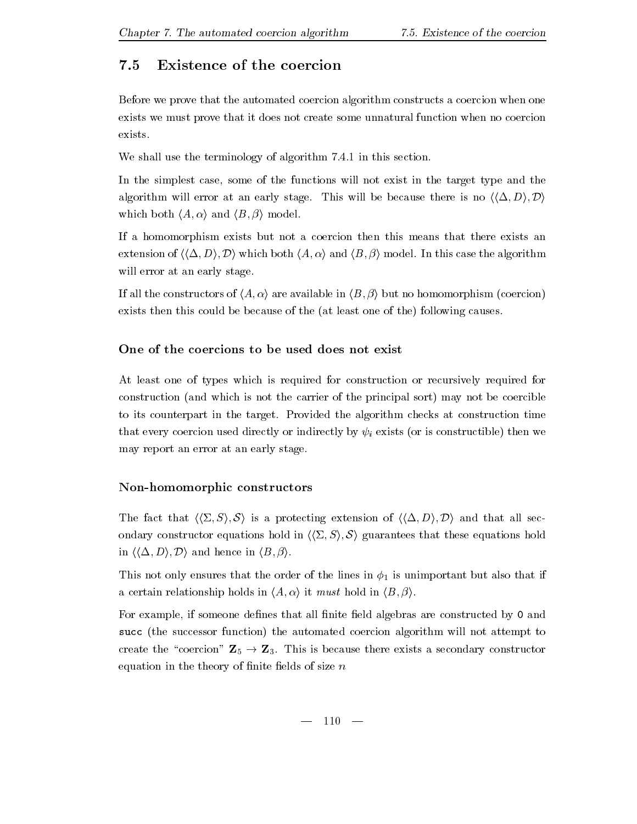### $7.5$ Existence of the coercion

Before we prove that the automated coercion algorithm constructs a coercion when one exists we must prove that it does not create some unnatural function when no coercion exists.

where the terminology of algorithm  $\mathbf{M}$  and the terminology of algorithm -

In the simplest case, some of the functions will not exist in the target type and the algorithm will be because there is no half be because the because there is no half because the  $D$ which both hA i and hA i and hA i model-both hA i and hA i and hA i and hA i and hA i and hA i and hA i and hA

If a homomorphism exists but not a coercion then this means that there exists an . The case the algorithm both hA i and hA i and hA i and hA i and hA i and hA i and hA i and hA i and hA i and hA i and hA i and hA i and hA i and hA i and hA i and hA i and hA i and hA i and hA i and hA i and hA i and hA will error at an early stage.

in all the construction of the in half-constructors of  $\left\{ -1, \mu \right\}$  , which is the following the coercion  $\mu$ exists then this could be because of the (at least one of the) following causes.

At least one of types which is required for construction or recursively required for construction (and which is not the carrier of the principal sort) may not be coercible to its counterpart in the target- Provided the algorithm checks at construction time that every coercion used directly or indirectly by  $\psi_i$  exists (or is constructible) then we may report an error at an early stage.

### Non
homomorphic constructors

The fact that  $\langle \langle \Sigma, S \rangle, \mathcal{S} \rangle$  is a protecting extension of  $\langle \langle \Delta, D \rangle, \mathcal{D} \rangle$  and that all secondary constructor equations hold in  $\langle \langle \Sigma, S \rangle, S \rangle$  guarantees that these equations hold in here is a contract in the contract in the contract of  $\mathbf{I}$ 

This not only ensures that the order of the lines in  $\phi_1$  is unimportant but also that if a certain relationship holds in  $\{1,2,3,4,5\}$  is must hold in  $\{1,3,4,6\}$ 

For example, if someone defines that all finite field algebras are constructed by 0 and succ (the successor function) the automated coercion algorithm will not attempt to create the coercion Z - Z- This is because there exists a secondary constructor equation in the theory of finite fields of size  $n$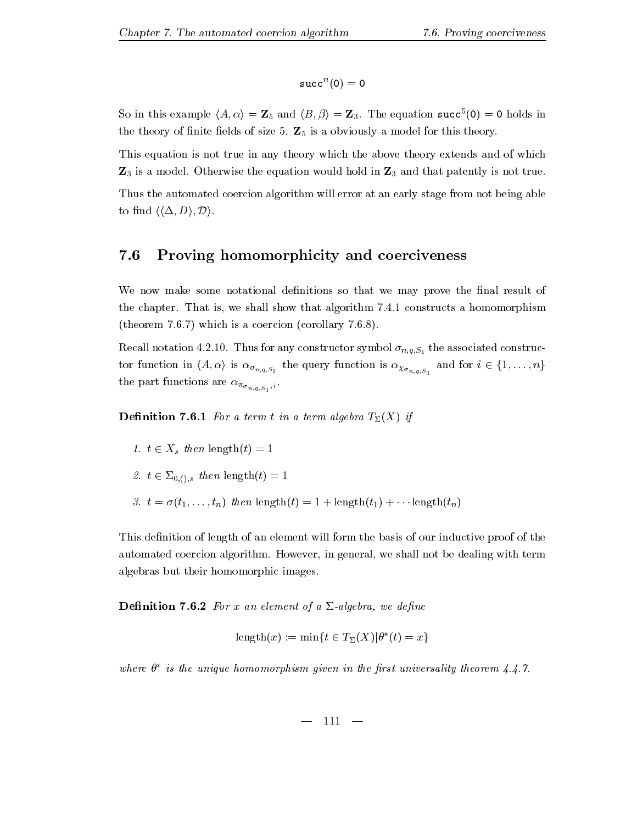$$
\verb+succ+(0)=0
$$

So in this example  $\langle A, \alpha \rangle = \mathbf{Z}_5$  and  $\langle B, \beta \rangle = \mathbf{Z}_3$ . The equation succ $\langle 0 \rangle = 0$  holds in the theory of size  $\theta$  is a obviously a model for this theory-size  $\theta$ 

This equation is not true in any theory which the above theory extends and of which Z is a model- Otherwise the equation would hold in Z and that patently is not true-Thus the automated coercion algorithm will error at an early stage from not being able to find  $\langle \langle \Delta, D \rangle, \mathcal{D} \rangle$ .

#### 7.6 Proving homomorphicity and coerciveness

We now make some notational definitions so that we may prove the final result of the chapter-chapter show that is we show that algorithm is shown that all show the show the show that is provided  $\mathbf{v}$  is a coercion corollary - which is a corollary - which is a corollary - which is a corollary - which is a corollary - which is a conordial of the corollary - which is a conordial of the corollary - which is a cor

 $\mathcal{S}$  and associated construction  $\mathcal{S}$  and  $\mathcal{S}$  are associated construction symbol  $\mathcal{S}$  $\lambda \sigma_{n,q,S_1}$  is not  $\lambda \sigma_{n,q,S_1}$  in  $\lambda \sigma_{n,q,S_1}$  is not  $\lambda \sigma_{n,q,S_1}$  in the set of  $\infty$  $r = r + 1$ 

Denition - For a term t in a term algebra TX if

- <sup>t</sup> Xs then lengtht 

. . .

- t &-s then lengtht
- $\mathbf{r}$  . Then then then then  $\mathbf{r}$  is the control then the control then the control that  $\mathbf{r}$

This definition of length of an element will form the basis of our inductive proof of the automated coercion algorithment metals als with the dealing with terms and with the coercion of the deal of the algebras but their homomorphic images-

**Definition 7.6.2** For x an element of a  $\Sigma$ -algebra, we define

$$
length(x) := min\{t \in T_{\Sigma}(X)|\theta^*(t) = x\}
$$

where  $\sigma$  -is the unique homomorphism qiven in the first universality theorem 4.4.1.  $\ldots$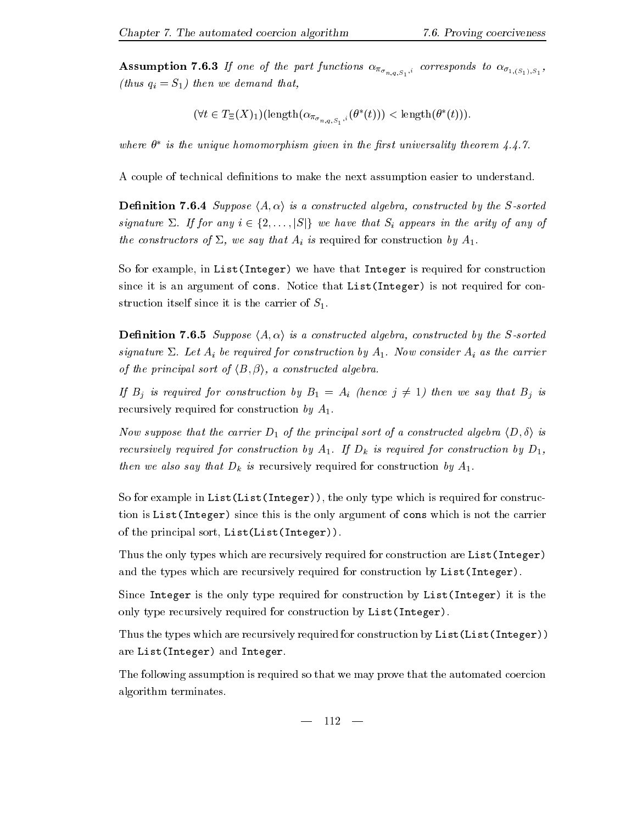$\mathbf{F}$  and  $\mathbf{F}$  is to  $\mathbf{F}$  and  $\mathbf{F}$  is the part functions of  $\mathbf{F}_{n,q,S_{1}},$  (thus  $q_i = S_1$ ) then we demand that,

$$
(\forall t \in T_{\Xi}(X)_1)(\operatorname{length}(\alpha_{\pi_{\sigma_{n,q,S_1},i}}(\theta^*(t))) < \operatorname{length}(\theta^*(t))).
$$

where  $\sigma$  is the unique homomorphism qiven in the first universality theorem 4.4.1.  $\sigma$ 

A couple of technical definitions to make the next assumption easier to understand.

**Definition 7.6.4** Suppose  $\langle A, \alpha \rangle$  is a constructed algebra, constructed by the S-sorted signature  $-$  if  $j$  is that  $\beta$  and  $j$  and  $j$  and  $j$  and arity of any of any of any of any of any of any of any of any of any of any of any of any of any of any of any of any of any of any of any of any of any of any the constructors of  $\Sigma$ , we say that  $A_i$  is required for construction by  $A_1$ .

So for example, in List (Integer) we have that Integer is required for construction since it is an argument of cons- Notice that ListInteger isnot required for con struction itself since it is the carrier of  $S_1$ .

**Definition 7.6.5** Suppose  $\langle A, \alpha \rangle$  is a constructed algebra, constructed by the S-sorted signature are at a construction by A-M- construction by A-M- construction by A-M- construction by A-M- construction by A-M- construction by A-M- construction by A-M- construction by A-M- construction by A-M- construction of the principal sort of hB i a constructed algebra-

If  $B_j$  is required for construction by  $B_1 = A_i$  (hence  $j \neq 1$ ) then we say that  $B_j$  is recursively required for construction by  $A_1$ .

Now suppose that the carrier  $D_1$  of the principal sort of a constructed algebra  $\langle D, \delta \rangle$  is recursively required for construction by  $\mu$  is required for construction by Defterministic for construction by Defterministic for construction by Defterministic for construction by Defterministic for construction by Deft then we also say that  $D_k$  is recursively required for construction by  $A_1$ .

So for example in  $List(List(Integer))$ , the only type which is required for construction is List(Integer) since this is the only argument of cons which is not the carrier of the principal sort, List(List(Integer)).

Thus the only types which are recursively required for construction are List (Integer) and the types which are recursively required for construction by  $List(Integer)$ .

Since Integer is the only type required for construction by List(Integer) it is the only type recursively required for construction by List(Integer).

Thus the types which are recursively required for construction by List(List(Integer)) are List(Integer) and Integer.

The following assumption is required so that we may prove that the automated coercion algorithm terminates.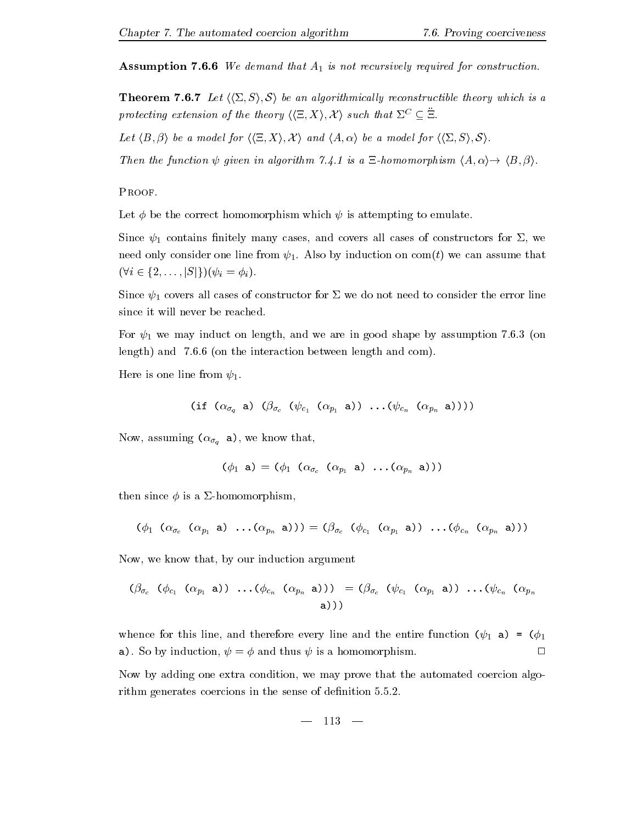**Assumption 7.6.6** We demand that  $A_1$  is not recursively required for construction.

**Theorem 7.6.7** Let  $\langle \langle \Sigma, S \rangle, \mathcal{S} \rangle$  be an algorithmically reconstructible theory which is a protecting extension of the theory  $(\{\subseteq, \Lambda\}, \Lambda)$  such that  $\Delta^-\subseteq \Xi$ .

i be a model for health for his contract for  $i$  and  $i$  and  $i$  and  $i$  and  $i$  and  $i$  and  $i$  since  $i$ 

. Then the function of distriction and algorithm reduced to the contract bility is a set of the life is a set o

PROOF.

Let  $\phi$  be the correct homomorphism which  $\psi$  is attempting to emulate.

Since  $\psi_1$  contains finitely many cases, and covers all cases of constructors for  $\Sigma$ , we need on a letter one line from  $\mathcal{A}$  assume that we comtain  $\mathcal{A}$  assume that we can assume that we can assume that we can assume that we can assume that we can assume that we can assume that we can assume that we c  $(\forall i \in \{2,\ldots,|S|\})(\psi_i = \phi_i).$ 

Since  $\psi_1$  covers all cases of constructor for  $\Sigma$  we do not need to consider the error line since it will never be reached.

 $\tau$  ,  $\tau$  ,  $\tau$  ,  $\tau$  ,  $\tau$  ,  $\tau$  ,  $\tau$  ,  $\tau$  ,  $\tau$  ,  $\tau$  ,  $\tau$  ,  $\tau$  ,  $\tau$  ,  $\tau$  ,  $\tau$  ,  $\tau$  ,  $\tau$  ,  $\tau$  ,  $\tau$  ,  $\tau$  ,  $\tau$  ,  $\tau$  ,  $\tau$  ,  $\tau$  ,  $\tau$  ,  $\tau$  ,  $\tau$  ,  $\tau$  ,  $\tau$  ,  $\tau$  ,  $\tau$  ,  $\tau$ length and -- on the interaction between length and com-

Here is one line from  $\psi_1$ .

(if 
$$
(\alpha_{\sigma_q} \circ ) (\beta_{\sigma_q} (\psi_{c_1} (\alpha_{p_1} \circ ) ) \dots (\psi_{c_n} (\alpha_{p_n} \circ ))))
$$

Now, assuming  $(\alpha_{\sigma_q} \cdot \mathbf{a})$ , we know that,

$$
(\phi_1 \mathbf{a}) = (\phi_1 \ (\alpha_{\sigma_c} \ (\alpha_{p_1} \mathbf{a}) \ \ldots (\alpha_{p_n} \ \mathbf{a})))
$$

then since  $\phi$  is a  $\Sigma$ -homomorphism,

$$
(\phi_1 \ (\alpha_{\sigma_c} \ (\alpha_{p_1} \ a) \ \ldots (\alpha_{p_n} \ a))) = (\beta_{\sigma_c} \ (\phi_{c_1} \ (\alpha_{p_1} \ a)) \ \ldots (\phi_{c_n} \ (\alpha_{p_n} \ a)))
$$

Now, we know that, by our induction argument

$$
(\beta_{\sigma_c} \ (\phi_{c_1} \ (\alpha_{p_1} \ a)) \ \ldots (\phi_{c_n} \ (\alpha_{p_n} \ a))) = (\beta_{\sigma_c} \ (\psi_{c_1} \ (\alpha_{p_1} \ a)) \ \ldots (\psi_{c_n} \ (\alpha_{p_n} \ a))
$$

whence for this line, and therefore every line and the entire function  $(\psi_1 \mathbf{a}) = (\phi_1$  $\Box$  $\cdots$  , by by induction  $\cdots$  , we have the set of the set of  $\cdots$  is a set of  $\cdots$  .

Now by adding one extra condition, we may prove that the automated coercion algorithm generates coercions in the sense of denition ---

$$
- 113 -
$$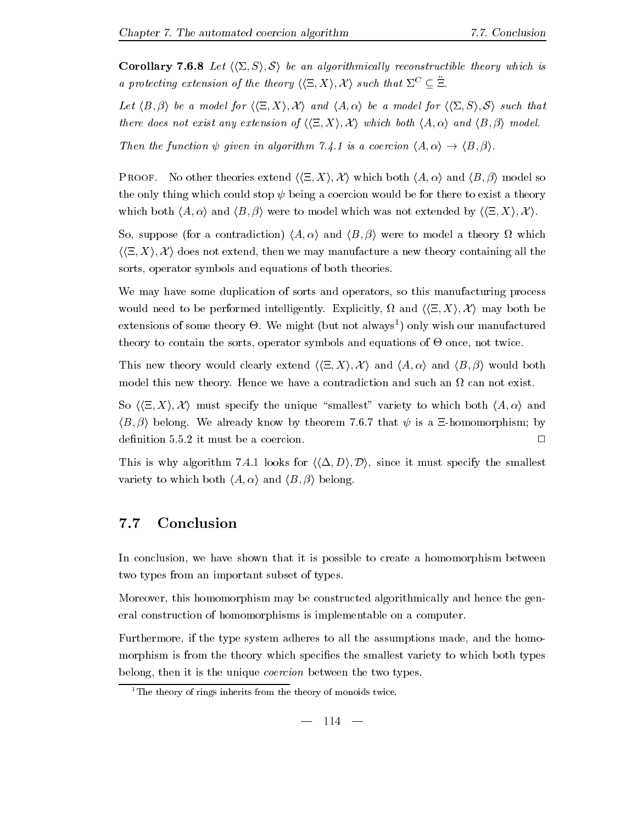**Corollary 7.6.8** Let  $\langle \langle \Sigma, S \rangle, \mathcal{S} \rangle$  be an algorithmically reconstructible theory which is a protecting extension of the theory  $(\{\subseteq, \Lambda\}, \Lambda)$  such that  $\Delta \subset \Xi$ .

in the and in the state for the state for home for his induction that the state of the such that the state of t there does not exist any existing any interest of  $\mathcal{L} = \{1, 2, \ldots\}$  interest and  $\mathcal{L} = \{1, 2, \ldots\}$ 

— is a coercion of the coercion of the coercion of the coercion of the state of the state of the state of the s

. And the theories extending has been decorrectly the source of the property and has  $\mu = \mu \mu$  , which both has the only thing which could stop  $\psi$  being a coercion would be for there to exist a theory where the indicate  $i = 1, 2, \ldots, N$  is the set of the model which was not extended by  $i \in \{1, \ldots, N\}$ 

So suppose for a contradiction hA i and hB <sup>i</sup> were to model a theory \* which  $\langle \langle \Xi, X \rangle, \mathcal{X} \rangle$  does not extend, then we may manufacture a new theory containing all the sorts, operator symbols and equations of both theories.

We may have some duplication of sorts and operators, so this manufacturing process would need to be performed intelligently- Explicitly \* and hh5 Xi X i may both be extensions of some theory  $\Theta$ . We might fout not always folly wish our manufactured theory to contain the sorts, operator symbols and equations of  $\Theta$  once, not twice.

is the clearly would clearly extend himself in the host in the host of the state of the state of the state of model this new this new this process we have a contradiction and such and such an \* can not existed

So  $\langle \Xi, X \rangle$ , X must specify the unique "smallest" variety to which both  $\langle A, \alpha \rangle$  and is in the second and the continues of the second and the control of the second process of the second and the s

 $T$  and algorithm - algorithm - algorithm - algorithm - algorithm - algorithm - algorithm - algorithm - algorithm - algorithm - algorithm - algorithm - algorithm - algorithm - algorithm - algorithm - algorithm - algorithm variety to which both hA i and hB <sup>i</sup> belong-

### Conclusion

In conclusion, we have shown that it is possible to create a homomorphism between two types from an important subset of types.

Moreover, this homomorphism may be constructed algorithmically and hence the general construction of homomorphisms is implementable on a computer-

Furthermore, if the type system adheres to all the assumptions made, and the homomorphism is from the theory which specifies the smallest variety to which both types belong, then it is the unique *coercion* between the two types.

<sup>&</sup>lt;sup>1</sup>The theory of rings inherits from the theory of monoids twice.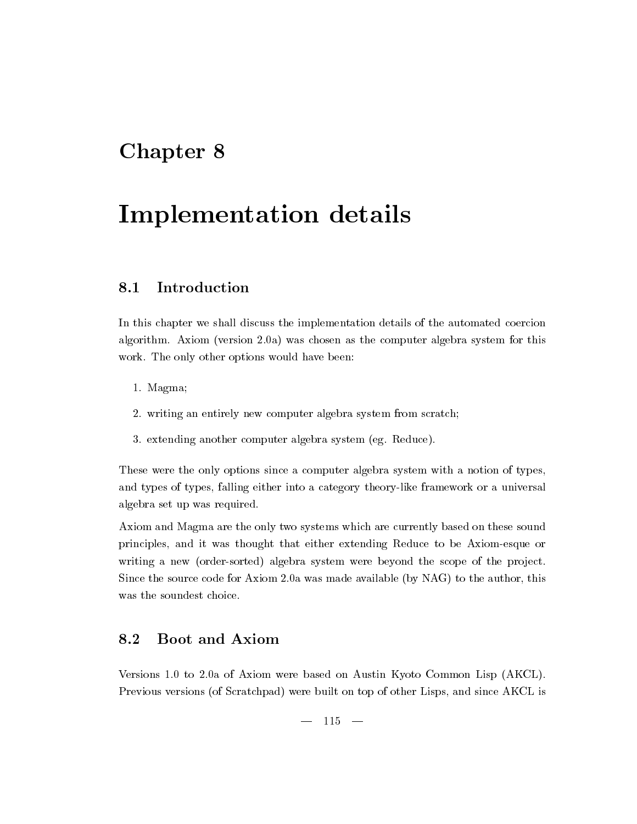# Chapter 8

# Implementation details

### Introduction 8.1

In this chapter we shall discuss the implementation details of the automated coercion algorithm- Axiom version -a was chosen as the computer algebra system for this work- the only other options would have been a control

- - Magma
- writing an entirely new computer algebra system from scratch
- extending another computer algebra system eg- Reduce-

These were the only options since a computer algebra system with a notion of types and types of types, falling either into a category theory-like framework or a universal algebra set up was required.

Axiom and Magma are the only two systems which are currently based on these sound principles and it was thought that either extending Reduce to be Axiomesque or writing a new (order-sorted) algebra system were beyond the scope of the project. Since the source code for Axiom 
-a was made available by NAG to the author this was the soundest choice.

### 8.2 Boot and Axiom

Versions - to -a of Axiom were based on Austin Kyoto Common Lisp AKCL-Previous versions (of Scratchpad) were built on top of other Lisps, and since AKCL is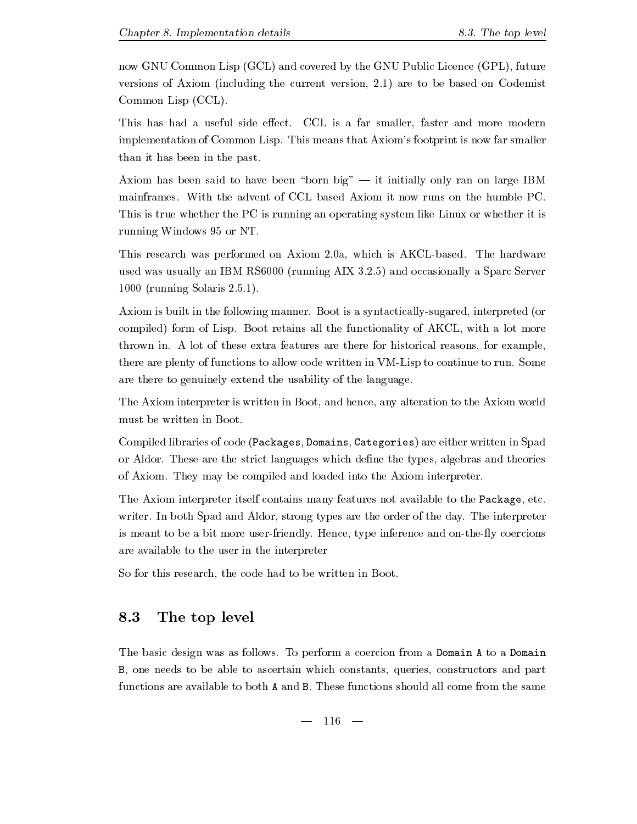now GNU Common Lisp (GCL) and covered by the GNU Public Licence (GPL), future versions of Axiom including the current version - are to be based on Codemist Common Lisp (CCL).

This has had a useful side eect- CCL is a far smaller faster and more modern implementation of Common Lisp- This means that Axioms footprint is now far smaller than it has been in the past-

axiom as been born big to the born big to the big  $\alpha$  and  $\alpha$  is the property on  $\alpha$  and  $\alpha$  is the complex  $\alpha$ This is true whether the PC is running an operating system like Linux or whether it is running Windows 95 or NT.

This research was performed on Axiom -a which is AKCLbased- The hardware used was usually an IBM RS running AIX -- and occasionally a Sparc Server  running Solaris 
---

axiom is the following manner-boot is a synthesis and  $\alpha$  synthesis and  $\alpha$ compiled for Lisp- and form of Lisp- all the functionality of AKCL with a lot more than  $\alpha$ throws the thrown in-distribution features are the features there is a former for the contemplate  $\mathcal{L}_\mathbf{X}$ there are plenty of functions to allow code written in VMLisp to continue to run- Some are there to genuinely extend the usability of the language-

The Axiom interpreter is written in Boot, and hence, any alteration to the Axiom world must be written in Boot-

Compiled libraries of code (Packages, Domains, Categories) are either written in Spad or Aldor-the strict languages which denote the strict languages and the strict density and the theories of the of Axiom- They may be compiled and loaded into the Axiom interpreter-

The Axiom interpreter itself contains many features not available to the Package, etc. writer-can be in a power and and aldor strong types are the day-can be the day-can control preter or is meant to be a bit more userfriendly- Hence type inference and onthey coercions are available to the user in the interpreter

So for this research, the code had to be written in Boot.

### 8.3 The top level

The basic design was as follows- To perform a coercion from a Domain A to a Domain B, one needs to be able to ascertain which constants, queries, constructors and part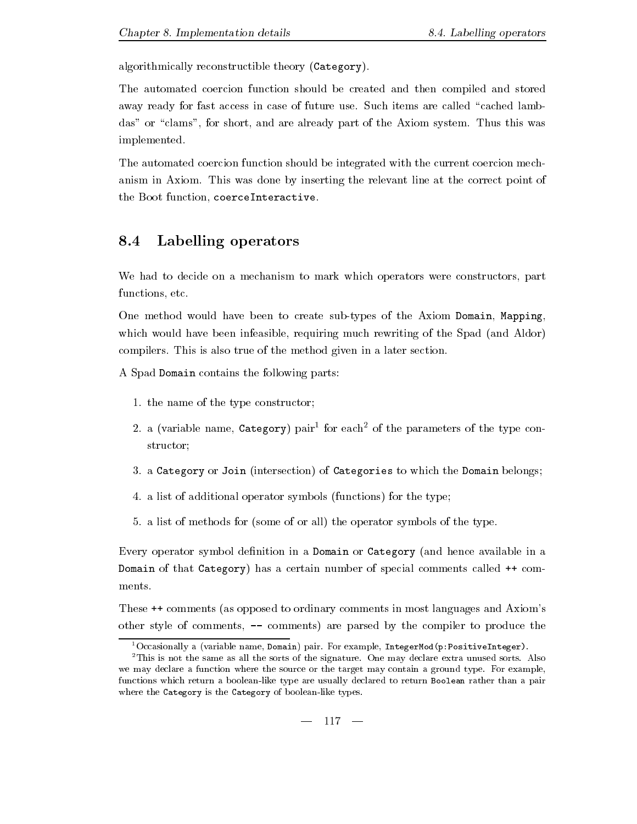algorithmically reconstructible theory (Category).

The automated coercion function should be created and then compiled and stored away ready for fast access in case of future use- Such items are called cached lamb das are considered the areas of the areas are already parts the Axiom systems. The Axiom systems was a implemented.

The automated coercion function should be integrated with the current coercion mech anism in Axiom-Axio mentor that we have at the relevant line at the relevant line at the correct point of the the Boot function, coerceInteractive.

### 8.4 Labelling operators

We had to decide on a mechanism to mark which operators were constructors part functions, etc.

One method would have been to create sub-types of the Axiom Domain, Mapping, which would have been infeasible, requiring much rewriting of the Spad (and Aldor) compilers- This is also true of the method given in a later section-

A Spad Domain contains the following parts

- the name of the the street the theory of the theory
- 2. a (variable name, category) pair for each of the parameters of the type constructor
- a Category or Join intersection of Categories to which the Domain belongs
- -ditional operator symbols functions functions functions functions functions functions functions functions functions functions functions functions functions functions functions functions functions functions functions func
- , a list of methods for some of or all the operators symbols of the type-

Every operator symbol definition in a Domain or Category (and hence available in a Domain of that Category) has a certain number of special comments called  $++$  comments.

These  $\leftrightarrow$  comments (as opposed to ordinary comments in most languages and Axiom's other style of comments,  $-$  comments) are parsed by the compiler to produce the

<sup>&</sup>quot;Occasionally a (variable name, Domain) pair. For example, IntegerMod(p:PositiveInteger).

<sup>-</sup>This is not the same as all the sorts of the signature- One may declare extra unused sorts- Also we may declare a function where the source or the source or the target may contain a ground typefunctions which return a boolean-like type are usually declared to return Boolean rather than a pair where the Category is the Category of boolean-like types.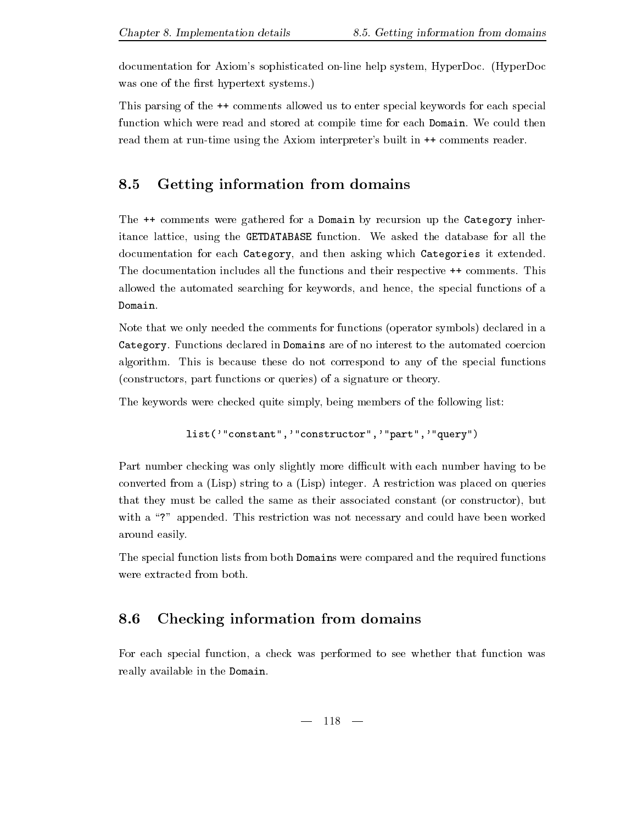documentation for Axioms sophisticated online help system HyperDoc- HyperDoc was one of the rst hypertext systems-

This parsing of the  $\leftrightarrow$  comments allowed us to enter special keywords for each special function which were read and stored at compile time for each Domain- We could then read them at run-time using the Axiom interpreter's built in  $++$  comments reader.

### 8.5 Getting information from domains

The  $\rightarrow$  comments were gathered for a Domain by recursion up the Category inheritance lattice using the GETDATABASE function- We asked the database for all the documentation for each Category, and then asking which Categories it extended. The documentation includes all the functions and their respective comments- This allowed the automated searching for keywords, and hence, the special functions of a Domain-

Note that we only needed the comments for functions (operator symbols) declared in a Category- Functions declared in Domains are of no interest to the automated coercion algorithm-correspond to any of the special functions of the special functions of the special functions of the special functions of the special functions of the special functions of the special functions of the special fun (constructors, part functions or queries) of a signature or theory.

The keywords were checked quite simply being members of the following list

```
list('"constant",'"constructor",'"part",'"query")
```
Part number checking was only slightly more difficult with each number having to be converted from a Lisp string to a Lisp integer- A restriction was placed on queries that they must be called the same as their associated constant (or constructor), but with a restriction was not not necessary and could have been was not necessary and could have been worked been worked by around easily-

The special function lists from both Domains were compared and the required functions

### 8.6 Checking information from domains

For each special function a check was performed to see whether that function was really available in the Domain.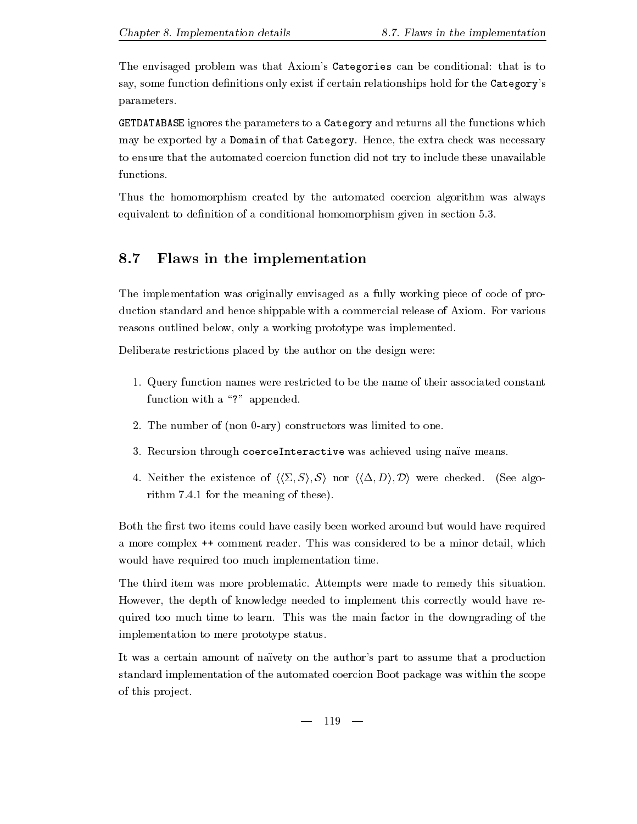The envisaged problem was that Axiom's Categories can be conditional: that is to say, some function definitions only exist if certain relationships hold for the Category's parameters-

GETDATABASE ignores the parameters to a Category and returns all the functions which may be exported by a Domain of that Category-Belleville that the extra check was necessary to ensure that the automated coercion function did not try to include these unavailable functions.

Thus the homomorphism created by the automated coercion algorithm was always equivalent to denition of a conditional homomorphism given in section --

### 8.7 Flaws in the implementation

The implementation was originally envisaged as a fully working piece of code of pro duction standard and hence shipped with a commercial release of Axiom-Commercial release of Axiom-Commercial r reasons outlined below, only a working prototype was implemented.

Deliberate restrictions placed by the author on the design were:

- - Query function names were restricted to be the name of their associated constant function with a "?" appended.
- The number of non ary constructors was limited to one-
- Recursion through coerceInteractive was achieved using na23ve means-
- Neither the existence of hh& Si S i nor hh( Di Di were checked- See algo rithm -- for the meaning of these-

Both the first two items could have easily been worked around but would have required a more complex  $\mathbf{I}$ would have required too much implementation time-

The third item was more problematic- Attempts were made to remedy this situation-However, the depth of knowledge needed to implement this correctly would have required to the main time to do learn- the main time the main factor in the main factor  $\alpha$  the main factor in the main  $\alpha$ implementation to mere prototype status-

It was a certain amount of naïvety on the author's part to assume that a production standard implementation of the automated coercion Boot package was within the scope of this project.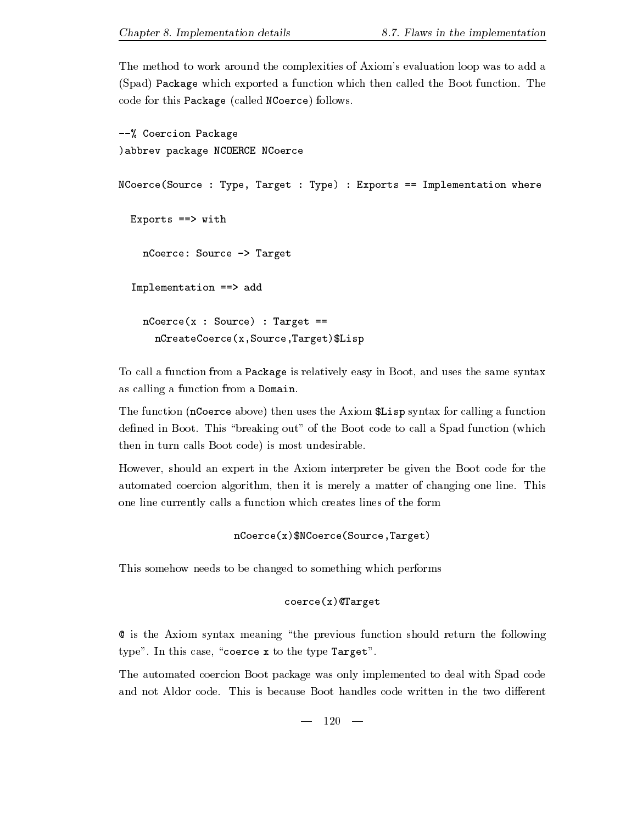The method to work around the complexities of Axiom's evaluation loop was to add a Spad Package which exported a function which then called the Boot function- The code for this Package (called NCoerce) follows.

```

 Coercion Package
abbrev package NCOERCE NCoerce
NCoerce (Source: Type, Target: Type): Express = Implementation whereExports == with
   nCoerce: Source -> Target
  Implementation ==> add
   nCoerce(x : Source) : Target ==nCreateCoerce(x,Source,Target)$Lisp
```
To call a function from a Package is relatively easy in Boot, and uses the same syntax as calling a function from a Domain.

The function (nCoerce above) then uses the Axiom  $Lisp$  syntax for calling a function dense in Boot-Code and Boot-Code to call a Spad function which we spad function which we are a spad function which which we are a spad function which we are a spad function which we are a spad function which we are a spad then in turn calls Boot code) is most undesirable.

However, should an expert in the Axiom interpreter be given the Boot code for the automated coercion algorithm then it is merely a matter of changing one line-  $\alpha$ one line currently calls a function which creates lines of the form

```
nCoerce(x)$NCoerce(Source,Target)
```
This somehow needs to be changed to something which performs

```
coerce(x)@Target
```
**Q** is the Axiom syntax meaning "the previous function should return the following type the this case of the type Target  $\cdot$ 

The automated coercion Boot package was only implemented to deal with Spad code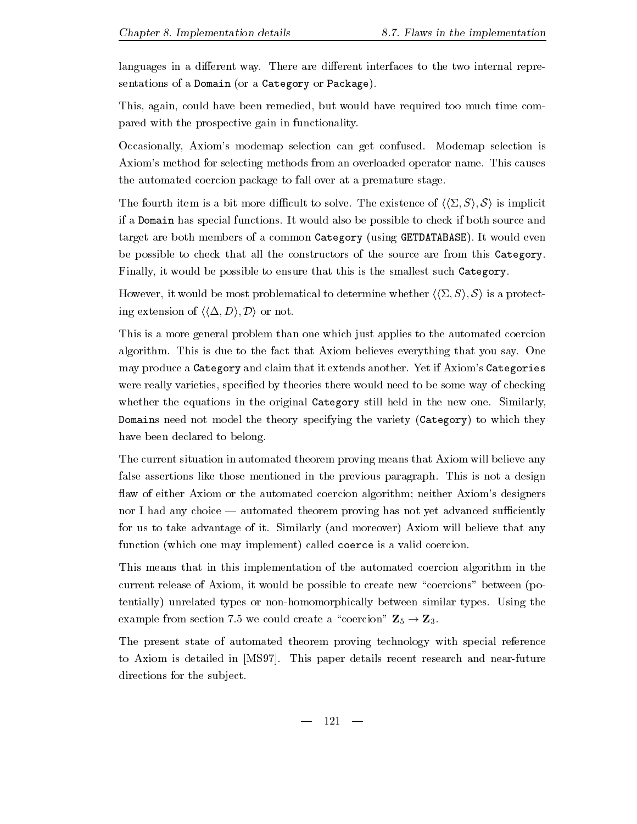languages in a dierent way- There are dierent interfaces to the two internal repre sentations of a Domain (or a Category or Package).

This, again, could have been remedied, but would have required too much time compared with the prospective gain in functionality-

Occasionally Axioms modemap selection can get confused- Modemap selection is Axioms method for selecting methods from an overloaded operator name- This causes the automated coercion package to fall over at a premature stage-

The fourth item is a bit more discussed of healthcare of his interaction of  $\mathbf{N}$  is interaction of  $\mathbf{N}$ if a Domain has special functions- It would also be possible to check if both source and  $t$ be possible to check that all the constructors of the source are from this Category-Finally, it would be possible to ensure that this is the smallest such Category.

However, it would be most problematical to determine whether  $\langle \langle \Sigma, S \rangle, S \rangle$  is a protecting extension of  $\langle \langle \Delta, D \rangle, \mathcal{D} \rangle$  or not.

This is a more general problem than one which just applies to the automated coercion algorithm-to the fact through the fact that the fact that  $\alpha$  is due to the fact that  $\alpha$  is the sample  $\alpha$ may produce a category and claim that it extends and the control of the extending anotherwere really varieties, specified by theories there would need to be some way of checking whether the equations in the original Category still held in the new one-media in the new one-media in the new one-Domains need not model the theory specifying the variety (Category) to which they have been declared to belong.

The current situation in automated theorem proving means that Axiom will believe any false assertions like those mentioned in the previous paragraph- This is not a design flaw of either Axiom or the automated coercion algorithm; neither Axiom's designers nor I had any choice automated theorem proving has not yet advanced suciently for us to take advantage of it-dimensional believe that and more  $\mathcal{U}$  and  $\mathcal{U}$ function (which one may implement) called coerce is a valid coercion.

This means that in this implementation of the automated coercion algorithm in the current release of Axiom, it would be possible to create new "coercions" between (potentially unrelated types or nonhomomorphically between similar types- Using the examples from section - we could create a coercion - we coercion  $\equiv 0$  - we find

The present state of automated theorem proving technology with special reference to axiometer is determined in MS-paper (). A seem paper determines and near the second and near the contract o directions for the subject.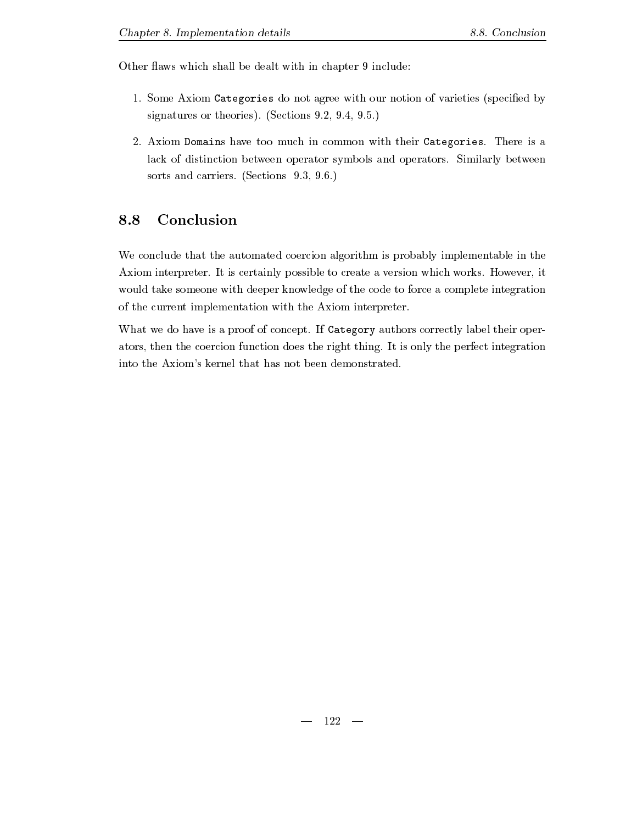Other flaws which shall be dealt with in chapter 9 include:

- - Some Axiom Categories do not agree with our notion of varieties specied by signatures or the section of the section of the section of the section of the section of the section of the section of the section of the section of the section of the section of the section of the section of the section o
- Axiom Domains have too much in common with their Categories- There is a lack of distinction between operator symbols and operators- Similarly between sortiers-bende and carriers-bende and carriers-bende and carriers-bende and carriers-bende and carriers-bende a

### Conclusion 8.8

We conclude that the automated coercion algorithm is probably implementable in the Axiom interpreter- It is certainly possible to create a version which works- However it would take someone with deeper knowledge of the code to force a complete integration of the current implementation with the Axiom interpreter-

where we do have is a proof of concept is authors and conception and correctly label the correct operation ators the coercion function function does the right thing-  $\alpha$  is only the perfect integration. into the Axiom's kernel that has not been demonstrated.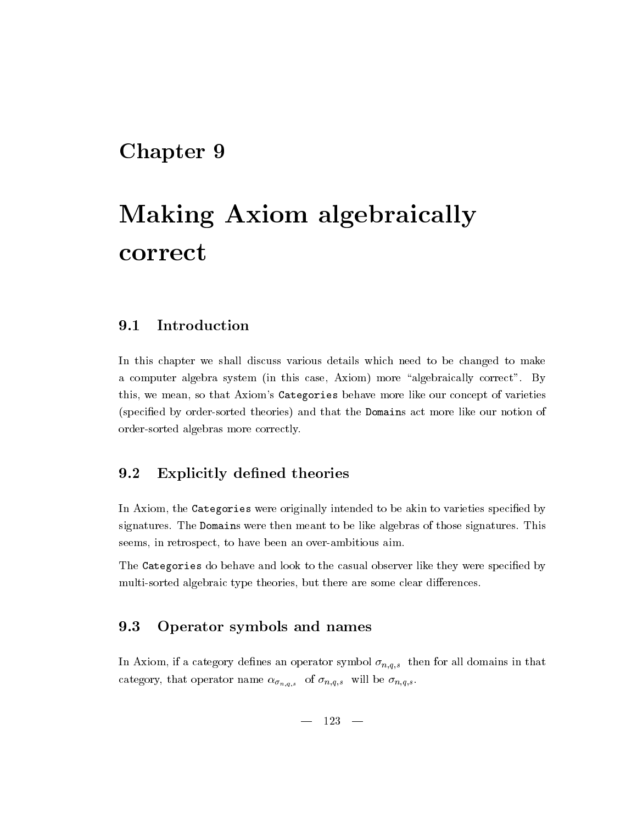# Chapter 9

# Making Axiom algebraically correct

#### 9.1 Introduction

In this chapter we shall discuss various details which need to be changed to make a computer algebra system in this case  $\alpha$  case algebraically correct  $\alpha$  and  $\alpha$ this, we mean, so that Axiom's Categories behave more like our concept of varieties (specified by order-sorted theories) and that the Domains act more like our notion of order-sorted algebras more correctly.

### 9.2 Explicitly defined theories

In Axiom, the Categories were originally intended to be akin to varieties specified by signatures- The Domains were the Domains to be like algebras of the those signatures-  $\sim$ seems, in retrospect, to have been an over-ambitious aim.

The Categories do behave and look to the casual observer like they were specified by multi-sorted algebraic type theories, but there are some clear differences.

### 9.3 Operator symbols and names

in a category density of the  $\mathcal{A}$  category in the form in the symbol  $\mathbf{r}$  $\mathbf{c}_1$  on  $\mathbf{c}_2$  ,  $\mathbf{c}_3$  ,  $\mathbf{c}_4$  ,  $\mathbf{c}_5$  ,  $\mathbf{c}_7$  ,  $\mathbf{c}_8$  ,  $\mathbf{c}_9$  ,  $\mathbf{c}_9$  ,  $\mathbf{c}_9$  ,  $\mathbf{c}_9$  ,  $\mathbf{c}_9$  ,  $\mathbf{c}_9$  ,  $\mathbf{c}_9$  ,  $\mathbf{c}_9$  ,  $\mathbf{c}_9$  ,  $\mathbf{c}_9$  ,  $\mathbf{c}_9$  ,  $\mathbf$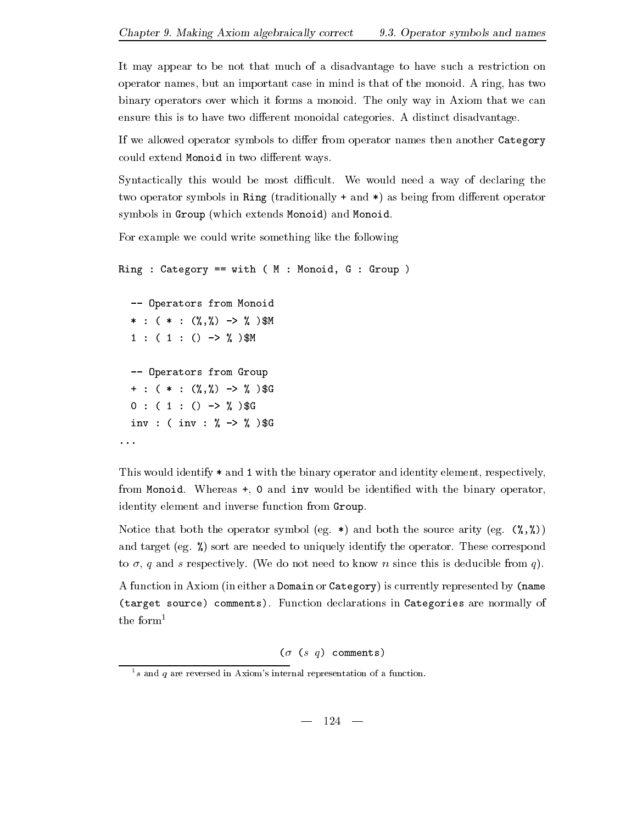It may appear to be not that much of a disadvantage to have such a restriction on operator names by a ring the mind is that the mind is that is that of the monoid- is the monoid-  $\alpha$ binary operators over which it forms a monoid- The only way in Axiom that we can ensure this is to have two dierent monoidal categories- A distinct disadvantage-

If we allowed operator symbols to differ from operator names then another Category could extend Monoid in two different ways.

Syntactically this would be most dicult- We would need a way of declaring the two operator symbols in Ring (traditionally  $+$  and  $*$ ) as being from different operator symbols in Group (which extends Monoid) and Monoid.

For example we could write something like the following

```
Ring : Category == with (M : Monoid, G : Group)-- Operators from Monoid

 M

 M
   -- Operators from Group

 G
   \sim GeV \sim GeV \sim GeV \sim GeV \sim GeV \sim GeV \sim GeV \sim GeV \sim GeV \sim GeV \sim GeV \sim GeV \sim GeV \sim GeV \sim GeV \sim GeV \sim GeV \sim GeV \sim GeV \sim GeV \sim GeV \sim GeV \sim GeV \sim GeV \sim 
   inv   inv  

 G
\ddotsc
```
This would identify  $*$  and 1 with the binary operator and identity element, respectively, from Monoid- Whereas and inv would be identied with the binary operator identity element and inverse function from Group.

Notice that both the operator symbol eg- and both the source arity eg and the  $\alpha$  are needed to uniquely identify the operator-operator-operator-operator-operator-operator-operatorto a quantum of the process of the section of the section of the since the since the section of the section of  $\eta$ 

A function in Axiom (in either a Domain or Category) is currently represented by (name target source comments- Function declarations in Categories are normally of the form<sup>1</sup>

 $(\sigma$  (s q) comments)

<sup>&</sup>lt;sup>1</sup>s and q are reversed in Axiom's internal representation of a function.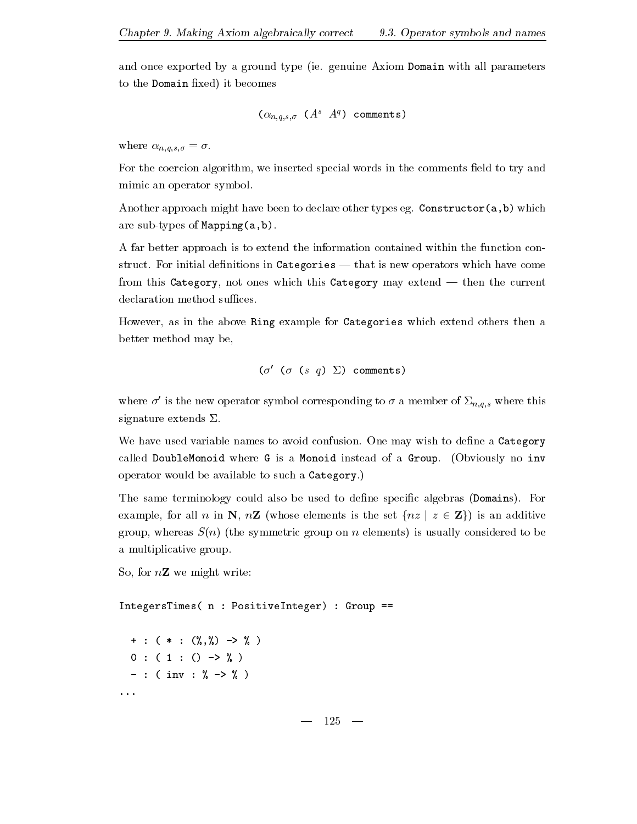and once exported by a ground type ie- genuine Axiom Domain with all parameters to the Domain fixed) it becomes

$$
(\alpha_{n,q,s,\sigma} \ (A^s \ A^q) \ \text{ comments})
$$

 $v_1 = -1$   $\cdots$   $v_{\{q\},q\}$ 

For the coercion algorithm, we inserted special words in the comments field to try and mimic an operator symbol.

Another approach might have been to declare other types eg- Constructorab which are sub-types of Mapping $(a,b)$ .

A far better approach is to extend the information contained within the function con structure in Categories in Categories in Categories in Categories in Categories which have come the come of th from this Category not ones which this Category may extend then the current declaration method suffices.

However, as in the above Ring example for Categories which extend others then a better method may be

$$
(\sigma' \ (\sigma \ (s \ q) \ \Sigma) \ \text{comments})
$$

where  $\sigma'$  is the new operator symbol corresponding to  $\sigma$  a member of  $\Sigma_{n,q,s}$  where this signature extends  $\Sigma$ .

we have the confusion of the confusion-to avoid confusional confusion-to avoid the confusion-tocalled DoubleMonoid where G is a Monoid instead of a Group- Obviously no inv  $\mathbf{r}$  and a Category-beam and a Category-beam and a Category-beam and a Category-

The same terminology could also be used to dene specic algebras Domains- For example, for all n in N,  $n\mathbf{Z}$  (whose elements is the set  $\{nz \mid z \in \mathbf{Z}\}\)$  is an additive group, whereas  $S(n)$  (the symmetric group on n elements) is usually considered to be a multiplicative group.

So, for  $n\mathbf{Z}$  we might write:

 $IntegersTimes( n : PositiveInteger) : Group ==$   $0: (1:() \rightarrow \%)$  in the second contract of the contract of the contract of the contract of the contract of the contract of the contract of the contract of the contract of the contract of the contract of the contract of the contract of the  $\sim$   $\sim$   $\sim$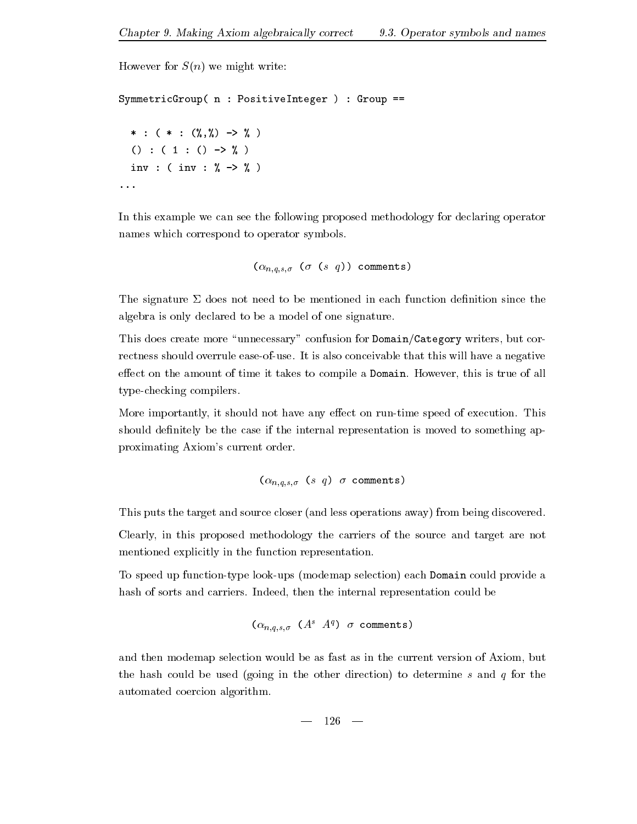```
However for S(n) we might write:
SymmetricGroup(n : PositiveInteger) : Group ==     

 () : (1:() \rightarrow \%) 
 inv   inv  

. . .
```
In this example we can see the following proposed methodology for declaring operator names which correspond to operator symbols-

```
n-
 	 s q comments
   \mathbf{u}s-
```
The signature  $\Sigma$  does not need to be mentioned in each function definition since the algebra is only declared to be a model of one signature-

This does create more "unnecessary" confusion for Domain/Category writers, but correctness should overrule easeofuse- It is also conceivable that this will have a negative eect on the amount of time it takes to complete the Domain-Section (1991) and Domain-Section and the all type-checking compilers.

More importantly it should not have any eect on runtime speed of execution- This should definitely be the case if the internal representation is moved to something approximating Axiom's current order.

n-q-s- s q comments

This puts the target and source closer (and less operations away) from being discovered. Clearly in this proposed methodology the carriers of the source and target are not mentioned explicitly in the function representation-

To speed up function-type look-ups (modemap selection) each Domain could provide a hash of sorts and carriers- Indeed then the internal representation could be

$$
(\alpha_{n,q,s,\sigma} \ (A^s \ A^q) \ \sigma \ \text{comments})
$$

and then modemap selection would be as fast as in the current version of Axiom, but the hash could be used (going in the other direction) to determine s and  $q$  for the automated coercion algorithm-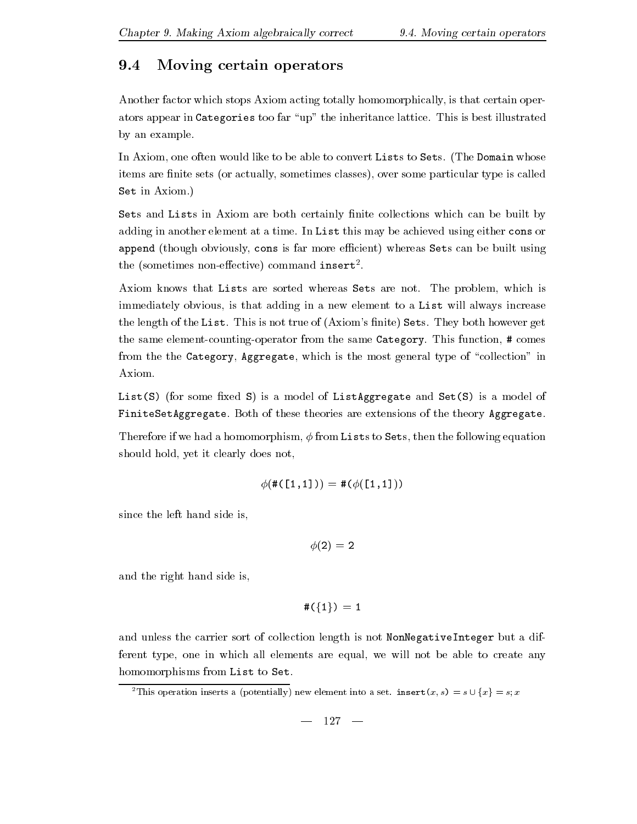# 9.4 Moving certain operators

Another factor which stops Axiom acting totally homomorphically is that certain oper ators appear in Categories too far up which is the interest in the interest of the interest in the interest of by an example.

In Axiom one often would like to be able to convert Lists to Sets- The Domain whose items are finite sets (or actually, sometimes classes), over some particular type is called  $\sim$  . Axiometric in Axiom-

Sets and Lists in Axiom are both certainly finite collections which can be built by adding in another element at a time- In List this may be achieved using either cons or append (though obviously, cons is far more efficient) whereas Sets can be built using  $\mu$  and  $\mu$  is commented to  $\mu$  and  $\mu$  in  $\mu$  and  $\mu$  are  $\mu$  and  $\mu$  are  $\mu$  and  $\mu$  are  $\mu$  and  $\mu$  are  $\mu$  and  $\mu$  are  $\mu$  and  $\mu$  are  $\mu$  and  $\mu$  are  $\mu$  and  $\mu$  are  $\mu$  and  $\mu$  are  $\mu$  and  $\mu$ 

Axiom knows that Lists are sorted whereas Sets are sorted whereas Sets are notimmediately obvious, is that adding in a new element to a List will always increase the length of the List-City of Axioms nite Sets-Axioms nite Sets-Axioms nite Sets-Axioms nite Sets- $\cdots$  same continuous comparator  $\alpha$  ,  $\beta$  is the same category-same  $\alpha$  same  $\alpha$  comes comes comes comes comes from the the Category, Aggregate, which is the most general type of "collection" in Axiom-

List(S) (for some fixed S) is a model of ListAggregate and  $Set(S)$  is a model of  $\mathbf{f}$  and  $\mathbf{f}$  theories are extensions of the theories are extensions of the theory Aggregate-

Therefore if we had a homomorphism,  $\phi$  from Lists to Sets, then the following equation should hold, yet it clearly does not,

$$
\phi(\#(\texttt{[1,1]})) = \#(\phi(\texttt{[1,1]}))
$$

since the left hand side is

- -

and the right hand side is

$$
\#(\{1\})\,=\,1
$$

and unless the carrier sort of collection length is not NonNegativeInteger but a dif ferent type, one in which all elements are equal, we will not be able to create any homomorphisms from List to Set.

<sup>2</sup>This operation inserts a (potentially) new element into a set. insert  $(x, s) = s \cup \{x\} = s; x$ 

$$
- 127 -
$$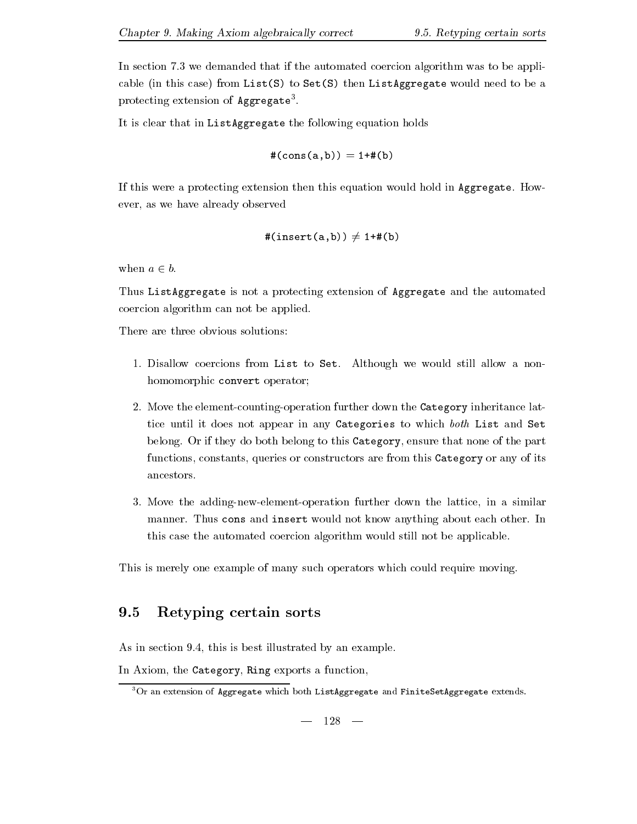It is clear that in ListAggregate the following equation holds

$$
\#(\text{cons}\,(\texttt{a},\texttt{b})) = 1 + \#(\texttt{b})
$$

If the a protection then the protection then the second hold in Aggregate-  $\mathbf{H}$ ever, as we have already observed

$$
\#(insert(a, b)) \neq 1 + \#(b)
$$

when  $a \in b$ .

Thus ListAggregate is not a protecting extension of Aggregate and the automated coercion algorithm can not be applied-

There are three obvious solutions

- - Disallow coercions from List to Set- Although we would still allow a non homomorphic convert operator;
- Move the elementcountingoperation further down the Category inheritance lat tice until it does not appear in any Categories to which both List and Set belong- Or if they do both belong to this Category ensure that none of the part functions, constants, queries or constructors are from this Category or any of its ancestors-
- Move the addingnewelementoperation further down the lattice in a similar manner- Thus cons and insert would not know anything about each other- In this case the automated coercion algorithm would still not be applicable-

This is merely one example of many such operators which could require moving-

### 9.5 Retyping certain sorts

as is a section of the section of the section terms of  $\mu$  and the section  $\mu$  and

In Axiom, the Category, Ring exports a function,

 $\overline{P}$ <sup>3</sup>Or an extension of Aggregate which both ListAggregate and FiniteSetAggregate extends.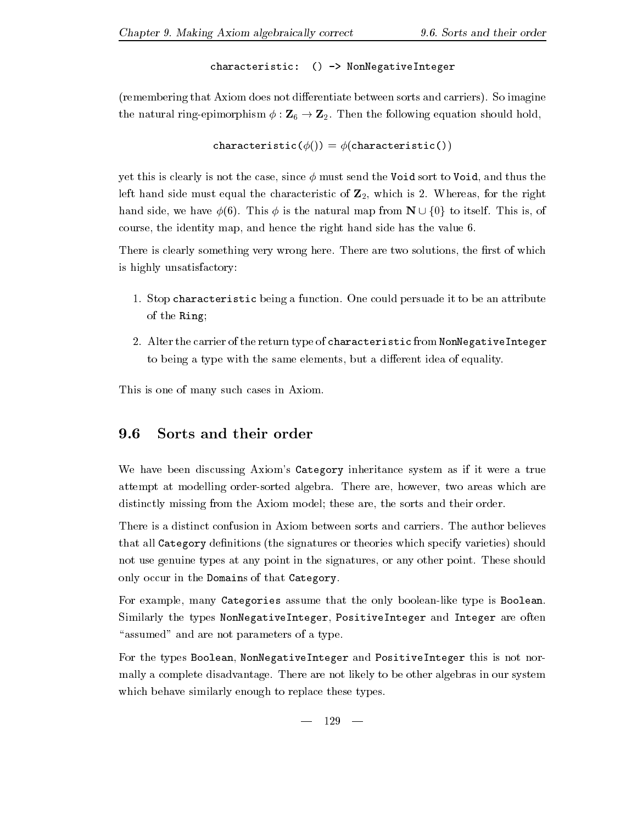characteristic: () -> NonNegativeInteger

remember than Axiom does not die eerste between sorts and carriers-between sorts and carriers-  $\mu$  is the capacite the natural ringepimorphism  $\tau$  -  $\tau$  -  $\tau$  - the following equation showledge the following  $\tau$ 

```
characteristic(\phi()) = \phi(characteristic())
```
yet this is clearly is not the case, since  $\phi$  must send the Void sort to Void, and thus the left must be side must be quality that characteristic of  $\equiv$   $\mu$  which is  $\equiv$  which is the right. hand side we have side we have side we have the natural map from N  $\pm$  1.0  $\pm$  1.0  $\pm$  1.0  $\pm$ course, the identity map, and hence the right hand side has the value 6.

There is clearly something very wrong here- There are two solutions the rst of which is highly unsatisfactory

- - Stop characteristic being a function- One could persuade it to be an attribute of the Ring
- Alter the carrier of the return type of characteristic from NonNegativeInteger to being a type with the same elements, but a different idea of equality.

This is one of many such cases in Axiom.

### 9.6  Sorts and their order

We have been discussing Axiom's Category inheritance system as if it were a true attempt at modelling ordersorted algebra- There are however two areas which are distinctly missing from the Axiom model; these are, the sorts and their order.

that all Category definitions (the signatures or theories which specify varieties) should not use genuine types at any point in the signatures or any other point- These should only occur in the Domains of that Category-

For example, many Categories assume that the only boolean-like type is Boolean. Similarly the types NonNegativeInteger PositiveInteger and Integer are often "assumed" and are not parameters of a type.

For the types Boolean, NonNegativeInteger and PositiveInteger this is not normally a complete disadvantage- There are not likely to be other algebras in our system which behave similarly enough to replace these types.

 $-129 -$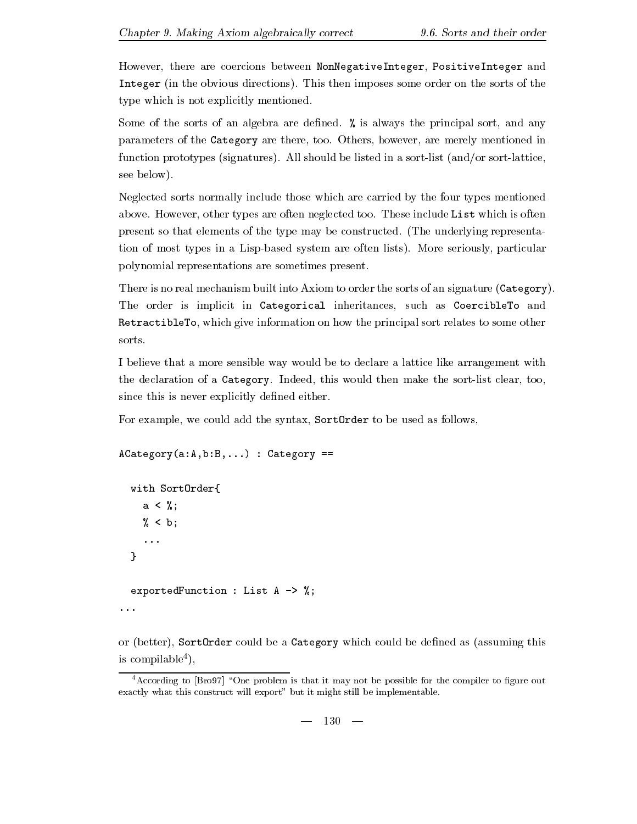However, there are coercions between NonNegativeInteger, PositiveInteger and Integer in the obvious directions- This then imposes some order on the sorts of the type which is not explicitly mentioned.

 $\sim$  some of the sorts of an algebra are denoted are denoted and always the principal sorts of any  $\sim$ parameters of the Category are there too- Others however are merely mentioned in function prototypes signatures- All should be listed in a sortlist andor sortlattice see below).

Neglected sorts normally include those which are carried by the four types mentioned above-types are often types are often neglected too- these includes the contract of the contract of the contract of present so that elements of the type may be constructed- The underlying representa tion of most types in a Lispbased system are often lists- More seriously particular polynomial representations are sometimes present-

There is no real mechanism built into Axiom to order the sorts of an signature ( $\texttt{Category}$ ). The order is implicit in Categorical inheritances, such as CoercibleTo and RetractibleTo, which give information on how the principal sort relates to some other sorts.

I believe that a more sensible way would be to declare a lattice like arrangement with the declaration of a Category- Indeed this would then make the sortlist clear too since this is never explicitly defined either.

For example, we could add the syntax, SortOrder to be used as follows,

```
\texttt{Acategy}(a:A,b:B,...) : \texttt{Categy} ==
```

```
with SortOrder{
    with Sorton and Sorton and Sorton and Sorton and Sorton and Sorton and Sorton and Sorton and Sorton and Sorton
        a \leq \frac{9}{6};
                       \mathbf{r} and \mathbf{r} and \mathbf{r} and \mathbf{r} and \mathbf{r} and \mathbf{r} and \mathbf{r} and \mathbf{r}
  b
         \ddotsc
    exportedFunction  List A 	 

\cdots
```
or (better), SortOrder could be a Category which could be defined as (assuming this is compilable

According to  $\beta$ rov $\ell$  "One problem is that it may not be possible for the compiler to figure out exactly what this construct will export" but it might still be implementable.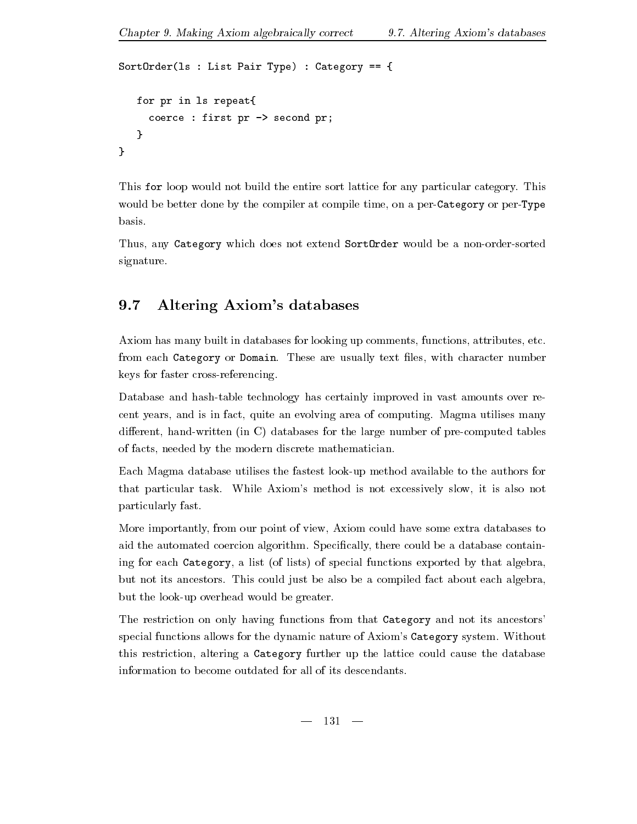```
SortOrder(1s : List Pair Type) : Category == {
   for pr in ls repeat
     coerce : first pr \rightarrow second pr;
   <sup>}</sup>
```
This for loop would not build the entire sort lattice for any particular category- This would be better done by the compiler at compile time, on a per-Category or per-Type basis.

Thus, any Category which does not extend SortOrder would be a non-order-sorted signature.

### 9.7 Altering Axiom's databases

Axiom has many built in databases for looking up comments, functions, attributes, etc. from each Category or Domain- These are usually text les with character number keys for faster cross-referencing.

Database and hash-table technology has certainly improved in vast amounts over recent years and in fact the group area of computing area of computing-computing-computed areas in the second pro different, hand-written (in C) databases for the large number of pre-computed tables of facts, needed by the modern discrete mathematician.

Each Magma database utilises the fastest look-up method available to the authors for that particular that is not excessively slow it is not the second in the  $\alpha$ particularly fast-

More importantly from our point of view Axiom could have some extra databases to aid the automated coercion algorithm-  $\sim$  powercing there could be a database contains be a database contain ing for each Category, a list (of lists) of special functions exported by that algebra, but not its ancestors- This could just be also be a compiled fact about each algebra but the look-up overhead would be greater.

The restriction on only having functions from that Category and not its ancestors' special functions allows for the dynamic nature of Axioms Category system- Without this restriction, altering a Category further up the lattice could cause the database information to become outdated for all of its descendants.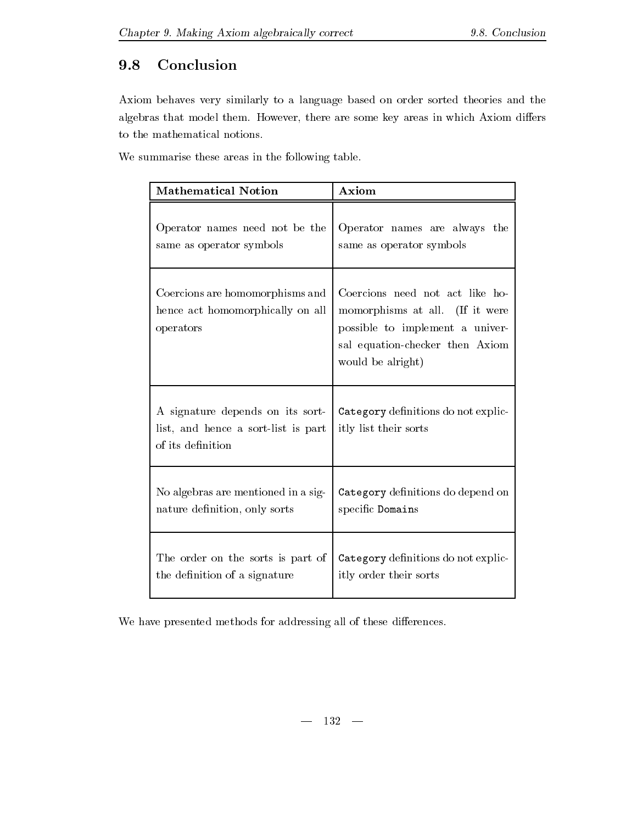# 9.8 Conclusion

Axiom behaves very similarly to a language based on order sorted theories and the algebras that model the some key are some key areas in which are some the some contract in which are some that to the mathematical notions-

We summarise these areas in the following table.

| <b>Mathematical Notion</b>                                                                   | Axiom                                                                                                                                                         |
|----------------------------------------------------------------------------------------------|---------------------------------------------------------------------------------------------------------------------------------------------------------------|
| Operator names need not be the                                                               | Operator names are always the                                                                                                                                 |
| same as operator symbols                                                                     | same as operator symbols                                                                                                                                      |
| Coercions are homomorphisms and<br>hence act homomorphically on all<br>operators             | Coercions need not act like ho-<br>momorphisms at all. (If it were<br>possible to implement a univer-<br>sal equation-checker then Axiom<br>would be alright) |
| A signature depends on its sort-<br>list, and hence a sort-list is part<br>of its definition | Category definitions do not explic-<br>itly list their sorts                                                                                                  |
| No algebras are mentioned in a sig-                                                          | Category definitions do depend on                                                                                                                             |
| nature definition, only sorts                                                                | specific Domains                                                                                                                                              |
| The order on the sorts is part of                                                            | Category definitions do not explic-                                                                                                                           |
| the definition of a signature                                                                | itly order their sorts                                                                                                                                        |

We have presented methods for addressing all of these differences.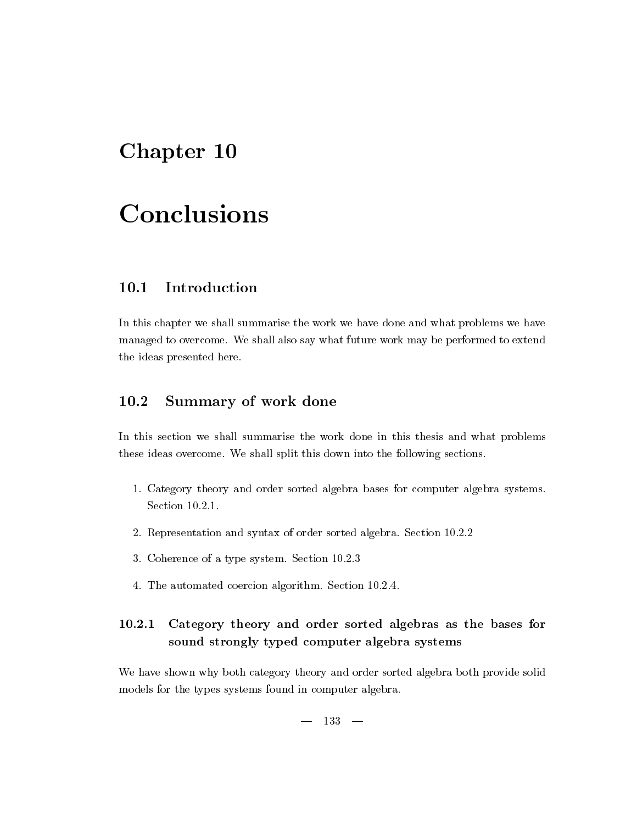# Chapter - Chapter - Chapter - Chapter - Chapter - Chapter - Chapter - Chapter - Chapter - Chapter - Chapter -

# **Conclusions**

### $10.1$ Introduction

In this chapter we shall summarise the work we have done and what problems we have managed to overcome- We shall also say what future work may be performed to extend the ideas presented here.

### 10.2 Summary of work done

In this section we shall summarise the work done in this thesis and what problems these ideas overcome- We shall split this down into the following sections-

- - Category theory and order sorted algebra bases for computer algebra systems-Section 10.2.1.
- Representation and syntax of order sorted algebra- Section --
- Coherence of a type system- Section --
- The automated coercion algorithm- Section ---

### Category theory and order sorted algebras as the bases for sound strongly typed computer algebra systems

We have shown why both category theory and order sorted algebra both provide solid models for the types systems found in computer algebra.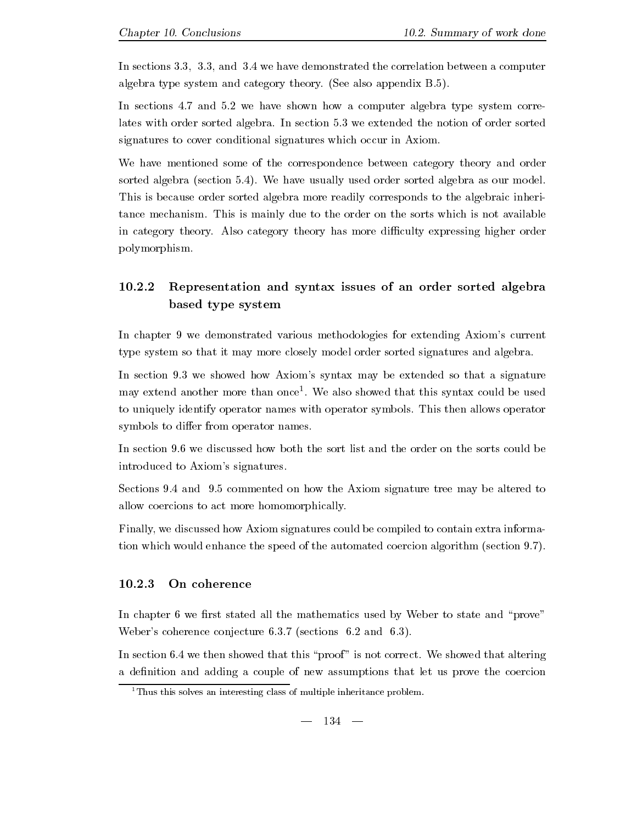In sections - - and - we have demonstrated the correlation between a computer algebra type system and category theory, you was well we consider  $\sim$ 

In sections - and - we have shown how a computer algebra type system corre lates with order sorted algebra- In section - we extended the notion of order sorted signatures to cover conditional signatures which occur in Axiom-

We have mentioned some of the correspondence between category theory and order sorted algebra section -- We have usually used order sorted algebra as our model-This is because order sorted algebra more readily corresponds to the algebraic inheri tance mechanism- to the order of this is the sorts which is not available to the sorts which is not available in category theory- Also category theory has more diculty expressing higher order polymorphism-

### ----- Representation and syntax issues of an order sorted algebra based type system

In chapter 9 we demonstrated various methodologies for extending Axiom's current type system so that it may more closely model order sorted signatures and algebra-

In section - we showed how Axioms syntax may be extended so that a signature may extend another more than once - We also showed that this syntax could be used to uniquely identify operator names with operator symbols- This then allows operator symbols to differ from operator names.

introduced to Axiom's signatures.

Sections - and - commented on how the Axiom signature tree may be altered to allow coercions to act more homomorphically-

Finally we discussed how Axiom signatures could be compiled to contain extra informa tion which we have the speed of the automated coercion algorithm section algorithm section algorithm section  $\mathcal{L}$ 

#### -----On coherence

In chapter 6 we first stated all the mathematics used by Weber to state and "prove" Webers coherence conjecture -- sections - and --

In section - we then showed that this proof is not correct- We showed that altering a definition and adding a couple of new assumptions that let us prove the coercion

<sup>&</sup>lt;sup>1</sup>Thus this solves an interesting class of multiple inheritance problem.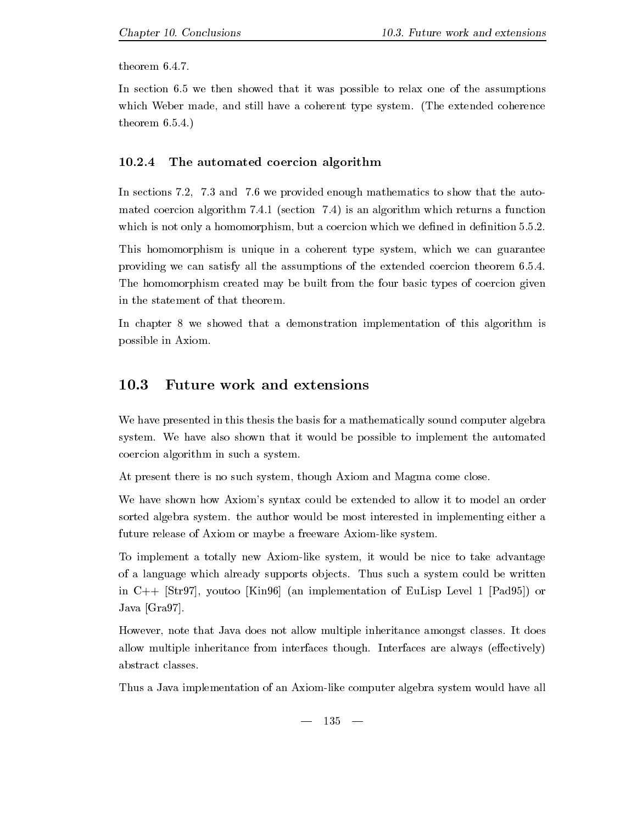In section - we then showed that it was possible to relax one of the assumptions which Weber made and stillhave a coherent type system-between type system-system- $\mathbf{r}$  and  $\mathbf{r}$  and  $\mathbf{r}$ 

#### -----The automated coercion algorithm

In sections - - and - we provided enough mathematics to show that the auto  $\mathbf{a}$  algorithm - is an algorithm - is an algorithm which returns a function  $\mathbf{a}$ which is not only a homomorphism but a coercion which we denote a coercion which we denote a coercion of the s

This homomorphism is unique in a coherent type system, which we can guarantee providing we can satisfy all the assumptions of the extended coercion theorem ---The homomorphism created may be built from the four basic types of coercion given in the statement of that theorem.

In chapter 8 we showed that a demonstration implementation of this algorithm is possible in Axiom-

#### 10.3 **Future work and extensions**

We have presented in this thesis the basis for a mathematically sound computer algebra system- We have also shown that it would be possible to implement the automated coercion algorithm in such a system-

At present there is no such system, though Axiom and Magma come close.

We have shown how Axiom's syntax could be extended to allow it to model an order sorted algebra systematic be most interested in implementing and implementing either at the most in future release of Axiom or maybe a freeware Axiom-like system.

To implement a totally new Axiom-like system, it would be nice to take advantage of a language which already supports ob jects- Thus such a system could be written in  $C_{+}$  [Str97], voutoo [Kin 96] (an implementation of EuLisp Level 1 [Pad 95]) or Java  $[Gra97]$ .

However note that Java does not allow multiple inheritance amongst classes- It does allow multiple interfaces interfaces that interfaces the interfaces that interfaces the section  $\mathcal{L}_1$ 

Thus a Java implementation of an Axiom-like computer algebra system would have all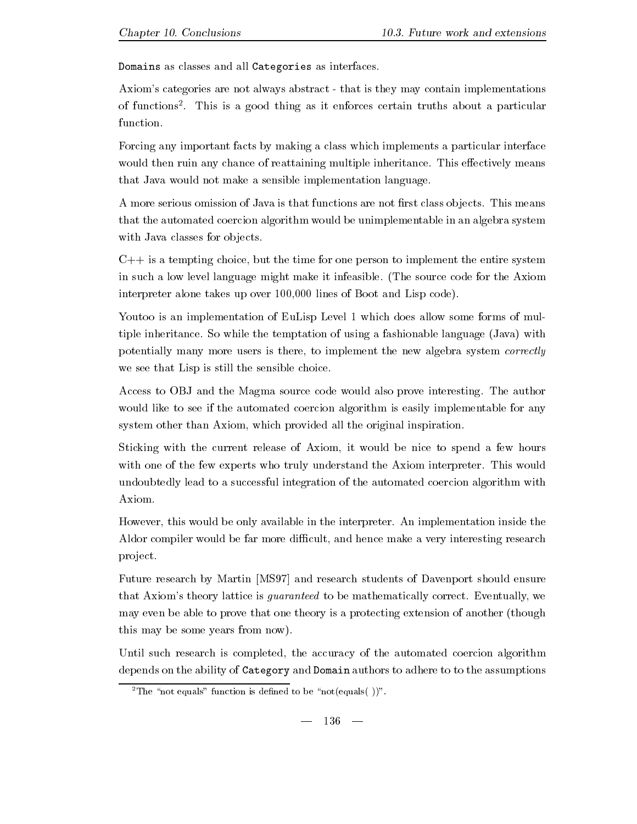Domains as classes and all Categories as interfaces-

Axiom's categories are not always abstract - that is they may contain implementations of functions - This is a good thing as it enforces certain truths about a particular function.

Forcing any important facts by making a class which implements a particular interface would then ruin any chance of ruin any chance of reattaining multiple inheritancethat Java would not make a sensible implementation language-

A more serious omission of Java is that functions are not renormalized are not renormalized as  $\mathcal{A}$ that the automated coercion algorithm would be unimplementable in an algebra system with Java classes for objects.

 $C++$  is a tempting choice, but the time for one person to implement the entire system in such a low level language might make it infeasible-for the Axiometer code for the Axiometer code for the Axiometer code for the Axiometer code for the Axiometer code for the Axiometer code for the Axiometer code for th interpreter alone takes up over 100,000 lines of Boot and Lisp code).

Youtoo is an implementation of EuLisp Level 1 which does allow some forms of multiple inheritance-be-community-be-community-system and using a fashion of using a fashionable language Java with the temptation of using a fashionable language Java with the temptation of using a fashionable language Java potentially many more users is there, to implement the new algebra system *correctly* we see that Lisp is still the sensible choice.

Access to OBJ and the Magma source code would also prove interesting- The author would like to see if the automated coercion algorithm is easily implementable for any system other than Axiom, which provided all the original inspiration.

Sticking with the current release of Axiom, it would be nice to spend a few hours with one of the few experts who truly understand the Axiom interpreter-term interpreterundoubtedly lead to a successful integration of the automated coercion algorithm with Axiom-

However this would be only available in the interpreter- An implementation inside the Aldor compiler would be far more difficult, and hence make a very interesting research project.

Future research by Martin [MS97] and research students of Davenport should ensure that Axioms theory lattice is guaranteed to be mathematically corrected to be mathematically corrected to be mathematically we have  $\mathbb{R}^n$ may even be able to prove that one theory is a protecting extension of another (though this may be some years from now).

Until such research is completed, the accuracy of the automated coercion algorithm depends on the ability of Category and Domain authors to adhere to to the assumptions

The "not equals" function is defined to be "not(equals( ))".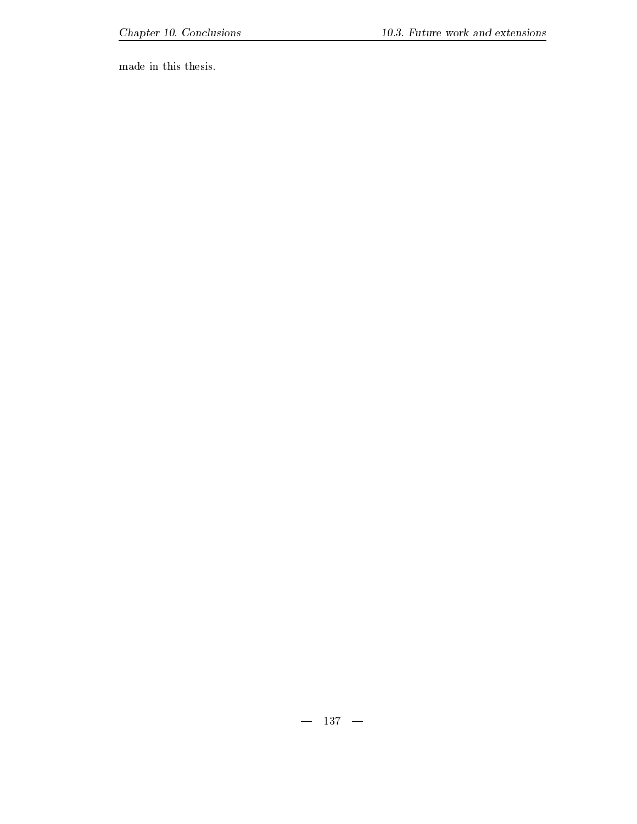made in this thesis.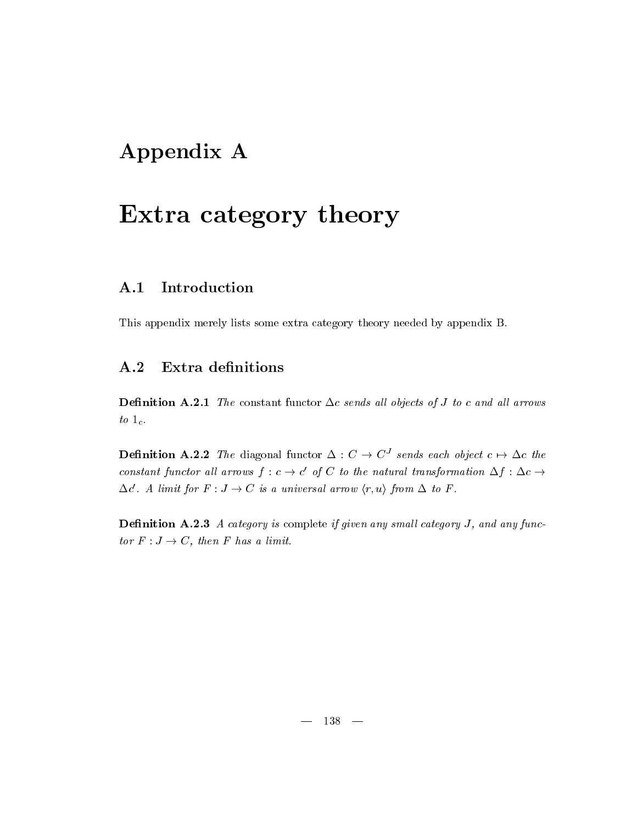# Appendix A

# Extra category theory

### $A.1$ Introduction

This appendix merely lists some extra category theory needed by appendix B-

# A.2 Extra definitions

Denition A- The constant functor (c sends al l objects of J to c and al l arrows to  $1_c$ .

**Definition A.2.2** The diagonal functor  $\Delta: C \rightarrow C$  sends each object  $c \mapsto \Delta c$  the constant functor all arrows for a large constant of the constant  $\sigma'$  of C to the natural transformation  $\Delta f : \Delta c \rightarrow$ '. A limit for  $F: J \to C$  is a universal arrow  $\langle r, u \rangle$  from  $\Delta$  to F.

**Definition A.2.3** A category is complete if given any small category  $J$ , and any functor F a limit of the first factor of the first factor of  $\mathcal{L}_1$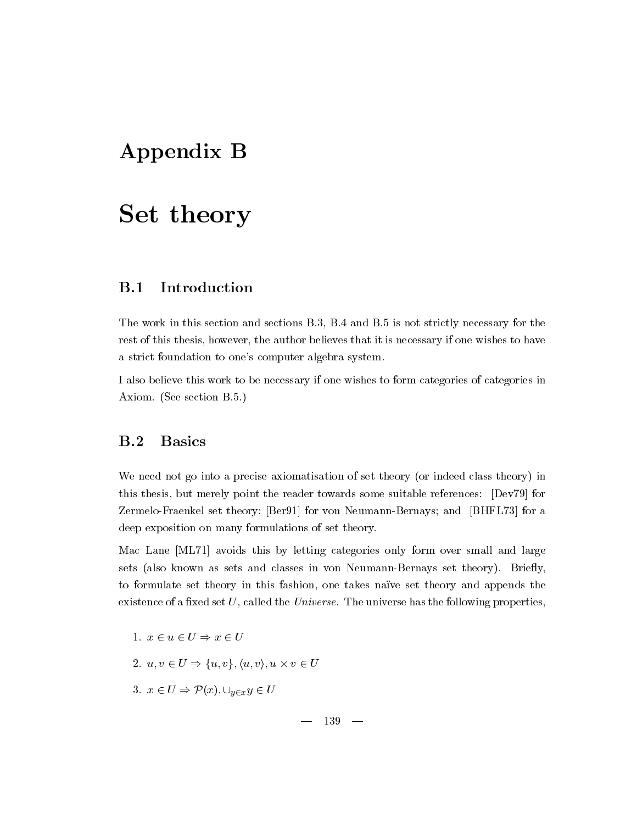# Appendix B

# Set theory

### $B.1$ Introduction

The work in this section and  $B-$  sections B-H  $\alpha$  is not strictly necessary for the strictly necessary for the strictly necessary for the strictly necessary for the strictly necessary for the strictly necessary for the rest of this thesis, however, the author believes that it is necessary if one wishes to have a strict foundation to one's computer algebra system.

I also believe this work to be necessary if one wishes to form categories of categories in axiometric between the contract of the contract of the contract of the contract of the contract of the contract of the contract of the contract of the contract of the contract of the contract of the contract of the contrac

We need not go into a precise axiomatisation of set theory (or indeed class theory) in this thesis, but merely point the reader towards some suitable references: [Dev79] for Zermelo-Fraenkel set theory; [Ber91] for von Neumann-Bernays; and [BHFL73] for a deep exposition on many formulations of set theory-

Mac Lane [ML71] avoids this by letting categories only form over small and large sets also known as sets and classes in von NeumannBernays set theory- Briey to formulate set theory in this fashion, one takes naïve set theory and appends the existence of a xed set U called the Universe- The universe has the following properties

1. 
$$
x \in u \in U \Rightarrow x \in U
$$
  
\n2.  $u, v \in U \Rightarrow \{u, v\}, \langle u, v \rangle, u \times v \in U$   
\n3.  $x \in U \Rightarrow \mathcal{P}(x), \cup_{y \in x} y \in U$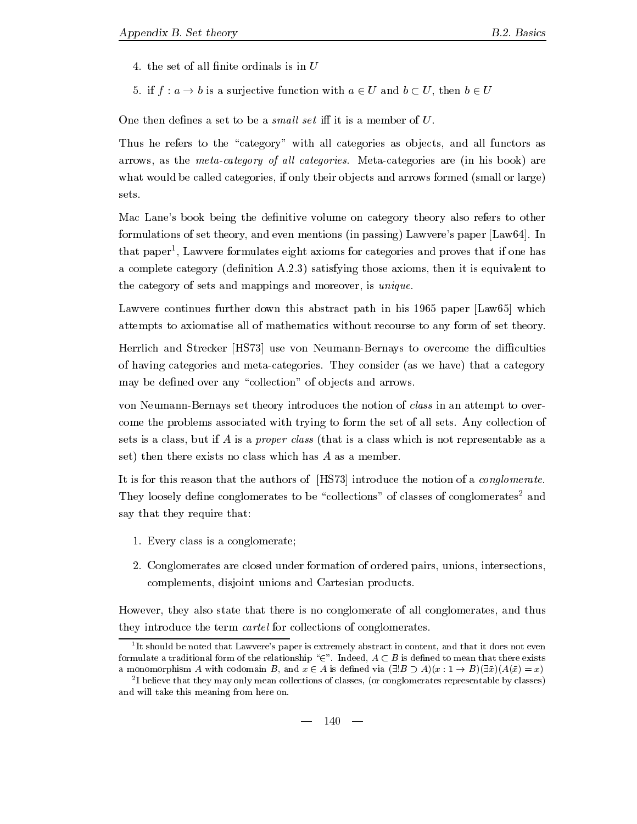- 
- -definition with a surjective function with a surjective function with a  $\mathbf{u}$

One then defines a set to be a *small set* iff it is a member of  $U$ .

Thus he refers to the "category" with all categories as objects, and all functors as arrows as the metacategory of al l categories- Metacategories are in his book are what would be called categories, if only their objects and arrows formed (small or large) sets.

Mac Lane's book being the definitive volume on category theory also refers to other formulations of set theory and even mentions in passing Lawveres paper Law- In that paper Lawvere formulates eight axioms for categories and proves that if one has a complete category denimies are those axioms those axioms those axioms the interest theories to the category of sets and mappings and moreover, is *unique*.

Lawvere continues further down this abstract path in his  $1965$  paper [Law $65$ ] which attempts to axiomatise all of mathematics without recourse to any form of set theory-

Herrlich and Strecker [HS73] use von Neumann-Bernays to overcome the difficulties of having categories and metacategories-  $\sim$  . They consider a categories as we have the category may be defined over any "collection" of objects and arrows.

von Neumann-Bernays set theory introduces the notion of *class* in an attempt to overcome the problems associated with trying to form the set of all sets- Any collection of sets is a class, but if A is a *proper class* (that is a class which is not representable as a set) then there exists no class which has  $A$  as a member.

It is for this reason that the authors of  $[HS73]$  introduce the notion of a *conglomerate*. They loosely define conglomerates to be "collections" of classes of conglomerates<sup>2</sup> and say that they require that

- - Every class is a conglomerate
- Conglomerates are closed under formation of ordered pairs unions intersections complements, disjoint unions and Cartesian products.

However, they also state that there is no conglomerate of all conglomerates, and thus they introduce the term *cartel* for collections of conglomerates.

It should be noted that Lawvere's paper is extremely abstract in content, and that it does not even formulate a traditional form of the relationship " $\in$ ". Indeed,  $A\subset B$  is defined to mean that there exists a monomorphism A with codomain B, and  $x \in A$  is defined via  $(\exists !B \supset A)(x: 1 \rightarrow B)(\exists \bar{x})(A(\bar{x})=x)$ 

<sup>-</sup>I believe that they may only mean collections of classes, (or conglomerates representable by classes) ------and will take this meaning from here on-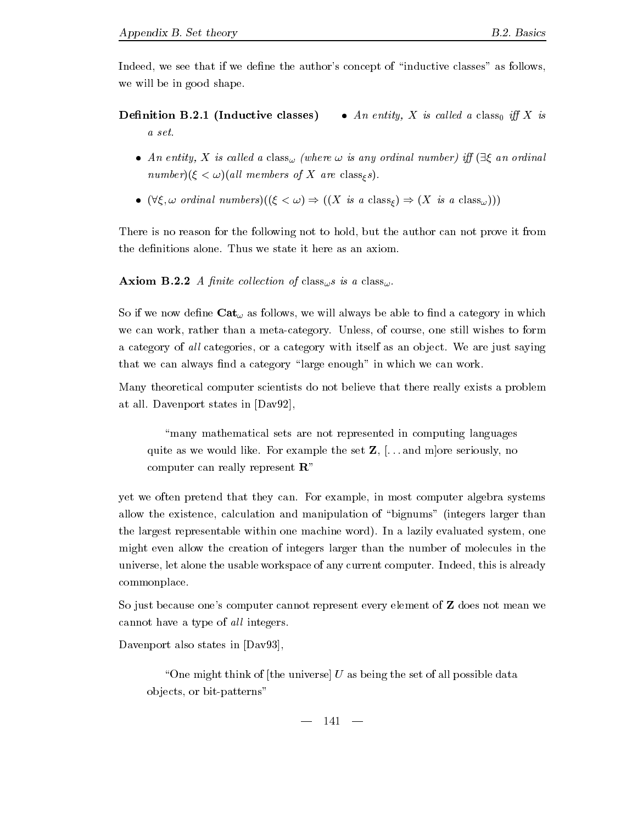Indeed, we see that if we define the author's concept of "inductive classes" as follows, we will be in good shape.

### Definition B.2.1 (Inductive classes) • An entity, X is called a class<sub>0</sub> iff X is a set.

- An entity, X is called a class<sub> $\omega$ </sub> (where  $\omega$  is any ordinal number) iff  $(\exists \xi \text{ an ordinal})$  $number(\xi < \omega)$  (all members of X are class<sub>s</sub>s).
- $(\forall \xi, \omega \text{ ordinal numbers})((\xi < \omega) \Rightarrow ((X \text{ is a class}_{\xi}) \Rightarrow (X \text{ is a class}_{\omega})))$

There is no reason for the following not to hold, but the author can not prove it from

**Axiom B.2.2** A finite collection of class<sub> $\omega$ </sub> is a class<sub> $\omega$ </sub>.

So if we now define  $\textbf{Cat}_{\omega}$  as follows, we will always be able to find a category in which we can work rather than a metacategory-than a metacategory-than a metacategory-than a metacategorya category of all categories or a category with its life as an object with its life as any ing that we can always find a category "large enough" in which we can work.

Many theoretical computer scientists do not believe that there really exists a problem at all- and states in the state in David States in David States in David States in David States in David States

many mathematical sets are not represented in computing languages quite as we would like the set  $\mathcal{L}_\mathcal{P}$  and more set  $\mathcal{L}_\mathcal{P}$  , we have seen the set  $\mathcal{L}_\mathcal{P}$ computer can really represent  $\mathbb{R}^n$ 

yet we often pretend that they can- For example in most computer algebra systems allow the existence, calculation and manipulation of "bignums" (integers larger than the largest representable within one machine word- In a lazily evaluated system one might even allow the creation of integers larger than the number of molecules in the universe let alone the usable workspace of any current computer-distribution of any current computer-distribution of a commonplace.

So just because one's computer cannot represent every element of **Z** does not mean we cannot have a type of all integers.

Davenport also states in [Dav93].

"One might think of the universe  $U$  as being the set of all possible data objects, or bit-patterns"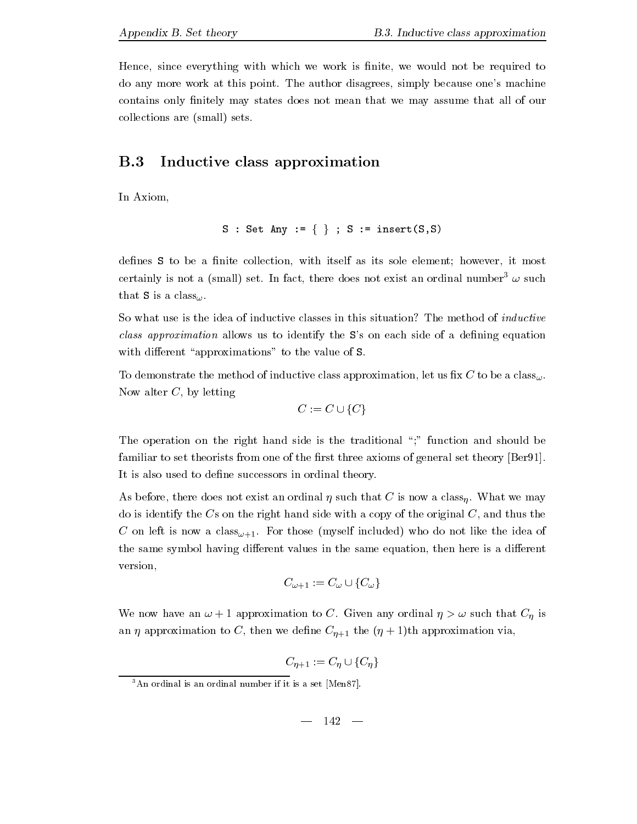Hence, since everything with which we work is finite, we would not be required to at the author work at the point- which are also more matchines and provided the authorities. contains only finitely may states does not mean that we may assume that all of our collections are (small) sets.

### $B.3$ Inductive class approximation

In Axiom

$$
S : Set Any := \{\} ; S := insert(S, S)
$$

defines S to be a finite collection, with itself as its sole element; however, it most certainly is not a (small) set. In fact, there does not exist an ordinal number  $\omega$  such that S is a class<sub> $\omega$ </sub>.

So what use is the idea of inductive classes in this situation? The method of *inductive* class approximation allows us to identify the S's on each side of a defining equation with different "approximations" to the value of S.

To demonstrate the method of inductive class approximation, let us fix C to be a class<sub> $\omega$ </sub>. Now alter  $C$ , by letting

$$
C := C \cup \{C\}
$$

The operation on the right hand side is the traditional ";" function and should be familiar to set theorists from one of the first three axioms of general set theory  $[Ber91]$ . It is also used to define successors in ordinal theory.

As before the form of the does not that C is not an ordinal that  $\sim$  and that  $\sim$  and  $\sim$   $\sim$   $\sim$   $\sim$   $\sim$ do is identify the  $Cs$  on the right hand side with a copy of the original  $C$ , and thus the  $\mathbb{C}$  is not left included who do not like the idea of like the idea of like the idea of like the idea of like the idea of like the idea of like the idea of like the idea of like the idea of like the idea of like the i the same symbol having different values in the same equation, then here is a different version

$$
C_{\omega+1} := C_{\omega} \cup \{C_{\omega}\}
$$

where a contract and the contract of  $\mathcal{S}$  and  $\mathcal{S}$  and  $\mathcal{S}$  is that C is that C is that C is that C is that C is that C is the C is that C is the C is that C is the C is that C is the C is that C is the C is t and approximation to C-then we denote the contract of the contract of the contract of the contract of the contr

 $\sim$   $\mu$   $\sim$   $\mu$   $\sim$   $\mu$   $\mu$ 

An ordinal is an ordinal number if it is a set *[Men87]*.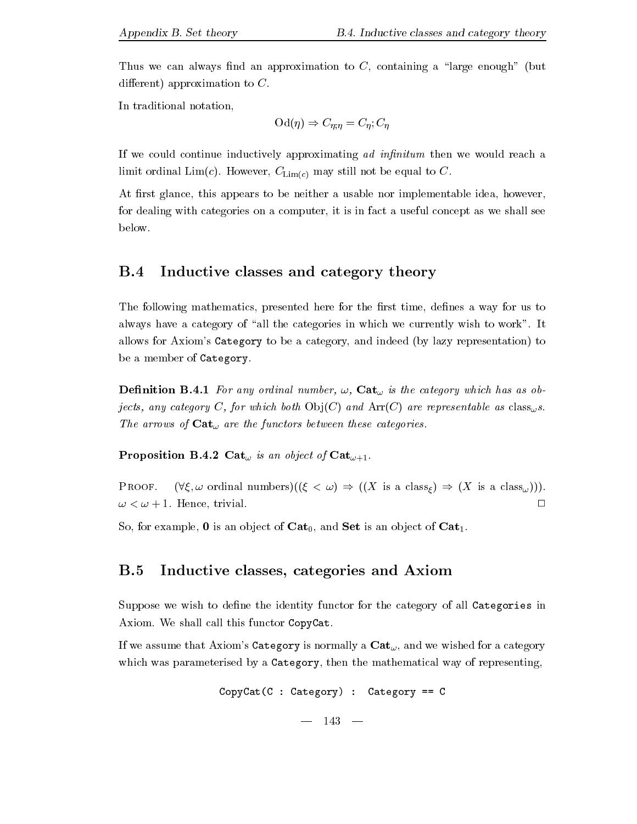Thus we can always find an approximation to C, containing a "large enough" (but different) approximation to  $C$ .

In traditional notation

$$
\mathrm{Od}(\eta) \Rightarrow C_{\eta;\eta} = C_{\eta}; C_{\eta}
$$

If we could continue inductively approximating ad infinitum then we would reach a limit ordinal Limit ordinal to  $\mathcal{A}$  . The equal to  $\mathcal{A}$  is to  $\mathcal{A}$ 

At first glance, this appears to be neither a usable nor implementable idea, however, for dealing with categories on a computer, it is in fact a useful concept as we shall see below-

#### $B.4$ Inductive classes and category theory

The following mathematics, presented here for the first time, defines a way for us to always have a category of all the category of all the categories in which wish to work  $\mathbf{I}$ allows for Axiom's Category to be a category, and indeed (by lazy representation) to be a member of Category.

 $D$  - and any ordinal number is the category which has as obtained in the category which has as obtained in the category which has a solution of  $D$ jects, any category C, for which both  $Obj(C)$  and  $Arr(C)$  are representable as class<sub>w</sub>s. The arrows of  $\textbf{Cat}_{\omega}$  are the functors between these categories.

r white which is a contract of the contract of Cat-in-

 $(\forall \xi, \omega \text{ ordinal numbers})((\xi < \omega) \Rightarrow ((X \text{ is a class}_{\xi}) \Rightarrow (X \text{ is a class}_{\omega}))).$ PROOF.  $\Box$ - Hence trivial-

so for example is an observed in the cat-form of Cat-form in the set is an observed in the Cat-form

### B.5 Inductive classes, categories and Axiom

Suppose we wish to define the identity functor for the category of all Categories in  $\mathcal{M}$  . We shall call this function  $\mathcal{M}$  is functor  $\mathcal{M}$  . This function  $\mathcal{M}$ 

If we assume that Axiom's Category is normally a  $\mathbf{Cat}_{\omega}$ , and we wished for a category which was parameterised by a Category, then the mathematical way of representing,

$$
CopyCat(C : Categorical) : Categorical == C
$$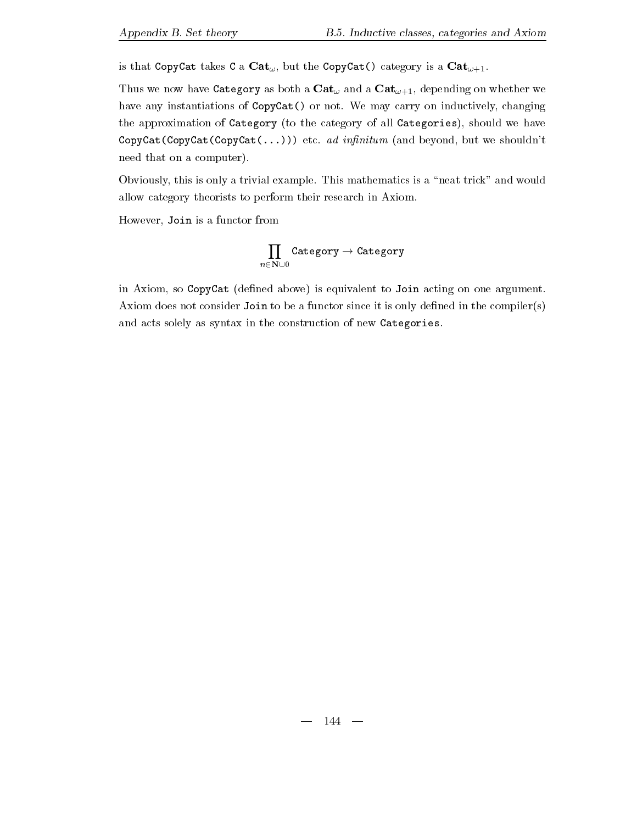انت که در کند این که کار که در این که در کشور است. این که در کشور است که در کشور که در کشور کشور کشور کشور کشو

 $\begin{array}{ccc} \text{C1} & \text{A1} & \text{A2} & \text{A3} & \text{A4} & \text{A5} & \text{A6} & \text{A7} & \text{A8} & \text{A7} & \text{A8} & \text{A9} & \text{A1} & \text{A1} & \text{A2} & \text{A3} & \text{A4} & \text{A5} & \text{A6} & \text{A7} & \text{A8} & \text{A7} & \text{A8} & \text{A7} & \text{A8} & \text{A8} & \text{A9} & \text{A1} & \text{A1} & \text{A2} & \text{$ have any instantiations of CopyCat or not- We may carry on inductively changing the approximation of Category (to the category of all Categories), should we have copyCatCopyCatCopyCatCopyCatCopyCatCopyCatCopyCatCopyCatCopyCatCopyCatCopyCatCopyCatCopyCatCopyCatCo need that on a computer).

Obviously the set  $\mu$  and would example - This mathematics is a neat trick  $\mu$  and  $\mu$ allow category theorists to perform their research in Axiom-

However, Join is a functor from

The contract of the contract of the contract of the contract of the contract of the contract of the contract of  $\prod_{n\in\mathbf{N}\cup 0}$ 

in Axiom, so  $CopyCat$  (defined above) is equivalent to Join acting on one argument. Axiom does not consider Join to be a functor since it is only defined in the compiler(s) and acts solely as syntax in the construction of new Categories.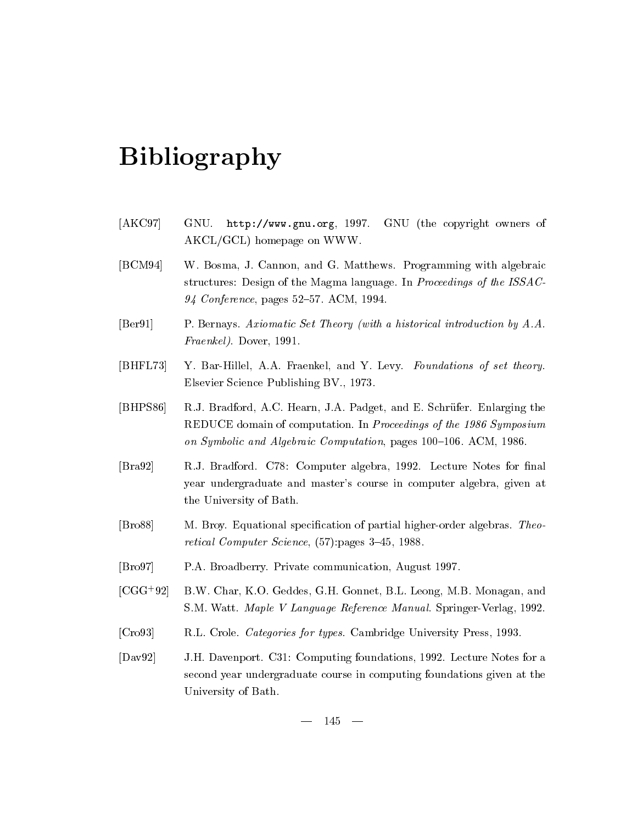## Bibliography

- $[AKC97]$  GNU.  $http://www.gnu.org, 1997.$ GNU (the copyright owners of  $AKCL/GCL$ ) homepage on WWW.
- $[BCM94]$  $\mathcal{L}$  - Programming with algebraic  $\mathcal{L}$ structures Design of the Magma language-term of the Magma language-term of the ISSAC of the ISSAC of the ISSAC of the ISSAC of the ISSAC of the ISSAC of the ISSAC of the ISSAC of the ISSAC of the ISSAC of the ISSAC of the Conference pages 
6- ACM -
- $[Ber91]$  Bernays- Axiomatic Set Theory with a historical introduction by A-A-Fraenkel- Dover -
- $[BHFL 73]$ and additional accountments, where a construction are constructed in the construction of Elsevier Science Publishing BV- -
- $[BHPSS6]$ J-Bradford A-C-Bradford A-C-Bradford A-C-Bradford A-C-A-C-Bradford T-C-Bradford A-C-Bradford T-C-Bradford A-C-REDUCE domain of computation- In Proceedings of the Symposium on Symbolic and Algebraic Computation pages in the Symbolic Computation pages in the Algebraic Computation pag
- $\left[ \text{Bra}92\right]$ J- Bradford- C Computer algebra 
- Lecture Notes for nal year undergraduate and master's course in computer algebra, given at the University of Bath-
- $[Bros8]$  Broy- Equational specication of partial higherorder algebras- Theo retical Computer Science,  $(57)$ : pages 3-45, 1988.
- $\vert$ Bro $97$ A- Broadberry- Private communication August -
- $|UUU|$   $32|$  D. W. Char, K.O. Geddes, G.H. Gonnet, D.L. Leong, M.D. Monagan, and S-M- Watt- Maple V Language Reference Manual- SpringerVerlag 
-
- $[{\rm Cro93}]$ L- Crole- Categories for types- Cambridge University Press -
- $[Day92]$ H- Davenport- C Computing foundations 
- Lecture Notes for a second year undergraduate course in computing foundations given at the University of Bath-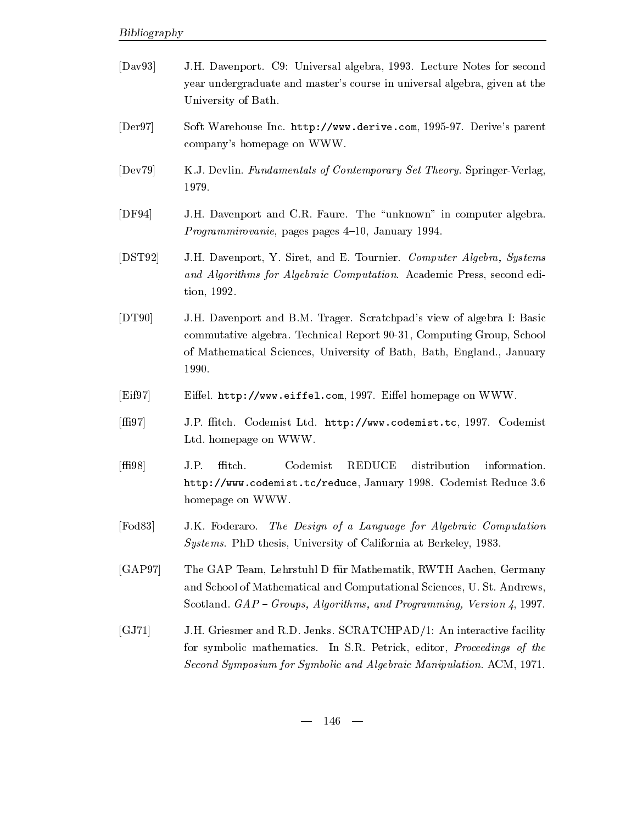| $\left[\text{Dav}93\right]$      | J.H. Davenport. C9: Universal algebra, 1993. Lecture Notes for second<br>year undergraduate and master's course in universal algebra, given at the<br>University of Bath.                                                       |
|----------------------------------|---------------------------------------------------------------------------------------------------------------------------------------------------------------------------------------------------------------------------------|
| $\left[{\rm Der}97\right]$       | Soft Warehouse Inc. http://www.derive.com, 1995-97. Derive's parent<br>company's homepage on WWW.                                                                                                                               |
| [Dev79]                          | K.J. Devlin. Fundamentals of Contemporary Set Theory. Springer-Verlag,<br>1979.                                                                                                                                                 |
| [DF94]                           | J.H. Davenport and C.R. Faure. The "unknown" in computer algebra.<br><i>Programmirovanie</i> , pages pages 4-10, January 1994.                                                                                                  |
| $[$ $DST92]$                     | J.H. Davenport, Y. Siret, and E. Tournier. Computer Algebra, Systems<br>and Algorithms for Algebraic Computation. Academic Press, second edi-<br>tion, 1992.                                                                    |
| [DT90]                           | J.H. Davenport and B.M. Trager. Scratchpad's view of algebra I: Basic<br>commutative algebra. Technical Report 90-31, Computing Group, School<br>of Mathematical Sciences, University of Bath, Bath, England., January<br>1990. |
| [Eif97]                          | Eiffel. http://www.eiffel.com, 1997. Eiffel homepage on WWW.                                                                                                                                                                    |
| $[\text{ff}197]$                 | J.P. ffitch. Codemist Ltd. http://www.codemist.tc, 1997. Codemist<br>Ltd. homepage on WWW.                                                                                                                                      |
| [ff198]                          | J.P.<br>ffitch.<br>Codemist<br><b>REDUCE</b><br>distribution<br>information.<br>http://www.codemist.tc/reduce, January 1998. Codemist Reduce 3.6<br>homepage on WWW.                                                            |
| $\lbrack \mathrm{Fod83} \rbrack$ | J.K. Foderaro. The Design of a Language for Algebraic Computation<br>Systems. PhD thesis, University of California at Berkeley, 1983.                                                                                           |
| [GAP97]                          | The GAP Team, Lehrstuhl D für Mathematik, RWTH Aachen, Germany<br>and School of Mathematical and Computational Sciences, U.St. Andrews,<br>Scotland. GAP - Groups, Algorithms, and Programming, Version 4, 1997.                |

 $\left[ \mathrm{GJ71}\right]$ H- Griesmer and R-D- Jenks- SCRATCHPAD An interactive facility for symbolic mathematics- In S-R- Petrick editor Proceedings of the Second Symposium for Symbolic and Algebraic Manipulation- ACM -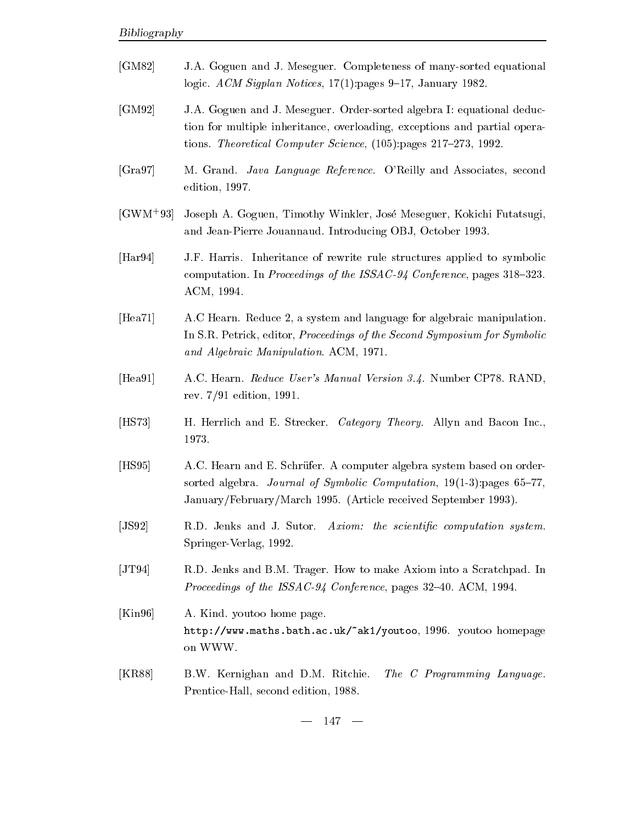- $\vert$ GM82 $\vert$ A- Goguen and J- Meseguer- Completeness of manysorted equational ac<sub>m</sub> and the properties of the state of the second content of the second of the second of the second of the second of the second of the second of the second of the second of the second of the second of the second of the s
- $[GM92]$ A- Goguen and J- Meseguer- Ordersorted algebra I equational deduc tion for multiple inheritance, overloading, exceptions and partial operations-tions-tions-tions-tions-tions-tions-tions-tions-tions-tions-tions-tions-tions-tions-tions-tions-tions-tio
- $[Gra97]$ Grand-Cava Associates and Associates seconds and Associates seconds seconds and Associates seconds and Associates  $edition, 1997.$
- $[GWM<sup>+</sup>93]$ 95] Joseph A. Goguen, Timothy Winkler, Jose Meseguer, Kokichi Futatsugi, and Jean-Pierre Jouannaud-Viewer-Jouannaud-Viewer-Jouannaud-Viewer-Jouannaud-Viewer-Jouannaud-Viewer-Jouannau
- $[Har 94]$ F- Harris- Inheritance of rewrite rule structures applied to symbolic computation- and a conference of the manufacture party of the ISSAC conference of the ISSAC Conference and the ACM, 1994.
- $[Hea71]$ c Hearn-Basic and language for and language for algebraic manipulation-basic manipulation-basic manipulation-b In S-R- Petrick editor Proceedings of the Second Symposium for Symbolic and Algebraic Manipulation-Manipulation-Manipulation-Manipulation-Manipulation-Manipulation-Manipulation-Manipu
- $[Hea91]$ C- Hearn- Reduce Users Manual Version -- Number CP- RAND rev-  edition -
- $[HS 73]$  Herrlich and E- Strecker- Category Theory- Allyn and Bacon Inc-1973.
- $[HS95]$ C- Hearn and E- Schr2ufer- A computer algebra system based on order sorted algebra- Journal of Symbolic Computation pages 6 JanuaryFebruaryMarch - Article received September -
- $[JS92]$ D- Jenks and J- Sutor- Axiom the scientic computation system-Springer-Verlag, 1992.
- $[JT94]$ <u>- Jensis and B-D-I to may to make a Scratchpad-Axiom in the scratchpad-Axiom into a Scratchpad-Axiom into a Scr</u> Proceedings of the ISSAC Conference pages 
6- ACM -
- $[Kin 96]$  Kind- youtoo home pagehttp wwwmathsbathacuk !ak youtoo - youtoo homepage on WWW-
- $[KR88]$ W- Kernighan and D-M- Ritchie-The C Programming Language. Prentice-Hall, second edition, 1988.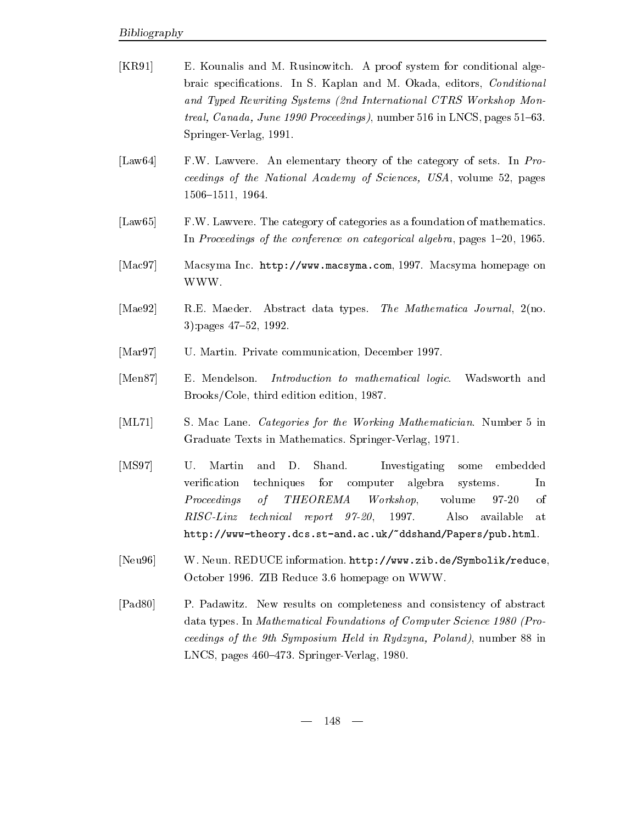- $[KR91]$  Kounalis and M- Rusinowitch- A proof system for conditional alge braic specifications- and M- and M- and M- and M- Okada editors Conditions Conditions Conditions and Typed Rewriting Systems (2nd International CTRS Workshop Montread, can be a proceeding the canada and the control of the control of the control of  $\mathcal{C}$ Springer-Verlag, 1991.
- $\text{[Law64]}$ were an elementary theory of the category of the category of the category of the category of the category of the ceedings of the National Academy of Sciences, USA, volume 52, pages  $1506 - 1511$ , 1964.
- $\vert$ Law $65$  $\mathbf{M}$  as a foundation of  $\mathbf{M}$  as a foundation of mathematics-categories as a foundation of mathematics-categories as a foundation of mathematics-categories as a foundation of mathematics-categories as a foundation In Proceedings of the conference on categorical algebra, pages  $1-20$ ,  $1965$ .
- Mac Macsyma Inc- http wwwmacsymacom - Macsyma homepage on WWW-
- $[Mae92]$ E- Maeder- Abstract data types- The Mathematica Journal no- $3)$ : pages  $47-52$ , 1992.
- $[Mar 97]$ Martin- Private communication December -
- $[Men87]$ E. Mendelson. Introduction to mathematical logic. Wadsworth and  $Brooks/Cole$ , third edition edition, 1987.
- $[ML71]$  Mac Lane- Categories for the Working Mathematician- Number in  $\blacksquare$  . The mathematics-influence of  $\blacksquare$
- $[MS97]$  U. Martin and D. Shand. Investigating some embedded In verication techniques for computer algebra systems $of$ volume 97-20  $\sigma$ f Proceedings of THEOREMA Workshop volume of  $RISC-Linz$  $technical$  report  $97-20$ . 1997. Also available at http://www-theory.dcs.st-and.ac.uk/"ddshand/Papers/pub.html.
- $[Neu96]$  Neun- REDUCE information- http wwwzibde Symbolik reduce o coo con a conservation on a community of the state of the state of the state of the state of the state of the state of the state of the state of the state of the state of the state of the state of the state of the state
- $[Pad 80]$ - New results on complete the complete state of abstract and completely and consistency of abstract of abstract data types- In Mathematical Foundations of Computer Science Science Science Science Science Science Science Sc ceedings of the 9th Symposium Held in Rydzyna, Poland), number 88 in  $\mathcal{L}$  , and a springer of  $\mathcal{L}$  and  $\mathcal{L}$  are the spaces of  $\mathcal{L}$  and  $\mathcal{L}$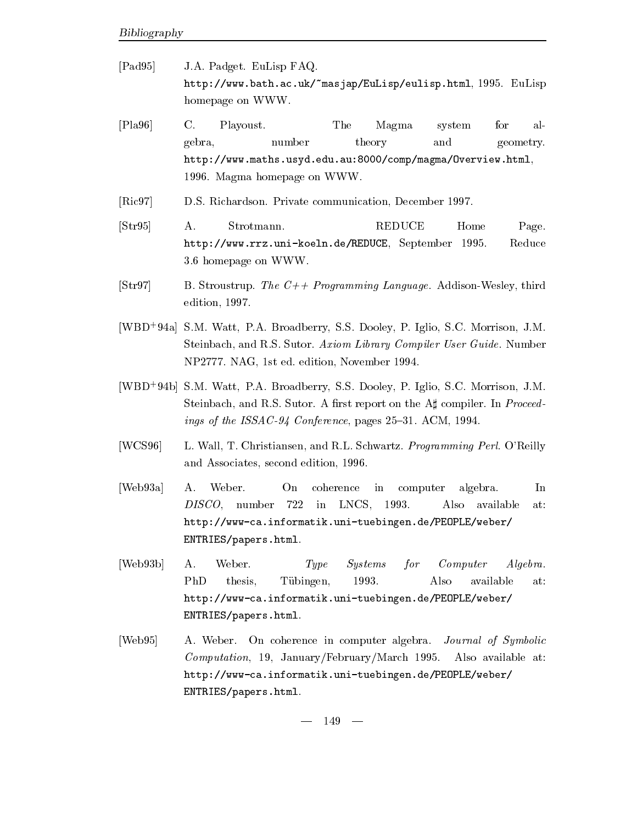- $[Pad 95]$ A- Padget- EuLisp FAQhttp wwwbathacuk !masjap EuLisp eulisphtml - EuLisp homepage on WWW-
- $[Pa96]$  C. Playoust- The Magma system for al gebra, number theory and geometry. http://www.maths.usyd.edu.au:8000/comp/magma/0verview.html, - Magma homepage on WWW-
- $[Ric97]$ S- Richardson- Private communication December -
- $[Str95]$  A. Strotmann. REDUCE Home Page. http://www.rrz.uni-koeln.de/REDUCE, September 1995. Reduce - homepage on WWW-
- $\left[ \text{Str97}\right]$  Stroustrup- The C Programming Language- AddisonWesley third edition,  $1997.$
- |WDD-94a| S.M. Watt, P.A. Droadberry, S.S. Dooley, P. Iglio, S.C. Morrison, J.M. steinbach and R-steinbach and R-steinbach and R-steinbach and R-steinbach and American and R-steinbach and Rne edition na Gregorian and the state of the state of the state of the state of the state of the state of the s
- |WDD-940| S.M. Watt, P.A. Droadberry, S.S. Dooley, P. Iglio, S.C. Morrison, J.M. Steinbach and R-S- Sutor- A rst report on the A compiler- In Proceed ings of the ISSAC Conference pages of the ISSAC Conference pages of the ISSAC Conference pages of the ISSAC Co
- $[WCS96]$ wall the christians and recently and recently and recently the recent control of the state of the control of the control of the control of the control of the control of the control of the control of the control of the cont and Associates, second edition, 1996.
- $[Web93a]$  A. Weber. On coherence in computer algebra.  $DISCO$ , number 722 in LNCS, 1993. http://www-ca.informatik.uni-tuebingen.de/PEOPLE/weber/ ENTRIES/papers.html.
- $[Web93b]$  A. Weber. Type Systems for Computer Systems in PhD Tübingen, 1993. Also available at thesis. http://www-ca.informatik.uni-tuebingen.de/PEOPLE/weber/ ENTRIES/papers.html.
- $[Web95]$  Weber- On coherence in computer algebra- Journal of Symbolic  $Computation$ , 19, January/February/March 1995. Also available at http://www-ca.informatik.uni-tuebingen.de/PEOPLE/weber/ ENTRIES/papers.html.